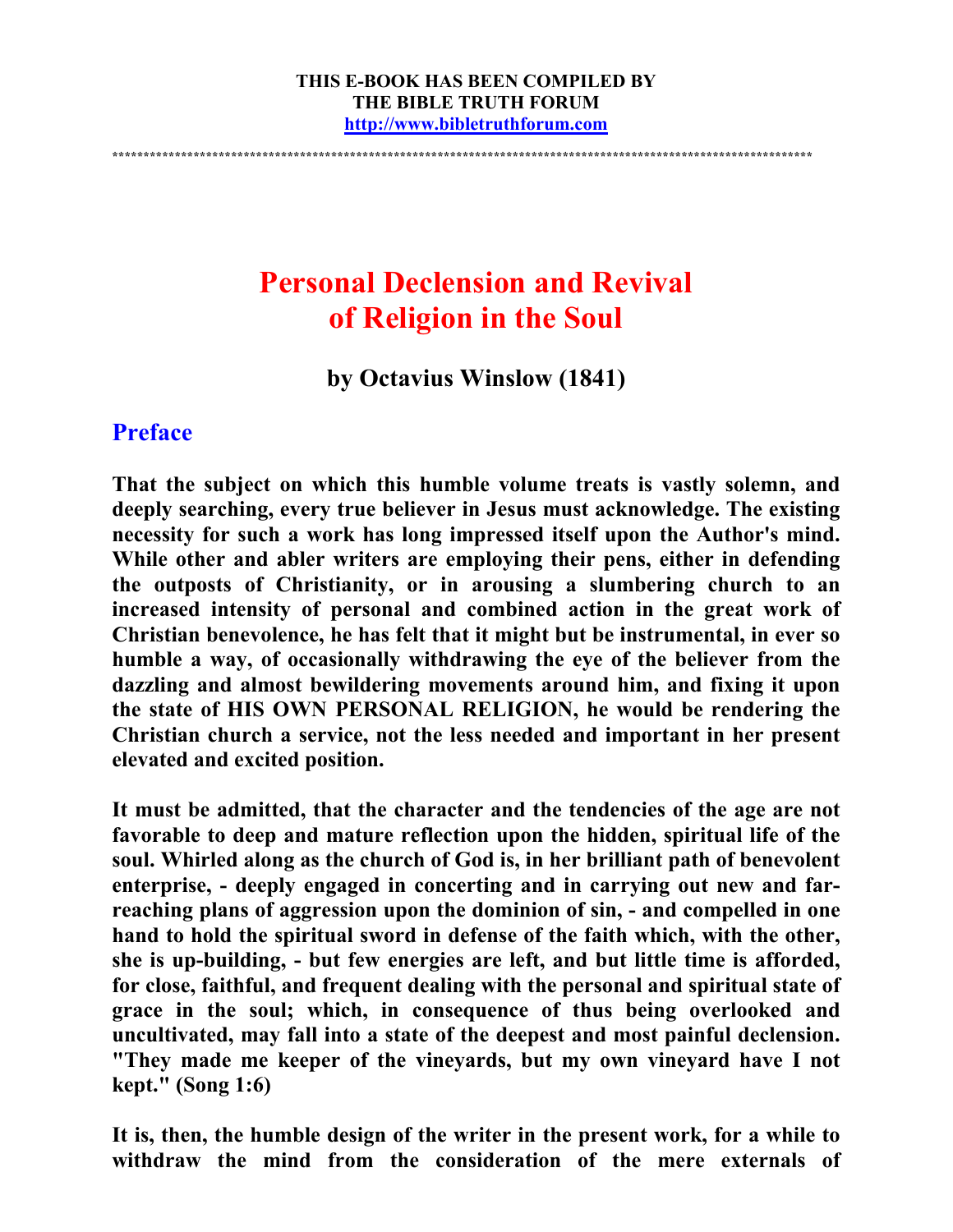**\*\*\*\*\*\*\*\*\*\*\*\*\*\*\*\*\*\*\*\*\*\*\*\*\*\*\*\*\*\*\*\*\*\*\*\*\*\*\*\*\*\*\*\*\*\*\*\*\*\*\*\*\*\*\*\*\*\*\*\*\*\*\*\*\*\*\*\*\*\*\*\*\*\*\*\*\*\*\*\*\*\*\*\*\*\*\*\*\*\*\*\*\*\*\*\*\*\*\*\*\*\*\*\*\*\*\*\*\*\*\*\*** 

**Personal Declension and Revival of Religion in the Soul** 

**by Octavius Winslow (1841)** 

## **Preface**

**That the subject on which this humble volume treats is vastly solemn, and deeply searching, every true believer in Jesus must acknowledge. The existing necessity for such a work has long impressed itself upon the Author's mind. While other and abler writers are employing their pens, either in defending the outposts of Christianity, or in arousing a slumbering church to an increased intensity of personal and combined action in the great work of Christian benevolence, he has felt that it might but be instrumental, in ever so humble a way, of occasionally withdrawing the eye of the believer from the dazzling and almost bewildering movements around him, and fixing it upon the state of HIS OWN PERSONAL RELIGION, he would be rendering the Christian church a service, not the less needed and important in her present elevated and excited position.** 

**It must be admitted, that the character and the tendencies of the age are not favorable to deep and mature reflection upon the hidden, spiritual life of the soul. Whirled along as the church of God is, in her brilliant path of benevolent enterprise, - deeply engaged in concerting and in carrying out new and farreaching plans of aggression upon the dominion of sin, - and compelled in one hand to hold the spiritual sword in defense of the faith which, with the other, she is up-building, - but few energies are left, and but little time is afforded, for close, faithful, and frequent dealing with the personal and spiritual state of grace in the soul; which, in consequence of thus being overlooked and uncultivated, may fall into a state of the deepest and most painful declension. "They made me keeper of the vineyards, but my own vineyard have I not kept." (Song 1:6)** 

**It is, then, the humble design of the writer in the present work, for a while to withdraw the mind from the consideration of the mere externals of**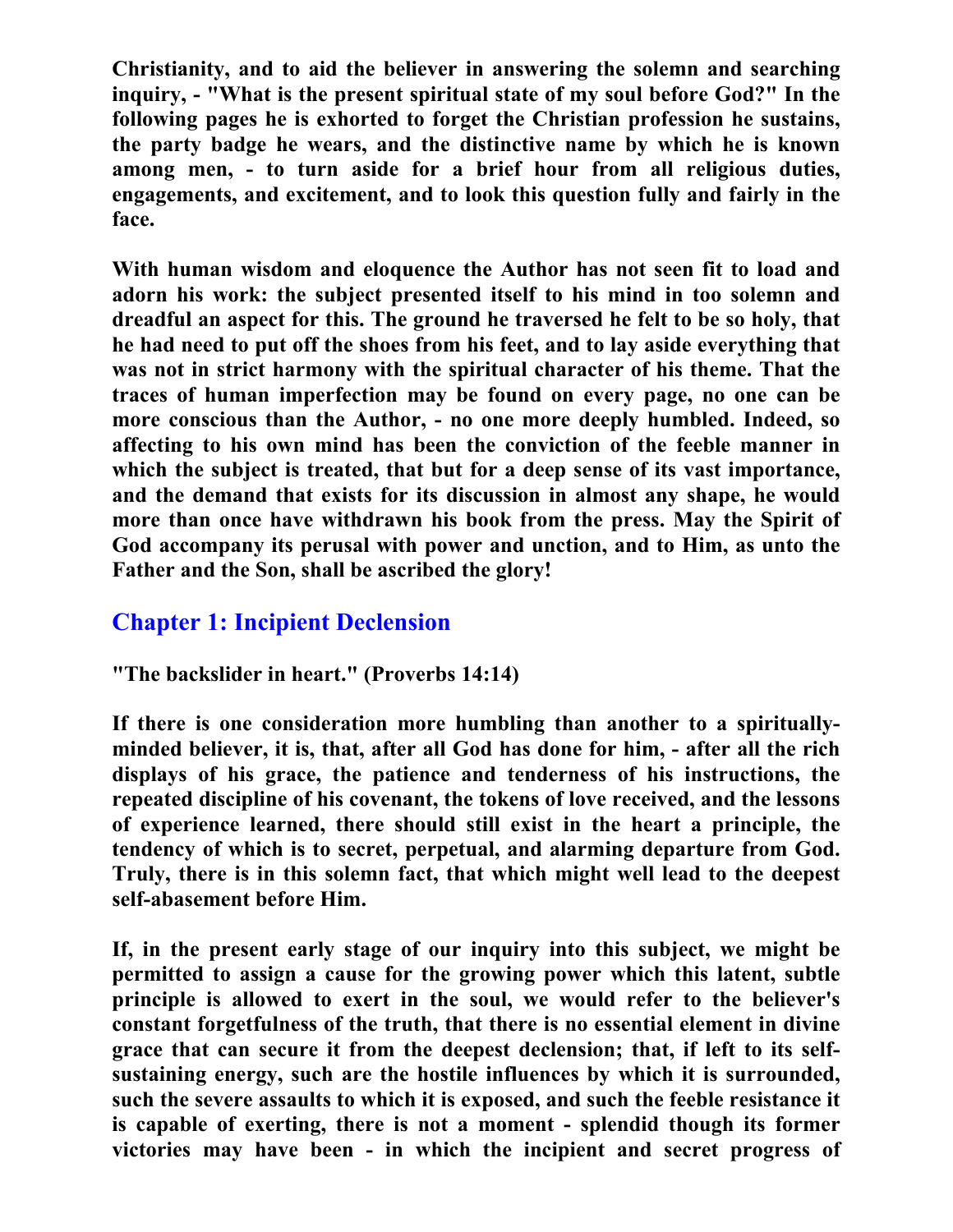**Christianity, and to aid the believer in answering the solemn and searching inquiry, - "What is the present spiritual state of my soul before God?" In the following pages he is exhorted to forget the Christian profession he sustains, the party badge he wears, and the distinctive name by which he is known among men, - to turn aside for a brief hour from all religious duties, engagements, and excitement, and to look this question fully and fairly in the face.** 

**With human wisdom and eloquence the Author has not seen fit to load and adorn his work: the subject presented itself to his mind in too solemn and dreadful an aspect for this. The ground he traversed he felt to be so holy, that he had need to put off the shoes from his feet, and to lay aside everything that was not in strict harmony with the spiritual character of his theme. That the traces of human imperfection may be found on every page, no one can be more conscious than the Author, - no one more deeply humbled. Indeed, so affecting to his own mind has been the conviction of the feeble manner in which the subject is treated, that but for a deep sense of its vast importance, and the demand that exists for its discussion in almost any shape, he would more than once have withdrawn his book from the press. May the Spirit of God accompany its perusal with power and unction, and to Him, as unto the Father and the Son, shall be ascribed the glory!** 

## **Chapter 1: Incipient Declension**

**"The backslider in heart." (Proverbs 14:14)** 

**If there is one consideration more humbling than another to a spirituallyminded believer, it is, that, after all God has done for him, - after all the rich displays of his grace, the patience and tenderness of his instructions, the repeated discipline of his covenant, the tokens of love received, and the lessons of experience learned, there should still exist in the heart a principle, the tendency of which is to secret, perpetual, and alarming departure from God. Truly, there is in this solemn fact, that which might well lead to the deepest self-abasement before Him.** 

**If, in the present early stage of our inquiry into this subject, we might be permitted to assign a cause for the growing power which this latent, subtle principle is allowed to exert in the soul, we would refer to the believer's constant forgetfulness of the truth, that there is no essential element in divine grace that can secure it from the deepest declension; that, if left to its selfsustaining energy, such are the hostile influences by which it is surrounded, such the severe assaults to which it is exposed, and such the feeble resistance it is capable of exerting, there is not a moment - splendid though its former victories may have been - in which the incipient and secret progress of**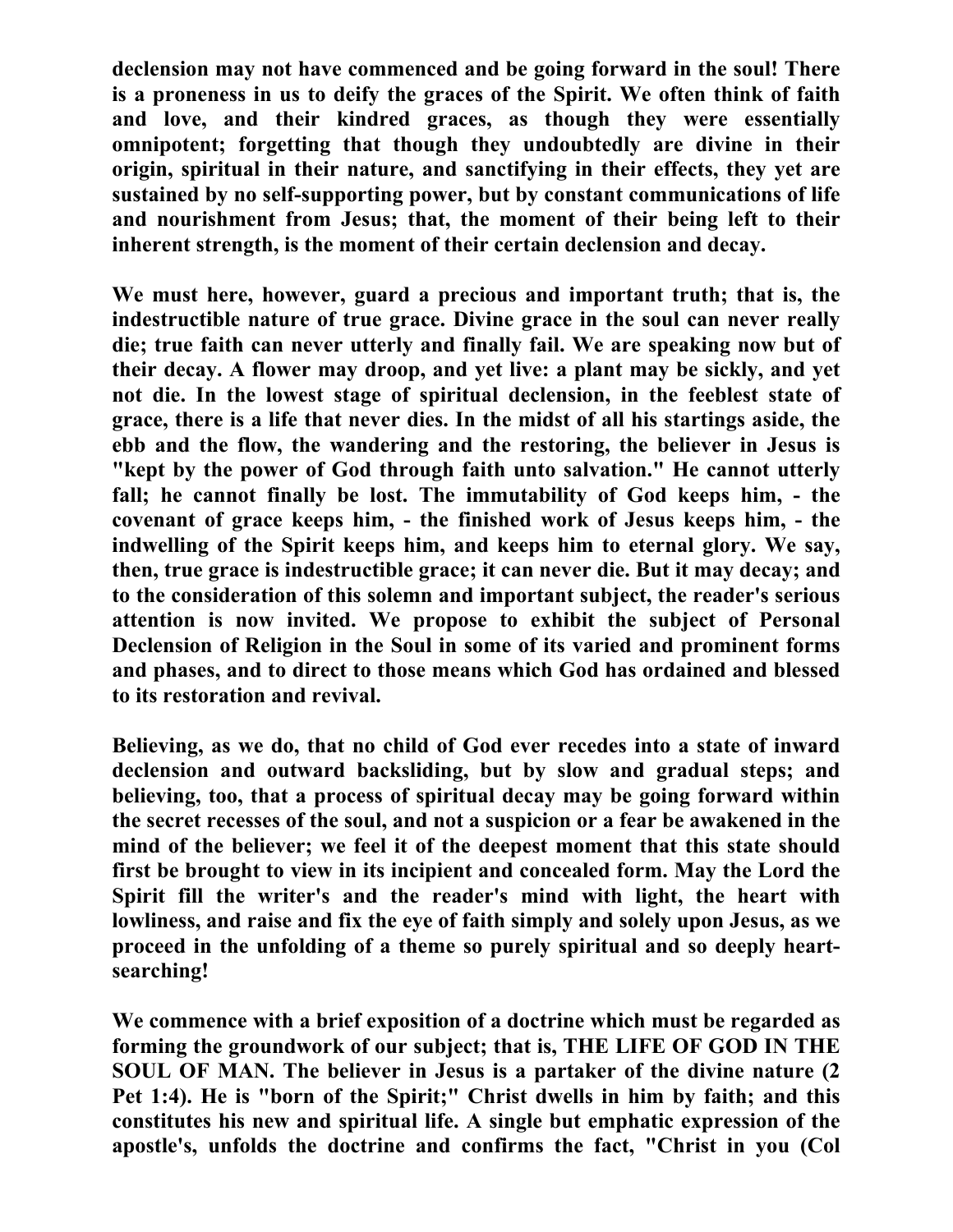**declension may not have commenced and be going forward in the soul! There is a proneness in us to deify the graces of the Spirit. We often think of faith and love, and their kindred graces, as though they were essentially omnipotent; forgetting that though they undoubtedly are divine in their origin, spiritual in their nature, and sanctifying in their effects, they yet are sustained by no self-supporting power, but by constant communications of life and nourishment from Jesus; that, the moment of their being left to their inherent strength, is the moment of their certain declension and decay.** 

**We must here, however, guard a precious and important truth; that is, the indestructible nature of true grace. Divine grace in the soul can never really die; true faith can never utterly and finally fail. We are speaking now but of their decay. A flower may droop, and yet live: a plant may be sickly, and yet not die. In the lowest stage of spiritual declension, in the feeblest state of grace, there is a life that never dies. In the midst of all his startings aside, the ebb and the flow, the wandering and the restoring, the believer in Jesus is "kept by the power of God through faith unto salvation." He cannot utterly fall; he cannot finally be lost. The immutability of God keeps him, - the covenant of grace keeps him, - the finished work of Jesus keeps him, - the indwelling of the Spirit keeps him, and keeps him to eternal glory. We say, then, true grace is indestructible grace; it can never die. But it may decay; and to the consideration of this solemn and important subject, the reader's serious attention is now invited. We propose to exhibit the subject of Personal Declension of Religion in the Soul in some of its varied and prominent forms and phases, and to direct to those means which God has ordained and blessed to its restoration and revival.** 

**Believing, as we do, that no child of God ever recedes into a state of inward declension and outward backsliding, but by slow and gradual steps; and believing, too, that a process of spiritual decay may be going forward within the secret recesses of the soul, and not a suspicion or a fear be awakened in the mind of the believer; we feel it of the deepest moment that this state should first be brought to view in its incipient and concealed form. May the Lord the Spirit fill the writer's and the reader's mind with light, the heart with lowliness, and raise and fix the eye of faith simply and solely upon Jesus, as we proceed in the unfolding of a theme so purely spiritual and so deeply heartsearching!** 

**We commence with a brief exposition of a doctrine which must be regarded as forming the groundwork of our subject; that is, THE LIFE OF GOD IN THE SOUL OF MAN. The believer in Jesus is a partaker of the divine nature (2 Pet 1:4). He is "born of the Spirit;" Christ dwells in him by faith; and this constitutes his new and spiritual life. A single but emphatic expression of the apostle's, unfolds the doctrine and confirms the fact, "Christ in you (Col**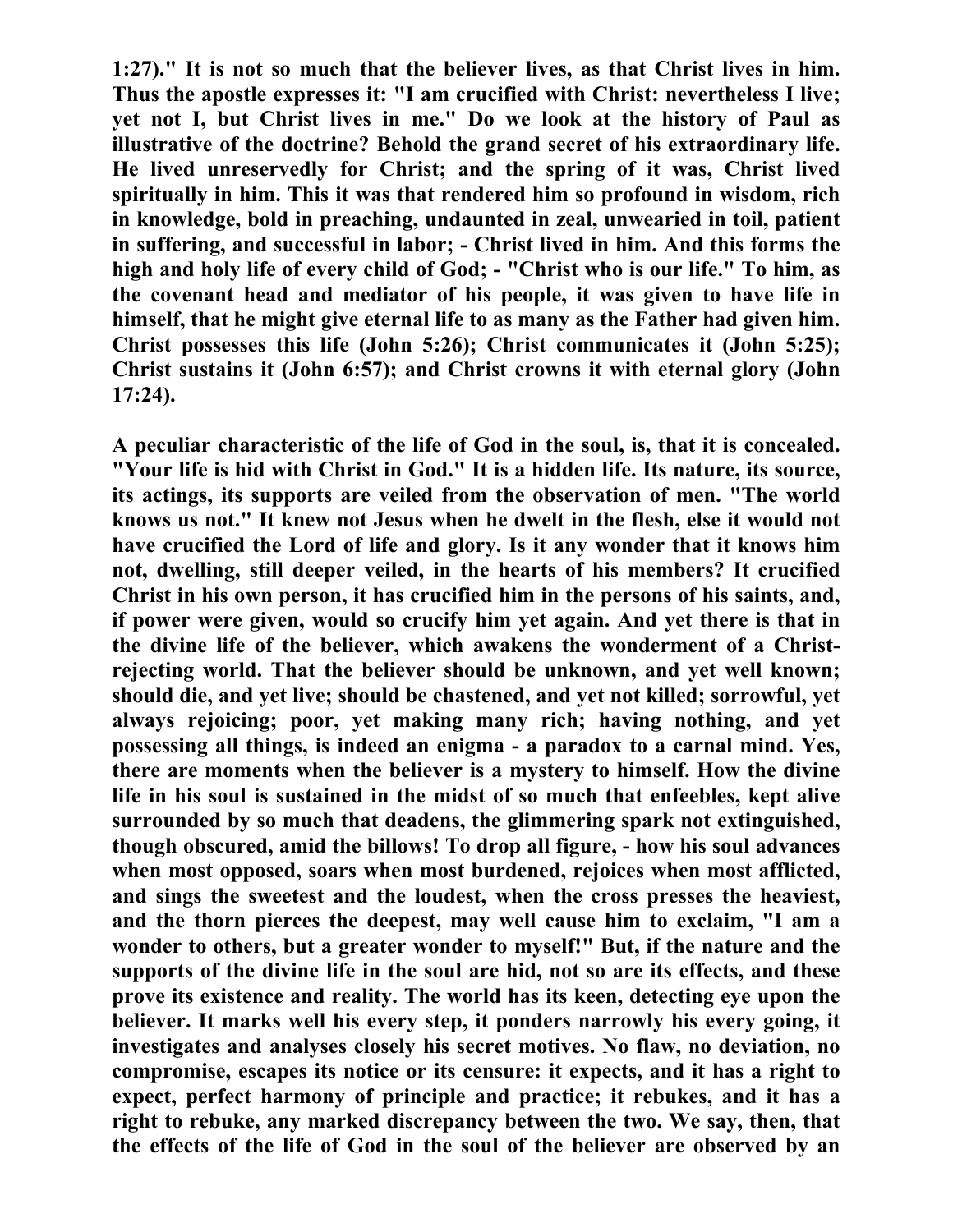**1:27)." It is not so much that the believer lives, as that Christ lives in him. Thus the apostle expresses it: "I am crucified with Christ: nevertheless I live; yet not I, but Christ lives in me." Do we look at the history of Paul as illustrative of the doctrine? Behold the grand secret of his extraordinary life. He lived unreservedly for Christ; and the spring of it was, Christ lived spiritually in him. This it was that rendered him so profound in wisdom, rich in knowledge, bold in preaching, undaunted in zeal, unwearied in toil, patient in suffering, and successful in labor; - Christ lived in him. And this forms the high and holy life of every child of God; - "Christ who is our life." To him, as the covenant head and mediator of his people, it was given to have life in himself, that he might give eternal life to as many as the Father had given him. Christ possesses this life (John 5:26); Christ communicates it (John 5:25); Christ sustains it (John 6:57); and Christ crowns it with eternal glory (John 17:24).** 

**A peculiar characteristic of the life of God in the soul, is, that it is concealed. "Your life is hid with Christ in God." It is a hidden life. Its nature, its source, its actings, its supports are veiled from the observation of men. "The world knows us not." It knew not Jesus when he dwelt in the flesh, else it would not have crucified the Lord of life and glory. Is it any wonder that it knows him not, dwelling, still deeper veiled, in the hearts of his members? It crucified Christ in his own person, it has crucified him in the persons of his saints, and, if power were given, would so crucify him yet again. And yet there is that in the divine life of the believer, which awakens the wonderment of a Christrejecting world. That the believer should be unknown, and yet well known; should die, and yet live; should be chastened, and yet not killed; sorrowful, yet always rejoicing; poor, yet making many rich; having nothing, and yet possessing all things, is indeed an enigma - a paradox to a carnal mind. Yes, there are moments when the believer is a mystery to himself. How the divine life in his soul is sustained in the midst of so much that enfeebles, kept alive surrounded by so much that deadens, the glimmering spark not extinguished, though obscured, amid the billows! To drop all figure, - how his soul advances when most opposed, soars when most burdened, rejoices when most afflicted, and sings the sweetest and the loudest, when the cross presses the heaviest, and the thorn pierces the deepest, may well cause him to exclaim, "I am a wonder to others, but a greater wonder to myself!" But, if the nature and the supports of the divine life in the soul are hid, not so are its effects, and these prove its existence and reality. The world has its keen, detecting eye upon the believer. It marks well his every step, it ponders narrowly his every going, it investigates and analyses closely his secret motives. No flaw, no deviation, no compromise, escapes its notice or its censure: it expects, and it has a right to expect, perfect harmony of principle and practice; it rebukes, and it has a right to rebuke, any marked discrepancy between the two. We say, then, that the effects of the life of God in the soul of the believer are observed by an**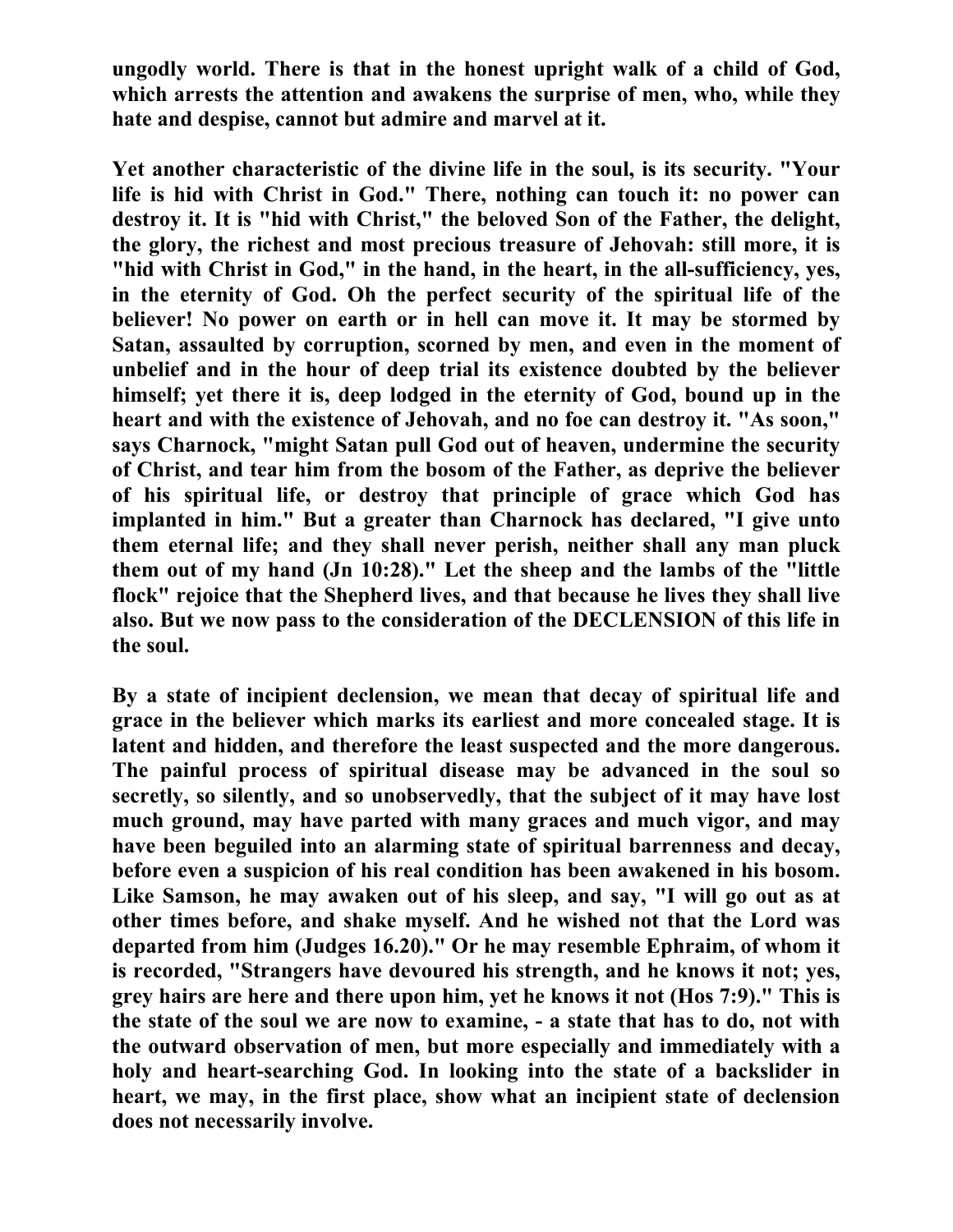**ungodly world. There is that in the honest upright walk of a child of God, which arrests the attention and awakens the surprise of men, who, while they hate and despise, cannot but admire and marvel at it.** 

**Yet another characteristic of the divine life in the soul, is its security. "Your life is hid with Christ in God." There, nothing can touch it: no power can destroy it. It is "hid with Christ," the beloved Son of the Father, the delight, the glory, the richest and most precious treasure of Jehovah: still more, it is "hid with Christ in God," in the hand, in the heart, in the all-sufficiency, yes, in the eternity of God. Oh the perfect security of the spiritual life of the believer! No power on earth or in hell can move it. It may be stormed by Satan, assaulted by corruption, scorned by men, and even in the moment of unbelief and in the hour of deep trial its existence doubted by the believer himself; yet there it is, deep lodged in the eternity of God, bound up in the heart and with the existence of Jehovah, and no foe can destroy it. "As soon," says Charnock, "might Satan pull God out of heaven, undermine the security of Christ, and tear him from the bosom of the Father, as deprive the believer of his spiritual life, or destroy that principle of grace which God has implanted in him." But a greater than Charnock has declared, "I give unto them eternal life; and they shall never perish, neither shall any man pluck them out of my hand (Jn 10:28)." Let the sheep and the lambs of the "little flock" rejoice that the Shepherd lives, and that because he lives they shall live also. But we now pass to the consideration of the DECLENSION of this life in the soul.** 

**By a state of incipient declension, we mean that decay of spiritual life and grace in the believer which marks its earliest and more concealed stage. It is latent and hidden, and therefore the least suspected and the more dangerous. The painful process of spiritual disease may be advanced in the soul so secretly, so silently, and so unobservedly, that the subject of it may have lost much ground, may have parted with many graces and much vigor, and may have been beguiled into an alarming state of spiritual barrenness and decay, before even a suspicion of his real condition has been awakened in his bosom. Like Samson, he may awaken out of his sleep, and say, "I will go out as at other times before, and shake myself. And he wished not that the Lord was departed from him (Judges 16.20)." Or he may resemble Ephraim, of whom it is recorded, "Strangers have devoured his strength, and he knows it not; yes, grey hairs are here and there upon him, yet he knows it not (Hos 7:9)." This is the state of the soul we are now to examine, - a state that has to do, not with the outward observation of men, but more especially and immediately with a holy and heart-searching God. In looking into the state of a backslider in heart, we may, in the first place, show what an incipient state of declension does not necessarily involve.**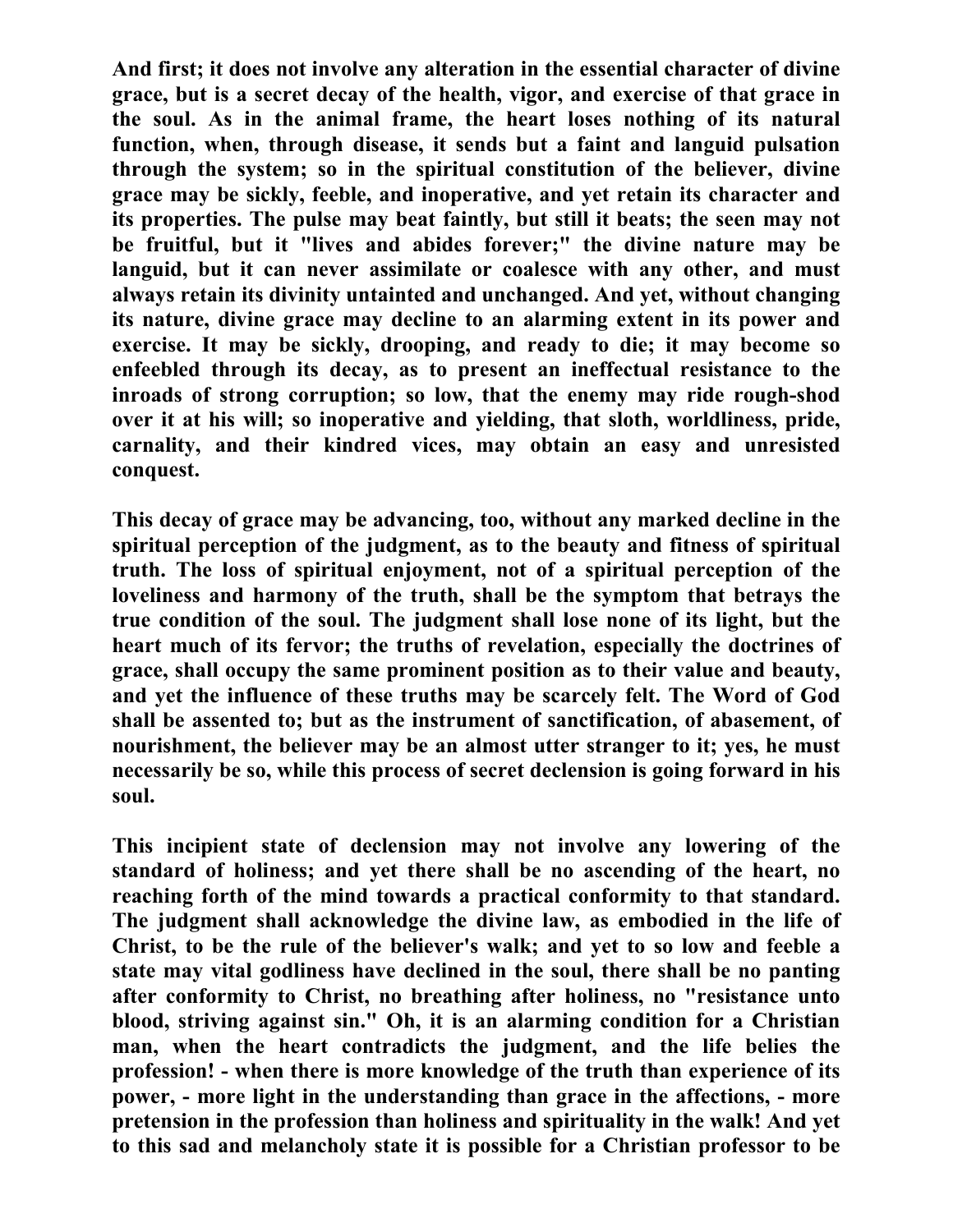**And first; it does not involve any alteration in the essential character of divine grace, but is a secret decay of the health, vigor, and exercise of that grace in the soul. As in the animal frame, the heart loses nothing of its natural function, when, through disease, it sends but a faint and languid pulsation through the system; so in the spiritual constitution of the believer, divine grace may be sickly, feeble, and inoperative, and yet retain its character and its properties. The pulse may beat faintly, but still it beats; the seen may not be fruitful, but it "lives and abides forever;" the divine nature may be languid, but it can never assimilate or coalesce with any other, and must always retain its divinity untainted and unchanged. And yet, without changing its nature, divine grace may decline to an alarming extent in its power and exercise. It may be sickly, drooping, and ready to die; it may become so enfeebled through its decay, as to present an ineffectual resistance to the inroads of strong corruption; so low, that the enemy may ride rough-shod over it at his will; so inoperative and yielding, that sloth, worldliness, pride, carnality, and their kindred vices, may obtain an easy and unresisted conquest.** 

**This decay of grace may be advancing, too, without any marked decline in the spiritual perception of the judgment, as to the beauty and fitness of spiritual truth. The loss of spiritual enjoyment, not of a spiritual perception of the loveliness and harmony of the truth, shall be the symptom that betrays the true condition of the soul. The judgment shall lose none of its light, but the heart much of its fervor; the truths of revelation, especially the doctrines of grace, shall occupy the same prominent position as to their value and beauty, and yet the influence of these truths may be scarcely felt. The Word of God shall be assented to; but as the instrument of sanctification, of abasement, of nourishment, the believer may be an almost utter stranger to it; yes, he must necessarily be so, while this process of secret declension is going forward in his soul.** 

**This incipient state of declension may not involve any lowering of the standard of holiness; and yet there shall be no ascending of the heart, no reaching forth of the mind towards a practical conformity to that standard. The judgment shall acknowledge the divine law, as embodied in the life of Christ, to be the rule of the believer's walk; and yet to so low and feeble a state may vital godliness have declined in the soul, there shall be no panting after conformity to Christ, no breathing after holiness, no "resistance unto blood, striving against sin." Oh, it is an alarming condition for a Christian man, when the heart contradicts the judgment, and the life belies the profession! - when there is more knowledge of the truth than experience of its power, - more light in the understanding than grace in the affections, - more pretension in the profession than holiness and spirituality in the walk! And yet to this sad and melancholy state it is possible for a Christian professor to be**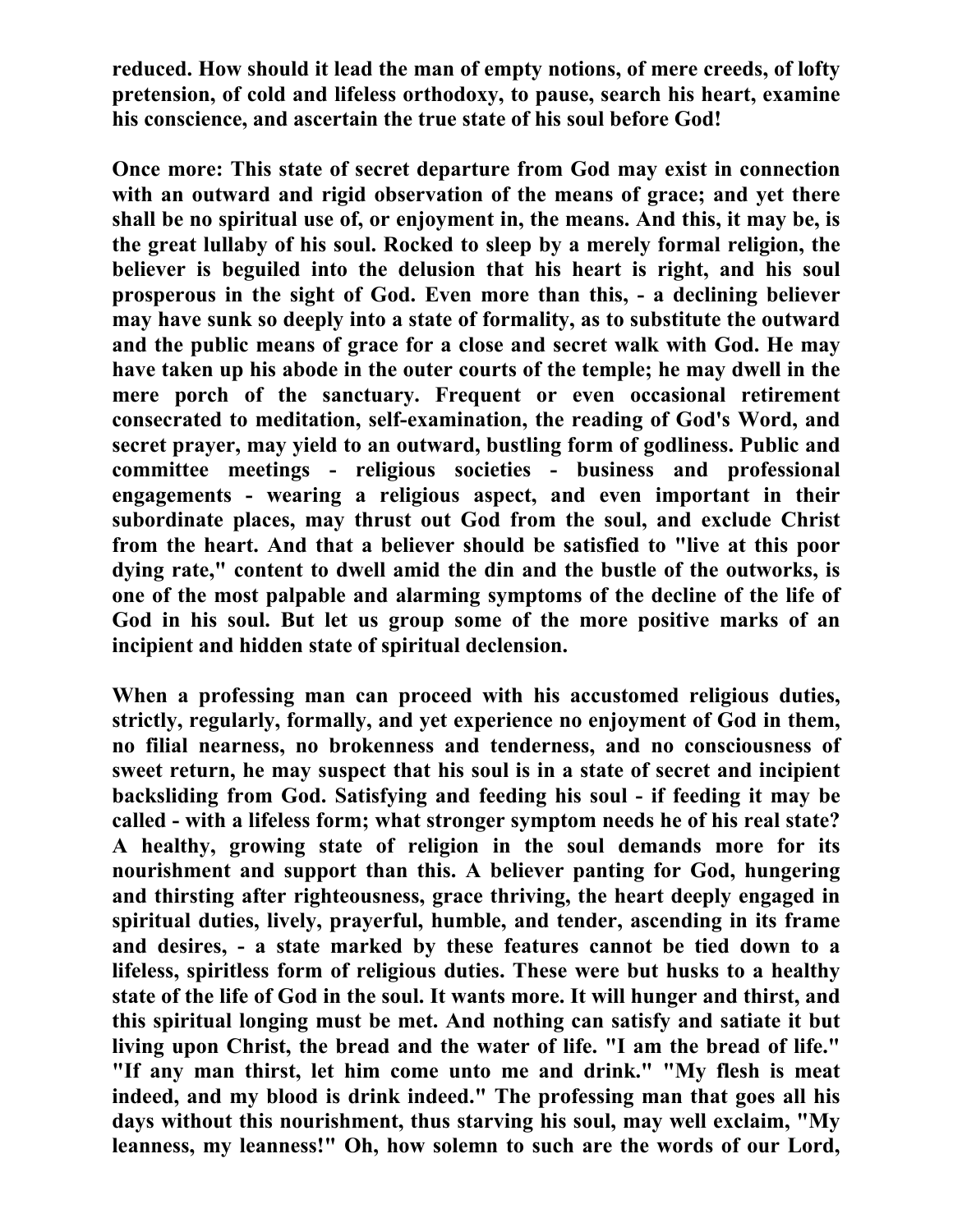**reduced. How should it lead the man of empty notions, of mere creeds, of lofty pretension, of cold and lifeless orthodoxy, to pause, search his heart, examine his conscience, and ascertain the true state of his soul before God!** 

**Once more: This state of secret departure from God may exist in connection with an outward and rigid observation of the means of grace; and yet there shall be no spiritual use of, or enjoyment in, the means. And this, it may be, is the great lullaby of his soul. Rocked to sleep by a merely formal religion, the believer is beguiled into the delusion that his heart is right, and his soul prosperous in the sight of God. Even more than this, - a declining believer may have sunk so deeply into a state of formality, as to substitute the outward and the public means of grace for a close and secret walk with God. He may have taken up his abode in the outer courts of the temple; he may dwell in the mere porch of the sanctuary. Frequent or even occasional retirement consecrated to meditation, self-examination, the reading of God's Word, and secret prayer, may yield to an outward, bustling form of godliness. Public and committee meetings - religious societies - business and professional engagements - wearing a religious aspect, and even important in their subordinate places, may thrust out God from the soul, and exclude Christ from the heart. And that a believer should be satisfied to "live at this poor dying rate," content to dwell amid the din and the bustle of the outworks, is one of the most palpable and alarming symptoms of the decline of the life of God in his soul. But let us group some of the more positive marks of an incipient and hidden state of spiritual declension.** 

**When a professing man can proceed with his accustomed religious duties, strictly, regularly, formally, and yet experience no enjoyment of God in them, no filial nearness, no brokenness and tenderness, and no consciousness of sweet return, he may suspect that his soul is in a state of secret and incipient backsliding from God. Satisfying and feeding his soul - if feeding it may be called - with a lifeless form; what stronger symptom needs he of his real state? A healthy, growing state of religion in the soul demands more for its nourishment and support than this. A believer panting for God, hungering and thirsting after righteousness, grace thriving, the heart deeply engaged in spiritual duties, lively, prayerful, humble, and tender, ascending in its frame and desires, - a state marked by these features cannot be tied down to a lifeless, spiritless form of religious duties. These were but husks to a healthy state of the life of God in the soul. It wants more. It will hunger and thirst, and this spiritual longing must be met. And nothing can satisfy and satiate it but living upon Christ, the bread and the water of life. "I am the bread of life." "If any man thirst, let him come unto me and drink." "My flesh is meat indeed, and my blood is drink indeed." The professing man that goes all his days without this nourishment, thus starving his soul, may well exclaim, "My leanness, my leanness!" Oh, how solemn to such are the words of our Lord,**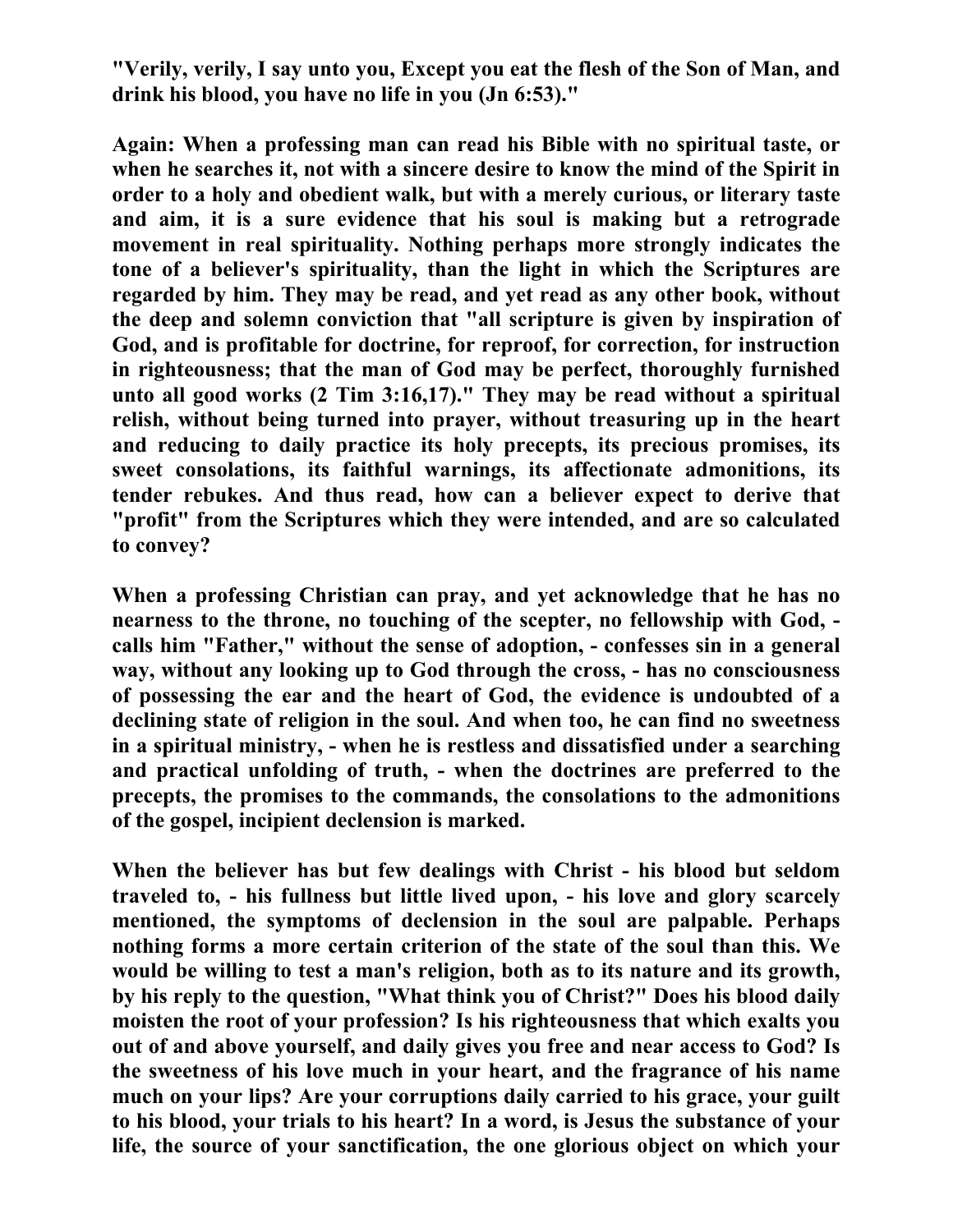**"Verily, verily, I say unto you, Except you eat the flesh of the Son of Man, and drink his blood, you have no life in you (Jn 6:53)."** 

**Again: When a professing man can read his Bible with no spiritual taste, or when he searches it, not with a sincere desire to know the mind of the Spirit in order to a holy and obedient walk, but with a merely curious, or literary taste and aim, it is a sure evidence that his soul is making but a retrograde movement in real spirituality. Nothing perhaps more strongly indicates the tone of a believer's spirituality, than the light in which the Scriptures are regarded by him. They may be read, and yet read as any other book, without the deep and solemn conviction that "all scripture is given by inspiration of God, and is profitable for doctrine, for reproof, for correction, for instruction in righteousness; that the man of God may be perfect, thoroughly furnished unto all good works (2 Tim 3:16,17)." They may be read without a spiritual relish, without being turned into prayer, without treasuring up in the heart and reducing to daily practice its holy precepts, its precious promises, its sweet consolations, its faithful warnings, its affectionate admonitions, its tender rebukes. And thus read, how can a believer expect to derive that "profit" from the Scriptures which they were intended, and are so calculated to convey?** 

**When a professing Christian can pray, and yet acknowledge that he has no nearness to the throne, no touching of the scepter, no fellowship with God, calls him "Father," without the sense of adoption, - confesses sin in a general way, without any looking up to God through the cross, - has no consciousness of possessing the ear and the heart of God, the evidence is undoubted of a declining state of religion in the soul. And when too, he can find no sweetness in a spiritual ministry, - when he is restless and dissatisfied under a searching and practical unfolding of truth, - when the doctrines are preferred to the precepts, the promises to the commands, the consolations to the admonitions of the gospel, incipient declension is marked.** 

**When the believer has but few dealings with Christ - his blood but seldom traveled to, - his fullness but little lived upon, - his love and glory scarcely mentioned, the symptoms of declension in the soul are palpable. Perhaps nothing forms a more certain criterion of the state of the soul than this. We would be willing to test a man's religion, both as to its nature and its growth, by his reply to the question, "What think you of Christ?" Does his blood daily moisten the root of your profession? Is his righteousness that which exalts you out of and above yourself, and daily gives you free and near access to God? Is the sweetness of his love much in your heart, and the fragrance of his name much on your lips? Are your corruptions daily carried to his grace, your guilt to his blood, your trials to his heart? In a word, is Jesus the substance of your life, the source of your sanctification, the one glorious object on which your**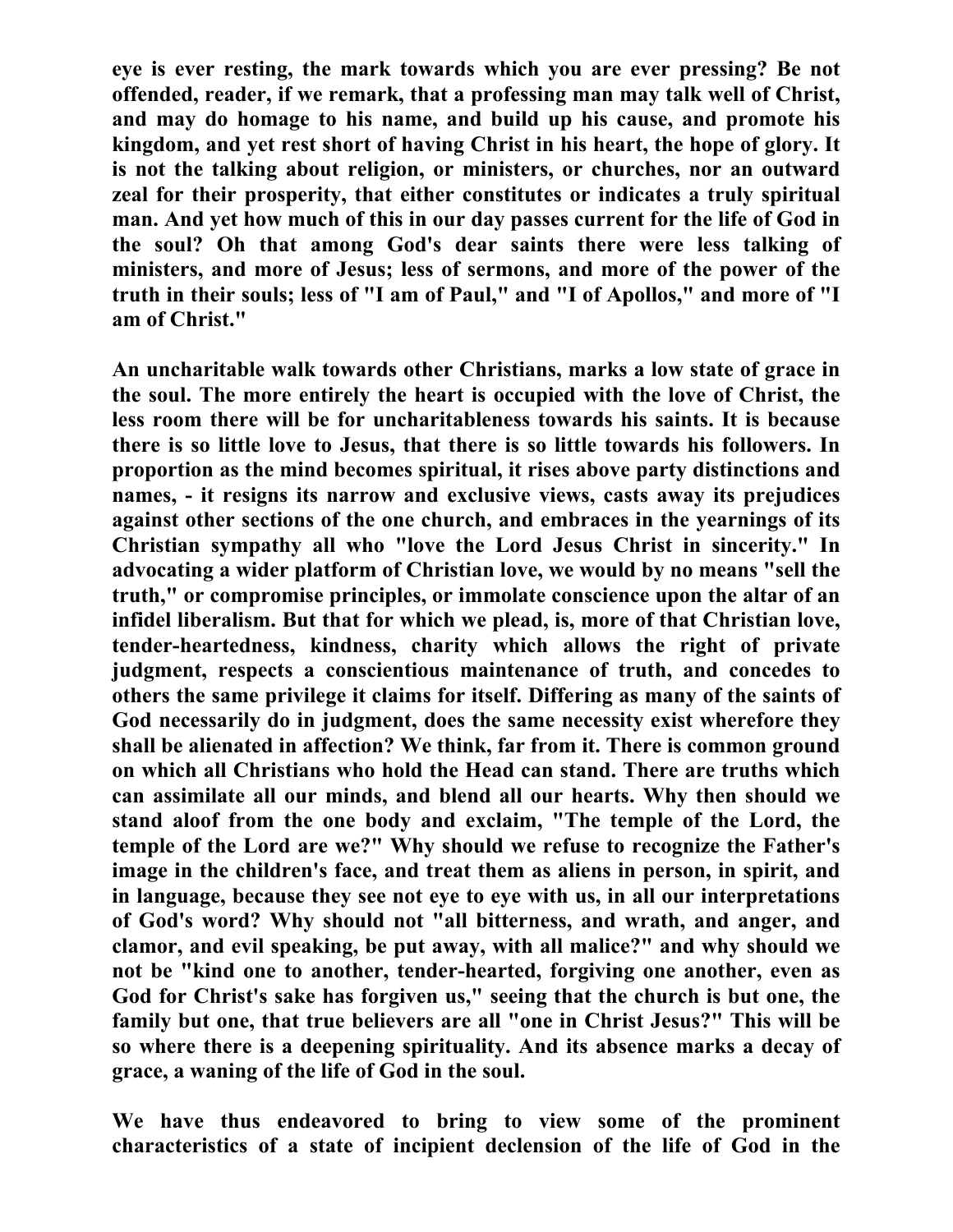**eye is ever resting, the mark towards which you are ever pressing? Be not offended, reader, if we remark, that a professing man may talk well of Christ, and may do homage to his name, and build up his cause, and promote his kingdom, and yet rest short of having Christ in his heart, the hope of glory. It is not the talking about religion, or ministers, or churches, nor an outward zeal for their prosperity, that either constitutes or indicates a truly spiritual man. And yet how much of this in our day passes current for the life of God in the soul? Oh that among God's dear saints there were less talking of ministers, and more of Jesus; less of sermons, and more of the power of the truth in their souls; less of "I am of Paul," and "I of Apollos," and more of "I am of Christ."** 

**An uncharitable walk towards other Christians, marks a low state of grace in the soul. The more entirely the heart is occupied with the love of Christ, the less room there will be for uncharitableness towards his saints. It is because there is so little love to Jesus, that there is so little towards his followers. In proportion as the mind becomes spiritual, it rises above party distinctions and names, - it resigns its narrow and exclusive views, casts away its prejudices against other sections of the one church, and embraces in the yearnings of its Christian sympathy all who "love the Lord Jesus Christ in sincerity." In advocating a wider platform of Christian love, we would by no means "sell the truth," or compromise principles, or immolate conscience upon the altar of an infidel liberalism. But that for which we plead, is, more of that Christian love, tender-heartedness, kindness, charity which allows the right of private judgment, respects a conscientious maintenance of truth, and concedes to others the same privilege it claims for itself. Differing as many of the saints of God necessarily do in judgment, does the same necessity exist wherefore they shall be alienated in affection? We think, far from it. There is common ground on which all Christians who hold the Head can stand. There are truths which can assimilate all our minds, and blend all our hearts. Why then should we stand aloof from the one body and exclaim, "The temple of the Lord, the temple of the Lord are we?" Why should we refuse to recognize the Father's image in the children's face, and treat them as aliens in person, in spirit, and in language, because they see not eye to eye with us, in all our interpretations of God's word? Why should not "all bitterness, and wrath, and anger, and clamor, and evil speaking, be put away, with all malice?" and why should we not be "kind one to another, tender-hearted, forgiving one another, even as God for Christ's sake has forgiven us," seeing that the church is but one, the family but one, that true believers are all "one in Christ Jesus?" This will be so where there is a deepening spirituality. And its absence marks a decay of grace, a waning of the life of God in the soul.** 

**We have thus endeavored to bring to view some of the prominent characteristics of a state of incipient declension of the life of God in the**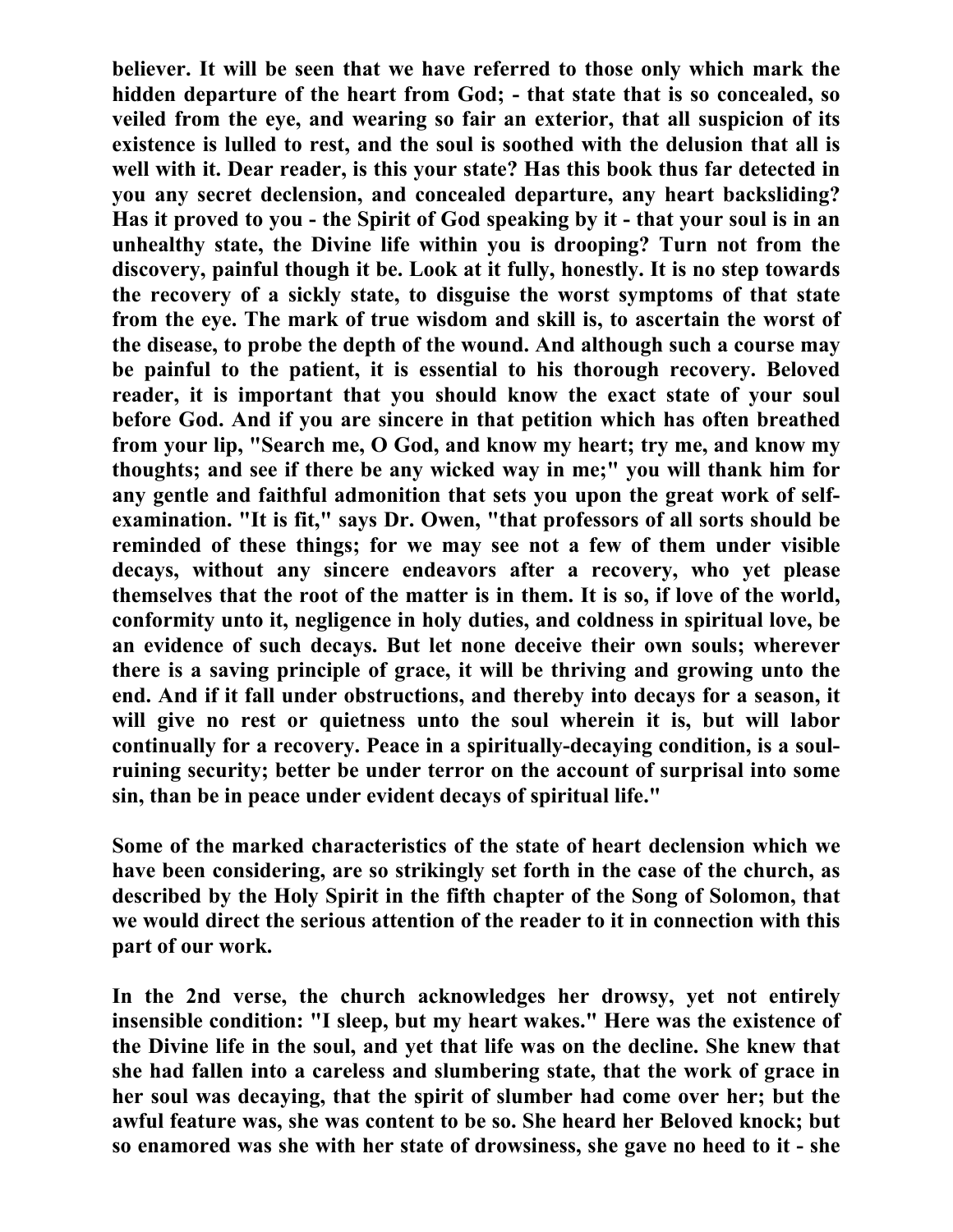**believer. It will be seen that we have referred to those only which mark the hidden departure of the heart from God; - that state that is so concealed, so veiled from the eye, and wearing so fair an exterior, that all suspicion of its existence is lulled to rest, and the soul is soothed with the delusion that all is well with it. Dear reader, is this your state? Has this book thus far detected in you any secret declension, and concealed departure, any heart backsliding? Has it proved to you - the Spirit of God speaking by it - that your soul is in an unhealthy state, the Divine life within you is drooping? Turn not from the discovery, painful though it be. Look at it fully, honestly. It is no step towards the recovery of a sickly state, to disguise the worst symptoms of that state from the eye. The mark of true wisdom and skill is, to ascertain the worst of the disease, to probe the depth of the wound. And although such a course may be painful to the patient, it is essential to his thorough recovery. Beloved reader, it is important that you should know the exact state of your soul before God. And if you are sincere in that petition which has often breathed from your lip, "Search me, O God, and know my heart; try me, and know my thoughts; and see if there be any wicked way in me;" you will thank him for any gentle and faithful admonition that sets you upon the great work of selfexamination. "It is fit," says Dr. Owen, "that professors of all sorts should be reminded of these things; for we may see not a few of them under visible decays, without any sincere endeavors after a recovery, who yet please themselves that the root of the matter is in them. It is so, if love of the world, conformity unto it, negligence in holy duties, and coldness in spiritual love, be an evidence of such decays. But let none deceive their own souls; wherever there is a saving principle of grace, it will be thriving and growing unto the end. And if it fall under obstructions, and thereby into decays for a season, it will give no rest or quietness unto the soul wherein it is, but will labor continually for a recovery. Peace in a spiritually-decaying condition, is a soulruining security; better be under terror on the account of surprisal into some sin, than be in peace under evident decays of spiritual life."** 

**Some of the marked characteristics of the state of heart declension which we have been considering, are so strikingly set forth in the case of the church, as described by the Holy Spirit in the fifth chapter of the Song of Solomon, that we would direct the serious attention of the reader to it in connection with this part of our work.** 

**In the 2nd verse, the church acknowledges her drowsy, yet not entirely insensible condition: "I sleep, but my heart wakes." Here was the existence of the Divine life in the soul, and yet that life was on the decline. She knew that she had fallen into a careless and slumbering state, that the work of grace in her soul was decaying, that the spirit of slumber had come over her; but the awful feature was, she was content to be so. She heard her Beloved knock; but so enamored was she with her state of drowsiness, she gave no heed to it - she**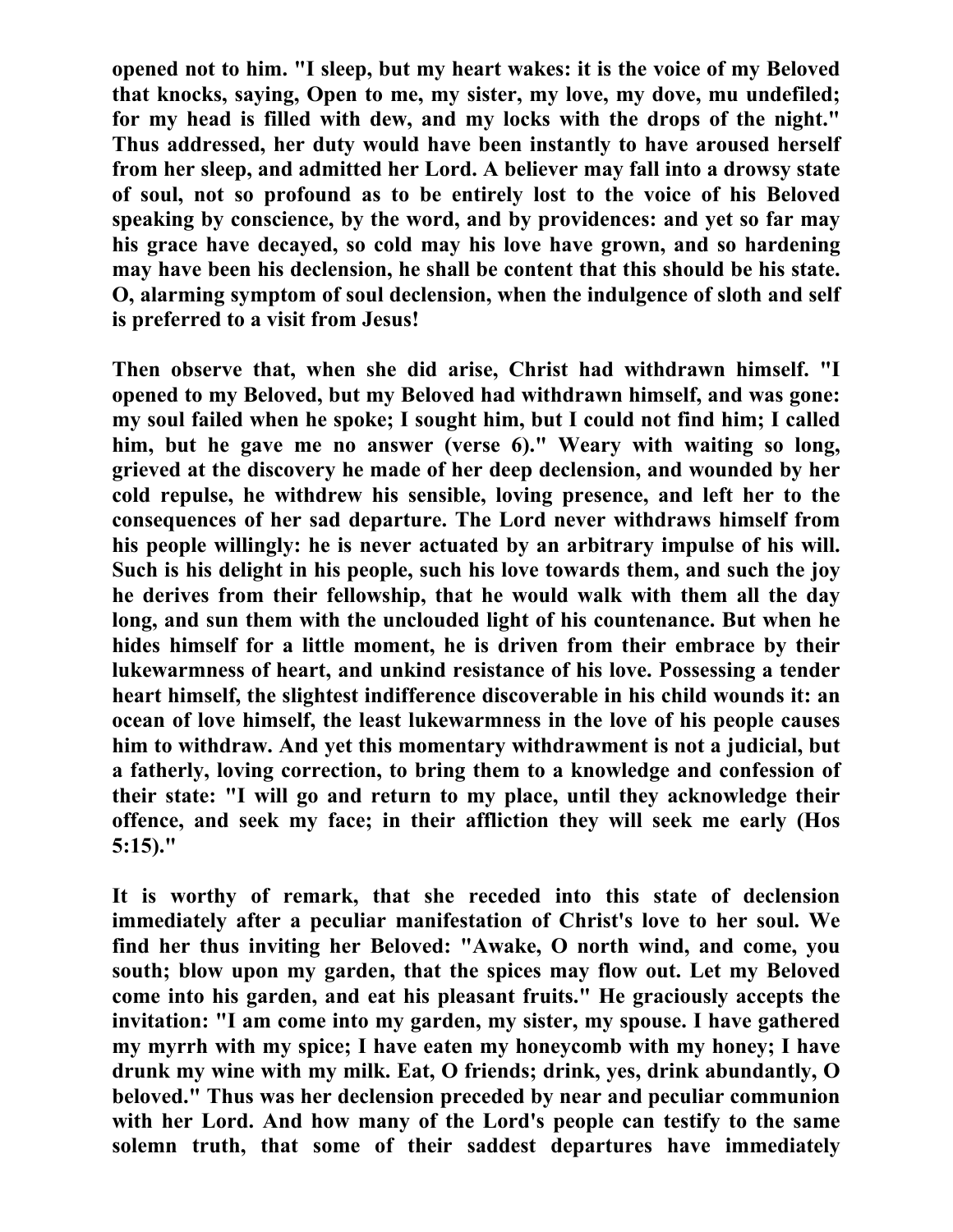**opened not to him. "I sleep, but my heart wakes: it is the voice of my Beloved that knocks, saying, Open to me, my sister, my love, my dove, mu undefiled; for my head is filled with dew, and my locks with the drops of the night." Thus addressed, her duty would have been instantly to have aroused herself from her sleep, and admitted her Lord. A believer may fall into a drowsy state of soul, not so profound as to be entirely lost to the voice of his Beloved speaking by conscience, by the word, and by providences: and yet so far may his grace have decayed, so cold may his love have grown, and so hardening may have been his declension, he shall be content that this should be his state. O, alarming symptom of soul declension, when the indulgence of sloth and self is preferred to a visit from Jesus!** 

**Then observe that, when she did arise, Christ had withdrawn himself. "I opened to my Beloved, but my Beloved had withdrawn himself, and was gone: my soul failed when he spoke; I sought him, but I could not find him; I called him, but he gave me no answer (verse 6)." Weary with waiting so long, grieved at the discovery he made of her deep declension, and wounded by her cold repulse, he withdrew his sensible, loving presence, and left her to the consequences of her sad departure. The Lord never withdraws himself from his people willingly: he is never actuated by an arbitrary impulse of his will. Such is his delight in his people, such his love towards them, and such the joy he derives from their fellowship, that he would walk with them all the day long, and sun them with the unclouded light of his countenance. But when he hides himself for a little moment, he is driven from their embrace by their lukewarmness of heart, and unkind resistance of his love. Possessing a tender heart himself, the slightest indifference discoverable in his child wounds it: an ocean of love himself, the least lukewarmness in the love of his people causes him to withdraw. And yet this momentary withdrawment is not a judicial, but a fatherly, loving correction, to bring them to a knowledge and confession of their state: "I will go and return to my place, until they acknowledge their offence, and seek my face; in their affliction they will seek me early (Hos 5:15)."** 

**It is worthy of remark, that she receded into this state of declension immediately after a peculiar manifestation of Christ's love to her soul. We find her thus inviting her Beloved: "Awake, O north wind, and come, you south; blow upon my garden, that the spices may flow out. Let my Beloved come into his garden, and eat his pleasant fruits." He graciously accepts the invitation: "I am come into my garden, my sister, my spouse. I have gathered my myrrh with my spice; I have eaten my honeycomb with my honey; I have drunk my wine with my milk. Eat, O friends; drink, yes, drink abundantly, O beloved." Thus was her declension preceded by near and peculiar communion with her Lord. And how many of the Lord's people can testify to the same solemn truth, that some of their saddest departures have immediately**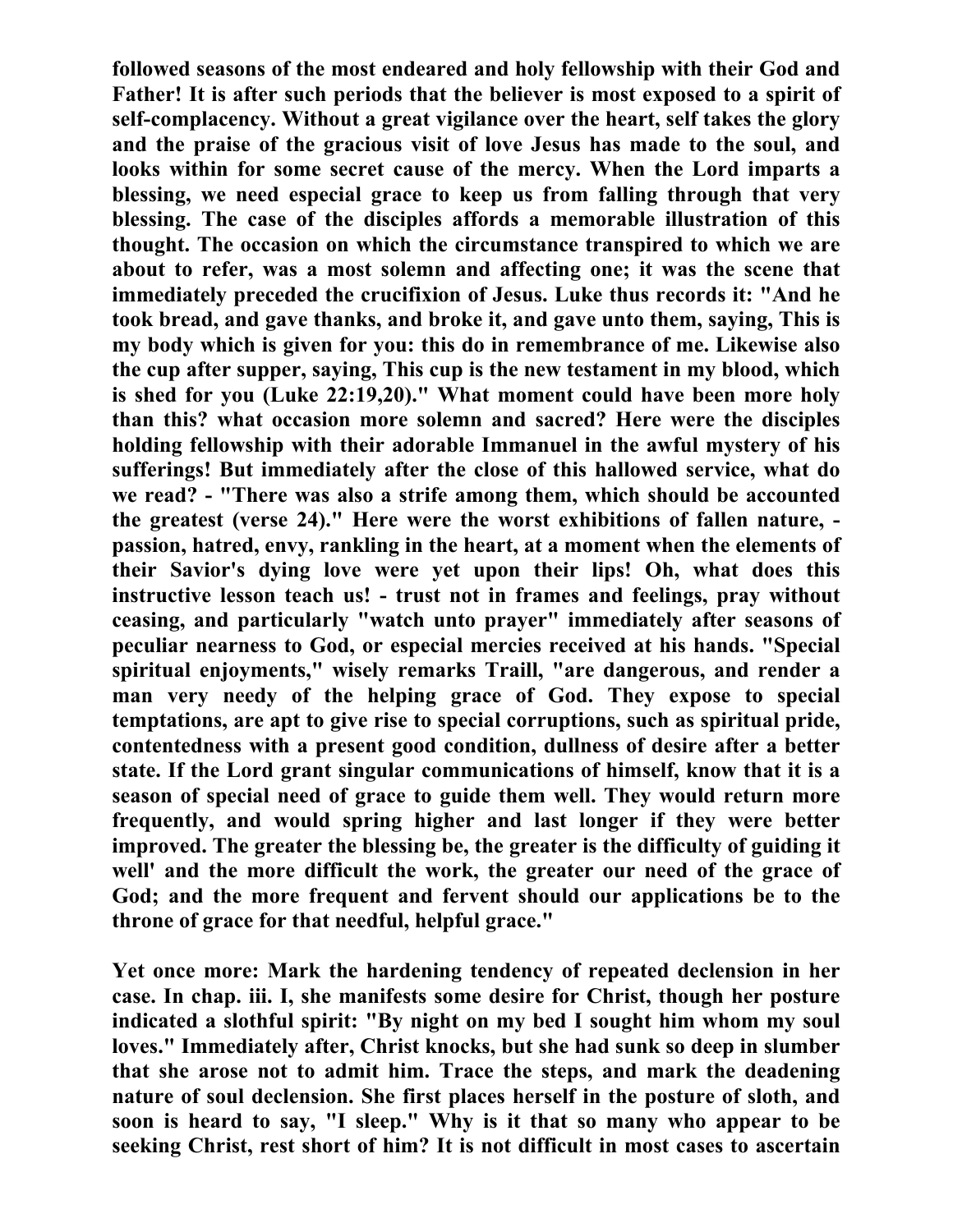**followed seasons of the most endeared and holy fellowship with their God and Father! It is after such periods that the believer is most exposed to a spirit of self-complacency. Without a great vigilance over the heart, self takes the glory and the praise of the gracious visit of love Jesus has made to the soul, and looks within for some secret cause of the mercy. When the Lord imparts a blessing, we need especial grace to keep us from falling through that very blessing. The case of the disciples affords a memorable illustration of this thought. The occasion on which the circumstance transpired to which we are about to refer, was a most solemn and affecting one; it was the scene that immediately preceded the crucifixion of Jesus. Luke thus records it: "And he took bread, and gave thanks, and broke it, and gave unto them, saying, This is my body which is given for you: this do in remembrance of me. Likewise also the cup after supper, saying, This cup is the new testament in my blood, which is shed for you (Luke 22:19,20)." What moment could have been more holy than this? what occasion more solemn and sacred? Here were the disciples holding fellowship with their adorable Immanuel in the awful mystery of his sufferings! But immediately after the close of this hallowed service, what do we read? - "There was also a strife among them, which should be accounted the greatest (verse 24)." Here were the worst exhibitions of fallen nature, passion, hatred, envy, rankling in the heart, at a moment when the elements of their Savior's dying love were yet upon their lips! Oh, what does this instructive lesson teach us! - trust not in frames and feelings, pray without ceasing, and particularly "watch unto prayer" immediately after seasons of peculiar nearness to God, or especial mercies received at his hands. "Special spiritual enjoyments," wisely remarks Traill, "are dangerous, and render a man very needy of the helping grace of God. They expose to special temptations, are apt to give rise to special corruptions, such as spiritual pride, contentedness with a present good condition, dullness of desire after a better state. If the Lord grant singular communications of himself, know that it is a season of special need of grace to guide them well. They would return more frequently, and would spring higher and last longer if they were better improved. The greater the blessing be, the greater is the difficulty of guiding it well' and the more difficult the work, the greater our need of the grace of God; and the more frequent and fervent should our applications be to the throne of grace for that needful, helpful grace."** 

**Yet once more: Mark the hardening tendency of repeated declension in her case. In chap. iii. I, she manifests some desire for Christ, though her posture indicated a slothful spirit: "By night on my bed I sought him whom my soul loves." Immediately after, Christ knocks, but she had sunk so deep in slumber that she arose not to admit him. Trace the steps, and mark the deadening nature of soul declension. She first places herself in the posture of sloth, and soon is heard to say, "I sleep." Why is it that so many who appear to be seeking Christ, rest short of him? It is not difficult in most cases to ascertain**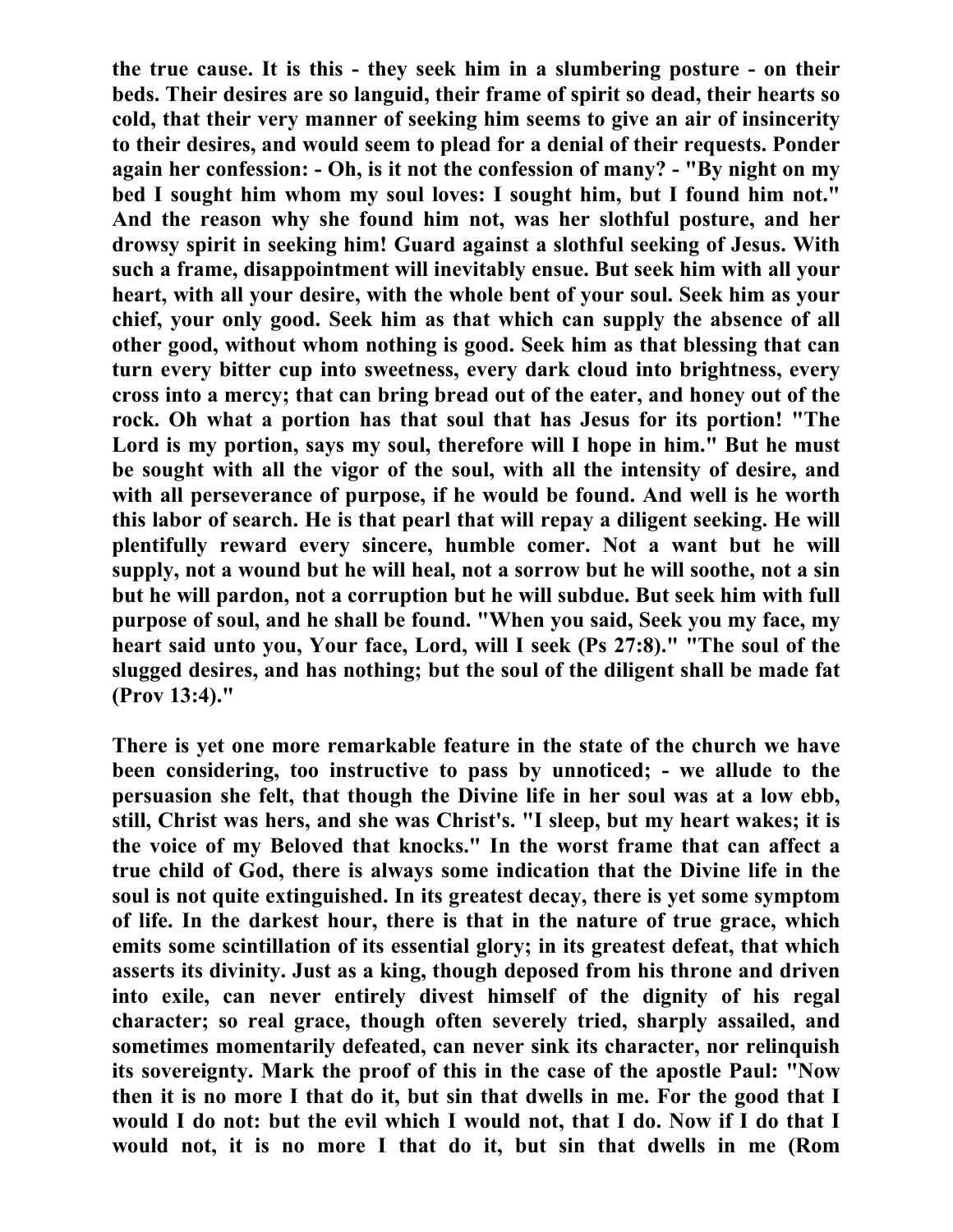**the true cause. It is this - they seek him in a slumbering posture - on their beds. Their desires are so languid, their frame of spirit so dead, their hearts so cold, that their very manner of seeking him seems to give an air of insincerity to their desires, and would seem to plead for a denial of their requests. Ponder again her confession: - Oh, is it not the confession of many? - "By night on my bed I sought him whom my soul loves: I sought him, but I found him not." And the reason why she found him not, was her slothful posture, and her drowsy spirit in seeking him! Guard against a slothful seeking of Jesus. With such a frame, disappointment will inevitably ensue. But seek him with all your heart, with all your desire, with the whole bent of your soul. Seek him as your chief, your only good. Seek him as that which can supply the absence of all other good, without whom nothing is good. Seek him as that blessing that can turn every bitter cup into sweetness, every dark cloud into brightness, every cross into a mercy; that can bring bread out of the eater, and honey out of the rock. Oh what a portion has that soul that has Jesus for its portion! "The Lord is my portion, says my soul, therefore will I hope in him." But he must be sought with all the vigor of the soul, with all the intensity of desire, and with all perseverance of purpose, if he would be found. And well is he worth this labor of search. He is that pearl that will repay a diligent seeking. He will plentifully reward every sincere, humble comer. Not a want but he will supply, not a wound but he will heal, not a sorrow but he will soothe, not a sin but he will pardon, not a corruption but he will subdue. But seek him with full purpose of soul, and he shall be found. "When you said, Seek you my face, my heart said unto you, Your face, Lord, will I seek (Ps 27:8)." "The soul of the slugged desires, and has nothing; but the soul of the diligent shall be made fat (Prov 13:4)."** 

**There is yet one more remarkable feature in the state of the church we have been considering, too instructive to pass by unnoticed; - we allude to the persuasion she felt, that though the Divine life in her soul was at a low ebb, still, Christ was hers, and she was Christ's. "I sleep, but my heart wakes; it is the voice of my Beloved that knocks." In the worst frame that can affect a true child of God, there is always some indication that the Divine life in the soul is not quite extinguished. In its greatest decay, there is yet some symptom of life. In the darkest hour, there is that in the nature of true grace, which emits some scintillation of its essential glory; in its greatest defeat, that which asserts its divinity. Just as a king, though deposed from his throne and driven into exile, can never entirely divest himself of the dignity of his regal character; so real grace, though often severely tried, sharply assailed, and sometimes momentarily defeated, can never sink its character, nor relinquish its sovereignty. Mark the proof of this in the case of the apostle Paul: "Now then it is no more I that do it, but sin that dwells in me. For the good that I would I do not: but the evil which I would not, that I do. Now if I do that I would not, it is no more I that do it, but sin that dwells in me (Rom**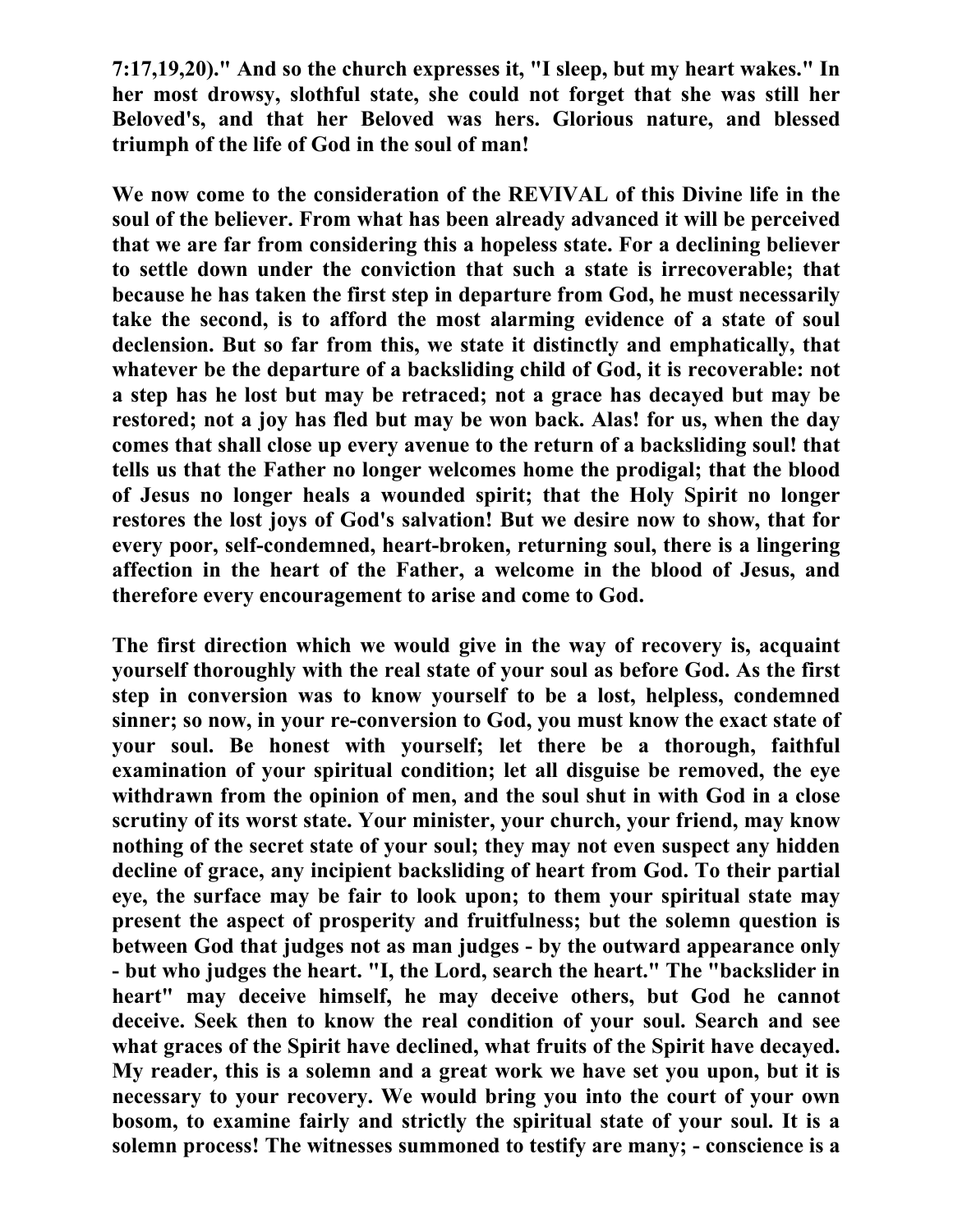**7:17,19,20)." And so the church expresses it, "I sleep, but my heart wakes." In her most drowsy, slothful state, she could not forget that she was still her Beloved's, and that her Beloved was hers. Glorious nature, and blessed triumph of the life of God in the soul of man!** 

**We now come to the consideration of the REVIVAL of this Divine life in the soul of the believer. From what has been already advanced it will be perceived that we are far from considering this a hopeless state. For a declining believer to settle down under the conviction that such a state is irrecoverable; that because he has taken the first step in departure from God, he must necessarily take the second, is to afford the most alarming evidence of a state of soul declension. But so far from this, we state it distinctly and emphatically, that whatever be the departure of a backsliding child of God, it is recoverable: not a step has he lost but may be retraced; not a grace has decayed but may be restored; not a joy has fled but may be won back. Alas! for us, when the day comes that shall close up every avenue to the return of a backsliding soul! that tells us that the Father no longer welcomes home the prodigal; that the blood of Jesus no longer heals a wounded spirit; that the Holy Spirit no longer restores the lost joys of God's salvation! But we desire now to show, that for every poor, self-condemned, heart-broken, returning soul, there is a lingering affection in the heart of the Father, a welcome in the blood of Jesus, and therefore every encouragement to arise and come to God.** 

**The first direction which we would give in the way of recovery is, acquaint yourself thoroughly with the real state of your soul as before God. As the first step in conversion was to know yourself to be a lost, helpless, condemned sinner; so now, in your re-conversion to God, you must know the exact state of your soul. Be honest with yourself; let there be a thorough, faithful examination of your spiritual condition; let all disguise be removed, the eye withdrawn from the opinion of men, and the soul shut in with God in a close scrutiny of its worst state. Your minister, your church, your friend, may know nothing of the secret state of your soul; they may not even suspect any hidden decline of grace, any incipient backsliding of heart from God. To their partial eye, the surface may be fair to look upon; to them your spiritual state may present the aspect of prosperity and fruitfulness; but the solemn question is between God that judges not as man judges - by the outward appearance only - but who judges the heart. "I, the Lord, search the heart." The "backslider in heart" may deceive himself, he may deceive others, but God he cannot deceive. Seek then to know the real condition of your soul. Search and see what graces of the Spirit have declined, what fruits of the Spirit have decayed. My reader, this is a solemn and a great work we have set you upon, but it is necessary to your recovery. We would bring you into the court of your own bosom, to examine fairly and strictly the spiritual state of your soul. It is a solemn process! The witnesses summoned to testify are many; - conscience is a**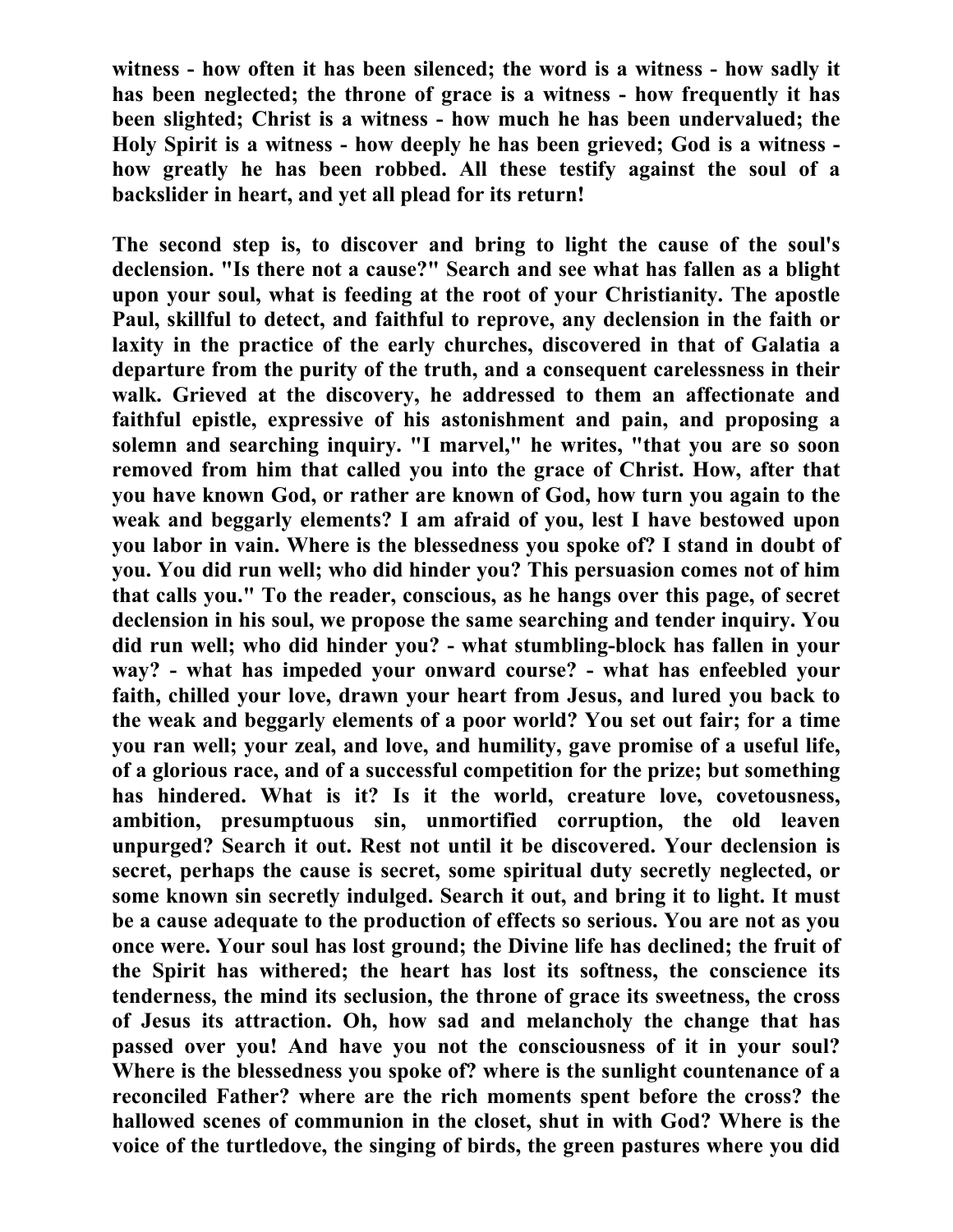**witness - how often it has been silenced; the word is a witness - how sadly it has been neglected; the throne of grace is a witness - how frequently it has been slighted; Christ is a witness - how much he has been undervalued; the Holy Spirit is a witness - how deeply he has been grieved; God is a witness how greatly he has been robbed. All these testify against the soul of a backslider in heart, and yet all plead for its return!** 

**The second step is, to discover and bring to light the cause of the soul's declension. "Is there not a cause?" Search and see what has fallen as a blight upon your soul, what is feeding at the root of your Christianity. The apostle Paul, skillful to detect, and faithful to reprove, any declension in the faith or laxity in the practice of the early churches, discovered in that of Galatia a departure from the purity of the truth, and a consequent carelessness in their walk. Grieved at the discovery, he addressed to them an affectionate and faithful epistle, expressive of his astonishment and pain, and proposing a solemn and searching inquiry. "I marvel," he writes, "that you are so soon removed from him that called you into the grace of Christ. How, after that you have known God, or rather are known of God, how turn you again to the weak and beggarly elements? I am afraid of you, lest I have bestowed upon you labor in vain. Where is the blessedness you spoke of? I stand in doubt of you. You did run well; who did hinder you? This persuasion comes not of him that calls you." To the reader, conscious, as he hangs over this page, of secret declension in his soul, we propose the same searching and tender inquiry. You did run well; who did hinder you? - what stumbling-block has fallen in your way? - what has impeded your onward course? - what has enfeebled your faith, chilled your love, drawn your heart from Jesus, and lured you back to the weak and beggarly elements of a poor world? You set out fair; for a time you ran well; your zeal, and love, and humility, gave promise of a useful life, of a glorious race, and of a successful competition for the prize; but something has hindered. What is it? Is it the world, creature love, covetousness, ambition, presumptuous sin, unmortified corruption, the old leaven unpurged? Search it out. Rest not until it be discovered. Your declension is secret, perhaps the cause is secret, some spiritual duty secretly neglected, or some known sin secretly indulged. Search it out, and bring it to light. It must be a cause adequate to the production of effects so serious. You are not as you once were. Your soul has lost ground; the Divine life has declined; the fruit of the Spirit has withered; the heart has lost its softness, the conscience its tenderness, the mind its seclusion, the throne of grace its sweetness, the cross of Jesus its attraction. Oh, how sad and melancholy the change that has passed over you! And have you not the consciousness of it in your soul? Where is the blessedness you spoke of? where is the sunlight countenance of a reconciled Father? where are the rich moments spent before the cross? the hallowed scenes of communion in the closet, shut in with God? Where is the voice of the turtledove, the singing of birds, the green pastures where you did**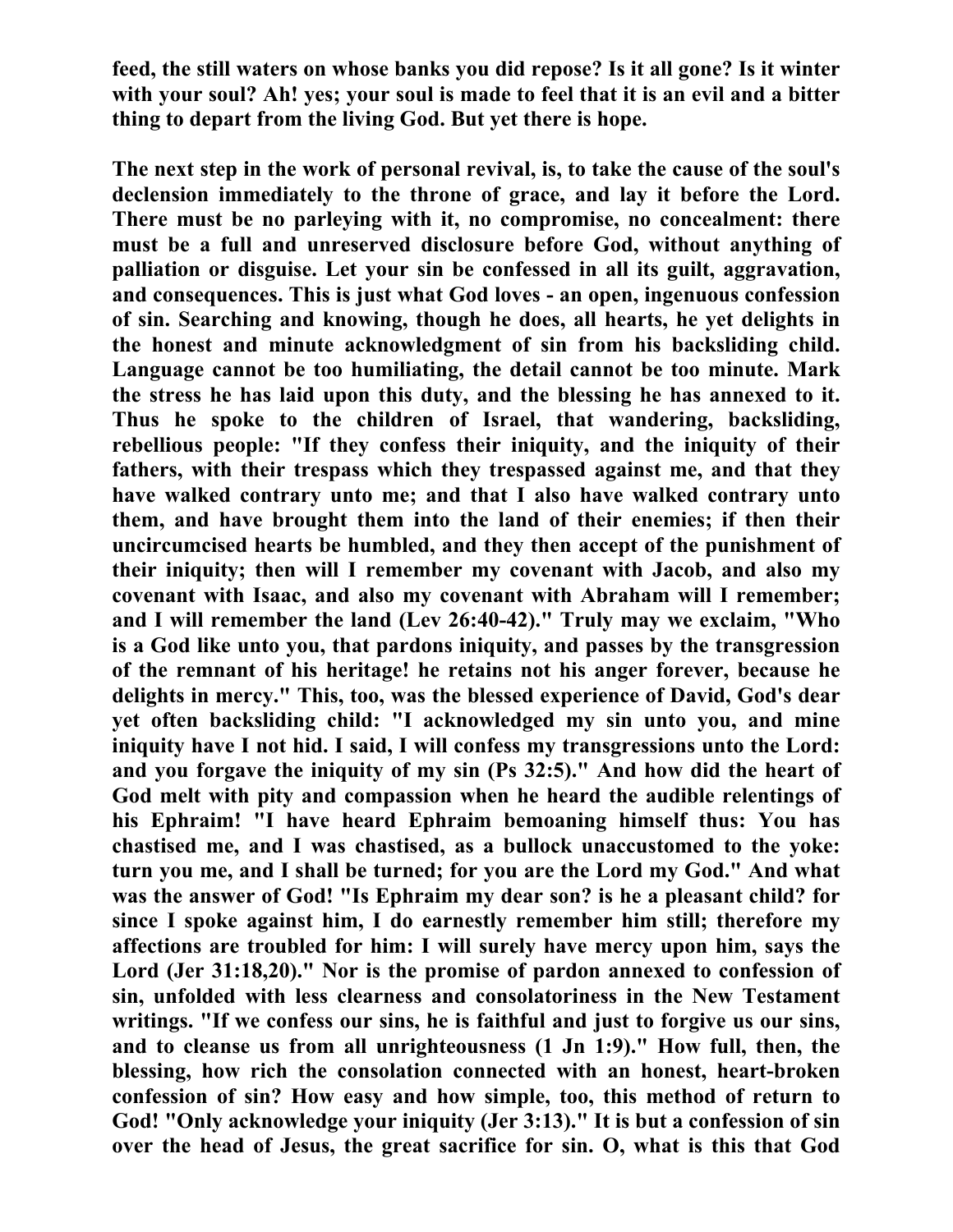**feed, the still waters on whose banks you did repose? Is it all gone? Is it winter with your soul? Ah! yes; your soul is made to feel that it is an evil and a bitter thing to depart from the living God. But yet there is hope.** 

**The next step in the work of personal revival, is, to take the cause of the soul's declension immediately to the throne of grace, and lay it before the Lord. There must be no parleying with it, no compromise, no concealment: there must be a full and unreserved disclosure before God, without anything of palliation or disguise. Let your sin be confessed in all its guilt, aggravation, and consequences. This is just what God loves - an open, ingenuous confession of sin. Searching and knowing, though he does, all hearts, he yet delights in the honest and minute acknowledgment of sin from his backsliding child. Language cannot be too humiliating, the detail cannot be too minute. Mark the stress he has laid upon this duty, and the blessing he has annexed to it. Thus he spoke to the children of Israel, that wandering, backsliding, rebellious people: "If they confess their iniquity, and the iniquity of their fathers, with their trespass which they trespassed against me, and that they have walked contrary unto me; and that I also have walked contrary unto them, and have brought them into the land of their enemies; if then their uncircumcised hearts be humbled, and they then accept of the punishment of their iniquity; then will I remember my covenant with Jacob, and also my covenant with Isaac, and also my covenant with Abraham will I remember; and I will remember the land (Lev 26:40-42)." Truly may we exclaim, "Who is a God like unto you, that pardons iniquity, and passes by the transgression of the remnant of his heritage! he retains not his anger forever, because he delights in mercy." This, too, was the blessed experience of David, God's dear yet often backsliding child: "I acknowledged my sin unto you, and mine iniquity have I not hid. I said, I will confess my transgressions unto the Lord: and you forgave the iniquity of my sin (Ps 32:5)." And how did the heart of God melt with pity and compassion when he heard the audible relentings of his Ephraim! "I have heard Ephraim bemoaning himself thus: You has chastised me, and I was chastised, as a bullock unaccustomed to the yoke: turn you me, and I shall be turned; for you are the Lord my God." And what was the answer of God! "Is Ephraim my dear son? is he a pleasant child? for since I spoke against him, I do earnestly remember him still; therefore my affections are troubled for him: I will surely have mercy upon him, says the Lord (Jer 31:18,20)." Nor is the promise of pardon annexed to confession of sin, unfolded with less clearness and consolatoriness in the New Testament writings. "If we confess our sins, he is faithful and just to forgive us our sins, and to cleanse us from all unrighteousness (1 Jn 1:9)." How full, then, the blessing, how rich the consolation connected with an honest, heart-broken confession of sin? How easy and how simple, too, this method of return to God! "Only acknowledge your iniquity (Jer 3:13)." It is but a confession of sin over the head of Jesus, the great sacrifice for sin. O, what is this that God**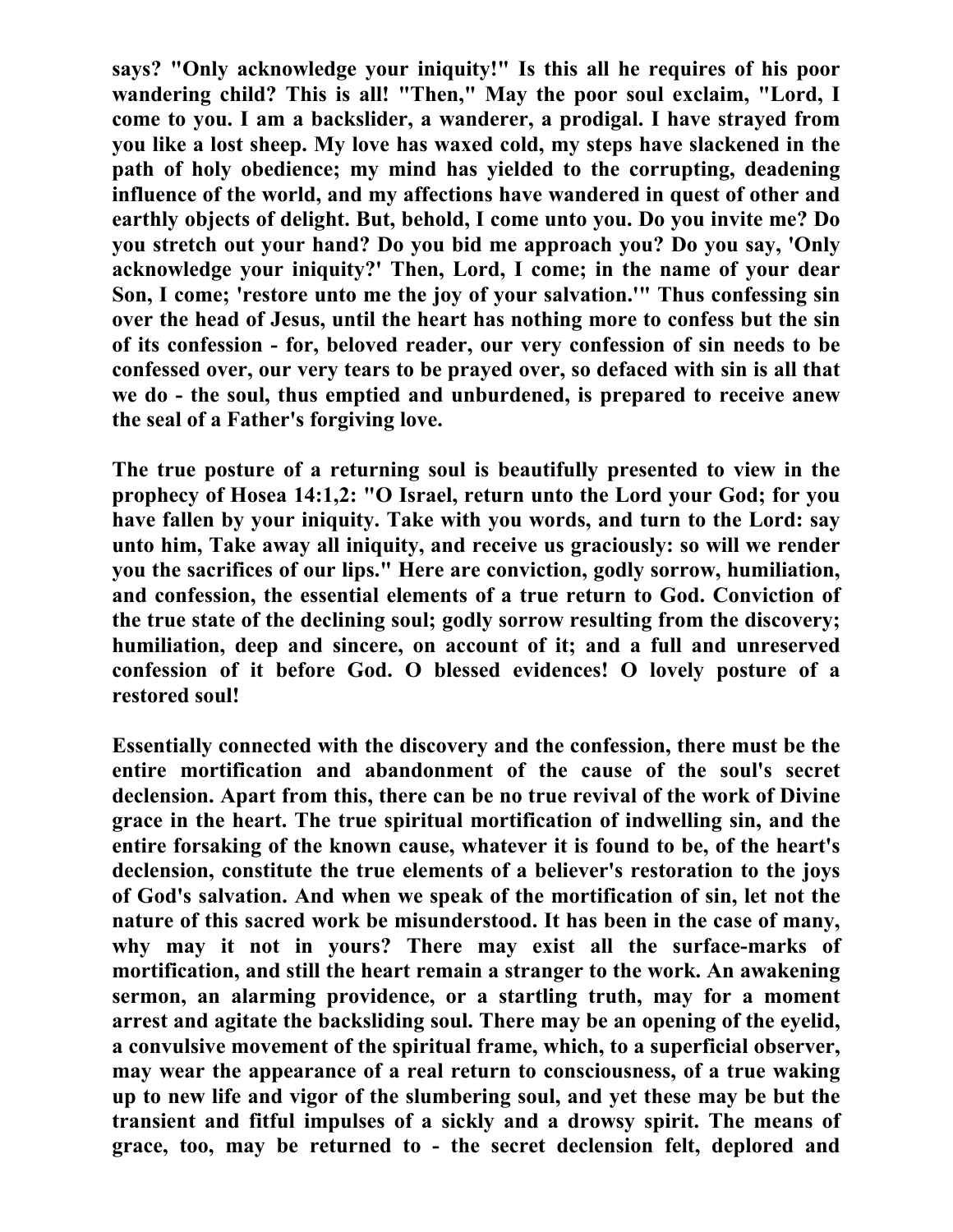**says? "Only acknowledge your iniquity!" Is this all he requires of his poor wandering child? This is all! "Then," May the poor soul exclaim, "Lord, I come to you. I am a backslider, a wanderer, a prodigal. I have strayed from you like a lost sheep. My love has waxed cold, my steps have slackened in the path of holy obedience; my mind has yielded to the corrupting, deadening influence of the world, and my affections have wandered in quest of other and earthly objects of delight. But, behold, I come unto you. Do you invite me? Do you stretch out your hand? Do you bid me approach you? Do you say, 'Only acknowledge your iniquity?' Then, Lord, I come; in the name of your dear Son, I come; 'restore unto me the joy of your salvation.'" Thus confessing sin over the head of Jesus, until the heart has nothing more to confess but the sin of its confession - for, beloved reader, our very confession of sin needs to be confessed over, our very tears to be prayed over, so defaced with sin is all that we do - the soul, thus emptied and unburdened, is prepared to receive anew the seal of a Father's forgiving love.** 

**The true posture of a returning soul is beautifully presented to view in the prophecy of Hosea 14:1,2: "O Israel, return unto the Lord your God; for you have fallen by your iniquity. Take with you words, and turn to the Lord: say unto him, Take away all iniquity, and receive us graciously: so will we render you the sacrifices of our lips." Here are conviction, godly sorrow, humiliation, and confession, the essential elements of a true return to God. Conviction of the true state of the declining soul; godly sorrow resulting from the discovery; humiliation, deep and sincere, on account of it; and a full and unreserved confession of it before God. O blessed evidences! O lovely posture of a restored soul!** 

**Essentially connected with the discovery and the confession, there must be the entire mortification and abandonment of the cause of the soul's secret declension. Apart from this, there can be no true revival of the work of Divine grace in the heart. The true spiritual mortification of indwelling sin, and the entire forsaking of the known cause, whatever it is found to be, of the heart's declension, constitute the true elements of a believer's restoration to the joys of God's salvation. And when we speak of the mortification of sin, let not the nature of this sacred work be misunderstood. It has been in the case of many, why may it not in yours? There may exist all the surface-marks of mortification, and still the heart remain a stranger to the work. An awakening sermon, an alarming providence, or a startling truth, may for a moment arrest and agitate the backsliding soul. There may be an opening of the eyelid, a convulsive movement of the spiritual frame, which, to a superficial observer, may wear the appearance of a real return to consciousness, of a true waking up to new life and vigor of the slumbering soul, and yet these may be but the transient and fitful impulses of a sickly and a drowsy spirit. The means of grace, too, may be returned to - the secret declension felt, deplored and**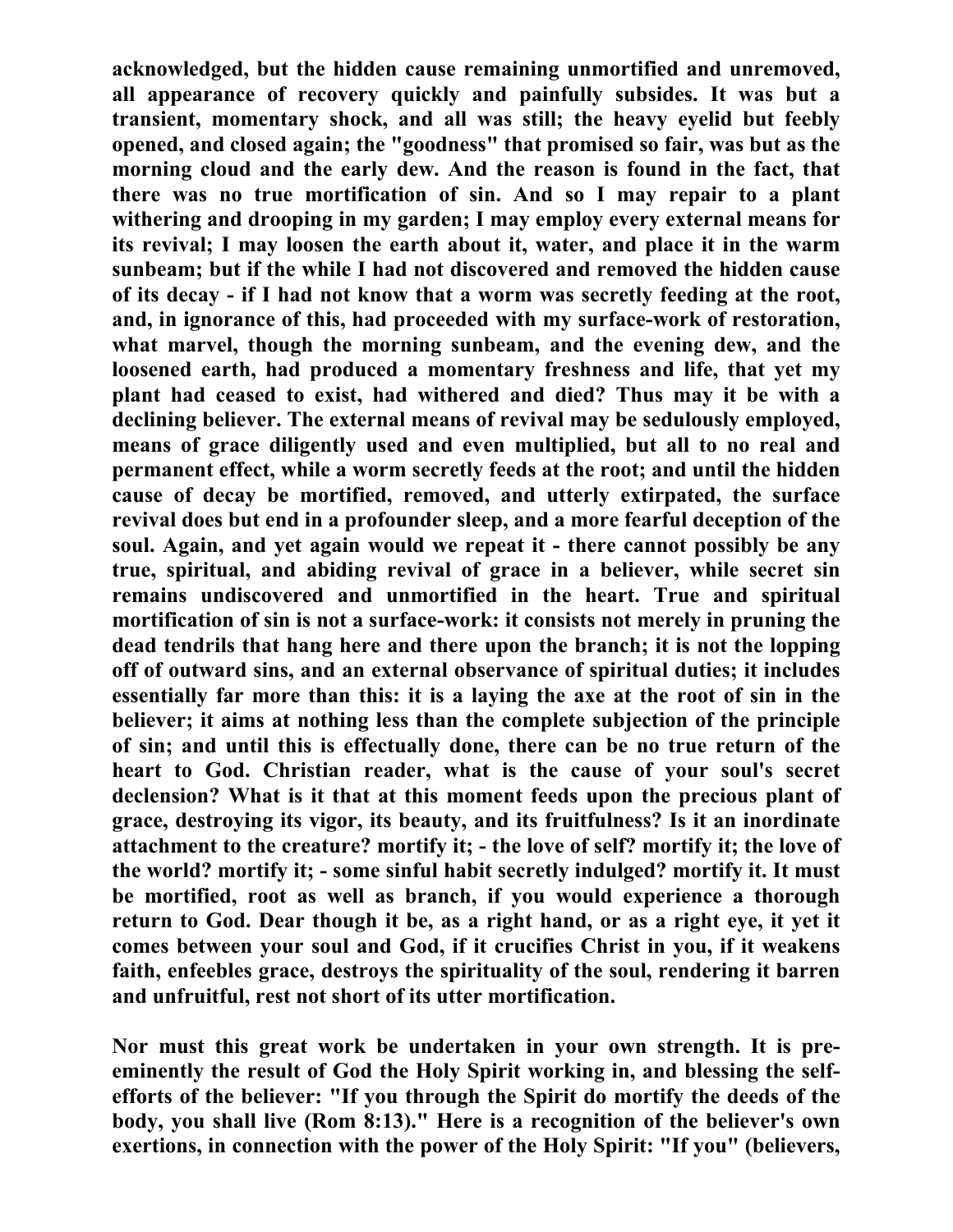**acknowledged, but the hidden cause remaining unmortified and unremoved, all appearance of recovery quickly and painfully subsides. It was but a transient, momentary shock, and all was still; the heavy eyelid but feebly opened, and closed again; the "goodness" that promised so fair, was but as the morning cloud and the early dew. And the reason is found in the fact, that there was no true mortification of sin. And so I may repair to a plant withering and drooping in my garden; I may employ every external means for its revival; I may loosen the earth about it, water, and place it in the warm sunbeam; but if the while I had not discovered and removed the hidden cause of its decay - if I had not know that a worm was secretly feeding at the root, and, in ignorance of this, had proceeded with my surface-work of restoration, what marvel, though the morning sunbeam, and the evening dew, and the loosened earth, had produced a momentary freshness and life, that yet my plant had ceased to exist, had withered and died? Thus may it be with a declining believer. The external means of revival may be sedulously employed, means of grace diligently used and even multiplied, but all to no real and permanent effect, while a worm secretly feeds at the root; and until the hidden cause of decay be mortified, removed, and utterly extirpated, the surface revival does but end in a profounder sleep, and a more fearful deception of the soul. Again, and yet again would we repeat it - there cannot possibly be any true, spiritual, and abiding revival of grace in a believer, while secret sin remains undiscovered and unmortified in the heart. True and spiritual mortification of sin is not a surface-work: it consists not merely in pruning the dead tendrils that hang here and there upon the branch; it is not the lopping off of outward sins, and an external observance of spiritual duties; it includes essentially far more than this: it is a laying the axe at the root of sin in the believer; it aims at nothing less than the complete subjection of the principle of sin; and until this is effectually done, there can be no true return of the heart to God. Christian reader, what is the cause of your soul's secret declension? What is it that at this moment feeds upon the precious plant of grace, destroying its vigor, its beauty, and its fruitfulness? Is it an inordinate attachment to the creature? mortify it; - the love of self? mortify it; the love of the world? mortify it; - some sinful habit secretly indulged? mortify it. It must be mortified, root as well as branch, if you would experience a thorough return to God. Dear though it be, as a right hand, or as a right eye, it yet it comes between your soul and God, if it crucifies Christ in you, if it weakens faith, enfeebles grace, destroys the spirituality of the soul, rendering it barren and unfruitful, rest not short of its utter mortification.** 

**Nor must this great work be undertaken in your own strength. It is preeminently the result of God the Holy Spirit working in, and blessing the selfefforts of the believer: "If you through the Spirit do mortify the deeds of the body, you shall live (Rom 8:13)." Here is a recognition of the believer's own exertions, in connection with the power of the Holy Spirit: "If you" (believers,**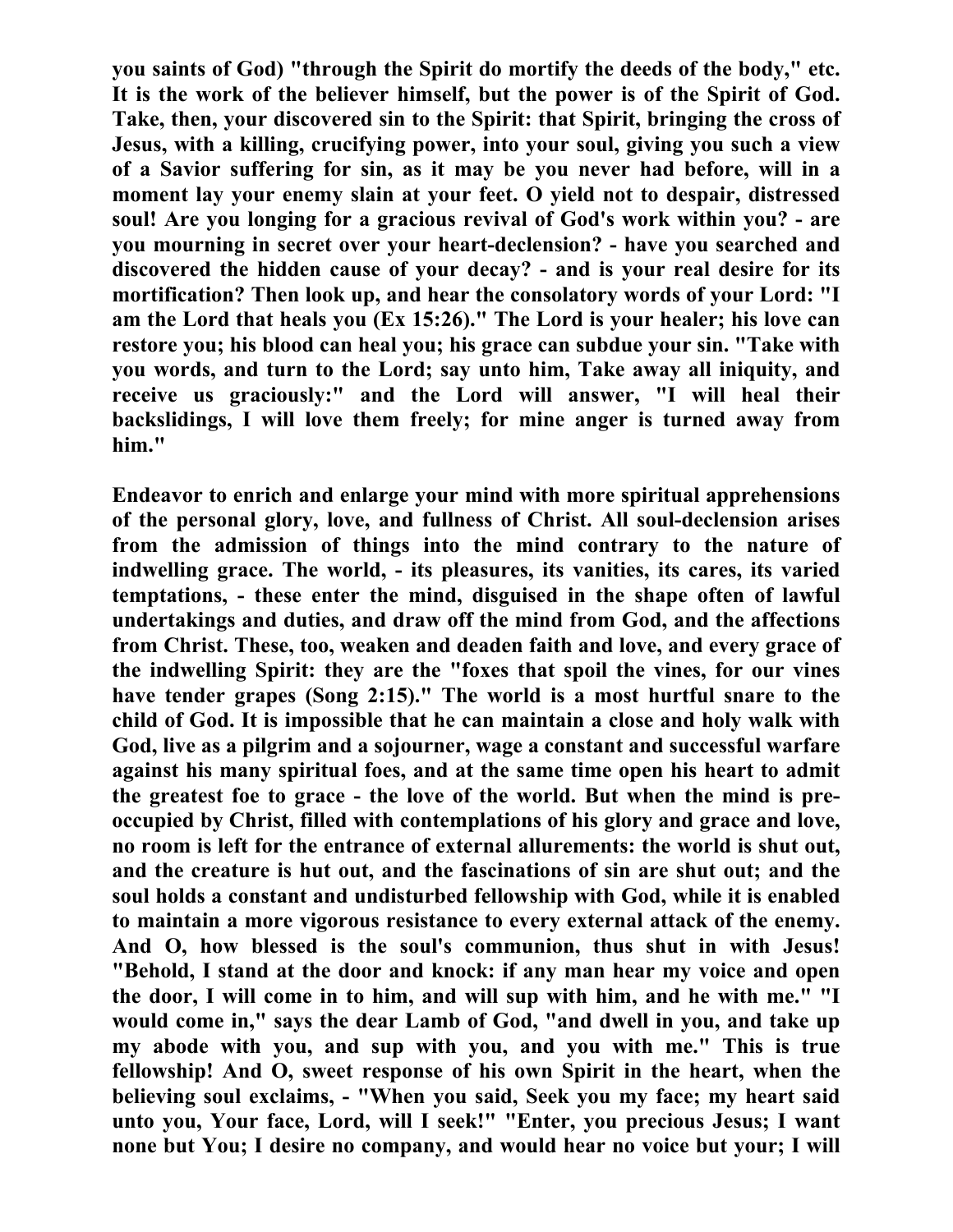**you saints of God) "through the Spirit do mortify the deeds of the body," etc. It is the work of the believer himself, but the power is of the Spirit of God. Take, then, your discovered sin to the Spirit: that Spirit, bringing the cross of Jesus, with a killing, crucifying power, into your soul, giving you such a view of a Savior suffering for sin, as it may be you never had before, will in a moment lay your enemy slain at your feet. O yield not to despair, distressed soul! Are you longing for a gracious revival of God's work within you? - are you mourning in secret over your heart-declension? - have you searched and discovered the hidden cause of your decay? - and is your real desire for its mortification? Then look up, and hear the consolatory words of your Lord: "I am the Lord that heals you (Ex 15:26)." The Lord is your healer; his love can restore you; his blood can heal you; his grace can subdue your sin. "Take with you words, and turn to the Lord; say unto him, Take away all iniquity, and receive us graciously:" and the Lord will answer, "I will heal their backslidings, I will love them freely; for mine anger is turned away from him."** 

**Endeavor to enrich and enlarge your mind with more spiritual apprehensions of the personal glory, love, and fullness of Christ. All soul-declension arises from the admission of things into the mind contrary to the nature of indwelling grace. The world, - its pleasures, its vanities, its cares, its varied temptations, - these enter the mind, disguised in the shape often of lawful undertakings and duties, and draw off the mind from God, and the affections from Christ. These, too, weaken and deaden faith and love, and every grace of the indwelling Spirit: they are the "foxes that spoil the vines, for our vines have tender grapes (Song 2:15)." The world is a most hurtful snare to the child of God. It is impossible that he can maintain a close and holy walk with God, live as a pilgrim and a sojourner, wage a constant and successful warfare against his many spiritual foes, and at the same time open his heart to admit the greatest foe to grace - the love of the world. But when the mind is preoccupied by Christ, filled with contemplations of his glory and grace and love, no room is left for the entrance of external allurements: the world is shut out, and the creature is hut out, and the fascinations of sin are shut out; and the soul holds a constant and undisturbed fellowship with God, while it is enabled to maintain a more vigorous resistance to every external attack of the enemy. And O, how blessed is the soul's communion, thus shut in with Jesus! "Behold, I stand at the door and knock: if any man hear my voice and open the door, I will come in to him, and will sup with him, and he with me." "I would come in," says the dear Lamb of God, "and dwell in you, and take up my abode with you, and sup with you, and you with me." This is true fellowship! And O, sweet response of his own Spirit in the heart, when the believing soul exclaims, - "When you said, Seek you my face; my heart said unto you, Your face, Lord, will I seek!" "Enter, you precious Jesus; I want none but You; I desire no company, and would hear no voice but your; I will**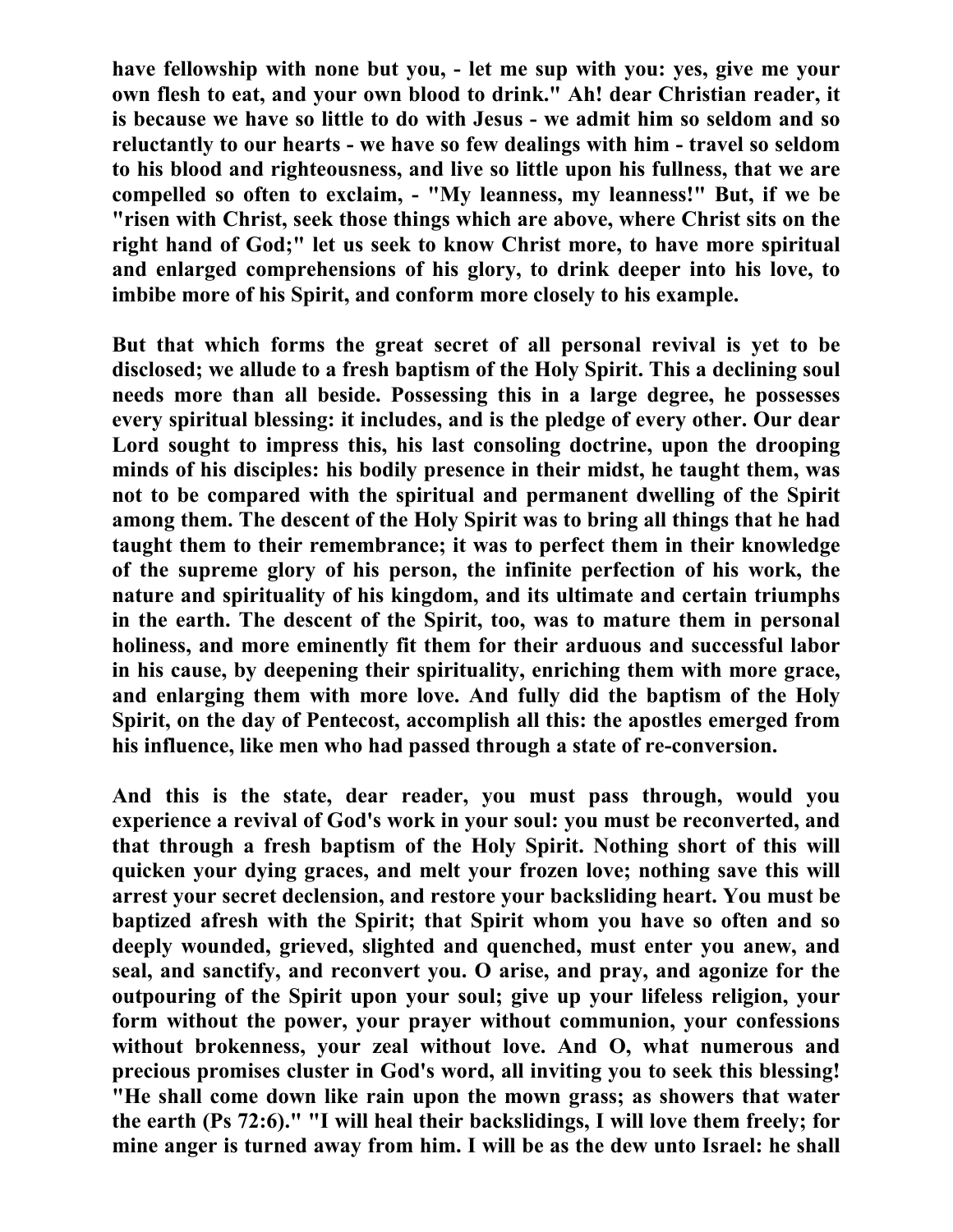**have fellowship with none but you, - let me sup with you: yes, give me your own flesh to eat, and your own blood to drink." Ah! dear Christian reader, it is because we have so little to do with Jesus - we admit him so seldom and so reluctantly to our hearts - we have so few dealings with him - travel so seldom to his blood and righteousness, and live so little upon his fullness, that we are compelled so often to exclaim, - "My leanness, my leanness!" But, if we be "risen with Christ, seek those things which are above, where Christ sits on the right hand of God;" let us seek to know Christ more, to have more spiritual and enlarged comprehensions of his glory, to drink deeper into his love, to imbibe more of his Spirit, and conform more closely to his example.** 

**But that which forms the great secret of all personal revival is yet to be disclosed; we allude to a fresh baptism of the Holy Spirit. This a declining soul needs more than all beside. Possessing this in a large degree, he possesses every spiritual blessing: it includes, and is the pledge of every other. Our dear Lord sought to impress this, his last consoling doctrine, upon the drooping minds of his disciples: his bodily presence in their midst, he taught them, was not to be compared with the spiritual and permanent dwelling of the Spirit among them. The descent of the Holy Spirit was to bring all things that he had taught them to their remembrance; it was to perfect them in their knowledge of the supreme glory of his person, the infinite perfection of his work, the nature and spirituality of his kingdom, and its ultimate and certain triumphs in the earth. The descent of the Spirit, too, was to mature them in personal holiness, and more eminently fit them for their arduous and successful labor in his cause, by deepening their spirituality, enriching them with more grace, and enlarging them with more love. And fully did the baptism of the Holy Spirit, on the day of Pentecost, accomplish all this: the apostles emerged from his influence, like men who had passed through a state of re-conversion.** 

**And this is the state, dear reader, you must pass through, would you experience a revival of God's work in your soul: you must be reconverted, and that through a fresh baptism of the Holy Spirit. Nothing short of this will quicken your dying graces, and melt your frozen love; nothing save this will arrest your secret declension, and restore your backsliding heart. You must be baptized afresh with the Spirit; that Spirit whom you have so often and so deeply wounded, grieved, slighted and quenched, must enter you anew, and seal, and sanctify, and reconvert you. O arise, and pray, and agonize for the outpouring of the Spirit upon your soul; give up your lifeless religion, your form without the power, your prayer without communion, your confessions without brokenness, your zeal without love. And O, what numerous and precious promises cluster in God's word, all inviting you to seek this blessing! "He shall come down like rain upon the mown grass; as showers that water the earth (Ps 72:6)." "I will heal their backslidings, I will love them freely; for mine anger is turned away from him. I will be as the dew unto Israel: he shall**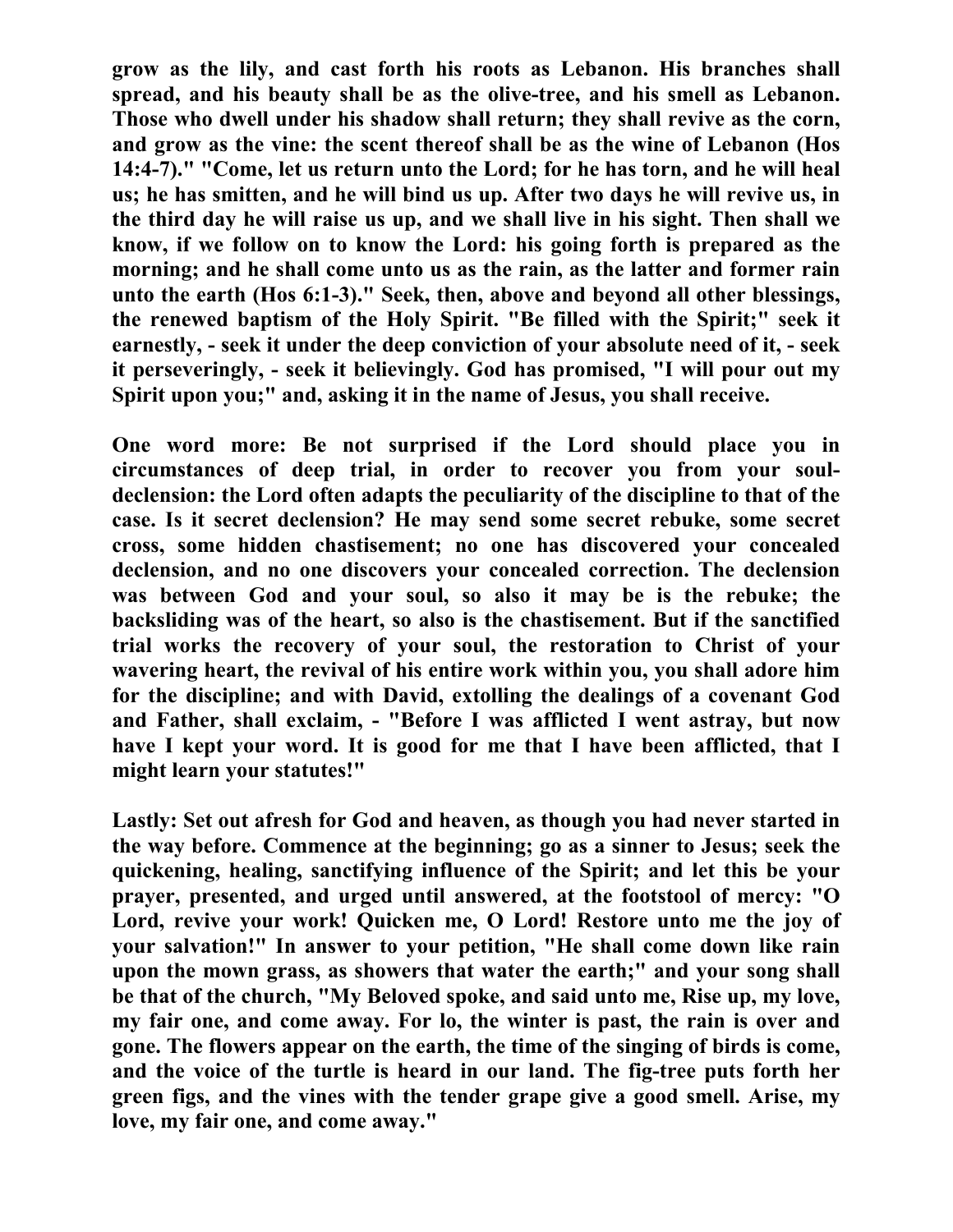**grow as the lily, and cast forth his roots as Lebanon. His branches shall spread, and his beauty shall be as the olive-tree, and his smell as Lebanon. Those who dwell under his shadow shall return; they shall revive as the corn, and grow as the vine: the scent thereof shall be as the wine of Lebanon (Hos 14:4-7)." "Come, let us return unto the Lord; for he has torn, and he will heal us; he has smitten, and he will bind us up. After two days he will revive us, in the third day he will raise us up, and we shall live in his sight. Then shall we know, if we follow on to know the Lord: his going forth is prepared as the morning; and he shall come unto us as the rain, as the latter and former rain unto the earth (Hos 6:1-3)." Seek, then, above and beyond all other blessings, the renewed baptism of the Holy Spirit. "Be filled with the Spirit;" seek it earnestly, - seek it under the deep conviction of your absolute need of it, - seek it perseveringly, - seek it believingly. God has promised, "I will pour out my Spirit upon you;" and, asking it in the name of Jesus, you shall receive.** 

**One word more: Be not surprised if the Lord should place you in circumstances of deep trial, in order to recover you from your souldeclension: the Lord often adapts the peculiarity of the discipline to that of the case. Is it secret declension? He may send some secret rebuke, some secret cross, some hidden chastisement; no one has discovered your concealed declension, and no one discovers your concealed correction. The declension was between God and your soul, so also it may be is the rebuke; the backsliding was of the heart, so also is the chastisement. But if the sanctified trial works the recovery of your soul, the restoration to Christ of your wavering heart, the revival of his entire work within you, you shall adore him for the discipline; and with David, extolling the dealings of a covenant God and Father, shall exclaim, - "Before I was afflicted I went astray, but now have I kept your word. It is good for me that I have been afflicted, that I might learn your statutes!"** 

**Lastly: Set out afresh for God and heaven, as though you had never started in the way before. Commence at the beginning; go as a sinner to Jesus; seek the quickening, healing, sanctifying influence of the Spirit; and let this be your prayer, presented, and urged until answered, at the footstool of mercy: "O Lord, revive your work! Quicken me, O Lord! Restore unto me the joy of your salvation!" In answer to your petition, "He shall come down like rain upon the mown grass, as showers that water the earth;" and your song shall be that of the church, "My Beloved spoke, and said unto me, Rise up, my love, my fair one, and come away. For lo, the winter is past, the rain is over and gone. The flowers appear on the earth, the time of the singing of birds is come, and the voice of the turtle is heard in our land. The fig-tree puts forth her green figs, and the vines with the tender grape give a good smell. Arise, my love, my fair one, and come away."**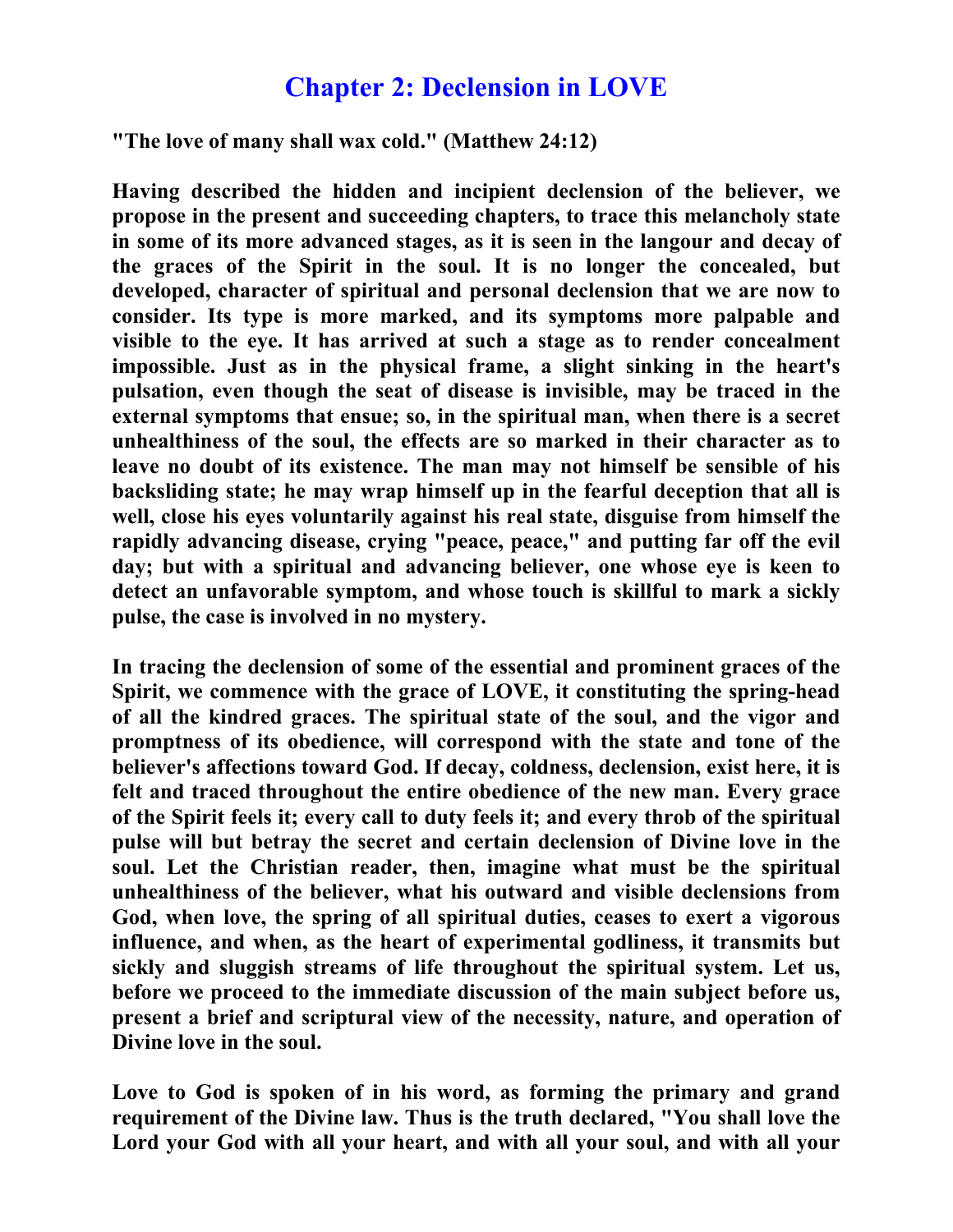## **Chapter 2: Declension in LOVE**

**"The love of many shall wax cold." (Matthew 24:12)** 

**Having described the hidden and incipient declension of the believer, we propose in the present and succeeding chapters, to trace this melancholy state in some of its more advanced stages, as it is seen in the langour and decay of the graces of the Spirit in the soul. It is no longer the concealed, but developed, character of spiritual and personal declension that we are now to consider. Its type is more marked, and its symptoms more palpable and visible to the eye. It has arrived at such a stage as to render concealment impossible. Just as in the physical frame, a slight sinking in the heart's pulsation, even though the seat of disease is invisible, may be traced in the external symptoms that ensue; so, in the spiritual man, when there is a secret unhealthiness of the soul, the effects are so marked in their character as to leave no doubt of its existence. The man may not himself be sensible of his backsliding state; he may wrap himself up in the fearful deception that all is well, close his eyes voluntarily against his real state, disguise from himself the rapidly advancing disease, crying "peace, peace," and putting far off the evil day; but with a spiritual and advancing believer, one whose eye is keen to detect an unfavorable symptom, and whose touch is skillful to mark a sickly pulse, the case is involved in no mystery.** 

**In tracing the declension of some of the essential and prominent graces of the Spirit, we commence with the grace of LOVE, it constituting the spring-head of all the kindred graces. The spiritual state of the soul, and the vigor and promptness of its obedience, will correspond with the state and tone of the believer's affections toward God. If decay, coldness, declension, exist here, it is felt and traced throughout the entire obedience of the new man. Every grace of the Spirit feels it; every call to duty feels it; and every throb of the spiritual pulse will but betray the secret and certain declension of Divine love in the soul. Let the Christian reader, then, imagine what must be the spiritual unhealthiness of the believer, what his outward and visible declensions from God, when love, the spring of all spiritual duties, ceases to exert a vigorous influence, and when, as the heart of experimental godliness, it transmits but sickly and sluggish streams of life throughout the spiritual system. Let us, before we proceed to the immediate discussion of the main subject before us, present a brief and scriptural view of the necessity, nature, and operation of Divine love in the soul.** 

**Love to God is spoken of in his word, as forming the primary and grand requirement of the Divine law. Thus is the truth declared, "You shall love the Lord your God with all your heart, and with all your soul, and with all your**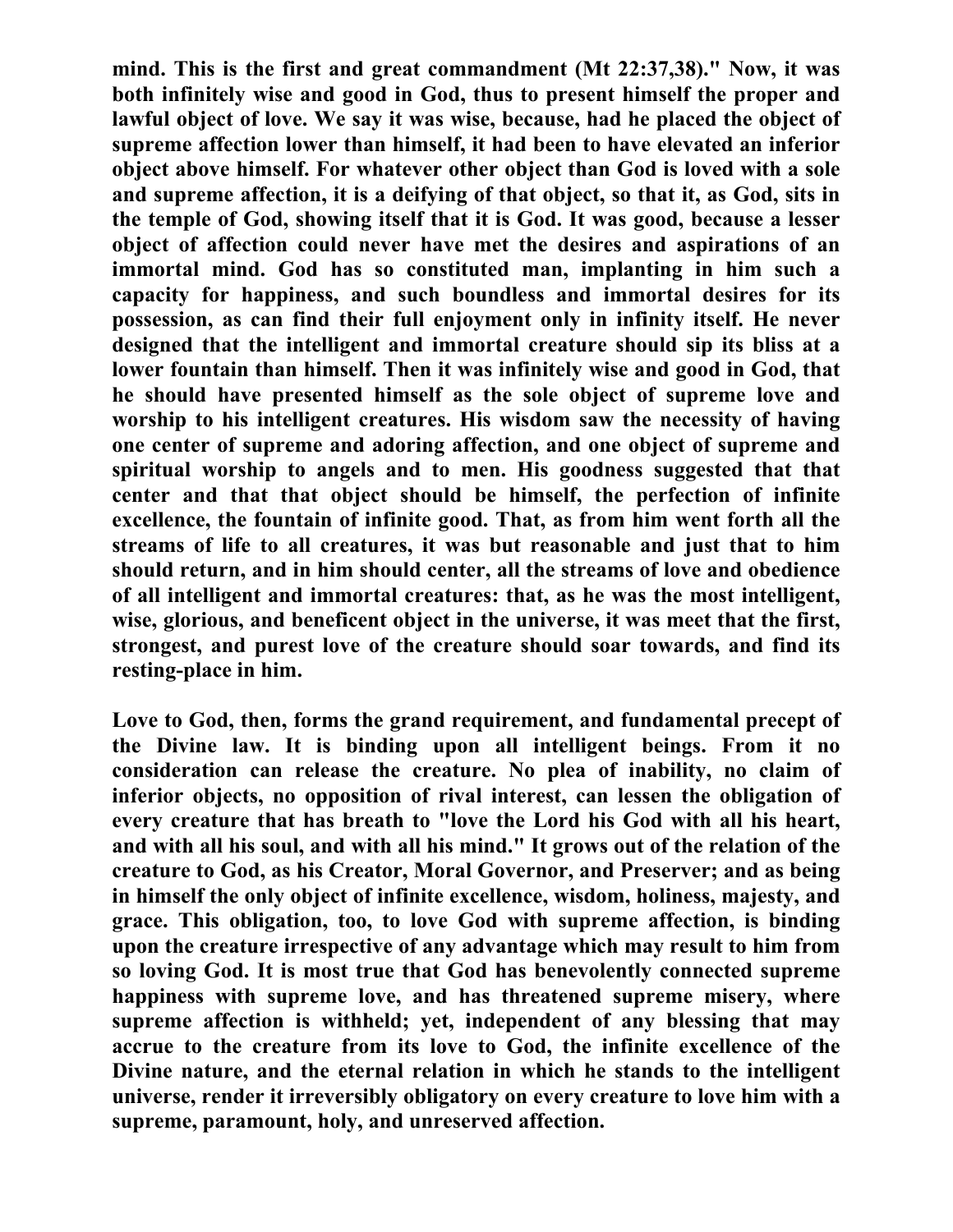**mind. This is the first and great commandment (Mt 22:37,38)." Now, it was both infinitely wise and good in God, thus to present himself the proper and lawful object of love. We say it was wise, because, had he placed the object of supreme affection lower than himself, it had been to have elevated an inferior object above himself. For whatever other object than God is loved with a sole and supreme affection, it is a deifying of that object, so that it, as God, sits in the temple of God, showing itself that it is God. It was good, because a lesser object of affection could never have met the desires and aspirations of an immortal mind. God has so constituted man, implanting in him such a capacity for happiness, and such boundless and immortal desires for its possession, as can find their full enjoyment only in infinity itself. He never designed that the intelligent and immortal creature should sip its bliss at a lower fountain than himself. Then it was infinitely wise and good in God, that he should have presented himself as the sole object of supreme love and worship to his intelligent creatures. His wisdom saw the necessity of having one center of supreme and adoring affection, and one object of supreme and spiritual worship to angels and to men. His goodness suggested that that center and that that object should be himself, the perfection of infinite excellence, the fountain of infinite good. That, as from him went forth all the streams of life to all creatures, it was but reasonable and just that to him should return, and in him should center, all the streams of love and obedience of all intelligent and immortal creatures: that, as he was the most intelligent, wise, glorious, and beneficent object in the universe, it was meet that the first, strongest, and purest love of the creature should soar towards, and find its resting-place in him.** 

**Love to God, then, forms the grand requirement, and fundamental precept of the Divine law. It is binding upon all intelligent beings. From it no consideration can release the creature. No plea of inability, no claim of inferior objects, no opposition of rival interest, can lessen the obligation of every creature that has breath to "love the Lord his God with all his heart, and with all his soul, and with all his mind." It grows out of the relation of the creature to God, as his Creator, Moral Governor, and Preserver; and as being in himself the only object of infinite excellence, wisdom, holiness, majesty, and grace. This obligation, too, to love God with supreme affection, is binding upon the creature irrespective of any advantage which may result to him from so loving God. It is most true that God has benevolently connected supreme happiness with supreme love, and has threatened supreme misery, where supreme affection is withheld; yet, independent of any blessing that may accrue to the creature from its love to God, the infinite excellence of the Divine nature, and the eternal relation in which he stands to the intelligent universe, render it irreversibly obligatory on every creature to love him with a supreme, paramount, holy, and unreserved affection.**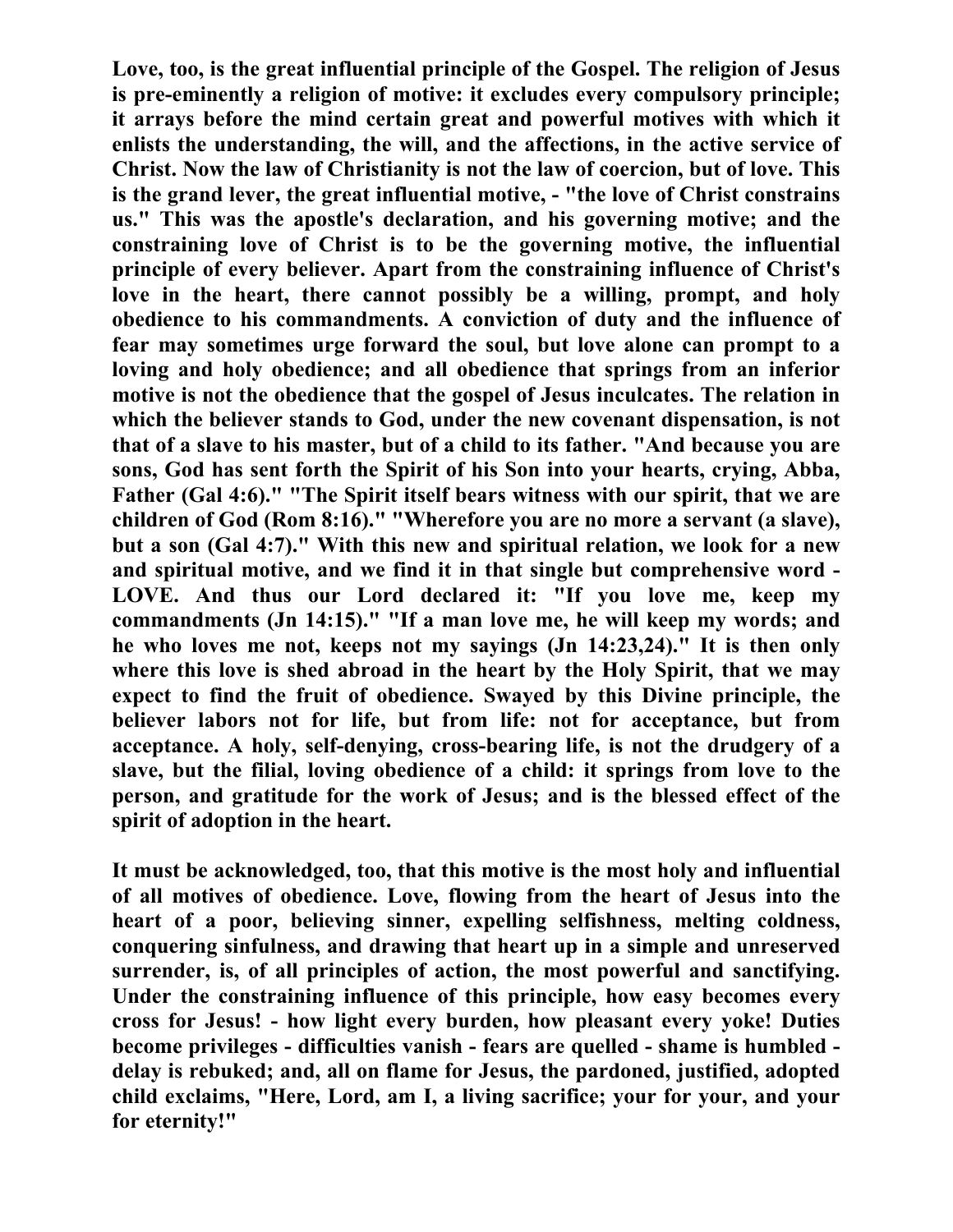**Love, too, is the great influential principle of the Gospel. The religion of Jesus is pre-eminently a religion of motive: it excludes every compulsory principle; it arrays before the mind certain great and powerful motives with which it enlists the understanding, the will, and the affections, in the active service of Christ. Now the law of Christianity is not the law of coercion, but of love. This is the grand lever, the great influential motive, - "the love of Christ constrains us." This was the apostle's declaration, and his governing motive; and the constraining love of Christ is to be the governing motive, the influential principle of every believer. Apart from the constraining influence of Christ's love in the heart, there cannot possibly be a willing, prompt, and holy obedience to his commandments. A conviction of duty and the influence of fear may sometimes urge forward the soul, but love alone can prompt to a loving and holy obedience; and all obedience that springs from an inferior motive is not the obedience that the gospel of Jesus inculcates. The relation in which the believer stands to God, under the new covenant dispensation, is not that of a slave to his master, but of a child to its father. "And because you are sons, God has sent forth the Spirit of his Son into your hearts, crying, Abba, Father (Gal 4:6)." "The Spirit itself bears witness with our spirit, that we are children of God (Rom 8:16)." "Wherefore you are no more a servant (a slave), but a son (Gal 4:7)." With this new and spiritual relation, we look for a new and spiritual motive, and we find it in that single but comprehensive word - LOVE. And thus our Lord declared it: "If you love me, keep my commandments (Jn 14:15)." "If a man love me, he will keep my words; and he who loves me not, keeps not my sayings (Jn 14:23,24)." It is then only where this love is shed abroad in the heart by the Holy Spirit, that we may expect to find the fruit of obedience. Swayed by this Divine principle, the believer labors not for life, but from life: not for acceptance, but from acceptance. A holy, self-denying, cross-bearing life, is not the drudgery of a slave, but the filial, loving obedience of a child: it springs from love to the person, and gratitude for the work of Jesus; and is the blessed effect of the spirit of adoption in the heart.** 

**It must be acknowledged, too, that this motive is the most holy and influential of all motives of obedience. Love, flowing from the heart of Jesus into the heart of a poor, believing sinner, expelling selfishness, melting coldness, conquering sinfulness, and drawing that heart up in a simple and unreserved surrender, is, of all principles of action, the most powerful and sanctifying. Under the constraining influence of this principle, how easy becomes every cross for Jesus! - how light every burden, how pleasant every yoke! Duties become privileges - difficulties vanish - fears are quelled - shame is humbled delay is rebuked; and, all on flame for Jesus, the pardoned, justified, adopted child exclaims, "Here, Lord, am I, a living sacrifice; your for your, and your for eternity!"**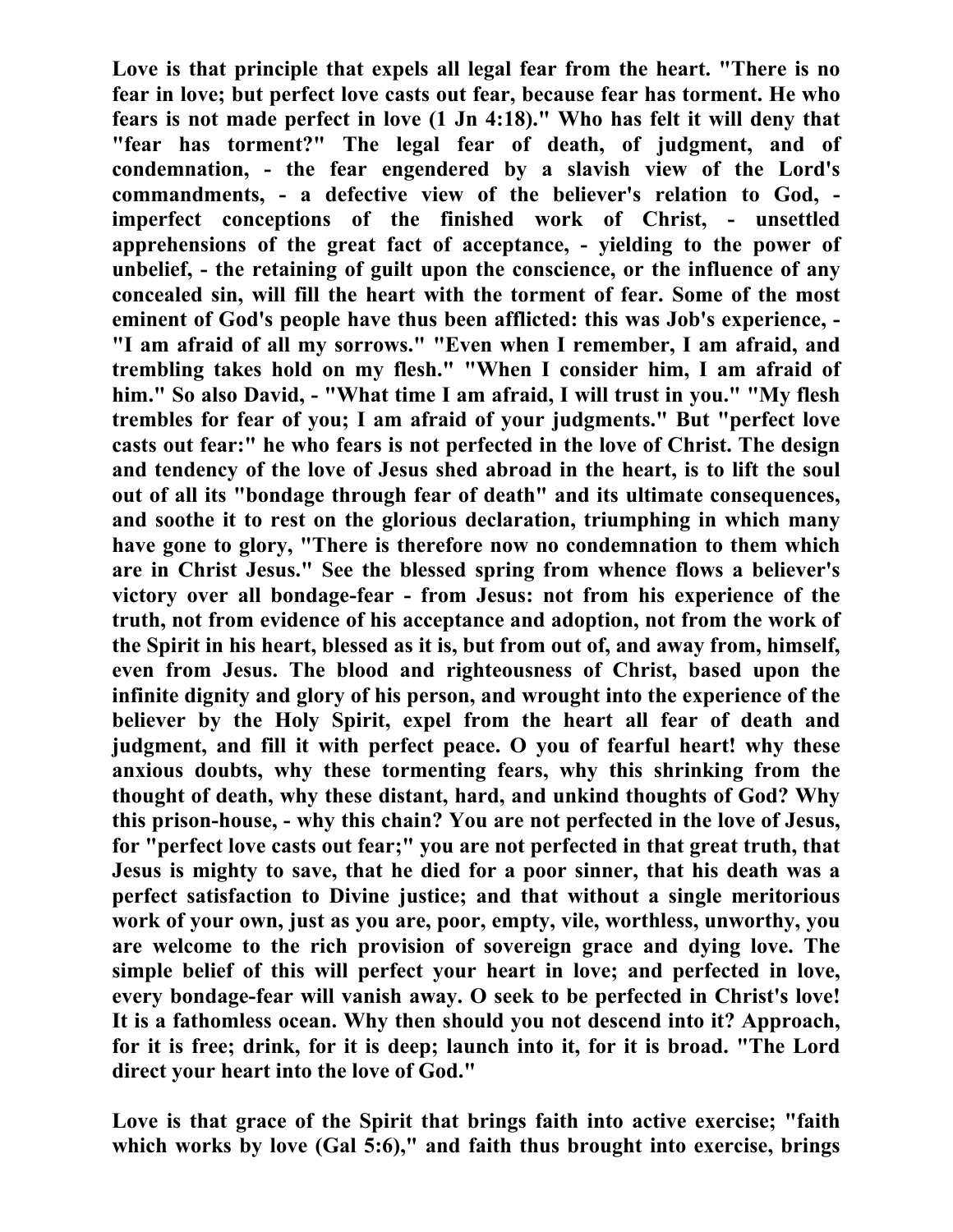**Love is that principle that expels all legal fear from the heart. "There is no fear in love; but perfect love casts out fear, because fear has torment. He who fears is not made perfect in love (1 Jn 4:18)." Who has felt it will deny that "fear has torment?" The legal fear of death, of judgment, and of condemnation, - the fear engendered by a slavish view of the Lord's commandments, - a defective view of the believer's relation to God, imperfect conceptions of the finished work of Christ, - unsettled apprehensions of the great fact of acceptance, - yielding to the power of unbelief, - the retaining of guilt upon the conscience, or the influence of any concealed sin, will fill the heart with the torment of fear. Some of the most eminent of God's people have thus been afflicted: this was Job's experience, - "I am afraid of all my sorrows." "Even when I remember, I am afraid, and trembling takes hold on my flesh." "When I consider him, I am afraid of him." So also David, - "What time I am afraid, I will trust in you." "My flesh trembles for fear of you; I am afraid of your judgments." But "perfect love casts out fear:" he who fears is not perfected in the love of Christ. The design and tendency of the love of Jesus shed abroad in the heart, is to lift the soul out of all its "bondage through fear of death" and its ultimate consequences, and soothe it to rest on the glorious declaration, triumphing in which many have gone to glory, "There is therefore now no condemnation to them which are in Christ Jesus." See the blessed spring from whence flows a believer's victory over all bondage-fear - from Jesus: not from his experience of the truth, not from evidence of his acceptance and adoption, not from the work of the Spirit in his heart, blessed as it is, but from out of, and away from, himself, even from Jesus. The blood and righteousness of Christ, based upon the infinite dignity and glory of his person, and wrought into the experience of the believer by the Holy Spirit, expel from the heart all fear of death and judgment, and fill it with perfect peace. O you of fearful heart! why these anxious doubts, why these tormenting fears, why this shrinking from the thought of death, why these distant, hard, and unkind thoughts of God? Why this prison-house, - why this chain? You are not perfected in the love of Jesus, for "perfect love casts out fear;" you are not perfected in that great truth, that Jesus is mighty to save, that he died for a poor sinner, that his death was a perfect satisfaction to Divine justice; and that without a single meritorious work of your own, just as you are, poor, empty, vile, worthless, unworthy, you are welcome to the rich provision of sovereign grace and dying love. The simple belief of this will perfect your heart in love; and perfected in love, every bondage-fear will vanish away. O seek to be perfected in Christ's love! It is a fathomless ocean. Why then should you not descend into it? Approach, for it is free; drink, for it is deep; launch into it, for it is broad. "The Lord direct your heart into the love of God."** 

**Love is that grace of the Spirit that brings faith into active exercise; "faith**  which works by love (Gal 5:6)," and faith thus brought into exercise, brings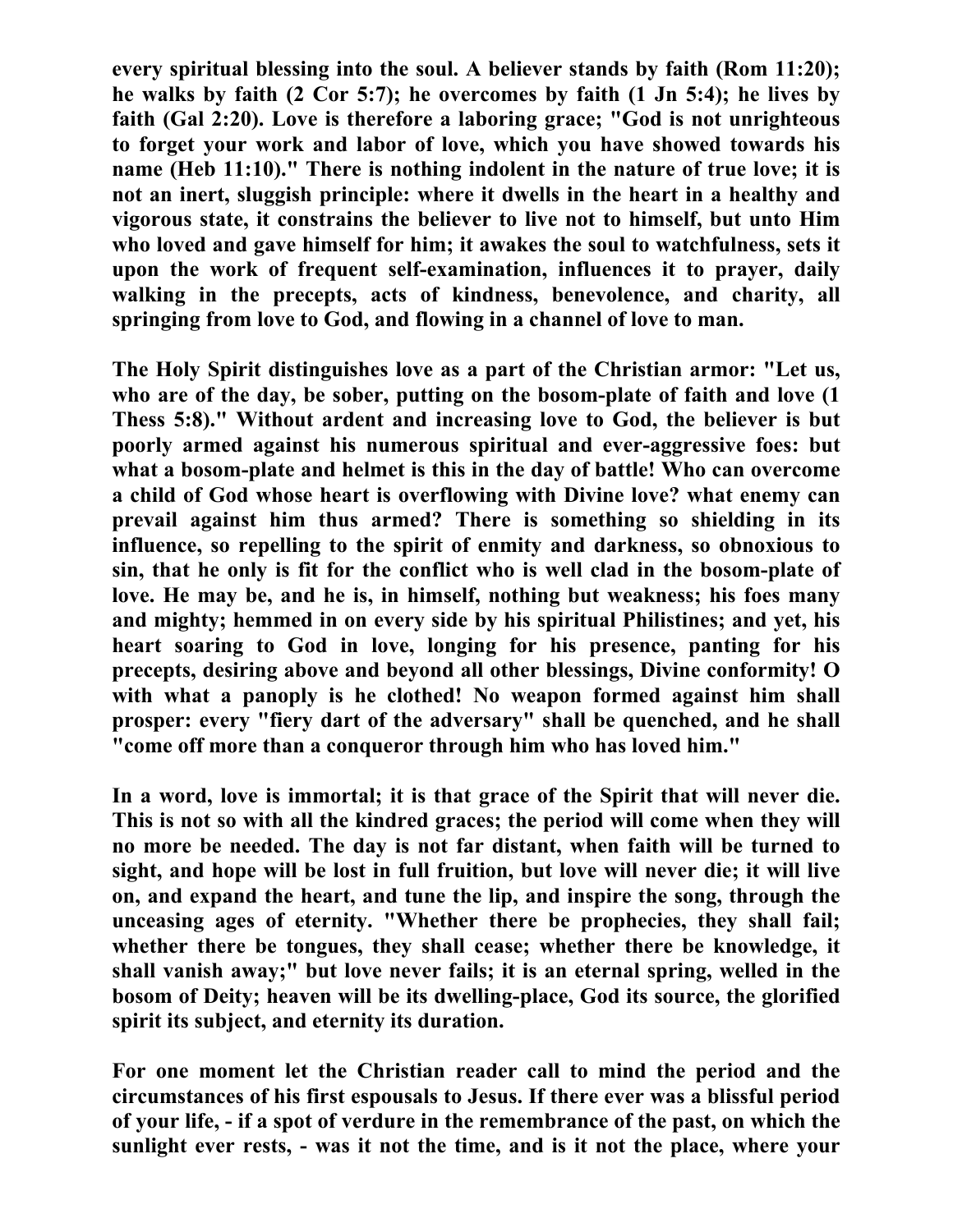**every spiritual blessing into the soul. A believer stands by faith (Rom 11:20); he walks by faith (2 Cor 5:7); he overcomes by faith (1 Jn 5:4); he lives by faith (Gal 2:20). Love is therefore a laboring grace; "God is not unrighteous to forget your work and labor of love, which you have showed towards his name (Heb 11:10)." There is nothing indolent in the nature of true love; it is not an inert, sluggish principle: where it dwells in the heart in a healthy and vigorous state, it constrains the believer to live not to himself, but unto Him who loved and gave himself for him; it awakes the soul to watchfulness, sets it upon the work of frequent self-examination, influences it to prayer, daily walking in the precepts, acts of kindness, benevolence, and charity, all springing from love to God, and flowing in a channel of love to man.** 

**The Holy Spirit distinguishes love as a part of the Christian armor: "Let us, who are of the day, be sober, putting on the bosom-plate of faith and love (1 Thess 5:8)." Without ardent and increasing love to God, the believer is but poorly armed against his numerous spiritual and ever-aggressive foes: but what a bosom-plate and helmet is this in the day of battle! Who can overcome a child of God whose heart is overflowing with Divine love? what enemy can prevail against him thus armed? There is something so shielding in its influence, so repelling to the spirit of enmity and darkness, so obnoxious to sin, that he only is fit for the conflict who is well clad in the bosom-plate of love. He may be, and he is, in himself, nothing but weakness; his foes many and mighty; hemmed in on every side by his spiritual Philistines; and yet, his heart soaring to God in love, longing for his presence, panting for his precepts, desiring above and beyond all other blessings, Divine conformity! O with what a panoply is he clothed! No weapon formed against him shall prosper: every "fiery dart of the adversary" shall be quenched, and he shall "come off more than a conqueror through him who has loved him."** 

**In a word, love is immortal; it is that grace of the Spirit that will never die. This is not so with all the kindred graces; the period will come when they will no more be needed. The day is not far distant, when faith will be turned to sight, and hope will be lost in full fruition, but love will never die; it will live on, and expand the heart, and tune the lip, and inspire the song, through the unceasing ages of eternity. "Whether there be prophecies, they shall fail; whether there be tongues, they shall cease; whether there be knowledge, it shall vanish away;" but love never fails; it is an eternal spring, welled in the bosom of Deity; heaven will be its dwelling-place, God its source, the glorified spirit its subject, and eternity its duration.** 

**For one moment let the Christian reader call to mind the period and the circumstances of his first espousals to Jesus. If there ever was a blissful period of your life, - if a spot of verdure in the remembrance of the past, on which the sunlight ever rests, - was it not the time, and is it not the place, where your**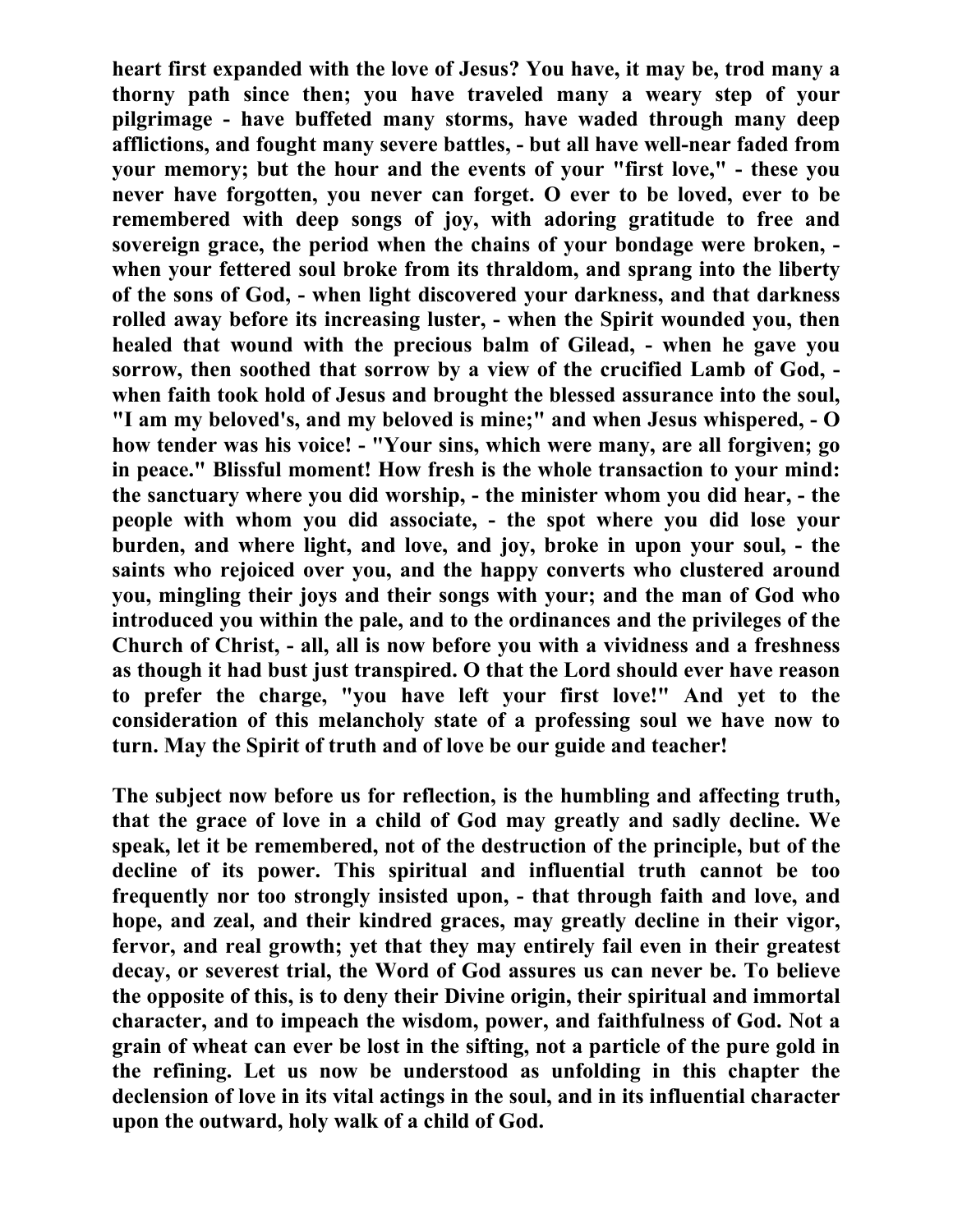**heart first expanded with the love of Jesus? You have, it may be, trod many a thorny path since then; you have traveled many a weary step of your pilgrimage - have buffeted many storms, have waded through many deep afflictions, and fought many severe battles, - but all have well-near faded from your memory; but the hour and the events of your "first love," - these you never have forgotten, you never can forget. O ever to be loved, ever to be remembered with deep songs of joy, with adoring gratitude to free and sovereign grace, the period when the chains of your bondage were broken, when your fettered soul broke from its thraldom, and sprang into the liberty of the sons of God, - when light discovered your darkness, and that darkness rolled away before its increasing luster, - when the Spirit wounded you, then healed that wound with the precious balm of Gilead, - when he gave you sorrow, then soothed that sorrow by a view of the crucified Lamb of God, when faith took hold of Jesus and brought the blessed assurance into the soul, "I am my beloved's, and my beloved is mine;" and when Jesus whispered, - O how tender was his voice! - "Your sins, which were many, are all forgiven; go in peace." Blissful moment! How fresh is the whole transaction to your mind: the sanctuary where you did worship, - the minister whom you did hear, - the people with whom you did associate, - the spot where you did lose your burden, and where light, and love, and joy, broke in upon your soul, - the saints who rejoiced over you, and the happy converts who clustered around you, mingling their joys and their songs with your; and the man of God who introduced you within the pale, and to the ordinances and the privileges of the Church of Christ, - all, all is now before you with a vividness and a freshness as though it had bust just transpired. O that the Lord should ever have reason to prefer the charge, "you have left your first love!" And yet to the consideration of this melancholy state of a professing soul we have now to turn. May the Spirit of truth and of love be our guide and teacher!** 

**The subject now before us for reflection, is the humbling and affecting truth, that the grace of love in a child of God may greatly and sadly decline. We speak, let it be remembered, not of the destruction of the principle, but of the decline of its power. This spiritual and influential truth cannot be too frequently nor too strongly insisted upon, - that through faith and love, and hope, and zeal, and their kindred graces, may greatly decline in their vigor, fervor, and real growth; yet that they may entirely fail even in their greatest decay, or severest trial, the Word of God assures us can never be. To believe the opposite of this, is to deny their Divine origin, their spiritual and immortal character, and to impeach the wisdom, power, and faithfulness of God. Not a grain of wheat can ever be lost in the sifting, not a particle of the pure gold in the refining. Let us now be understood as unfolding in this chapter the declension of love in its vital actings in the soul, and in its influential character upon the outward, holy walk of a child of God.**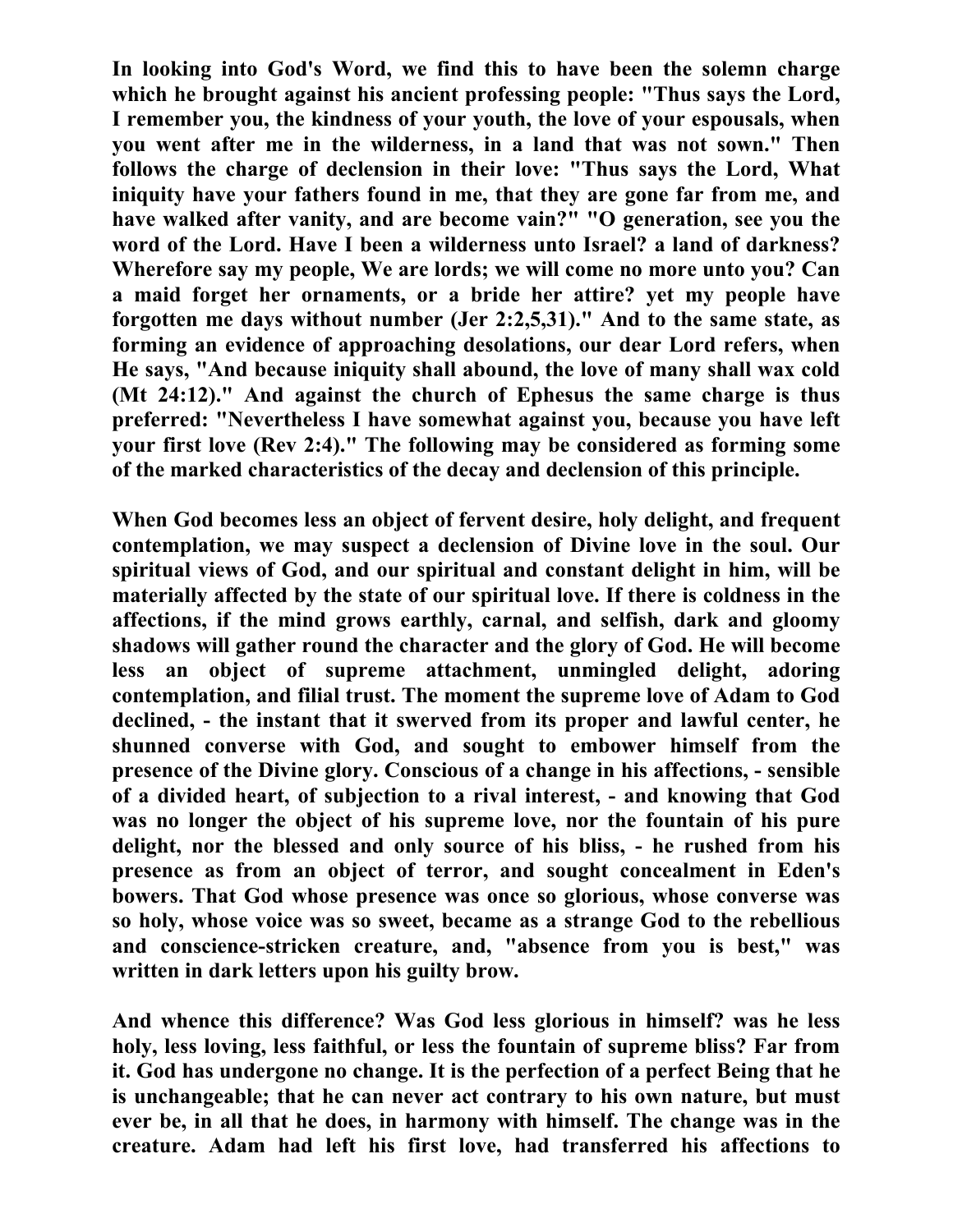**In looking into God's Word, we find this to have been the solemn charge which he brought against his ancient professing people: "Thus says the Lord, I remember you, the kindness of your youth, the love of your espousals, when you went after me in the wilderness, in a land that was not sown." Then follows the charge of declension in their love: "Thus says the Lord, What iniquity have your fathers found in me, that they are gone far from me, and have walked after vanity, and are become vain?" "O generation, see you the word of the Lord. Have I been a wilderness unto Israel? a land of darkness? Wherefore say my people, We are lords; we will come no more unto you? Can a maid forget her ornaments, or a bride her attire? yet my people have forgotten me days without number (Jer 2:2,5,31)." And to the same state, as forming an evidence of approaching desolations, our dear Lord refers, when He says, "And because iniquity shall abound, the love of many shall wax cold (Mt 24:12)." And against the church of Ephesus the same charge is thus preferred: "Nevertheless I have somewhat against you, because you have left your first love (Rev 2:4)." The following may be considered as forming some of the marked characteristics of the decay and declension of this principle.** 

**When God becomes less an object of fervent desire, holy delight, and frequent contemplation, we may suspect a declension of Divine love in the soul. Our spiritual views of God, and our spiritual and constant delight in him, will be materially affected by the state of our spiritual love. If there is coldness in the affections, if the mind grows earthly, carnal, and selfish, dark and gloomy shadows will gather round the character and the glory of God. He will become less an object of supreme attachment, unmingled delight, adoring contemplation, and filial trust. The moment the supreme love of Adam to God declined, - the instant that it swerved from its proper and lawful center, he shunned converse with God, and sought to embower himself from the presence of the Divine glory. Conscious of a change in his affections, - sensible of a divided heart, of subjection to a rival interest, - and knowing that God was no longer the object of his supreme love, nor the fountain of his pure delight, nor the blessed and only source of his bliss, - he rushed from his presence as from an object of terror, and sought concealment in Eden's bowers. That God whose presence was once so glorious, whose converse was so holy, whose voice was so sweet, became as a strange God to the rebellious and conscience-stricken creature, and, "absence from you is best," was written in dark letters upon his guilty brow.** 

**And whence this difference? Was God less glorious in himself? was he less holy, less loving, less faithful, or less the fountain of supreme bliss? Far from it. God has undergone no change. It is the perfection of a perfect Being that he is unchangeable; that he can never act contrary to his own nature, but must ever be, in all that he does, in harmony with himself. The change was in the creature. Adam had left his first love, had transferred his affections to**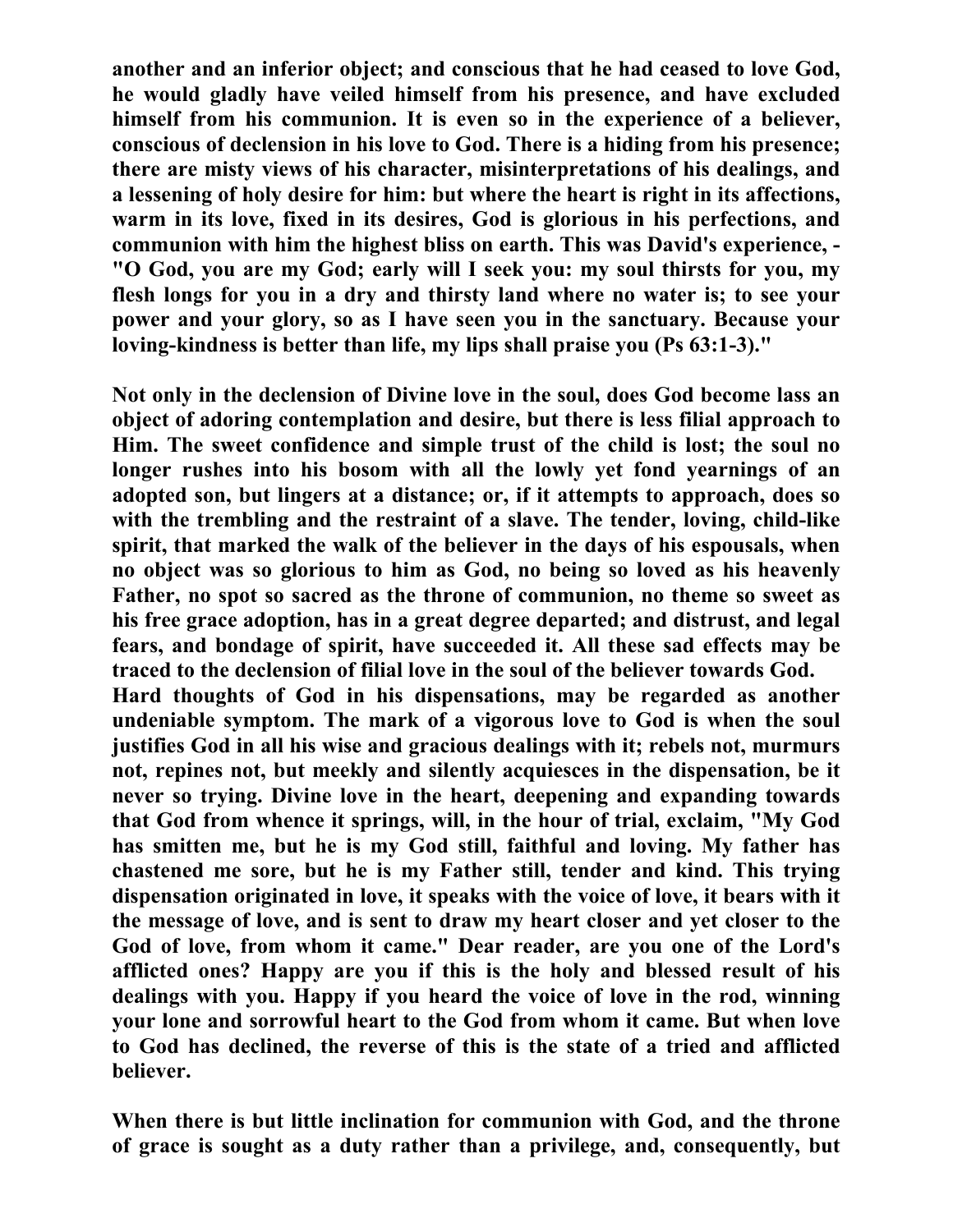**another and an inferior object; and conscious that he had ceased to love God, he would gladly have veiled himself from his presence, and have excluded himself from his communion. It is even so in the experience of a believer, conscious of declension in his love to God. There is a hiding from his presence; there are misty views of his character, misinterpretations of his dealings, and a lessening of holy desire for him: but where the heart is right in its affections, warm in its love, fixed in its desires, God is glorious in his perfections, and communion with him the highest bliss on earth. This was David's experience, - "O God, you are my God; early will I seek you: my soul thirsts for you, my flesh longs for you in a dry and thirsty land where no water is; to see your power and your glory, so as I have seen you in the sanctuary. Because your loving-kindness is better than life, my lips shall praise you (Ps 63:1-3)."** 

**Not only in the declension of Divine love in the soul, does God become lass an object of adoring contemplation and desire, but there is less filial approach to Him. The sweet confidence and simple trust of the child is lost; the soul no longer rushes into his bosom with all the lowly yet fond yearnings of an adopted son, but lingers at a distance; or, if it attempts to approach, does so with the trembling and the restraint of a slave. The tender, loving, child-like spirit, that marked the walk of the believer in the days of his espousals, when no object was so glorious to him as God, no being so loved as his heavenly Father, no spot so sacred as the throne of communion, no theme so sweet as his free grace adoption, has in a great degree departed; and distrust, and legal fears, and bondage of spirit, have succeeded it. All these sad effects may be traced to the declension of filial love in the soul of the believer towards God.** 

**Hard thoughts of God in his dispensations, may be regarded as another undeniable symptom. The mark of a vigorous love to God is when the soul justifies God in all his wise and gracious dealings with it; rebels not, murmurs not, repines not, but meekly and silently acquiesces in the dispensation, be it never so trying. Divine love in the heart, deepening and expanding towards that God from whence it springs, will, in the hour of trial, exclaim, "My God has smitten me, but he is my God still, faithful and loving. My father has chastened me sore, but he is my Father still, tender and kind. This trying dispensation originated in love, it speaks with the voice of love, it bears with it the message of love, and is sent to draw my heart closer and yet closer to the God of love, from whom it came." Dear reader, are you one of the Lord's afflicted ones? Happy are you if this is the holy and blessed result of his dealings with you. Happy if you heard the voice of love in the rod, winning your lone and sorrowful heart to the God from whom it came. But when love to God has declined, the reverse of this is the state of a tried and afflicted believer.** 

**When there is but little inclination for communion with God, and the throne of grace is sought as a duty rather than a privilege, and, consequently, but**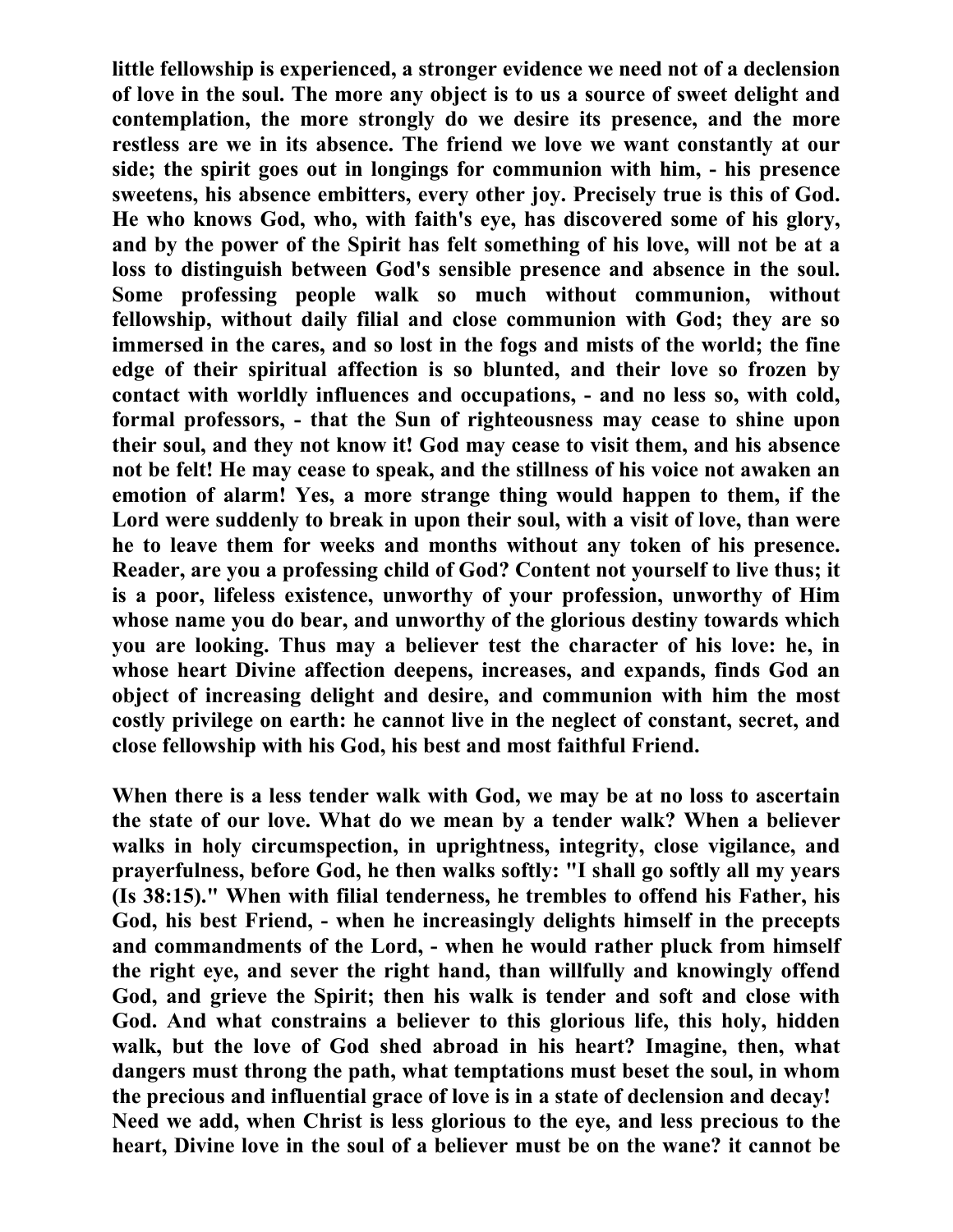**little fellowship is experienced, a stronger evidence we need not of a declension of love in the soul. The more any object is to us a source of sweet delight and contemplation, the more strongly do we desire its presence, and the more restless are we in its absence. The friend we love we want constantly at our side; the spirit goes out in longings for communion with him, - his presence sweetens, his absence embitters, every other joy. Precisely true is this of God. He who knows God, who, with faith's eye, has discovered some of his glory, and by the power of the Spirit has felt something of his love, will not be at a loss to distinguish between God's sensible presence and absence in the soul. Some professing people walk so much without communion, without fellowship, without daily filial and close communion with God; they are so immersed in the cares, and so lost in the fogs and mists of the world; the fine edge of their spiritual affection is so blunted, and their love so frozen by contact with worldly influences and occupations, - and no less so, with cold, formal professors, - that the Sun of righteousness may cease to shine upon their soul, and they not know it! God may cease to visit them, and his absence not be felt! He may cease to speak, and the stillness of his voice not awaken an emotion of alarm! Yes, a more strange thing would happen to them, if the Lord were suddenly to break in upon their soul, with a visit of love, than were he to leave them for weeks and months without any token of his presence. Reader, are you a professing child of God? Content not yourself to live thus; it is a poor, lifeless existence, unworthy of your profession, unworthy of Him whose name you do bear, and unworthy of the glorious destiny towards which you are looking. Thus may a believer test the character of his love: he, in whose heart Divine affection deepens, increases, and expands, finds God an object of increasing delight and desire, and communion with him the most costly privilege on earth: he cannot live in the neglect of constant, secret, and close fellowship with his God, his best and most faithful Friend.** 

**When there is a less tender walk with God, we may be at no loss to ascertain the state of our love. What do we mean by a tender walk? When a believer walks in holy circumspection, in uprightness, integrity, close vigilance, and prayerfulness, before God, he then walks softly: "I shall go softly all my years (Is 38:15)." When with filial tenderness, he trembles to offend his Father, his God, his best Friend, - when he increasingly delights himself in the precepts and commandments of the Lord, - when he would rather pluck from himself the right eye, and sever the right hand, than willfully and knowingly offend God, and grieve the Spirit; then his walk is tender and soft and close with God. And what constrains a believer to this glorious life, this holy, hidden walk, but the love of God shed abroad in his heart? Imagine, then, what dangers must throng the path, what temptations must beset the soul, in whom the precious and influential grace of love is in a state of declension and decay! Need we add, when Christ is less glorious to the eye, and less precious to the heart, Divine love in the soul of a believer must be on the wane? it cannot be**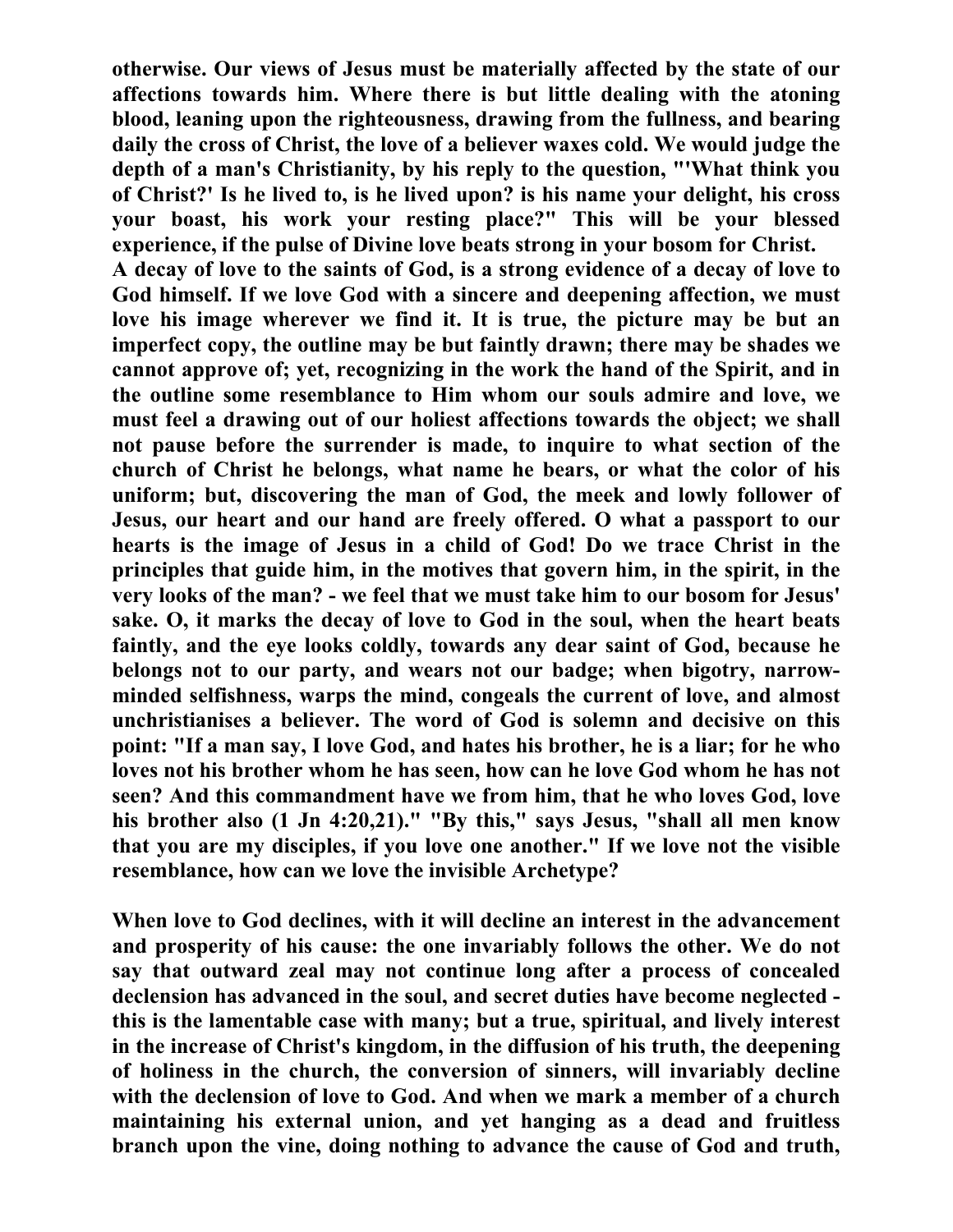**otherwise. Our views of Jesus must be materially affected by the state of our affections towards him. Where there is but little dealing with the atoning blood, leaning upon the righteousness, drawing from the fullness, and bearing daily the cross of Christ, the love of a believer waxes cold. We would judge the depth of a man's Christianity, by his reply to the question, "'What think you of Christ?' Is he lived to, is he lived upon? is his name your delight, his cross your boast, his work your resting place?" This will be your blessed experience, if the pulse of Divine love beats strong in your bosom for Christ.** 

**A decay of love to the saints of God, is a strong evidence of a decay of love to God himself. If we love God with a sincere and deepening affection, we must love his image wherever we find it. It is true, the picture may be but an imperfect copy, the outline may be but faintly drawn; there may be shades we cannot approve of; yet, recognizing in the work the hand of the Spirit, and in the outline some resemblance to Him whom our souls admire and love, we must feel a drawing out of our holiest affections towards the object; we shall not pause before the surrender is made, to inquire to what section of the church of Christ he belongs, what name he bears, or what the color of his uniform; but, discovering the man of God, the meek and lowly follower of Jesus, our heart and our hand are freely offered. O what a passport to our hearts is the image of Jesus in a child of God! Do we trace Christ in the principles that guide him, in the motives that govern him, in the spirit, in the very looks of the man? - we feel that we must take him to our bosom for Jesus' sake. O, it marks the decay of love to God in the soul, when the heart beats faintly, and the eye looks coldly, towards any dear saint of God, because he belongs not to our party, and wears not our badge; when bigotry, narrowminded selfishness, warps the mind, congeals the current of love, and almost unchristianises a believer. The word of God is solemn and decisive on this point: "If a man say, I love God, and hates his brother, he is a liar; for he who loves not his brother whom he has seen, how can he love God whom he has not seen? And this commandment have we from him, that he who loves God, love his brother also (1 Jn 4:20,21)." "By this," says Jesus, "shall all men know that you are my disciples, if you love one another." If we love not the visible resemblance, how can we love the invisible Archetype?** 

**When love to God declines, with it will decline an interest in the advancement and prosperity of his cause: the one invariably follows the other. We do not say that outward zeal may not continue long after a process of concealed declension has advanced in the soul, and secret duties have become neglected this is the lamentable case with many; but a true, spiritual, and lively interest in the increase of Christ's kingdom, in the diffusion of his truth, the deepening of holiness in the church, the conversion of sinners, will invariably decline with the declension of love to God. And when we mark a member of a church maintaining his external union, and yet hanging as a dead and fruitless branch upon the vine, doing nothing to advance the cause of God and truth,**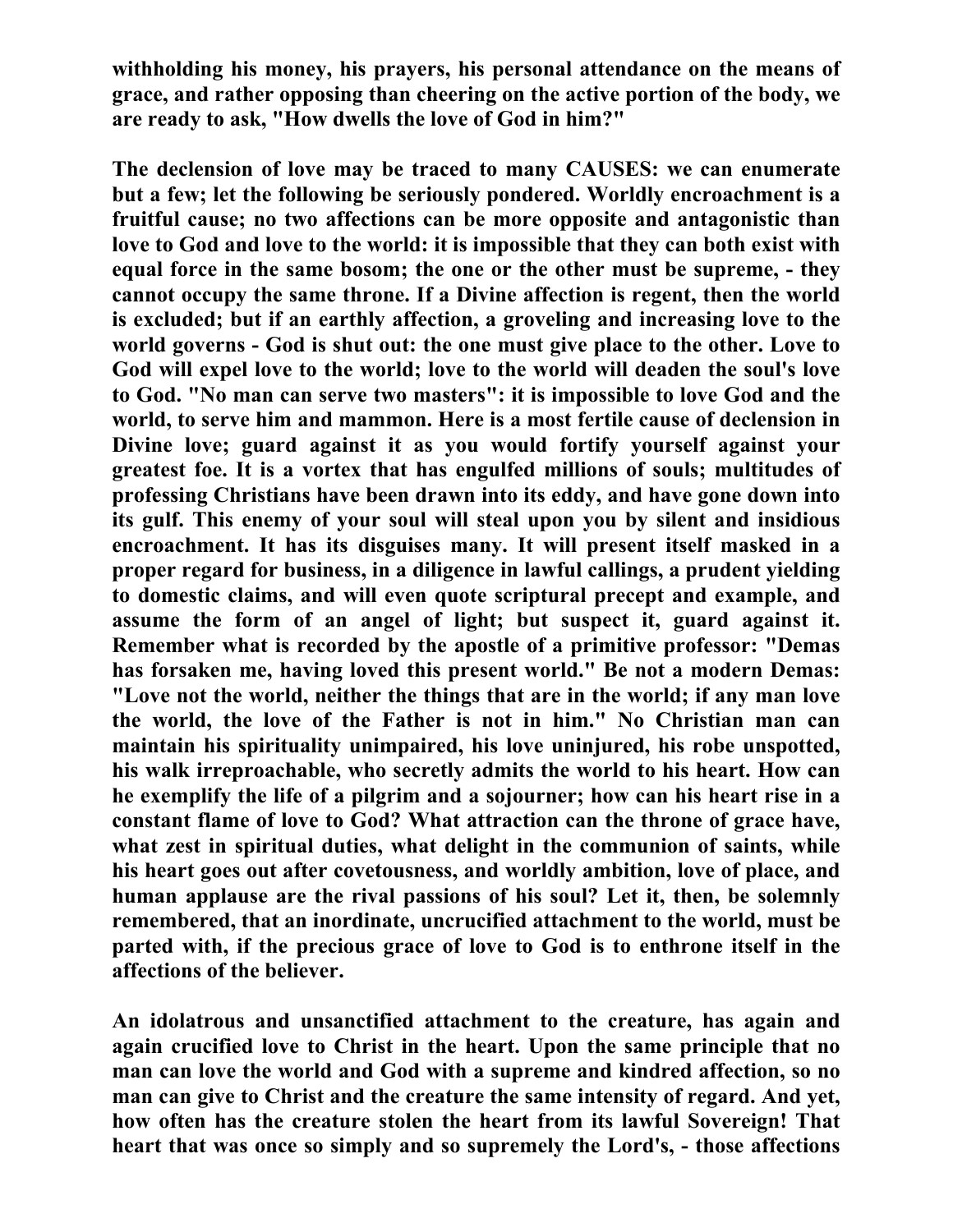**withholding his money, his prayers, his personal attendance on the means of grace, and rather opposing than cheering on the active portion of the body, we are ready to ask, "How dwells the love of God in him?"** 

**The declension of love may be traced to many CAUSES: we can enumerate but a few; let the following be seriously pondered. Worldly encroachment is a fruitful cause; no two affections can be more opposite and antagonistic than love to God and love to the world: it is impossible that they can both exist with equal force in the same bosom; the one or the other must be supreme, - they cannot occupy the same throne. If a Divine affection is regent, then the world is excluded; but if an earthly affection, a groveling and increasing love to the world governs - God is shut out: the one must give place to the other. Love to God will expel love to the world; love to the world will deaden the soul's love to God. "No man can serve two masters": it is impossible to love God and the world, to serve him and mammon. Here is a most fertile cause of declension in Divine love; guard against it as you would fortify yourself against your greatest foe. It is a vortex that has engulfed millions of souls; multitudes of professing Christians have been drawn into its eddy, and have gone down into its gulf. This enemy of your soul will steal upon you by silent and insidious encroachment. It has its disguises many. It will present itself masked in a proper regard for business, in a diligence in lawful callings, a prudent yielding to domestic claims, and will even quote scriptural precept and example, and assume the form of an angel of light; but suspect it, guard against it. Remember what is recorded by the apostle of a primitive professor: "Demas has forsaken me, having loved this present world." Be not a modern Demas: "Love not the world, neither the things that are in the world; if any man love the world, the love of the Father is not in him." No Christian man can maintain his spirituality unimpaired, his love uninjured, his robe unspotted, his walk irreproachable, who secretly admits the world to his heart. How can he exemplify the life of a pilgrim and a sojourner; how can his heart rise in a constant flame of love to God? What attraction can the throne of grace have, what zest in spiritual duties, what delight in the communion of saints, while his heart goes out after covetousness, and worldly ambition, love of place, and human applause are the rival passions of his soul? Let it, then, be solemnly remembered, that an inordinate, uncrucified attachment to the world, must be parted with, if the precious grace of love to God is to enthrone itself in the affections of the believer.** 

**An idolatrous and unsanctified attachment to the creature, has again and again crucified love to Christ in the heart. Upon the same principle that no man can love the world and God with a supreme and kindred affection, so no man can give to Christ and the creature the same intensity of regard. And yet, how often has the creature stolen the heart from its lawful Sovereign! That heart that was once so simply and so supremely the Lord's, - those affections**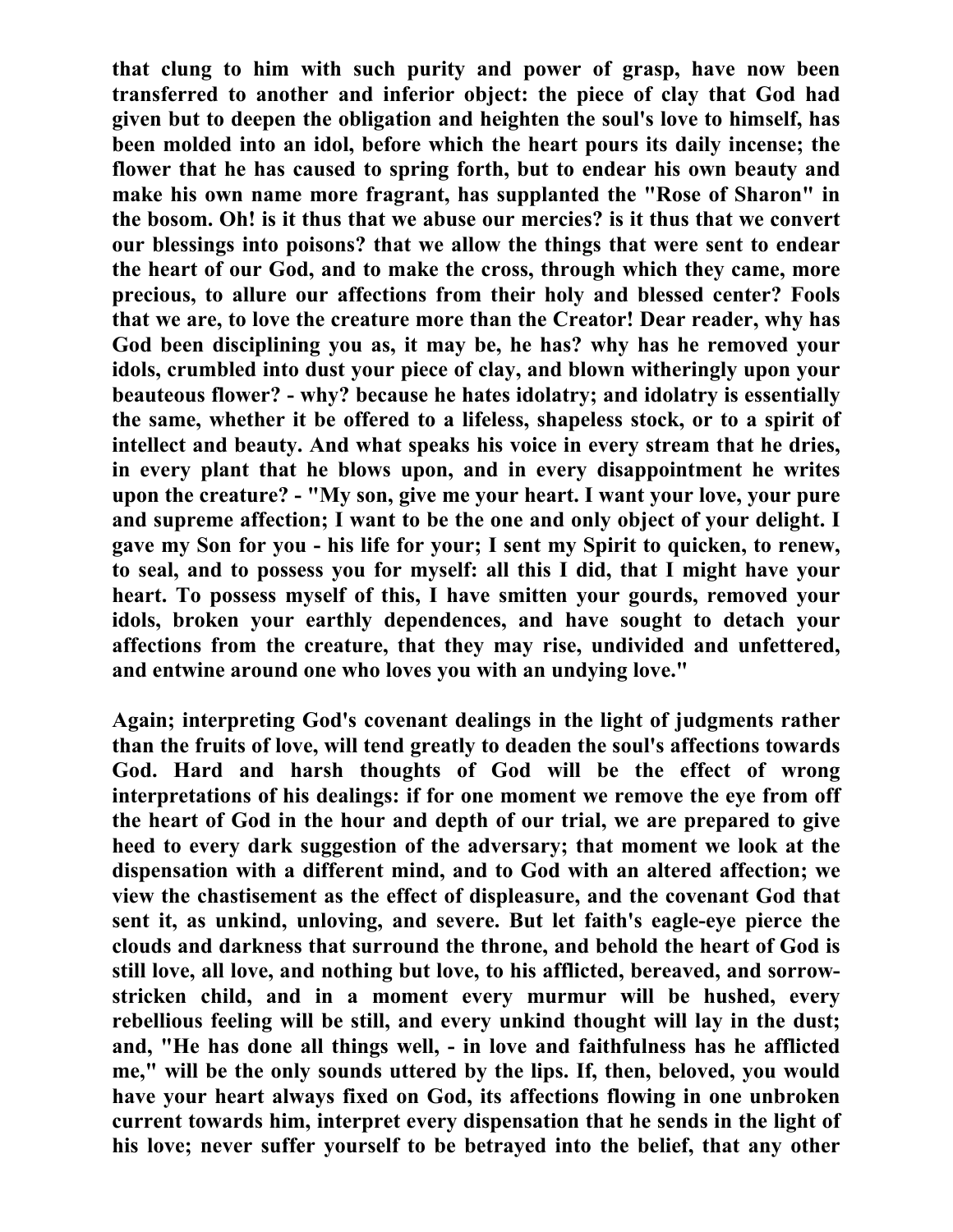**that clung to him with such purity and power of grasp, have now been transferred to another and inferior object: the piece of clay that God had given but to deepen the obligation and heighten the soul's love to himself, has been molded into an idol, before which the heart pours its daily incense; the flower that he has caused to spring forth, but to endear his own beauty and make his own name more fragrant, has supplanted the "Rose of Sharon" in the bosom. Oh! is it thus that we abuse our mercies? is it thus that we convert our blessings into poisons? that we allow the things that were sent to endear the heart of our God, and to make the cross, through which they came, more precious, to allure our affections from their holy and blessed center? Fools that we are, to love the creature more than the Creator! Dear reader, why has God been disciplining you as, it may be, he has? why has he removed your idols, crumbled into dust your piece of clay, and blown witheringly upon your beauteous flower? - why? because he hates idolatry; and idolatry is essentially the same, whether it be offered to a lifeless, shapeless stock, or to a spirit of intellect and beauty. And what speaks his voice in every stream that he dries, in every plant that he blows upon, and in every disappointment he writes upon the creature? - "My son, give me your heart. I want your love, your pure and supreme affection; I want to be the one and only object of your delight. I gave my Son for you - his life for your; I sent my Spirit to quicken, to renew, to seal, and to possess you for myself: all this I did, that I might have your heart. To possess myself of this, I have smitten your gourds, removed your idols, broken your earthly dependences, and have sought to detach your affections from the creature, that they may rise, undivided and unfettered, and entwine around one who loves you with an undying love."** 

**Again; interpreting God's covenant dealings in the light of judgments rather than the fruits of love, will tend greatly to deaden the soul's affections towards God. Hard and harsh thoughts of God will be the effect of wrong interpretations of his dealings: if for one moment we remove the eye from off the heart of God in the hour and depth of our trial, we are prepared to give heed to every dark suggestion of the adversary; that moment we look at the dispensation with a different mind, and to God with an altered affection; we view the chastisement as the effect of displeasure, and the covenant God that sent it, as unkind, unloving, and severe. But let faith's eagle-eye pierce the clouds and darkness that surround the throne, and behold the heart of God is still love, all love, and nothing but love, to his afflicted, bereaved, and sorrowstricken child, and in a moment every murmur will be hushed, every rebellious feeling will be still, and every unkind thought will lay in the dust; and, "He has done all things well, - in love and faithfulness has he afflicted me," will be the only sounds uttered by the lips. If, then, beloved, you would have your heart always fixed on God, its affections flowing in one unbroken current towards him, interpret every dispensation that he sends in the light of his love; never suffer yourself to be betrayed into the belief, that any other**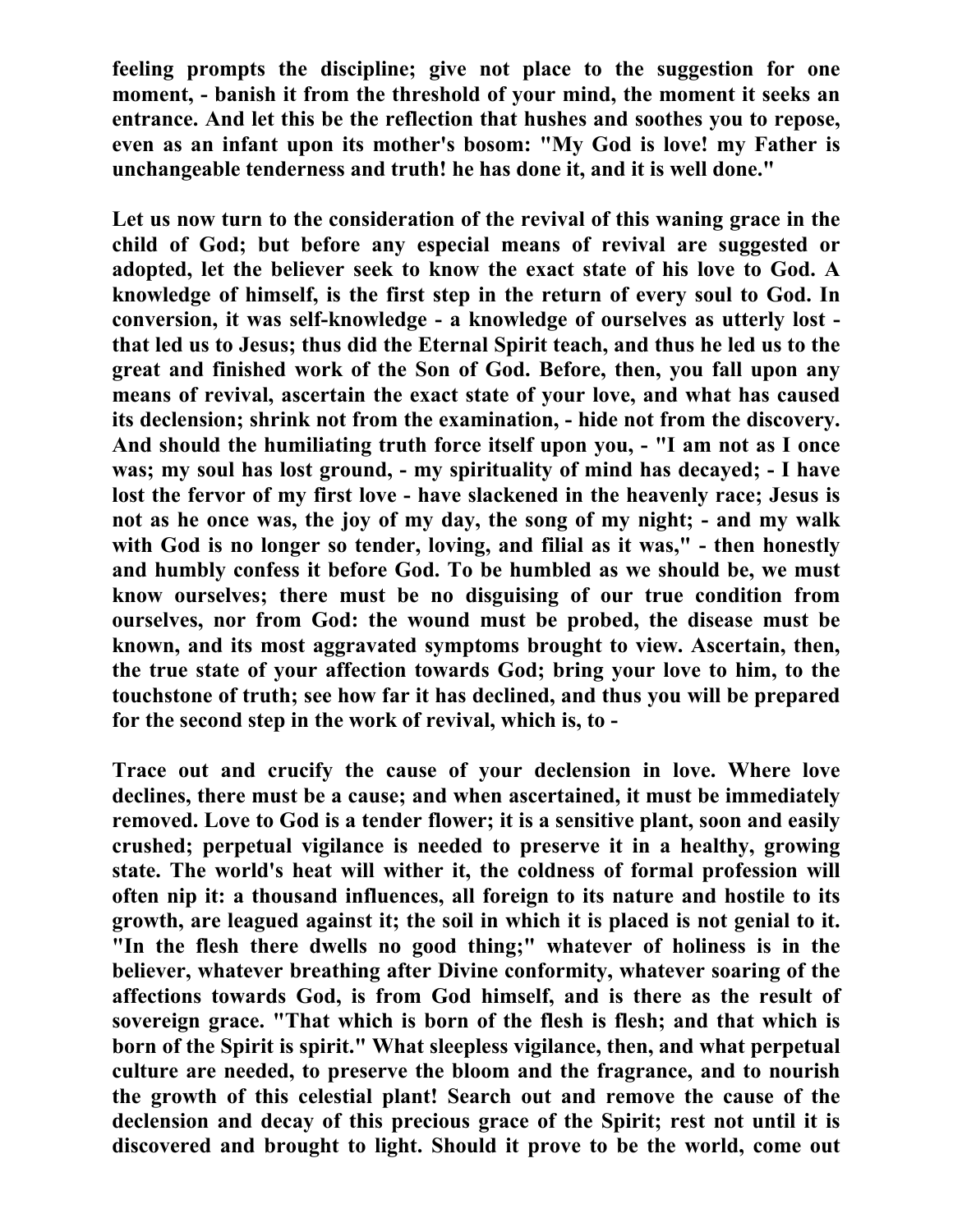**feeling prompts the discipline; give not place to the suggestion for one moment, - banish it from the threshold of your mind, the moment it seeks an entrance. And let this be the reflection that hushes and soothes you to repose, even as an infant upon its mother's bosom: "My God is love! my Father is unchangeable tenderness and truth! he has done it, and it is well done."** 

**Let us now turn to the consideration of the revival of this waning grace in the child of God; but before any especial means of revival are suggested or adopted, let the believer seek to know the exact state of his love to God. A knowledge of himself, is the first step in the return of every soul to God. In conversion, it was self-knowledge - a knowledge of ourselves as utterly lost that led us to Jesus; thus did the Eternal Spirit teach, and thus he led us to the great and finished work of the Son of God. Before, then, you fall upon any means of revival, ascertain the exact state of your love, and what has caused its declension; shrink not from the examination, - hide not from the discovery. And should the humiliating truth force itself upon you, - "I am not as I once was; my soul has lost ground, - my spirituality of mind has decayed; - I have lost the fervor of my first love - have slackened in the heavenly race; Jesus is not as he once was, the joy of my day, the song of my night; - and my walk**  with God is no longer so tender, loving, and filial as it was," - then honestly **and humbly confess it before God. To be humbled as we should be, we must know ourselves; there must be no disguising of our true condition from ourselves, nor from God: the wound must be probed, the disease must be known, and its most aggravated symptoms brought to view. Ascertain, then, the true state of your affection towards God; bring your love to him, to the touchstone of truth; see how far it has declined, and thus you will be prepared for the second step in the work of revival, which is, to -** 

**Trace out and crucify the cause of your declension in love. Where love declines, there must be a cause; and when ascertained, it must be immediately removed. Love to God is a tender flower; it is a sensitive plant, soon and easily crushed; perpetual vigilance is needed to preserve it in a healthy, growing state. The world's heat will wither it, the coldness of formal profession will often nip it: a thousand influences, all foreign to its nature and hostile to its growth, are leagued against it; the soil in which it is placed is not genial to it. "In the flesh there dwells no good thing;" whatever of holiness is in the believer, whatever breathing after Divine conformity, whatever soaring of the affections towards God, is from God himself, and is there as the result of sovereign grace. "That which is born of the flesh is flesh; and that which is born of the Spirit is spirit." What sleepless vigilance, then, and what perpetual culture are needed, to preserve the bloom and the fragrance, and to nourish the growth of this celestial plant! Search out and remove the cause of the declension and decay of this precious grace of the Spirit; rest not until it is discovered and brought to light. Should it prove to be the world, come out**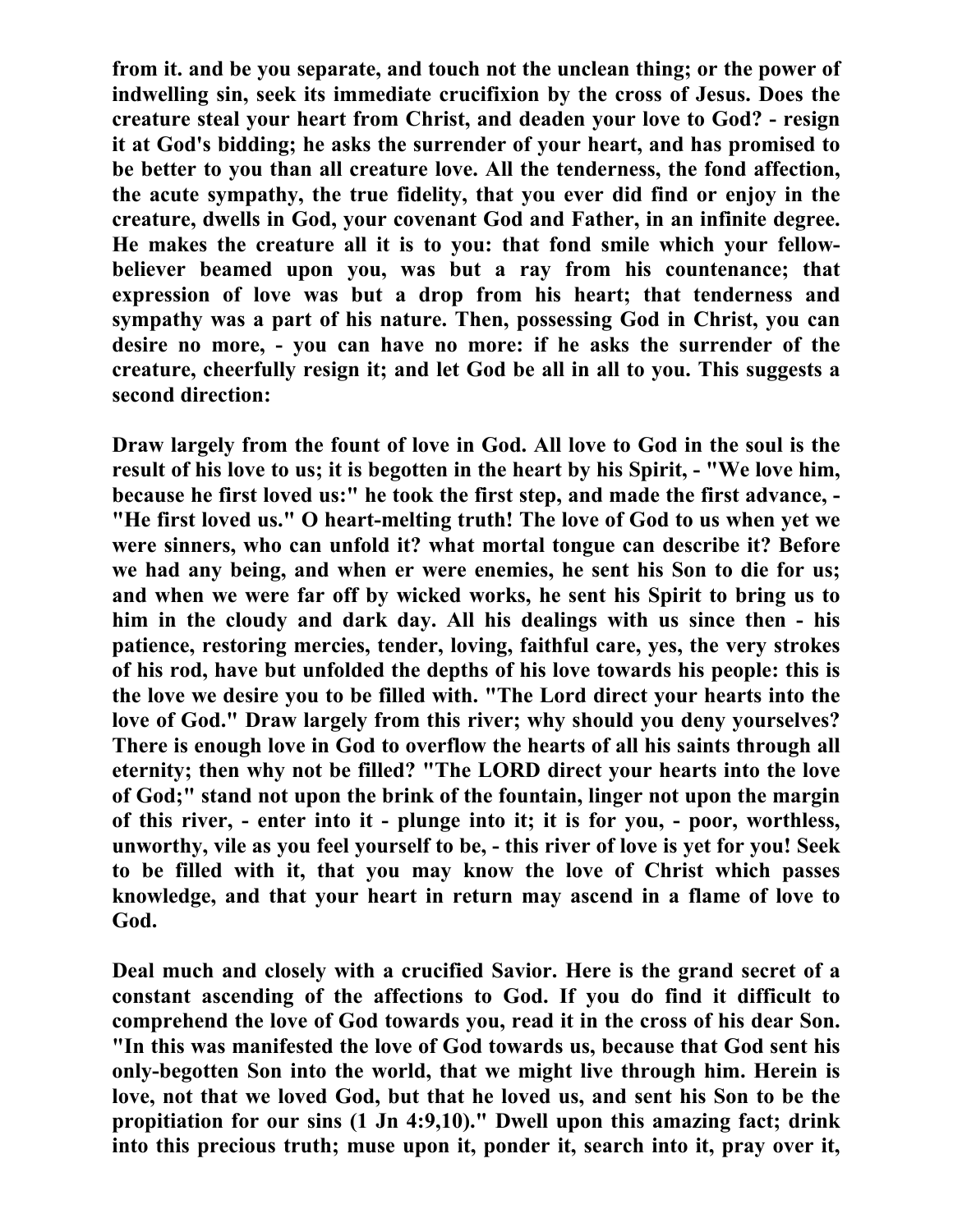**from it. and be you separate, and touch not the unclean thing; or the power of indwelling sin, seek its immediate crucifixion by the cross of Jesus. Does the creature steal your heart from Christ, and deaden your love to God? - resign it at God's bidding; he asks the surrender of your heart, and has promised to be better to you than all creature love. All the tenderness, the fond affection, the acute sympathy, the true fidelity, that you ever did find or enjoy in the creature, dwells in God, your covenant God and Father, in an infinite degree. He makes the creature all it is to you: that fond smile which your fellowbeliever beamed upon you, was but a ray from his countenance; that expression of love was but a drop from his heart; that tenderness and sympathy was a part of his nature. Then, possessing God in Christ, you can desire no more, - you can have no more: if he asks the surrender of the creature, cheerfully resign it; and let God be all in all to you. This suggests a second direction:** 

**Draw largely from the fount of love in God. All love to God in the soul is the result of his love to us; it is begotten in the heart by his Spirit, - "We love him, because he first loved us:" he took the first step, and made the first advance, - "He first loved us." O heart-melting truth! The love of God to us when yet we were sinners, who can unfold it? what mortal tongue can describe it? Before we had any being, and when er were enemies, he sent his Son to die for us; and when we were far off by wicked works, he sent his Spirit to bring us to him in the cloudy and dark day. All his dealings with us since then - his patience, restoring mercies, tender, loving, faithful care, yes, the very strokes of his rod, have but unfolded the depths of his love towards his people: this is the love we desire you to be filled with. "The Lord direct your hearts into the love of God." Draw largely from this river; why should you deny yourselves? There is enough love in God to overflow the hearts of all his saints through all eternity; then why not be filled? "The LORD direct your hearts into the love of God;" stand not upon the brink of the fountain, linger not upon the margin of this river, - enter into it - plunge into it; it is for you, - poor, worthless, unworthy, vile as you feel yourself to be, - this river of love is yet for you! Seek to be filled with it, that you may know the love of Christ which passes knowledge, and that your heart in return may ascend in a flame of love to God.** 

**Deal much and closely with a crucified Savior. Here is the grand secret of a constant ascending of the affections to God. If you do find it difficult to comprehend the love of God towards you, read it in the cross of his dear Son. "In this was manifested the love of God towards us, because that God sent his only-begotten Son into the world, that we might live through him. Herein is love, not that we loved God, but that he loved us, and sent his Son to be the propitiation for our sins (1 Jn 4:9,10)." Dwell upon this amazing fact; drink into this precious truth; muse upon it, ponder it, search into it, pray over it,**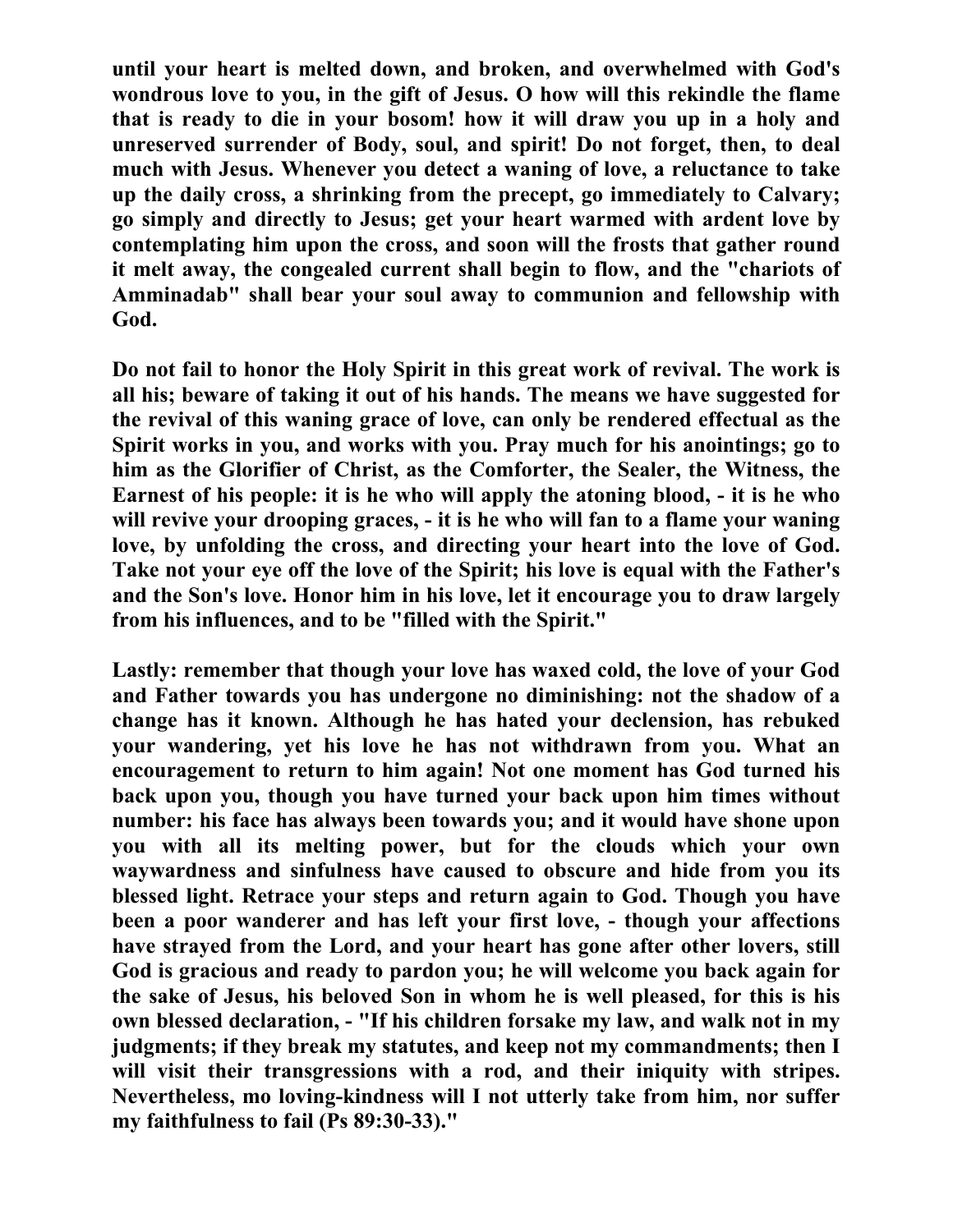**until your heart is melted down, and broken, and overwhelmed with God's wondrous love to you, in the gift of Jesus. O how will this rekindle the flame that is ready to die in your bosom! how it will draw you up in a holy and unreserved surrender of Body, soul, and spirit! Do not forget, then, to deal much with Jesus. Whenever you detect a waning of love, a reluctance to take up the daily cross, a shrinking from the precept, go immediately to Calvary; go simply and directly to Jesus; get your heart warmed with ardent love by contemplating him upon the cross, and soon will the frosts that gather round it melt away, the congealed current shall begin to flow, and the "chariots of Amminadab" shall bear your soul away to communion and fellowship with God.** 

**Do not fail to honor the Holy Spirit in this great work of revival. The work is all his; beware of taking it out of his hands. The means we have suggested for the revival of this waning grace of love, can only be rendered effectual as the Spirit works in you, and works with you. Pray much for his anointings; go to him as the Glorifier of Christ, as the Comforter, the Sealer, the Witness, the Earnest of his people: it is he who will apply the atoning blood, - it is he who will revive your drooping graces, - it is he who will fan to a flame your waning love, by unfolding the cross, and directing your heart into the love of God. Take not your eye off the love of the Spirit; his love is equal with the Father's and the Son's love. Honor him in his love, let it encourage you to draw largely from his influences, and to be "filled with the Spirit."** 

**Lastly: remember that though your love has waxed cold, the love of your God and Father towards you has undergone no diminishing: not the shadow of a change has it known. Although he has hated your declension, has rebuked your wandering, yet his love he has not withdrawn from you. What an encouragement to return to him again! Not one moment has God turned his back upon you, though you have turned your back upon him times without number: his face has always been towards you; and it would have shone upon you with all its melting power, but for the clouds which your own waywardness and sinfulness have caused to obscure and hide from you its blessed light. Retrace your steps and return again to God. Though you have been a poor wanderer and has left your first love, - though your affections have strayed from the Lord, and your heart has gone after other lovers, still God is gracious and ready to pardon you; he will welcome you back again for the sake of Jesus, his beloved Son in whom he is well pleased, for this is his own blessed declaration, - "If his children forsake my law, and walk not in my judgments; if they break my statutes, and keep not my commandments; then I will visit their transgressions with a rod, and their iniquity with stripes. Nevertheless, mo loving-kindness will I not utterly take from him, nor suffer my faithfulness to fail (Ps 89:30-33)."**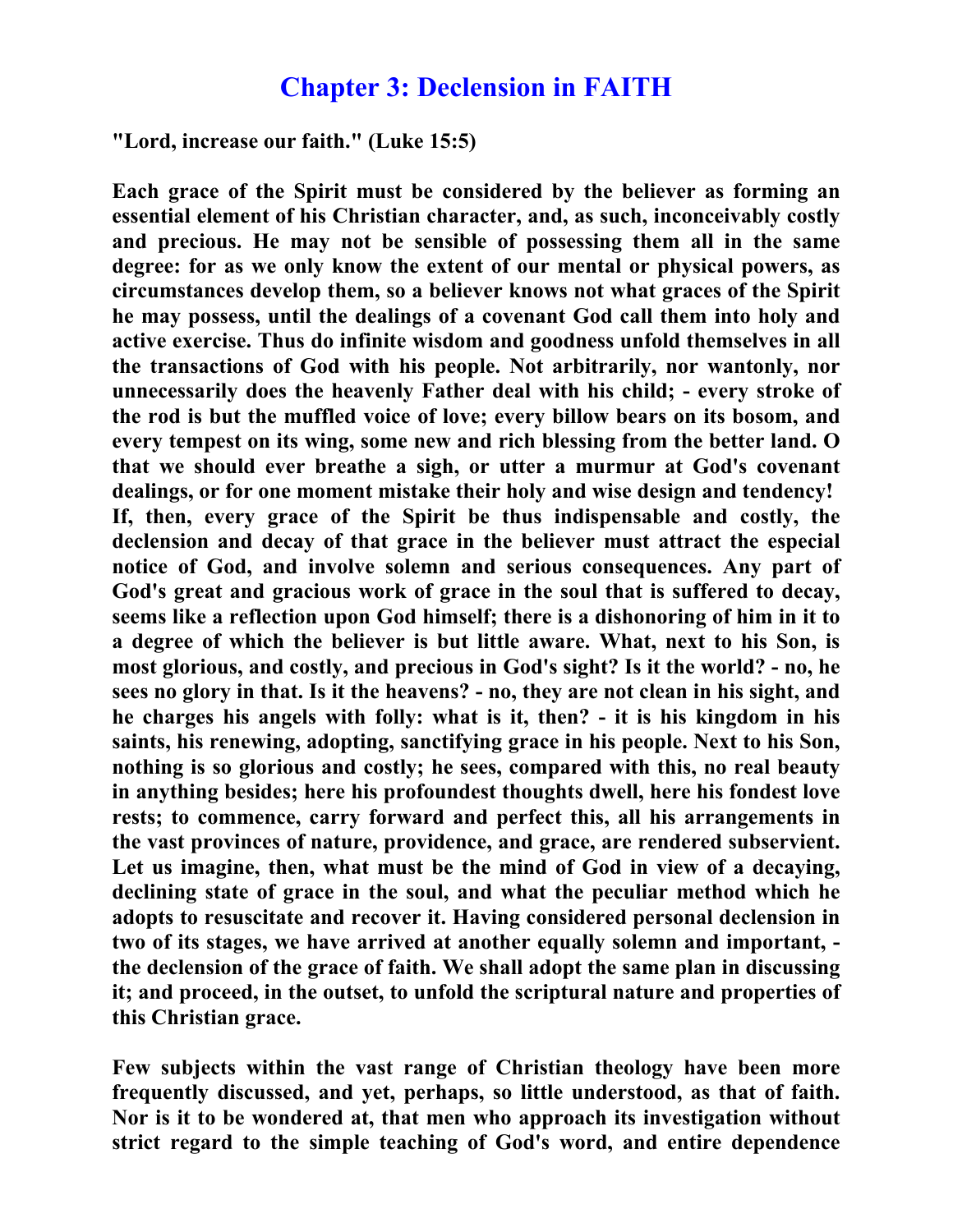## **Chapter 3: Declension in FAITH**

**"Lord, increase our faith." (Luke 15:5)** 

**Each grace of the Spirit must be considered by the believer as forming an essential element of his Christian character, and, as such, inconceivably costly and precious. He may not be sensible of possessing them all in the same degree: for as we only know the extent of our mental or physical powers, as circumstances develop them, so a believer knows not what graces of the Spirit he may possess, until the dealings of a covenant God call them into holy and active exercise. Thus do infinite wisdom and goodness unfold themselves in all the transactions of God with his people. Not arbitrarily, nor wantonly, nor unnecessarily does the heavenly Father deal with his child; - every stroke of the rod is but the muffled voice of love; every billow bears on its bosom, and every tempest on its wing, some new and rich blessing from the better land. O that we should ever breathe a sigh, or utter a murmur at God's covenant dealings, or for one moment mistake their holy and wise design and tendency! If, then, every grace of the Spirit be thus indispensable and costly, the declension and decay of that grace in the believer must attract the especial notice of God, and involve solemn and serious consequences. Any part of God's great and gracious work of grace in the soul that is suffered to decay, seems like a reflection upon God himself; there is a dishonoring of him in it to a degree of which the believer is but little aware. What, next to his Son, is most glorious, and costly, and precious in God's sight? Is it the world? - no, he sees no glory in that. Is it the heavens? - no, they are not clean in his sight, and he charges his angels with folly: what is it, then? - it is his kingdom in his saints, his renewing, adopting, sanctifying grace in his people. Next to his Son, nothing is so glorious and costly; he sees, compared with this, no real beauty in anything besides; here his profoundest thoughts dwell, here his fondest love rests; to commence, carry forward and perfect this, all his arrangements in the vast provinces of nature, providence, and grace, are rendered subservient. Let us imagine, then, what must be the mind of God in view of a decaying, declining state of grace in the soul, and what the peculiar method which he adopts to resuscitate and recover it. Having considered personal declension in two of its stages, we have arrived at another equally solemn and important, the declension of the grace of faith. We shall adopt the same plan in discussing it; and proceed, in the outset, to unfold the scriptural nature and properties of this Christian grace.** 

**Few subjects within the vast range of Christian theology have been more frequently discussed, and yet, perhaps, so little understood, as that of faith. Nor is it to be wondered at, that men who approach its investigation without strict regard to the simple teaching of God's word, and entire dependence**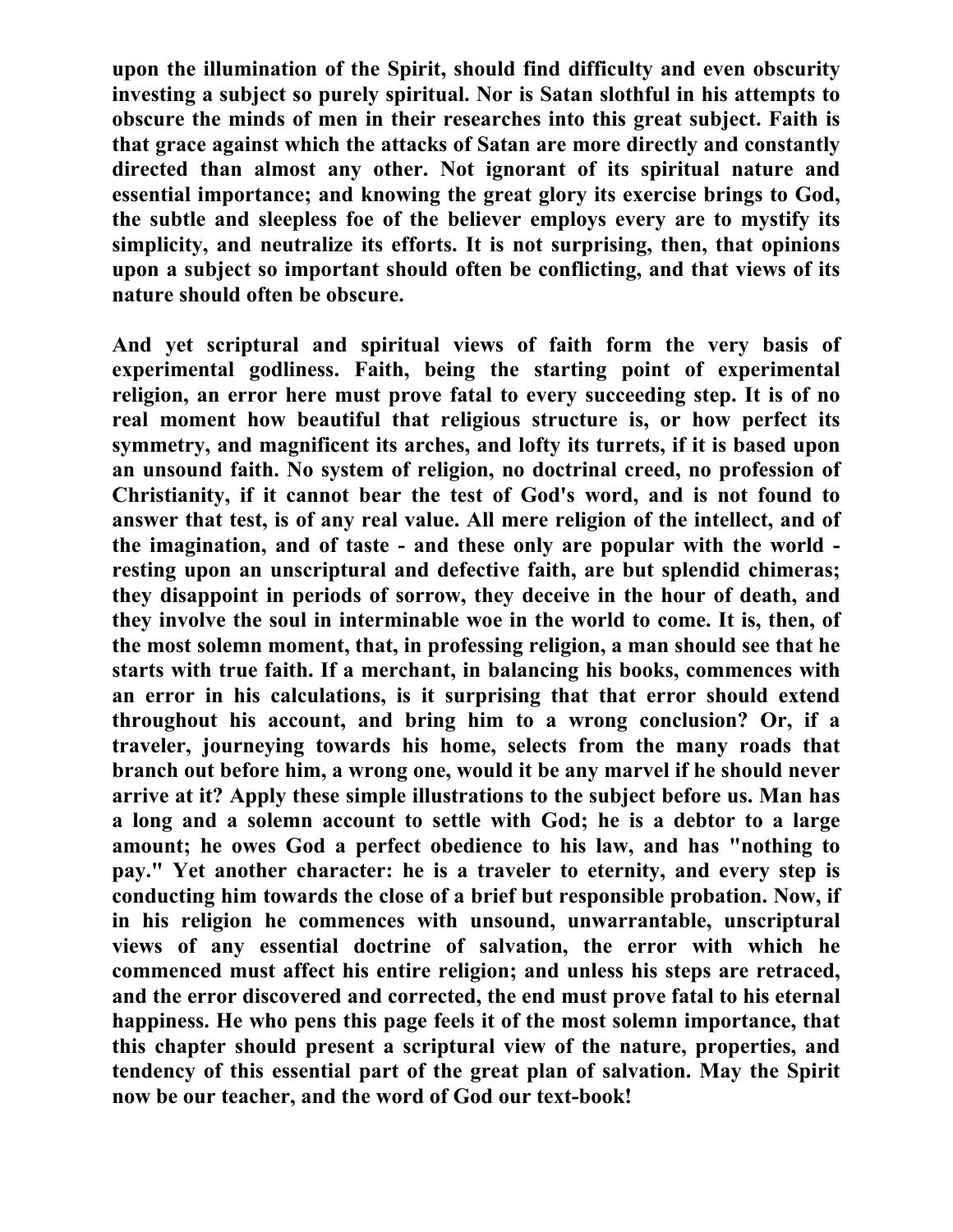**upon the illumination of the Spirit, should find difficulty and even obscurity investing a subject so purely spiritual. Nor is Satan slothful in his attempts to obscure the minds of men in their researches into this great subject. Faith is that grace against which the attacks of Satan are more directly and constantly directed than almost any other. Not ignorant of its spiritual nature and essential importance; and knowing the great glory its exercise brings to God, the subtle and sleepless foe of the believer employs every are to mystify its simplicity, and neutralize its efforts. It is not surprising, then, that opinions upon a subject so important should often be conflicting, and that views of its nature should often be obscure.** 

**And yet scriptural and spiritual views of faith form the very basis of experimental godliness. Faith, being the starting point of experimental religion, an error here must prove fatal to every succeeding step. It is of no real moment how beautiful that religious structure is, or how perfect its symmetry, and magnificent its arches, and lofty its turrets, if it is based upon an unsound faith. No system of religion, no doctrinal creed, no profession of Christianity, if it cannot bear the test of God's word, and is not found to answer that test, is of any real value. All mere religion of the intellect, and of the imagination, and of taste - and these only are popular with the world resting upon an unscriptural and defective faith, are but splendid chimeras; they disappoint in periods of sorrow, they deceive in the hour of death, and they involve the soul in interminable woe in the world to come. It is, then, of the most solemn moment, that, in professing religion, a man should see that he starts with true faith. If a merchant, in balancing his books, commences with an error in his calculations, is it surprising that that error should extend throughout his account, and bring him to a wrong conclusion? Or, if a traveler, journeying towards his home, selects from the many roads that branch out before him, a wrong one, would it be any marvel if he should never arrive at it? Apply these simple illustrations to the subject before us. Man has a long and a solemn account to settle with God; he is a debtor to a large amount; he owes God a perfect obedience to his law, and has "nothing to pay." Yet another character: he is a traveler to eternity, and every step is conducting him towards the close of a brief but responsible probation. Now, if in his religion he commences with unsound, unwarrantable, unscriptural views of any essential doctrine of salvation, the error with which he commenced must affect his entire religion; and unless his steps are retraced, and the error discovered and corrected, the end must prove fatal to his eternal happiness. He who pens this page feels it of the most solemn importance, that this chapter should present a scriptural view of the nature, properties, and tendency of this essential part of the great plan of salvation. May the Spirit now be our teacher, and the word of God our text-book!**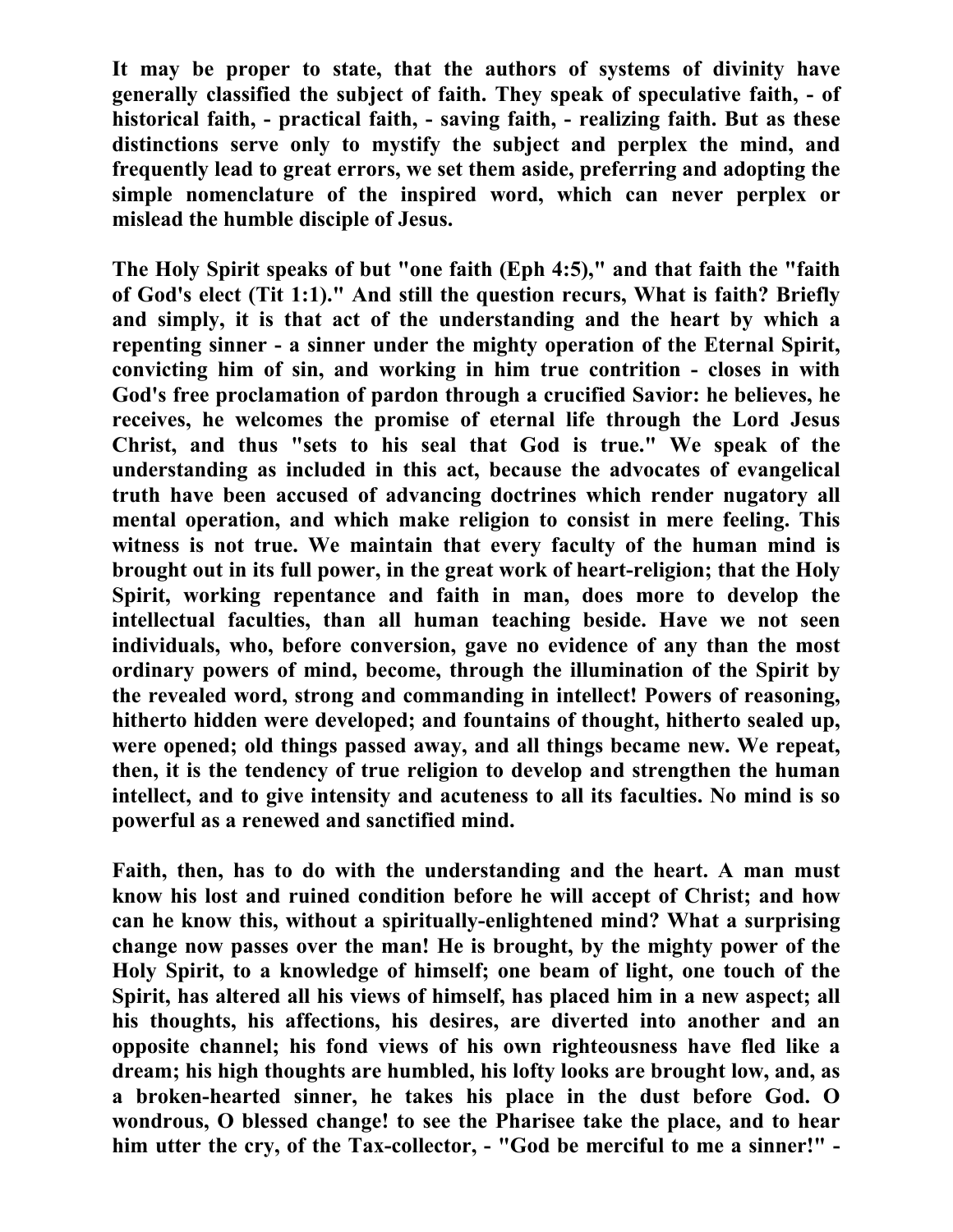**It may be proper to state, that the authors of systems of divinity have generally classified the subject of faith. They speak of speculative faith, - of historical faith, - practical faith, - saving faith, - realizing faith. But as these distinctions serve only to mystify the subject and perplex the mind, and frequently lead to great errors, we set them aside, preferring and adopting the simple nomenclature of the inspired word, which can never perplex or mislead the humble disciple of Jesus.** 

**The Holy Spirit speaks of but "one faith (Eph 4:5)," and that faith the "faith of God's elect (Tit 1:1)." And still the question recurs, What is faith? Briefly and simply, it is that act of the understanding and the heart by which a repenting sinner - a sinner under the mighty operation of the Eternal Spirit, convicting him of sin, and working in him true contrition - closes in with God's free proclamation of pardon through a crucified Savior: he believes, he receives, he welcomes the promise of eternal life through the Lord Jesus Christ, and thus "sets to his seal that God is true." We speak of the understanding as included in this act, because the advocates of evangelical truth have been accused of advancing doctrines which render nugatory all mental operation, and which make religion to consist in mere feeling. This witness is not true. We maintain that every faculty of the human mind is brought out in its full power, in the great work of heart-religion; that the Holy Spirit, working repentance and faith in man, does more to develop the intellectual faculties, than all human teaching beside. Have we not seen individuals, who, before conversion, gave no evidence of any than the most ordinary powers of mind, become, through the illumination of the Spirit by the revealed word, strong and commanding in intellect! Powers of reasoning, hitherto hidden were developed; and fountains of thought, hitherto sealed up, were opened; old things passed away, and all things became new. We repeat, then, it is the tendency of true religion to develop and strengthen the human intellect, and to give intensity and acuteness to all its faculties. No mind is so powerful as a renewed and sanctified mind.** 

**Faith, then, has to do with the understanding and the heart. A man must know his lost and ruined condition before he will accept of Christ; and how can he know this, without a spiritually-enlightened mind? What a surprising change now passes over the man! He is brought, by the mighty power of the Holy Spirit, to a knowledge of himself; one beam of light, one touch of the Spirit, has altered all his views of himself, has placed him in a new aspect; all his thoughts, his affections, his desires, are diverted into another and an opposite channel; his fond views of his own righteousness have fled like a dream; his high thoughts are humbled, his lofty looks are brought low, and, as a broken-hearted sinner, he takes his place in the dust before God. O wondrous, O blessed change! to see the Pharisee take the place, and to hear him utter the cry, of the Tax-collector, - "God be merciful to me a sinner!" -**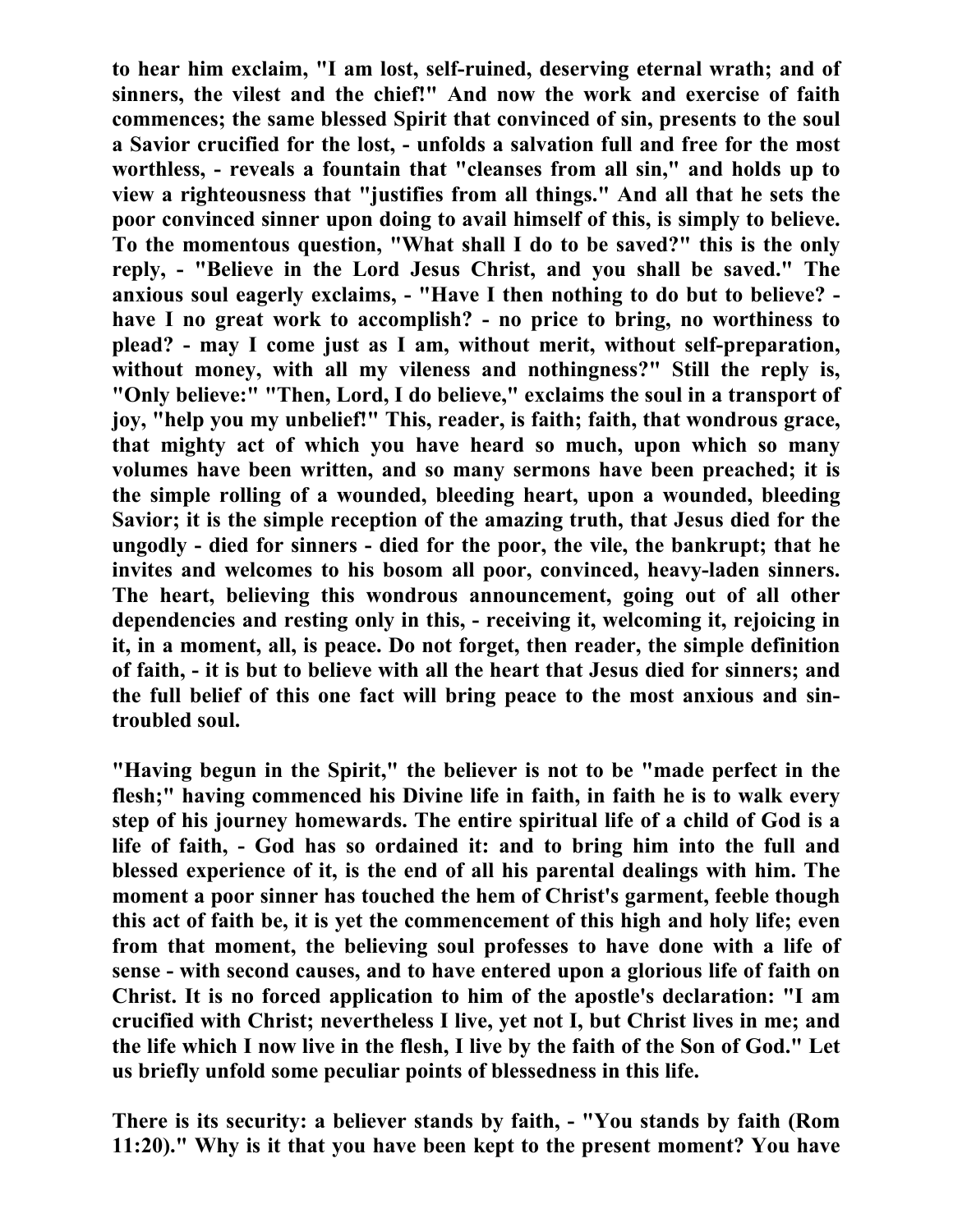**to hear him exclaim, "I am lost, self-ruined, deserving eternal wrath; and of sinners, the vilest and the chief!" And now the work and exercise of faith commences; the same blessed Spirit that convinced of sin, presents to the soul a Savior crucified for the lost, - unfolds a salvation full and free for the most worthless, - reveals a fountain that "cleanses from all sin," and holds up to view a righteousness that "justifies from all things." And all that he sets the poor convinced sinner upon doing to avail himself of this, is simply to believe. To the momentous question, "What shall I do to be saved?" this is the only reply, - "Believe in the Lord Jesus Christ, and you shall be saved." The anxious soul eagerly exclaims, - "Have I then nothing to do but to believe? have I no great work to accomplish? - no price to bring, no worthiness to plead? - may I come just as I am, without merit, without self-preparation, without money, with all my vileness and nothingness?" Still the reply is, "Only believe:" "Then, Lord, I do believe," exclaims the soul in a transport of joy, "help you my unbelief!" This, reader, is faith; faith, that wondrous grace, that mighty act of which you have heard so much, upon which so many volumes have been written, and so many sermons have been preached; it is the simple rolling of a wounded, bleeding heart, upon a wounded, bleeding Savior; it is the simple reception of the amazing truth, that Jesus died for the ungodly - died for sinners - died for the poor, the vile, the bankrupt; that he invites and welcomes to his bosom all poor, convinced, heavy-laden sinners. The heart, believing this wondrous announcement, going out of all other dependencies and resting only in this, - receiving it, welcoming it, rejoicing in it, in a moment, all, is peace. Do not forget, then reader, the simple definition of faith, - it is but to believe with all the heart that Jesus died for sinners; and the full belief of this one fact will bring peace to the most anxious and sintroubled soul.** 

**"Having begun in the Spirit," the believer is not to be "made perfect in the flesh;" having commenced his Divine life in faith, in faith he is to walk every step of his journey homewards. The entire spiritual life of a child of God is a life of faith, - God has so ordained it: and to bring him into the full and blessed experience of it, is the end of all his parental dealings with him. The moment a poor sinner has touched the hem of Christ's garment, feeble though this act of faith be, it is yet the commencement of this high and holy life; even from that moment, the believing soul professes to have done with a life of sense - with second causes, and to have entered upon a glorious life of faith on Christ. It is no forced application to him of the apostle's declaration: "I am crucified with Christ; nevertheless I live, yet not I, but Christ lives in me; and the life which I now live in the flesh, I live by the faith of the Son of God." Let us briefly unfold some peculiar points of blessedness in this life.** 

**There is its security: a believer stands by faith, - "You stands by faith (Rom 11:20)." Why is it that you have been kept to the present moment? You have**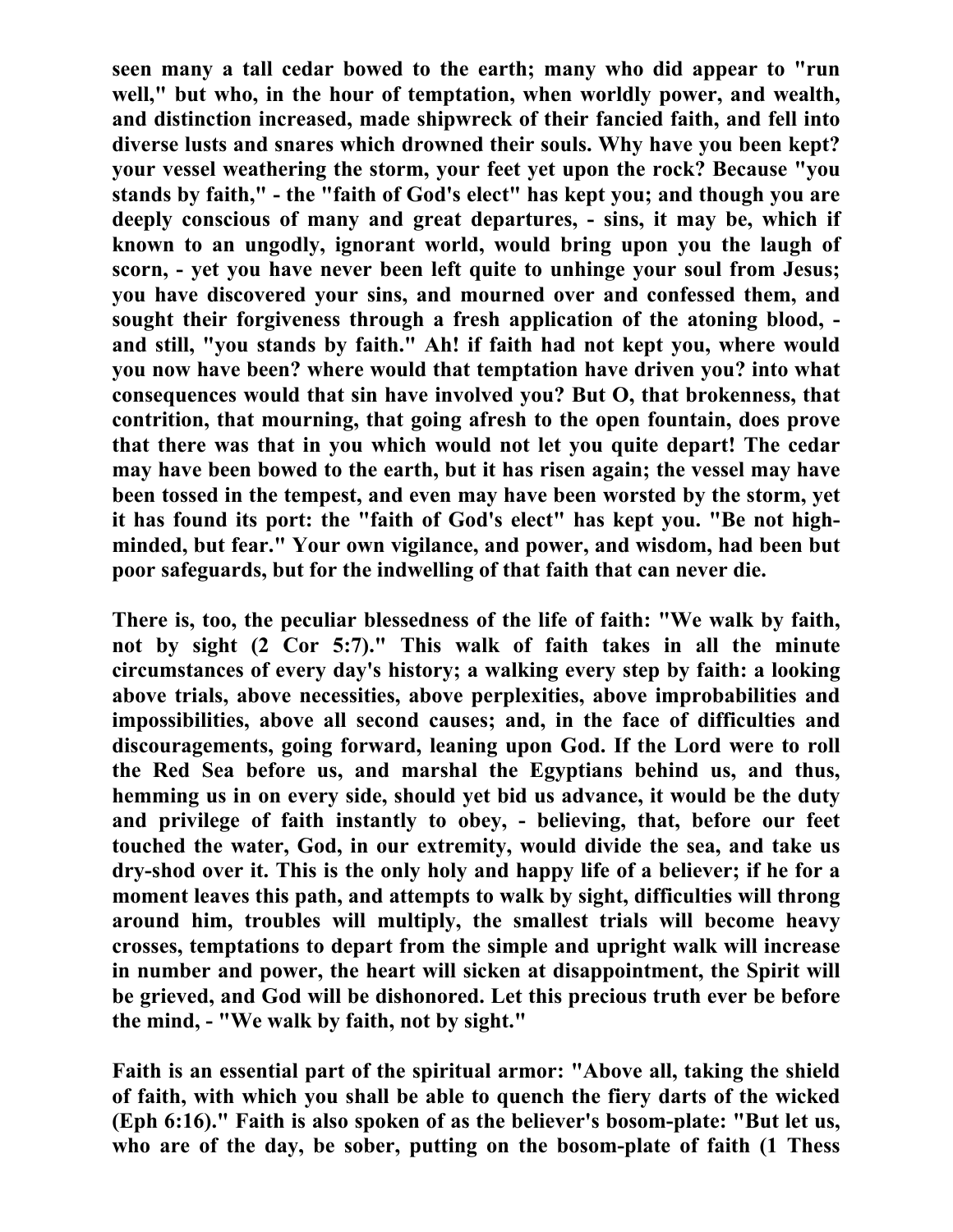**seen many a tall cedar bowed to the earth; many who did appear to "run well," but who, in the hour of temptation, when worldly power, and wealth, and distinction increased, made shipwreck of their fancied faith, and fell into diverse lusts and snares which drowned their souls. Why have you been kept? your vessel weathering the storm, your feet yet upon the rock? Because "you stands by faith," - the "faith of God's elect" has kept you; and though you are deeply conscious of many and great departures, - sins, it may be, which if known to an ungodly, ignorant world, would bring upon you the laugh of scorn, - yet you have never been left quite to unhinge your soul from Jesus; you have discovered your sins, and mourned over and confessed them, and sought their forgiveness through a fresh application of the atoning blood, and still, "you stands by faith." Ah! if faith had not kept you, where would you now have been? where would that temptation have driven you? into what consequences would that sin have involved you? But O, that brokenness, that contrition, that mourning, that going afresh to the open fountain, does prove that there was that in you which would not let you quite depart! The cedar may have been bowed to the earth, but it has risen again; the vessel may have been tossed in the tempest, and even may have been worsted by the storm, yet it has found its port: the "faith of God's elect" has kept you. "Be not highminded, but fear." Your own vigilance, and power, and wisdom, had been but poor safeguards, but for the indwelling of that faith that can never die.** 

**There is, too, the peculiar blessedness of the life of faith: "We walk by faith, not by sight (2 Cor 5:7)." This walk of faith takes in all the minute circumstances of every day's history; a walking every step by faith: a looking above trials, above necessities, above perplexities, above improbabilities and impossibilities, above all second causes; and, in the face of difficulties and discouragements, going forward, leaning upon God. If the Lord were to roll the Red Sea before us, and marshal the Egyptians behind us, and thus, hemming us in on every side, should yet bid us advance, it would be the duty and privilege of faith instantly to obey, - believing, that, before our feet touched the water, God, in our extremity, would divide the sea, and take us dry-shod over it. This is the only holy and happy life of a believer; if he for a moment leaves this path, and attempts to walk by sight, difficulties will throng around him, troubles will multiply, the smallest trials will become heavy crosses, temptations to depart from the simple and upright walk will increase in number and power, the heart will sicken at disappointment, the Spirit will be grieved, and God will be dishonored. Let this precious truth ever be before the mind, - "We walk by faith, not by sight."** 

**Faith is an essential part of the spiritual armor: "Above all, taking the shield of faith, with which you shall be able to quench the fiery darts of the wicked (Eph 6:16)." Faith is also spoken of as the believer's bosom-plate: "But let us, who are of the day, be sober, putting on the bosom-plate of faith (1 Thess**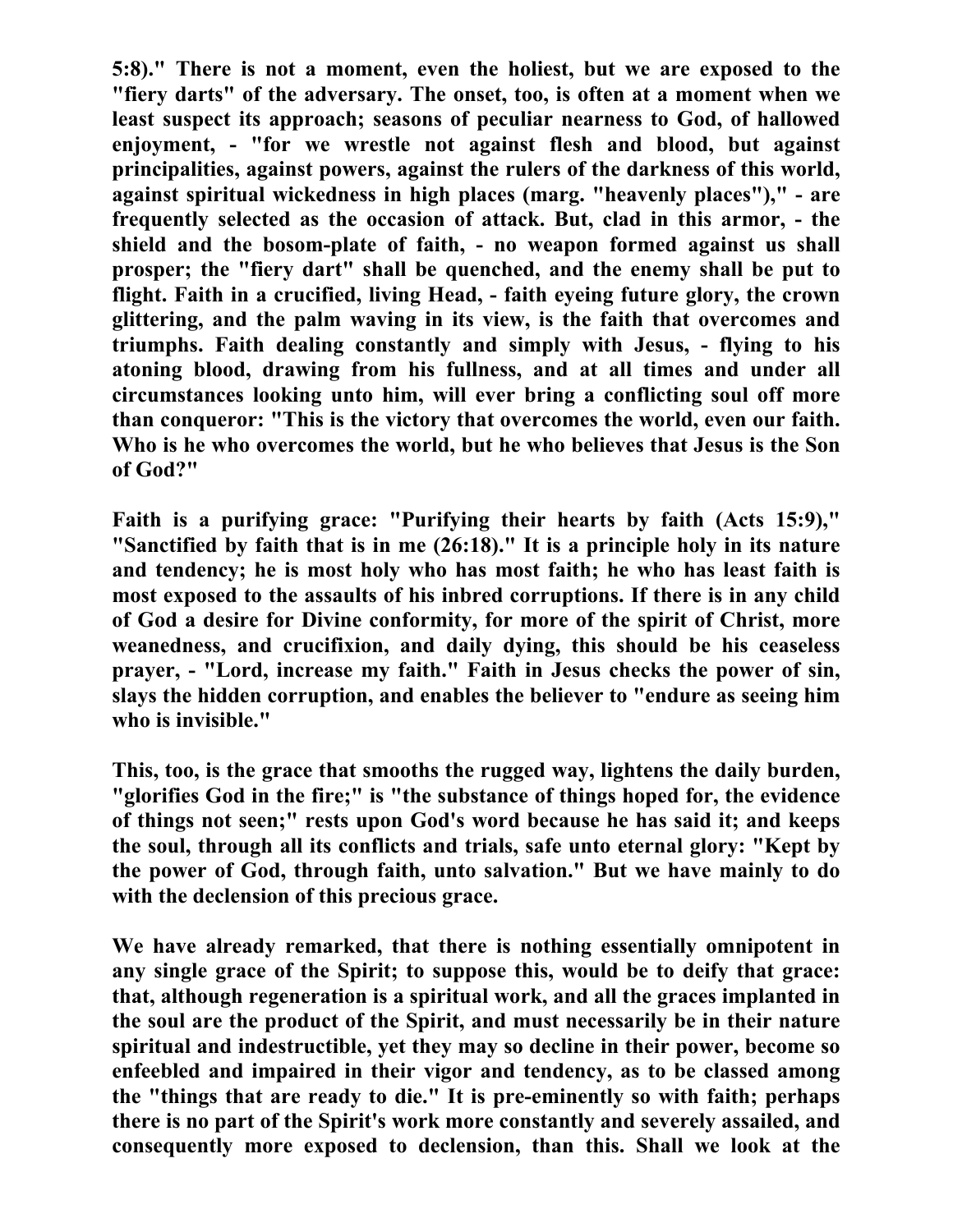**5:8)." There is not a moment, even the holiest, but we are exposed to the "fiery darts" of the adversary. The onset, too, is often at a moment when we least suspect its approach; seasons of peculiar nearness to God, of hallowed enjoyment, - "for we wrestle not against flesh and blood, but against principalities, against powers, against the rulers of the darkness of this world, against spiritual wickedness in high places (marg. "heavenly places")," - are frequently selected as the occasion of attack. But, clad in this armor, - the shield and the bosom-plate of faith, - no weapon formed against us shall prosper; the "fiery dart" shall be quenched, and the enemy shall be put to flight. Faith in a crucified, living Head, - faith eyeing future glory, the crown glittering, and the palm waving in its view, is the faith that overcomes and triumphs. Faith dealing constantly and simply with Jesus, - flying to his atoning blood, drawing from his fullness, and at all times and under all circumstances looking unto him, will ever bring a conflicting soul off more than conqueror: "This is the victory that overcomes the world, even our faith. Who is he who overcomes the world, but he who believes that Jesus is the Son of God?"** 

**Faith is a purifying grace: "Purifying their hearts by faith (Acts 15:9)," "Sanctified by faith that is in me (26:18)." It is a principle holy in its nature and tendency; he is most holy who has most faith; he who has least faith is most exposed to the assaults of his inbred corruptions. If there is in any child of God a desire for Divine conformity, for more of the spirit of Christ, more weanedness, and crucifixion, and daily dying, this should be his ceaseless prayer, - "Lord, increase my faith." Faith in Jesus checks the power of sin, slays the hidden corruption, and enables the believer to "endure as seeing him who is invisible."** 

**This, too, is the grace that smooths the rugged way, lightens the daily burden, "glorifies God in the fire;" is "the substance of things hoped for, the evidence of things not seen;" rests upon God's word because he has said it; and keeps the soul, through all its conflicts and trials, safe unto eternal glory: "Kept by the power of God, through faith, unto salvation." But we have mainly to do with the declension of this precious grace.** 

**We have already remarked, that there is nothing essentially omnipotent in any single grace of the Spirit; to suppose this, would be to deify that grace: that, although regeneration is a spiritual work, and all the graces implanted in the soul are the product of the Spirit, and must necessarily be in their nature spiritual and indestructible, yet they may so decline in their power, become so enfeebled and impaired in their vigor and tendency, as to be classed among the "things that are ready to die." It is pre-eminently so with faith; perhaps there is no part of the Spirit's work more constantly and severely assailed, and consequently more exposed to declension, than this. Shall we look at the**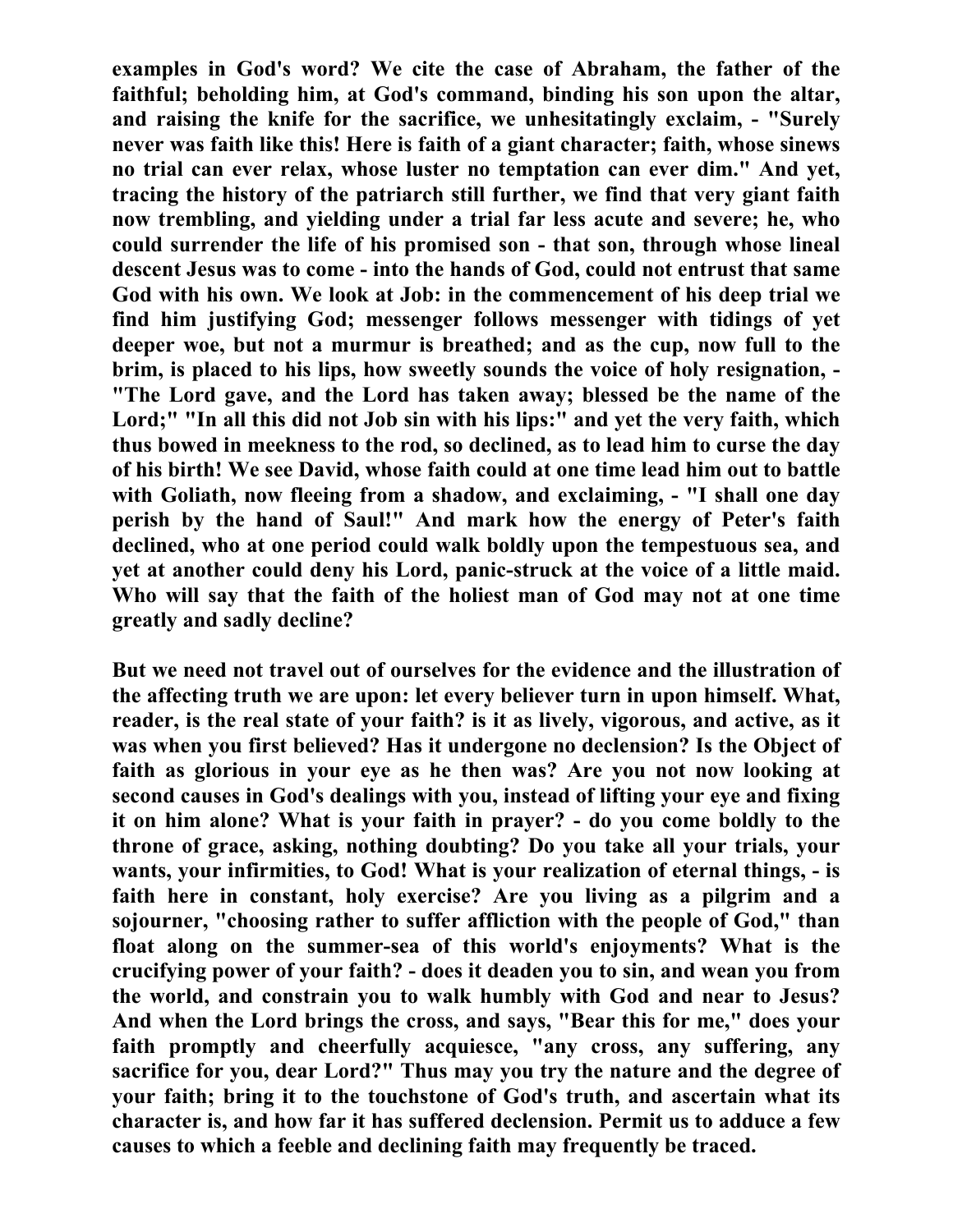**examples in God's word? We cite the case of Abraham, the father of the faithful; beholding him, at God's command, binding his son upon the altar, and raising the knife for the sacrifice, we unhesitatingly exclaim, - "Surely never was faith like this! Here is faith of a giant character; faith, whose sinews no trial can ever relax, whose luster no temptation can ever dim." And yet, tracing the history of the patriarch still further, we find that very giant faith now trembling, and yielding under a trial far less acute and severe; he, who could surrender the life of his promised son - that son, through whose lineal descent Jesus was to come - into the hands of God, could not entrust that same God with his own. We look at Job: in the commencement of his deep trial we find him justifying God; messenger follows messenger with tidings of yet deeper woe, but not a murmur is breathed; and as the cup, now full to the brim, is placed to his lips, how sweetly sounds the voice of holy resignation, - "The Lord gave, and the Lord has taken away; blessed be the name of the Lord;" "In all this did not Job sin with his lips:" and yet the very faith, which thus bowed in meekness to the rod, so declined, as to lead him to curse the day of his birth! We see David, whose faith could at one time lead him out to battle with Goliath, now fleeing from a shadow, and exclaiming, - "I shall one day perish by the hand of Saul!" And mark how the energy of Peter's faith declined, who at one period could walk boldly upon the tempestuous sea, and yet at another could deny his Lord, panic-struck at the voice of a little maid. Who will say that the faith of the holiest man of God may not at one time greatly and sadly decline?** 

**But we need not travel out of ourselves for the evidence and the illustration of the affecting truth we are upon: let every believer turn in upon himself. What, reader, is the real state of your faith? is it as lively, vigorous, and active, as it was when you first believed? Has it undergone no declension? Is the Object of faith as glorious in your eye as he then was? Are you not now looking at second causes in God's dealings with you, instead of lifting your eye and fixing it on him alone? What is your faith in prayer? - do you come boldly to the throne of grace, asking, nothing doubting? Do you take all your trials, your wants, your infirmities, to God! What is your realization of eternal things, - is faith here in constant, holy exercise? Are you living as a pilgrim and a sojourner, "choosing rather to suffer affliction with the people of God," than float along on the summer-sea of this world's enjoyments? What is the crucifying power of your faith? - does it deaden you to sin, and wean you from the world, and constrain you to walk humbly with God and near to Jesus? And when the Lord brings the cross, and says, "Bear this for me," does your faith promptly and cheerfully acquiesce, "any cross, any suffering, any sacrifice for you, dear Lord?" Thus may you try the nature and the degree of your faith; bring it to the touchstone of God's truth, and ascertain what its character is, and how far it has suffered declension. Permit us to adduce a few causes to which a feeble and declining faith may frequently be traced.**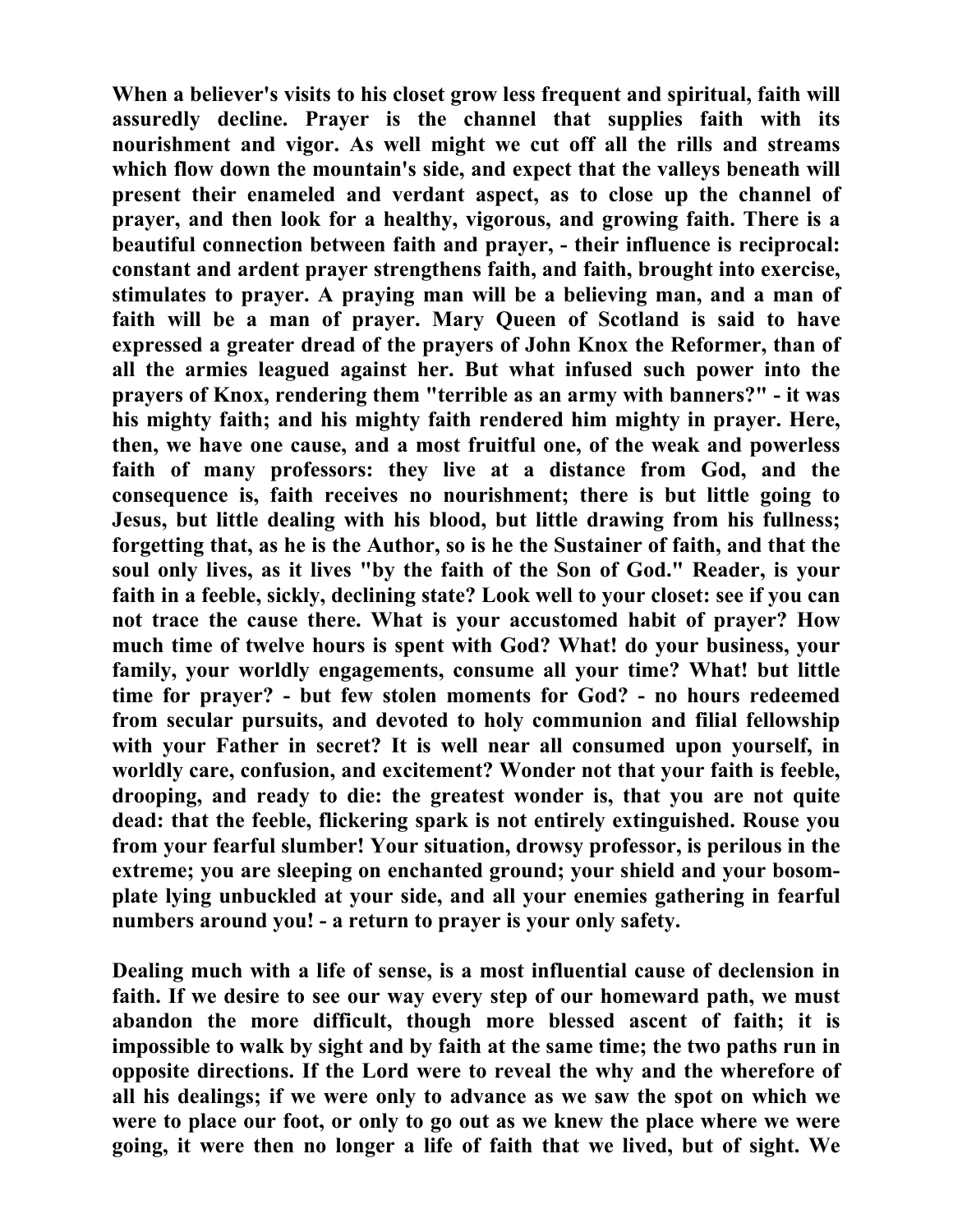**When a believer's visits to his closet grow less frequent and spiritual, faith will assuredly decline. Prayer is the channel that supplies faith with its nourishment and vigor. As well might we cut off all the rills and streams which flow down the mountain's side, and expect that the valleys beneath will present their enameled and verdant aspect, as to close up the channel of prayer, and then look for a healthy, vigorous, and growing faith. There is a beautiful connection between faith and prayer, - their influence is reciprocal: constant and ardent prayer strengthens faith, and faith, brought into exercise, stimulates to prayer. A praying man will be a believing man, and a man of faith will be a man of prayer. Mary Queen of Scotland is said to have expressed a greater dread of the prayers of John Knox the Reformer, than of all the armies leagued against her. But what infused such power into the prayers of Knox, rendering them "terrible as an army with banners?" - it was his mighty faith; and his mighty faith rendered him mighty in prayer. Here, then, we have one cause, and a most fruitful one, of the weak and powerless faith of many professors: they live at a distance from God, and the consequence is, faith receives no nourishment; there is but little going to Jesus, but little dealing with his blood, but little drawing from his fullness; forgetting that, as he is the Author, so is he the Sustainer of faith, and that the soul only lives, as it lives "by the faith of the Son of God." Reader, is your faith in a feeble, sickly, declining state? Look well to your closet: see if you can not trace the cause there. What is your accustomed habit of prayer? How much time of twelve hours is spent with God? What! do your business, your family, your worldly engagements, consume all your time? What! but little time for prayer? - but few stolen moments for God? - no hours redeemed from secular pursuits, and devoted to holy communion and filial fellowship with your Father in secret? It is well near all consumed upon yourself, in worldly care, confusion, and excitement? Wonder not that your faith is feeble, drooping, and ready to die: the greatest wonder is, that you are not quite dead: that the feeble, flickering spark is not entirely extinguished. Rouse you from your fearful slumber! Your situation, drowsy professor, is perilous in the extreme; you are sleeping on enchanted ground; your shield and your bosomplate lying unbuckled at your side, and all your enemies gathering in fearful numbers around you! - a return to prayer is your only safety.** 

**Dealing much with a life of sense, is a most influential cause of declension in faith. If we desire to see our way every step of our homeward path, we must abandon the more difficult, though more blessed ascent of faith; it is impossible to walk by sight and by faith at the same time; the two paths run in opposite directions. If the Lord were to reveal the why and the wherefore of all his dealings; if we were only to advance as we saw the spot on which we were to place our foot, or only to go out as we knew the place where we were going, it were then no longer a life of faith that we lived, but of sight. We**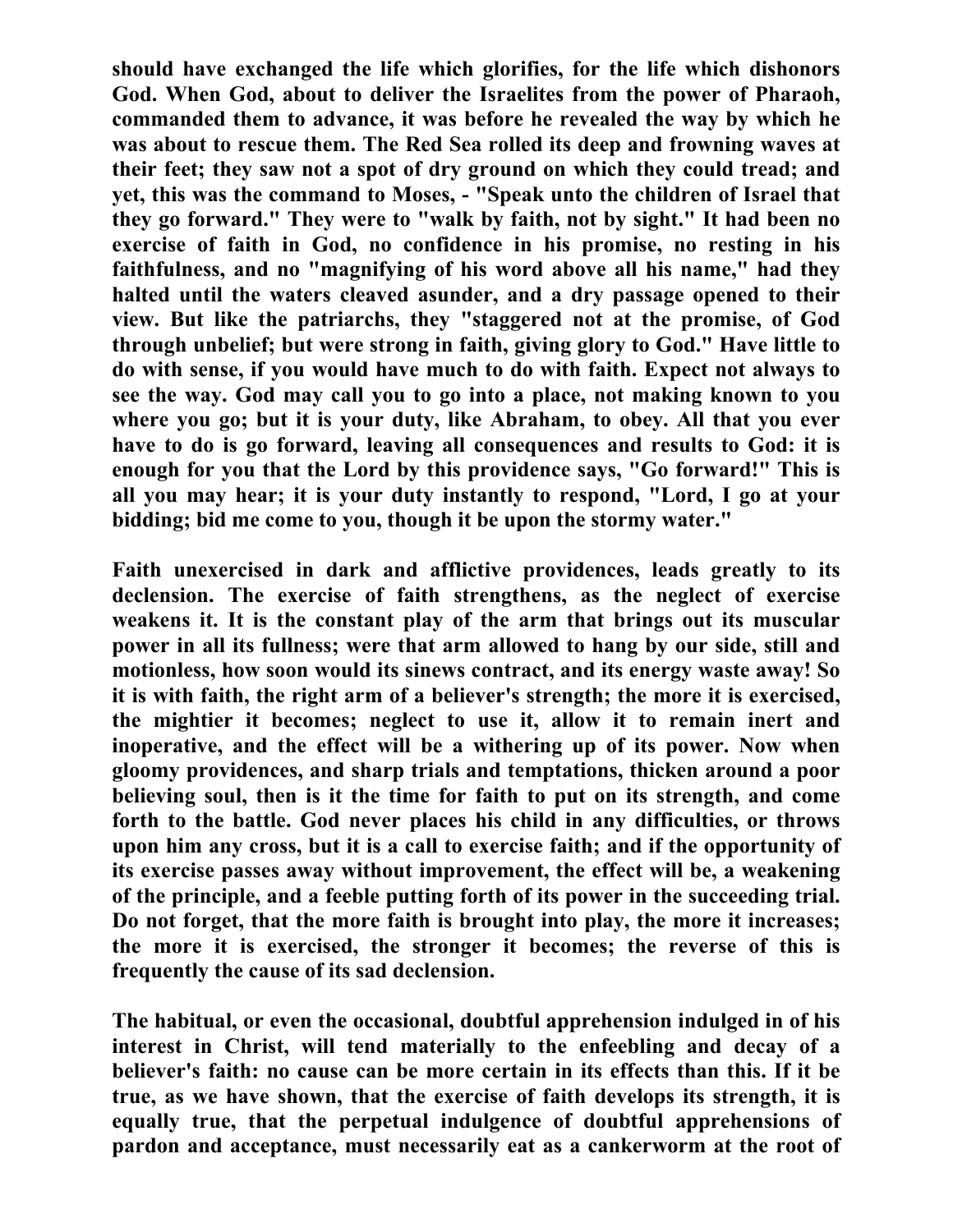**should have exchanged the life which glorifies, for the life which dishonors God. When God, about to deliver the Israelites from the power of Pharaoh, commanded them to advance, it was before he revealed the way by which he was about to rescue them. The Red Sea rolled its deep and frowning waves at their feet; they saw not a spot of dry ground on which they could tread; and yet, this was the command to Moses, - "Speak unto the children of Israel that they go forward." They were to "walk by faith, not by sight." It had been no exercise of faith in God, no confidence in his promise, no resting in his faithfulness, and no "magnifying of his word above all his name," had they halted until the waters cleaved asunder, and a dry passage opened to their view. But like the patriarchs, they "staggered not at the promise, of God through unbelief; but were strong in faith, giving glory to God." Have little to do with sense, if you would have much to do with faith. Expect not always to see the way. God may call you to go into a place, not making known to you where you go; but it is your duty, like Abraham, to obey. All that you ever have to do is go forward, leaving all consequences and results to God: it is enough for you that the Lord by this providence says, "Go forward!" This is all you may hear; it is your duty instantly to respond, "Lord, I go at your bidding; bid me come to you, though it be upon the stormy water."** 

**Faith unexercised in dark and afflictive providences, leads greatly to its declension. The exercise of faith strengthens, as the neglect of exercise weakens it. It is the constant play of the arm that brings out its muscular power in all its fullness; were that arm allowed to hang by our side, still and motionless, how soon would its sinews contract, and its energy waste away! So it is with faith, the right arm of a believer's strength; the more it is exercised, the mightier it becomes; neglect to use it, allow it to remain inert and inoperative, and the effect will be a withering up of its power. Now when gloomy providences, and sharp trials and temptations, thicken around a poor believing soul, then is it the time for faith to put on its strength, and come forth to the battle. God never places his child in any difficulties, or throws upon him any cross, but it is a call to exercise faith; and if the opportunity of its exercise passes away without improvement, the effect will be, a weakening of the principle, and a feeble putting forth of its power in the succeeding trial. Do not forget, that the more faith is brought into play, the more it increases; the more it is exercised, the stronger it becomes; the reverse of this is frequently the cause of its sad declension.** 

**The habitual, or even the occasional, doubtful apprehension indulged in of his interest in Christ, will tend materially to the enfeebling and decay of a believer's faith: no cause can be more certain in its effects than this. If it be true, as we have shown, that the exercise of faith develops its strength, it is equally true, that the perpetual indulgence of doubtful apprehensions of pardon and acceptance, must necessarily eat as a cankerworm at the root of**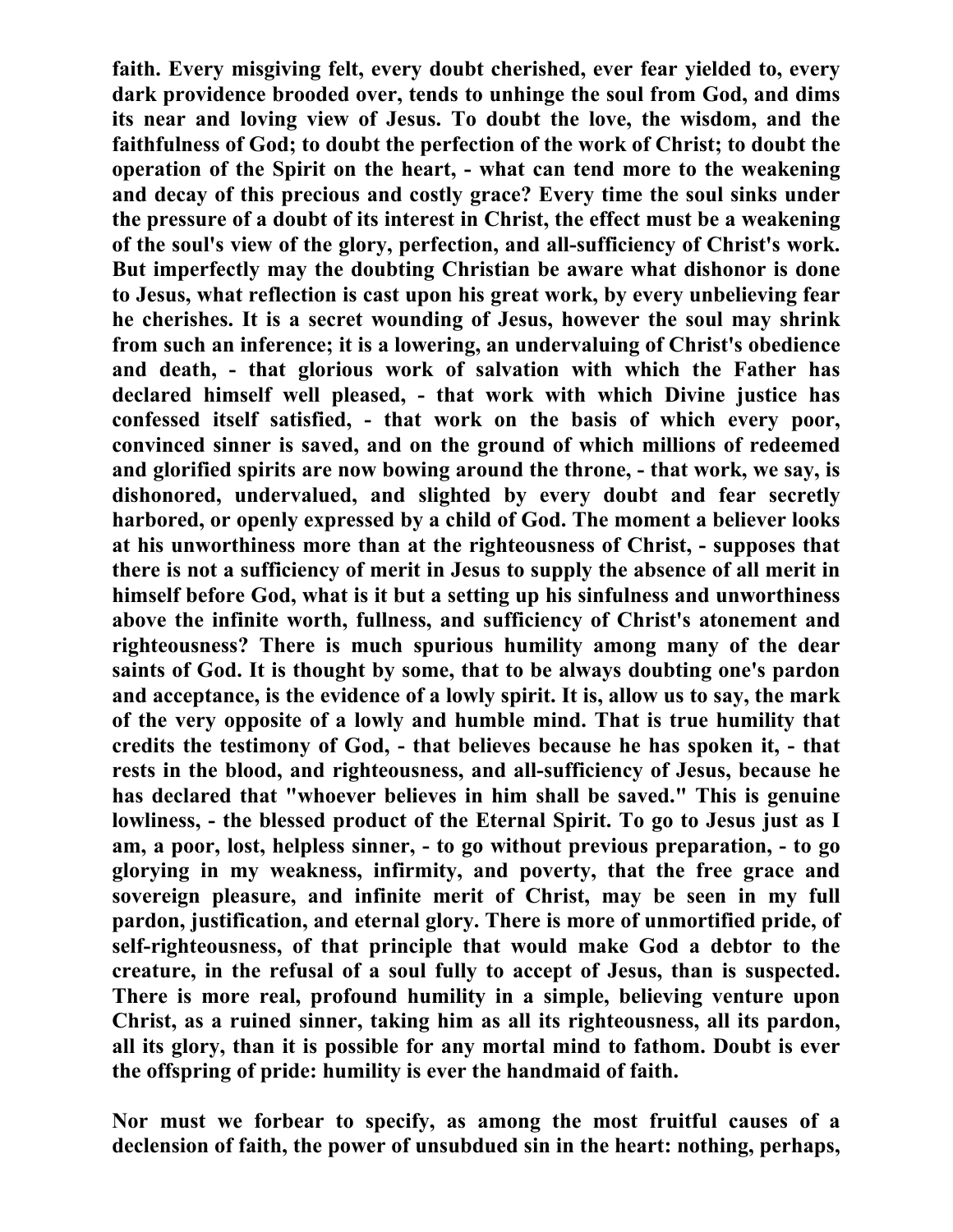**faith. Every misgiving felt, every doubt cherished, ever fear yielded to, every dark providence brooded over, tends to unhinge the soul from God, and dims its near and loving view of Jesus. To doubt the love, the wisdom, and the faithfulness of God; to doubt the perfection of the work of Christ; to doubt the operation of the Spirit on the heart, - what can tend more to the weakening and decay of this precious and costly grace? Every time the soul sinks under the pressure of a doubt of its interest in Christ, the effect must be a weakening of the soul's view of the glory, perfection, and all-sufficiency of Christ's work. But imperfectly may the doubting Christian be aware what dishonor is done to Jesus, what reflection is cast upon his great work, by every unbelieving fear he cherishes. It is a secret wounding of Jesus, however the soul may shrink from such an inference; it is a lowering, an undervaluing of Christ's obedience and death, - that glorious work of salvation with which the Father has declared himself well pleased, - that work with which Divine justice has confessed itself satisfied, - that work on the basis of which every poor, convinced sinner is saved, and on the ground of which millions of redeemed and glorified spirits are now bowing around the throne, - that work, we say, is dishonored, undervalued, and slighted by every doubt and fear secretly harbored, or openly expressed by a child of God. The moment a believer looks at his unworthiness more than at the righteousness of Christ, - supposes that there is not a sufficiency of merit in Jesus to supply the absence of all merit in himself before God, what is it but a setting up his sinfulness and unworthiness above the infinite worth, fullness, and sufficiency of Christ's atonement and righteousness? There is much spurious humility among many of the dear saints of God. It is thought by some, that to be always doubting one's pardon and acceptance, is the evidence of a lowly spirit. It is, allow us to say, the mark of the very opposite of a lowly and humble mind. That is true humility that credits the testimony of God, - that believes because he has spoken it, - that rests in the blood, and righteousness, and all-sufficiency of Jesus, because he has declared that "whoever believes in him shall be saved." This is genuine lowliness, - the blessed product of the Eternal Spirit. To go to Jesus just as I am, a poor, lost, helpless sinner, - to go without previous preparation, - to go glorying in my weakness, infirmity, and poverty, that the free grace and sovereign pleasure, and infinite merit of Christ, may be seen in my full pardon, justification, and eternal glory. There is more of unmortified pride, of self-righteousness, of that principle that would make God a debtor to the creature, in the refusal of a soul fully to accept of Jesus, than is suspected. There is more real, profound humility in a simple, believing venture upon Christ, as a ruined sinner, taking him as all its righteousness, all its pardon, all its glory, than it is possible for any mortal mind to fathom. Doubt is ever the offspring of pride: humility is ever the handmaid of faith.** 

**Nor must we forbear to specify, as among the most fruitful causes of a declension of faith, the power of unsubdued sin in the heart: nothing, perhaps,**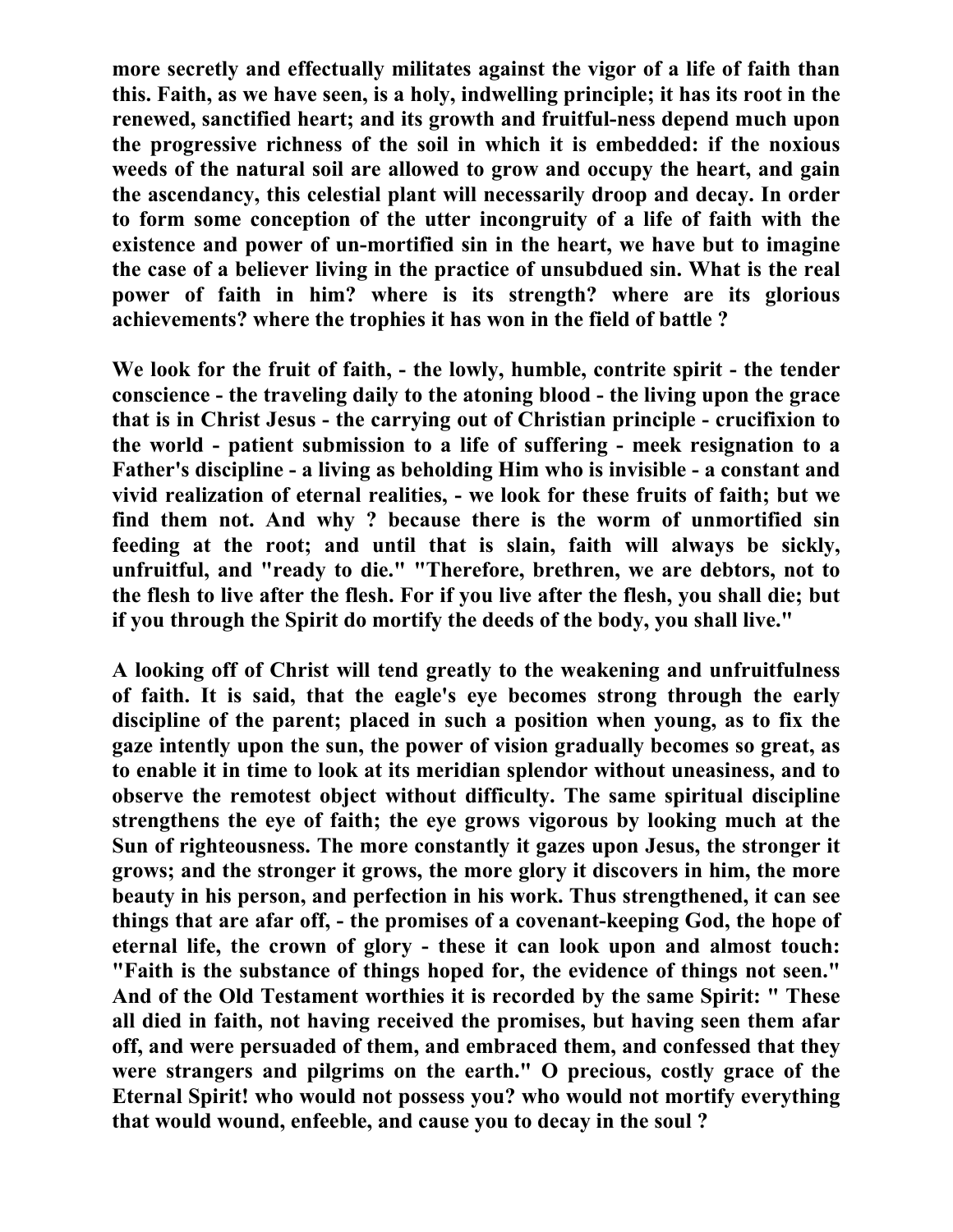**more secretly and effectually militates against the vigor of a life of faith than this. Faith, as we have seen, is a holy, indwelling principle; it has its root in the renewed, sanctified heart; and its growth and fruitful-ness depend much upon the progressive richness of the soil in which it is embedded: if the noxious weeds of the natural soil are allowed to grow and occupy the heart, and gain the ascendancy, this celestial plant will necessarily droop and decay. In order to form some conception of the utter incongruity of a life of faith with the existence and power of un-mortified sin in the heart, we have but to imagine the case of a believer living in the practice of unsubdued sin. What is the real power of faith in him? where is its strength? where are its glorious achievements? where the trophies it has won in the field of battle ?** 

**We look for the fruit of faith, - the lowly, humble, contrite spirit - the tender conscience - the traveling daily to the atoning blood - the living upon the grace that is in Christ Jesus - the carrying out of Christian principle - crucifixion to the world - patient submission to a life of suffering - meek resignation to a Father's discipline - a living as beholding Him who is invisible - a constant and vivid realization of eternal realities, - we look for these fruits of faith; but we find them not. And why ? because there is the worm of unmortified sin feeding at the root; and until that is slain, faith will always be sickly, unfruitful, and "ready to die." "Therefore, brethren, we are debtors, not to the flesh to live after the flesh. For if you live after the flesh, you shall die; but if you through the Spirit do mortify the deeds of the body, you shall live."** 

**A looking off of Christ will tend greatly to the weakening and unfruitfulness of faith. It is said, that the eagle's eye becomes strong through the early discipline of the parent; placed in such a position when young, as to fix the gaze intently upon the sun, the power of vision gradually becomes so great, as to enable it in time to look at its meridian splendor without uneasiness, and to observe the remotest object without difficulty. The same spiritual discipline strengthens the eye of faith; the eye grows vigorous by looking much at the Sun of righteousness. The more constantly it gazes upon Jesus, the stronger it grows; and the stronger it grows, the more glory it discovers in him, the more beauty in his person, and perfection in his work. Thus strengthened, it can see things that are afar off, - the promises of a covenant-keeping God, the hope of eternal life, the crown of glory - these it can look upon and almost touch: "Faith is the substance of things hoped for, the evidence of things not seen." And of the Old Testament worthies it is recorded by the same Spirit: " These all died in faith, not having received the promises, but having seen them afar off, and were persuaded of them, and embraced them, and confessed that they were strangers and pilgrims on the earth." O precious, costly grace of the Eternal Spirit! who would not possess you? who would not mortify everything that would wound, enfeeble, and cause you to decay in the soul ?**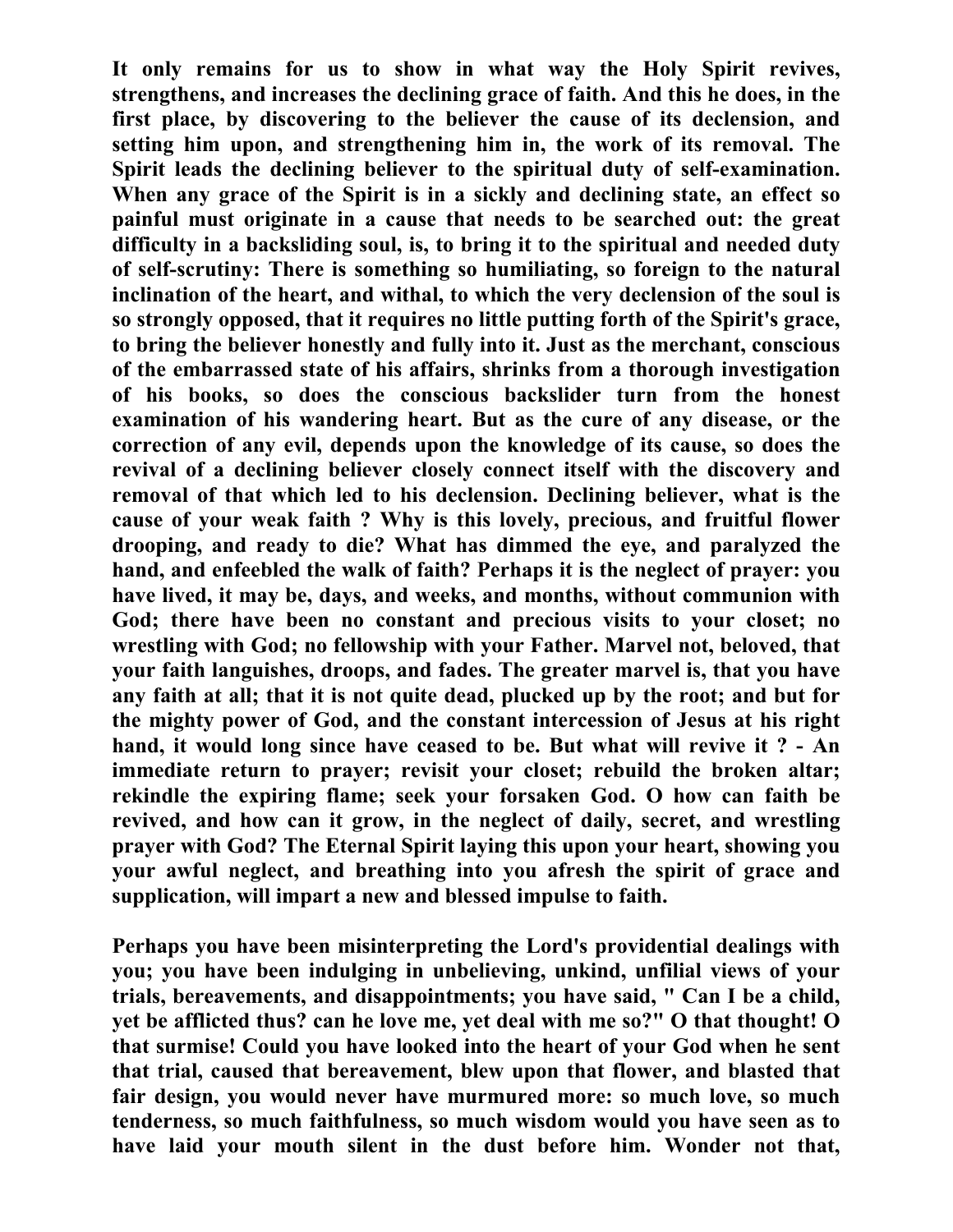**It only remains for us to show in what way the Holy Spirit revives, strengthens, and increases the declining grace of faith. And this he does, in the first place, by discovering to the believer the cause of its declension, and setting him upon, and strengthening him in, the work of its removal. The Spirit leads the declining believer to the spiritual duty of self-examination. When any grace of the Spirit is in a sickly and declining state, an effect so painful must originate in a cause that needs to be searched out: the great difficulty in a backsliding soul, is, to bring it to the spiritual and needed duty of self-scrutiny: There is something so humiliating, so foreign to the natural inclination of the heart, and withal, to which the very declension of the soul is so strongly opposed, that it requires no little putting forth of the Spirit's grace, to bring the believer honestly and fully into it. Just as the merchant, conscious of the embarrassed state of his affairs, shrinks from a thorough investigation of his books, so does the conscious backslider turn from the honest examination of his wandering heart. But as the cure of any disease, or the correction of any evil, depends upon the knowledge of its cause, so does the revival of a declining believer closely connect itself with the discovery and removal of that which led to his declension. Declining believer, what is the cause of your weak faith ? Why is this lovely, precious, and fruitful flower drooping, and ready to die? What has dimmed the eye, and paralyzed the hand, and enfeebled the walk of faith? Perhaps it is the neglect of prayer: you have lived, it may be, days, and weeks, and months, without communion with God; there have been no constant and precious visits to your closet; no wrestling with God; no fellowship with your Father. Marvel not, beloved, that your faith languishes, droops, and fades. The greater marvel is, that you have any faith at all; that it is not quite dead, plucked up by the root; and but for the mighty power of God, and the constant intercession of Jesus at his right hand, it would long since have ceased to be. But what will revive it ? - An immediate return to prayer; revisit your closet; rebuild the broken altar; rekindle the expiring flame; seek your forsaken God. O how can faith be revived, and how can it grow, in the neglect of daily, secret, and wrestling prayer with God? The Eternal Spirit laying this upon your heart, showing you your awful neglect, and breathing into you afresh the spirit of grace and supplication, will impart a new and blessed impulse to faith.** 

**Perhaps you have been misinterpreting the Lord's providential dealings with you; you have been indulging in unbelieving, unkind, unfilial views of your trials, bereavements, and disappointments; you have said, " Can I be a child, yet be afflicted thus? can he love me, yet deal with me so?" O that thought! O that surmise! Could you have looked into the heart of your God when he sent that trial, caused that bereavement, blew upon that flower, and blasted that fair design, you would never have murmured more: so much love, so much tenderness, so much faithfulness, so much wisdom would you have seen as to have laid your mouth silent in the dust before him. Wonder not that,**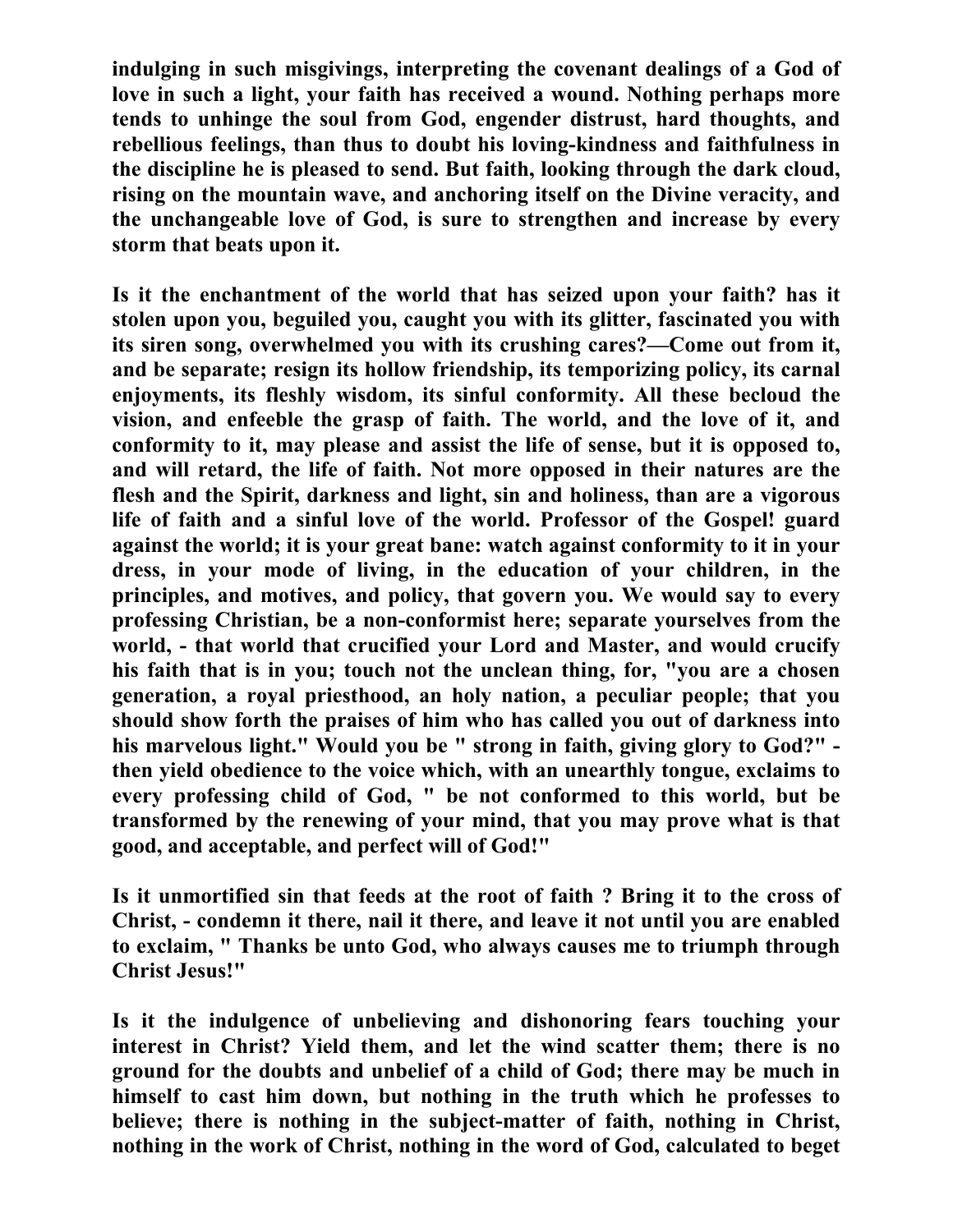**indulging in such misgivings, interpreting the covenant dealings of a God of love in such a light, your faith has received a wound. Nothing perhaps more tends to unhinge the soul from God, engender distrust, hard thoughts, and rebellious feelings, than thus to doubt his loving-kindness and faithfulness in the discipline he is pleased to send. But faith, looking through the dark cloud, rising on the mountain wave, and anchoring itself on the Divine veracity, and the unchangeable love of God, is sure to strengthen and increase by every storm that beats upon it.** 

**Is it the enchantment of the world that has seized upon your faith? has it stolen upon you, beguiled you, caught you with its glitter, fascinated you with its siren song, overwhelmed you with its crushing cares?—Come out from it, and be separate; resign its hollow friendship, its temporizing policy, its carnal enjoyments, its fleshly wisdom, its sinful conformity. All these becloud the vision, and enfeeble the grasp of faith. The world, and the love of it, and conformity to it, may please and assist the life of sense, but it is opposed to, and will retard, the life of faith. Not more opposed in their natures are the flesh and the Spirit, darkness and light, sin and holiness, than are a vigorous life of faith and a sinful love of the world. Professor of the Gospel! guard against the world; it is your great bane: watch against conformity to it in your dress, in your mode of living, in the education of your children, in the principles, and motives, and policy, that govern you. We would say to every professing Christian, be a non-conformist here; separate yourselves from the world, - that world that crucified your Lord and Master, and would crucify his faith that is in you; touch not the unclean thing, for, "you are a chosen generation, a royal priesthood, an holy nation, a peculiar people; that you should show forth the praises of him who has called you out of darkness into his marvelous light." Would you be " strong in faith, giving glory to God?" then yield obedience to the voice which, with an unearthly tongue, exclaims to every professing child of God, " be not conformed to this world, but be transformed by the renewing of your mind, that you may prove what is that good, and acceptable, and perfect will of God!"** 

**Is it unmortified sin that feeds at the root of faith ? Bring it to the cross of Christ, - condemn it there, nail it there, and leave it not until you are enabled to exclaim, " Thanks be unto God, who always causes me to triumph through Christ Jesus!"** 

**Is it the indulgence of unbelieving and dishonoring fears touching your interest in Christ? Yield them, and let the wind scatter them; there is no ground for the doubts and unbelief of a child of God; there may be much in himself to cast him down, but nothing in the truth which he professes to believe; there is nothing in the subject-matter of faith, nothing in Christ, nothing in the work of Christ, nothing in the word of God, calculated to beget**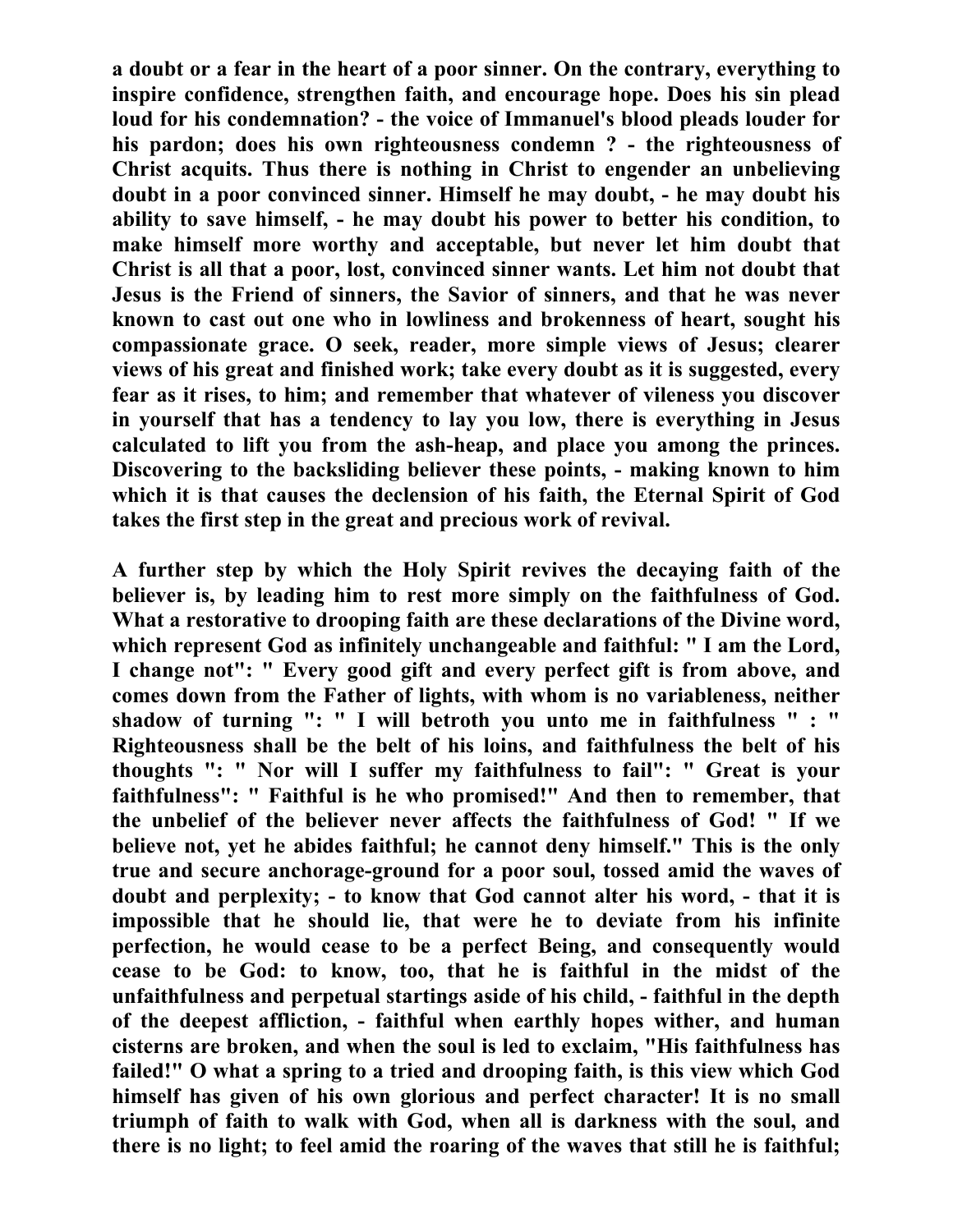**a doubt or a fear in the heart of a poor sinner. On the contrary, everything to inspire confidence, strengthen faith, and encourage hope. Does his sin plead loud for his condemnation? - the voice of Immanuel's blood pleads louder for his pardon; does his own righteousness condemn ? - the righteousness of Christ acquits. Thus there is nothing in Christ to engender an unbelieving doubt in a poor convinced sinner. Himself he may doubt, - he may doubt his ability to save himself, - he may doubt his power to better his condition, to make himself more worthy and acceptable, but never let him doubt that Christ is all that a poor, lost, convinced sinner wants. Let him not doubt that Jesus is the Friend of sinners, the Savior of sinners, and that he was never known to cast out one who in lowliness and brokenness of heart, sought his compassionate grace. O seek, reader, more simple views of Jesus; clearer views of his great and finished work; take every doubt as it is suggested, every fear as it rises, to him; and remember that whatever of vileness you discover in yourself that has a tendency to lay you low, there is everything in Jesus calculated to lift you from the ash-heap, and place you among the princes. Discovering to the backsliding believer these points, - making known to him which it is that causes the declension of his faith, the Eternal Spirit of God takes the first step in the great and precious work of revival.** 

**A further step by which the Holy Spirit revives the decaying faith of the believer is, by leading him to rest more simply on the faithfulness of God. What a restorative to drooping faith are these declarations of the Divine word, which represent God as infinitely unchangeable and faithful: " I am the Lord, I change not": " Every good gift and every perfect gift is from above, and comes down from the Father of lights, with whom is no variableness, neither shadow of turning ": " I will betroth you unto me in faithfulness " : " Righteousness shall be the belt of his loins, and faithfulness the belt of his thoughts ": " Nor will I suffer my faithfulness to fail": " Great is your faithfulness": " Faithful is he who promised!" And then to remember, that the unbelief of the believer never affects the faithfulness of God! " If we believe not, yet he abides faithful; he cannot deny himself." This is the only true and secure anchorage-ground for a poor soul, tossed amid the waves of doubt and perplexity; - to know that God cannot alter his word, - that it is impossible that he should lie, that were he to deviate from his infinite perfection, he would cease to be a perfect Being, and consequently would cease to be God: to know, too, that he is faithful in the midst of the unfaithfulness and perpetual startings aside of his child, - faithful in the depth of the deepest affliction, - faithful when earthly hopes wither, and human cisterns are broken, and when the soul is led to exclaim, "His faithfulness has failed!" O what a spring to a tried and drooping faith, is this view which God himself has given of his own glorious and perfect character! It is no small triumph of faith to walk with God, when all is darkness with the soul, and there is no light; to feel amid the roaring of the waves that still he is faithful;**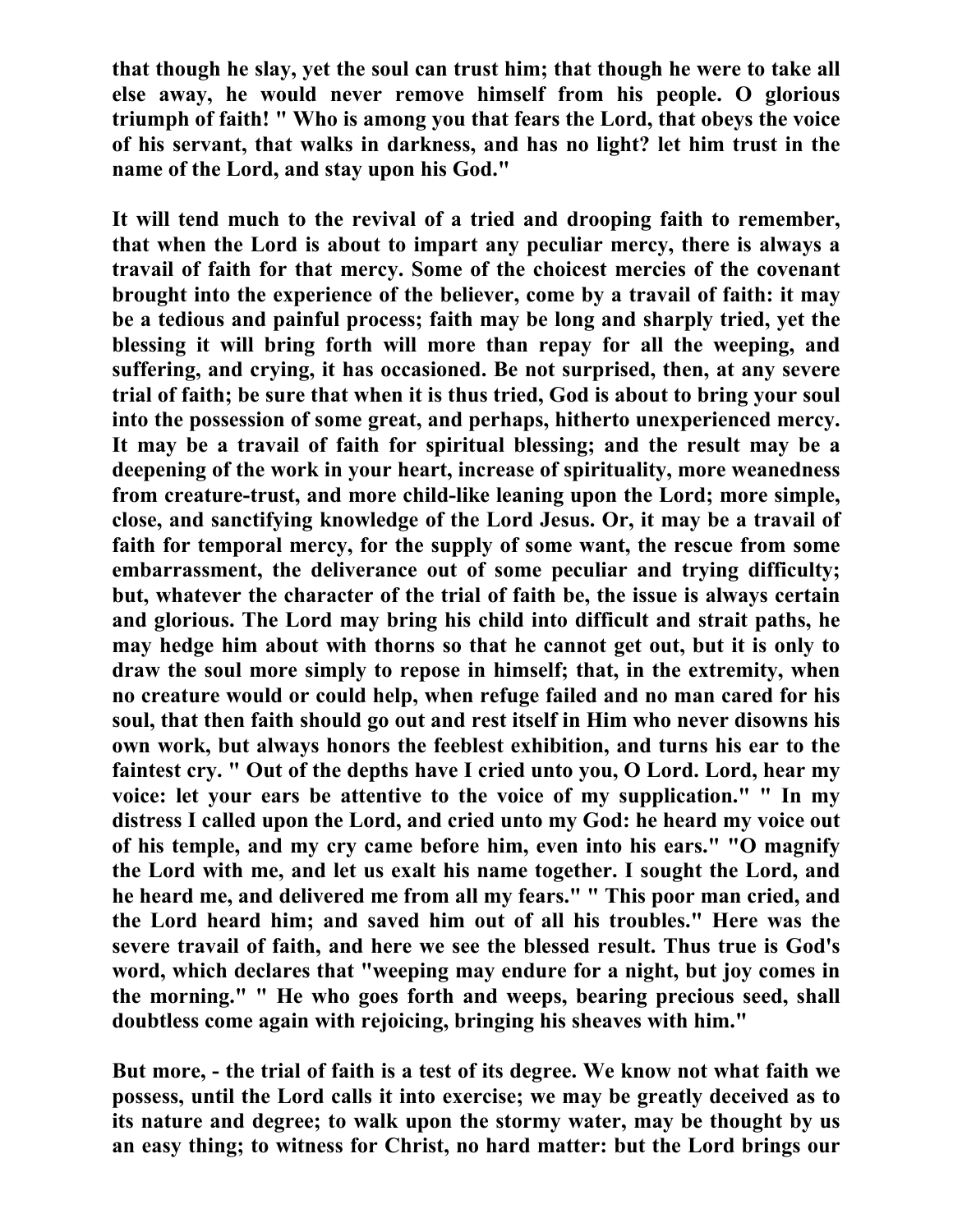**that though he slay, yet the soul can trust him; that though he were to take all else away, he would never remove himself from his people. O glorious triumph of faith! " Who is among you that fears the Lord, that obeys the voice of his servant, that walks in darkness, and has no light? let him trust in the name of the Lord, and stay upon his God."** 

**It will tend much to the revival of a tried and drooping faith to remember, that when the Lord is about to impart any peculiar mercy, there is always a travail of faith for that mercy. Some of the choicest mercies of the covenant brought into the experience of the believer, come by a travail of faith: it may be a tedious and painful process; faith may be long and sharply tried, yet the blessing it will bring forth will more than repay for all the weeping, and suffering, and crying, it has occasioned. Be not surprised, then, at any severe trial of faith; be sure that when it is thus tried, God is about to bring your soul into the possession of some great, and perhaps, hitherto unexperienced mercy. It may be a travail of faith for spiritual blessing; and the result may be a deepening of the work in your heart, increase of spirituality, more weanedness from creature-trust, and more child-like leaning upon the Lord; more simple, close, and sanctifying knowledge of the Lord Jesus. Or, it may be a travail of faith for temporal mercy, for the supply of some want, the rescue from some embarrassment, the deliverance out of some peculiar and trying difficulty; but, whatever the character of the trial of faith be, the issue is always certain and glorious. The Lord may bring his child into difficult and strait paths, he may hedge him about with thorns so that he cannot get out, but it is only to draw the soul more simply to repose in himself; that, in the extremity, when no creature would or could help, when refuge failed and no man cared for his soul, that then faith should go out and rest itself in Him who never disowns his own work, but always honors the feeblest exhibition, and turns his ear to the faintest cry. " Out of the depths have I cried unto you, O Lord. Lord, hear my voice: let your ears be attentive to the voice of my supplication." " In my distress I called upon the Lord, and cried unto my God: he heard my voice out of his temple, and my cry came before him, even into his ears." "O magnify the Lord with me, and let us exalt his name together. I sought the Lord, and he heard me, and delivered me from all my fears." " This poor man cried, and the Lord heard him; and saved him out of all his troubles." Here was the severe travail of faith, and here we see the blessed result. Thus true is God's word, which declares that "weeping may endure for a night, but joy comes in the morning." " He who goes forth and weeps, bearing precious seed, shall doubtless come again with rejoicing, bringing his sheaves with him."** 

**But more, - the trial of faith is a test of its degree. We know not what faith we possess, until the Lord calls it into exercise; we may be greatly deceived as to its nature and degree; to walk upon the stormy water, may be thought by us an easy thing; to witness for Christ, no hard matter: but the Lord brings our**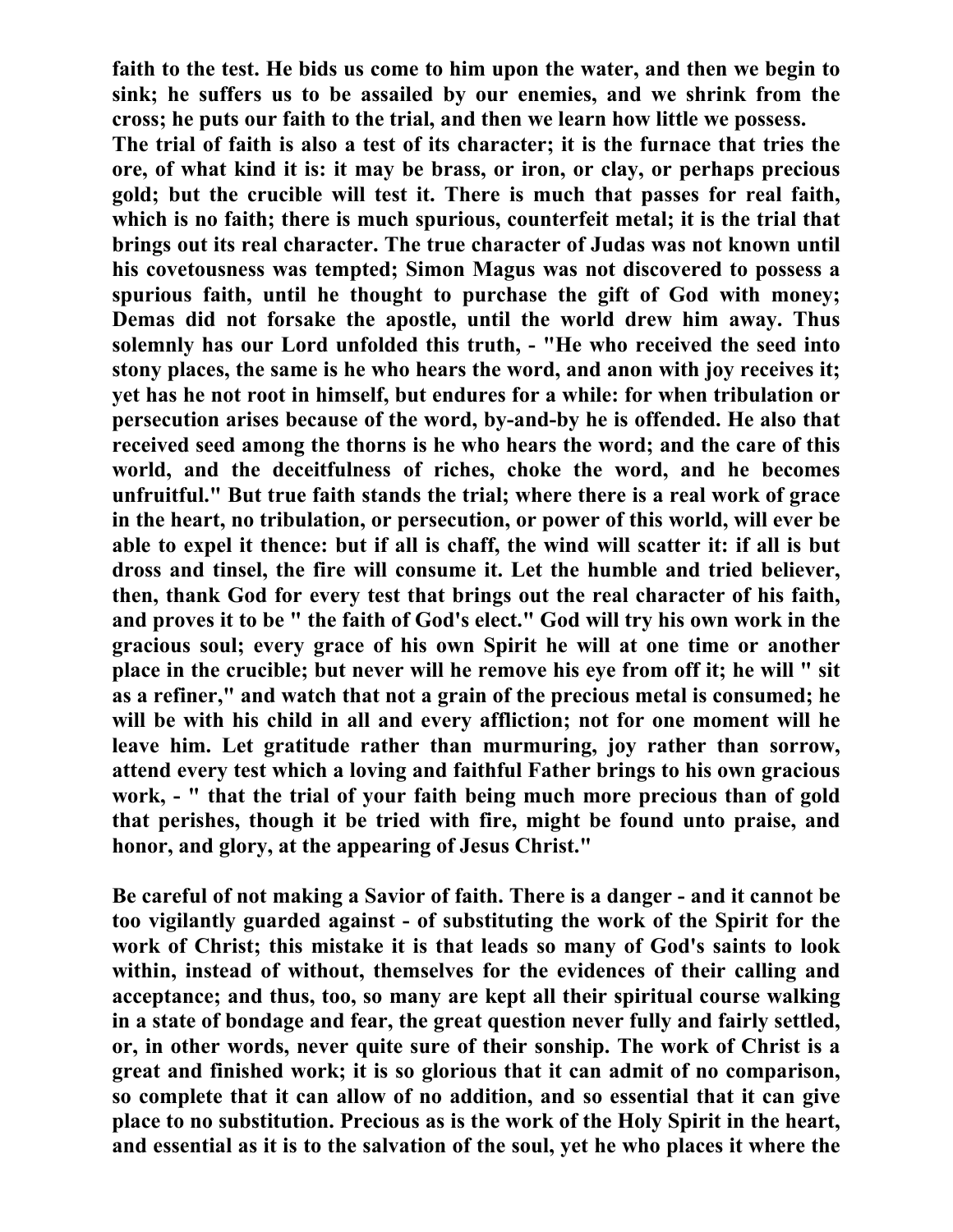**faith to the test. He bids us come to him upon the water, and then we begin to sink; he suffers us to be assailed by our enemies, and we shrink from the cross; he puts our faith to the trial, and then we learn how little we possess.** 

**The trial of faith is also a test of its character; it is the furnace that tries the ore, of what kind it is: it may be brass, or iron, or clay, or perhaps precious gold; but the crucible will test it. There is much that passes for real faith,**  which is no faith; there is much spurious, counterfeit metal; it is the trial that **brings out its real character. The true character of Judas was not known until his covetousness was tempted; Simon Magus was not discovered to possess a spurious faith, until he thought to purchase the gift of God with money; Demas did not forsake the apostle, until the world drew him away. Thus solemnly has our Lord unfolded this truth, - "He who received the seed into stony places, the same is he who hears the word, and anon with joy receives it; yet has he not root in himself, but endures for a while: for when tribulation or persecution arises because of the word, by-and-by he is offended. He also that received seed among the thorns is he who hears the word; and the care of this world, and the deceitfulness of riches, choke the word, and he becomes unfruitful." But true faith stands the trial; where there is a real work of grace in the heart, no tribulation, or persecution, or power of this world, will ever be able to expel it thence: but if all is chaff, the wind will scatter it: if all is but dross and tinsel, the fire will consume it. Let the humble and tried believer, then, thank God for every test that brings out the real character of his faith, and proves it to be " the faith of God's elect." God will try his own work in the gracious soul; every grace of his own Spirit he will at one time or another place in the crucible; but never will he remove his eye from off it; he will " sit as a refiner," and watch that not a grain of the precious metal is consumed; he will be with his child in all and every affliction; not for one moment will he leave him. Let gratitude rather than murmuring, joy rather than sorrow, attend every test which a loving and faithful Father brings to his own gracious work, - " that the trial of your faith being much more precious than of gold that perishes, though it be tried with fire, might be found unto praise, and honor, and glory, at the appearing of Jesus Christ."** 

**Be careful of not making a Savior of faith. There is a danger - and it cannot be too vigilantly guarded against - of substituting the work of the Spirit for the work of Christ; this mistake it is that leads so many of God's saints to look within, instead of without, themselves for the evidences of their calling and acceptance; and thus, too, so many are kept all their spiritual course walking in a state of bondage and fear, the great question never fully and fairly settled, or, in other words, never quite sure of their sonship. The work of Christ is a great and finished work; it is so glorious that it can admit of no comparison, so complete that it can allow of no addition, and so essential that it can give place to no substitution. Precious as is the work of the Holy Spirit in the heart, and essential as it is to the salvation of the soul, yet he who places it where the**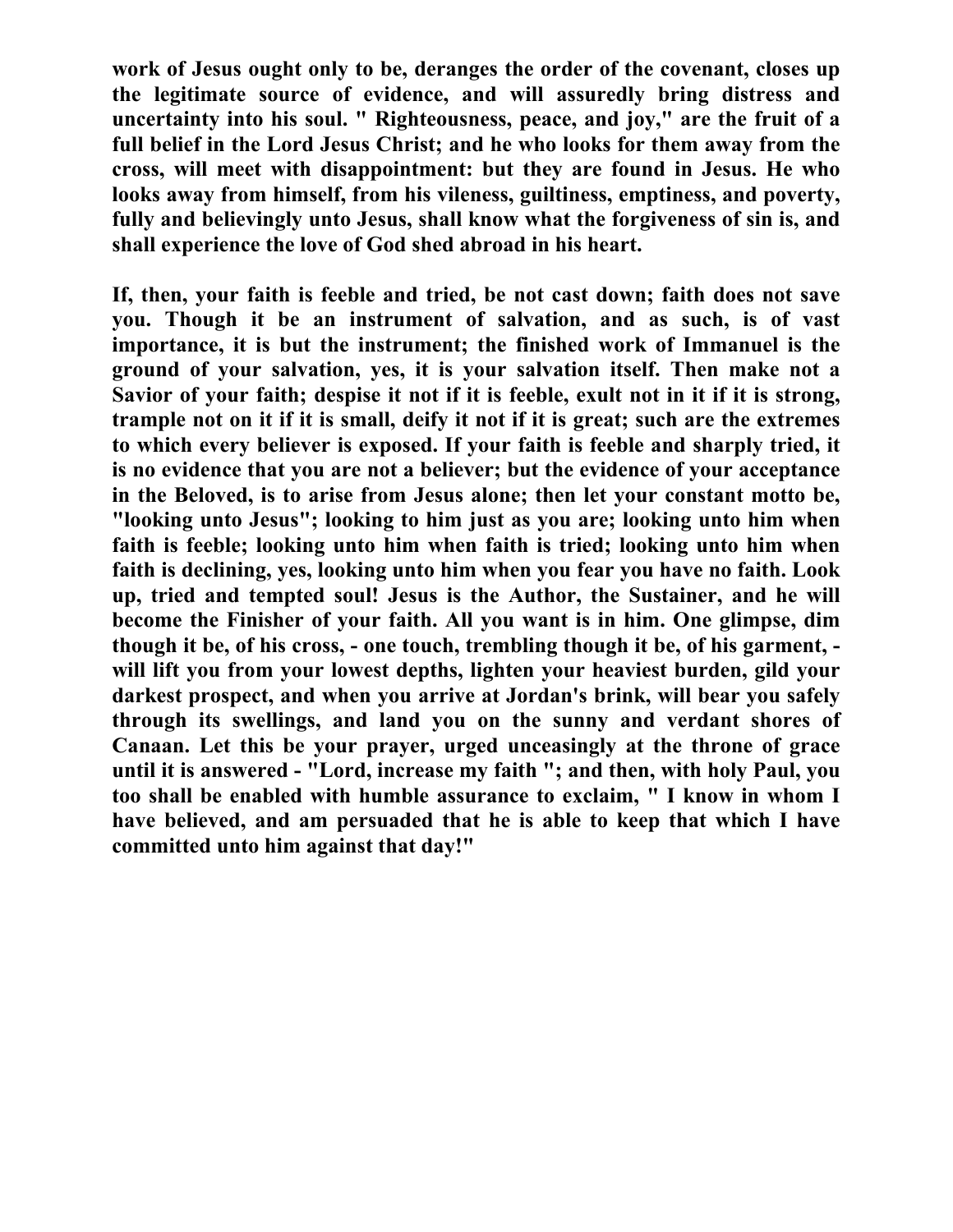**work of Jesus ought only to be, deranges the order of the covenant, closes up the legitimate source of evidence, and will assuredly bring distress and uncertainty into his soul. " Righteousness, peace, and joy," are the fruit of a full belief in the Lord Jesus Christ; and he who looks for them away from the cross, will meet with disappointment: but they are found in Jesus. He who looks away from himself, from his vileness, guiltiness, emptiness, and poverty, fully and believingly unto Jesus, shall know what the forgiveness of sin is, and shall experience the love of God shed abroad in his heart.** 

**If, then, your faith is feeble and tried, be not cast down; faith does not save you. Though it be an instrument of salvation, and as such, is of vast importance, it is but the instrument; the finished work of Immanuel is the ground of your salvation, yes, it is your salvation itself. Then make not a Savior of your faith; despise it not if it is feeble, exult not in it if it is strong, trample not on it if it is small, deify it not if it is great; such are the extremes to which every believer is exposed. If your faith is feeble and sharply tried, it is no evidence that you are not a believer; but the evidence of your acceptance in the Beloved, is to arise from Jesus alone; then let your constant motto be, "looking unto Jesus"; looking to him just as you are; looking unto him when faith is feeble; looking unto him when faith is tried; looking unto him when faith is declining, yes, looking unto him when you fear you have no faith. Look up, tried and tempted soul! Jesus is the Author, the Sustainer, and he will become the Finisher of your faith. All you want is in him. One glimpse, dim though it be, of his cross, - one touch, trembling though it be, of his garment, will lift you from your lowest depths, lighten your heaviest burden, gild your darkest prospect, and when you arrive at Jordan's brink, will bear you safely through its swellings, and land you on the sunny and verdant shores of Canaan. Let this be your prayer, urged unceasingly at the throne of grace until it is answered - "Lord, increase my faith "; and then, with holy Paul, you too shall be enabled with humble assurance to exclaim, " I know in whom I have believed, and am persuaded that he is able to keep that which I have committed unto him against that day!"**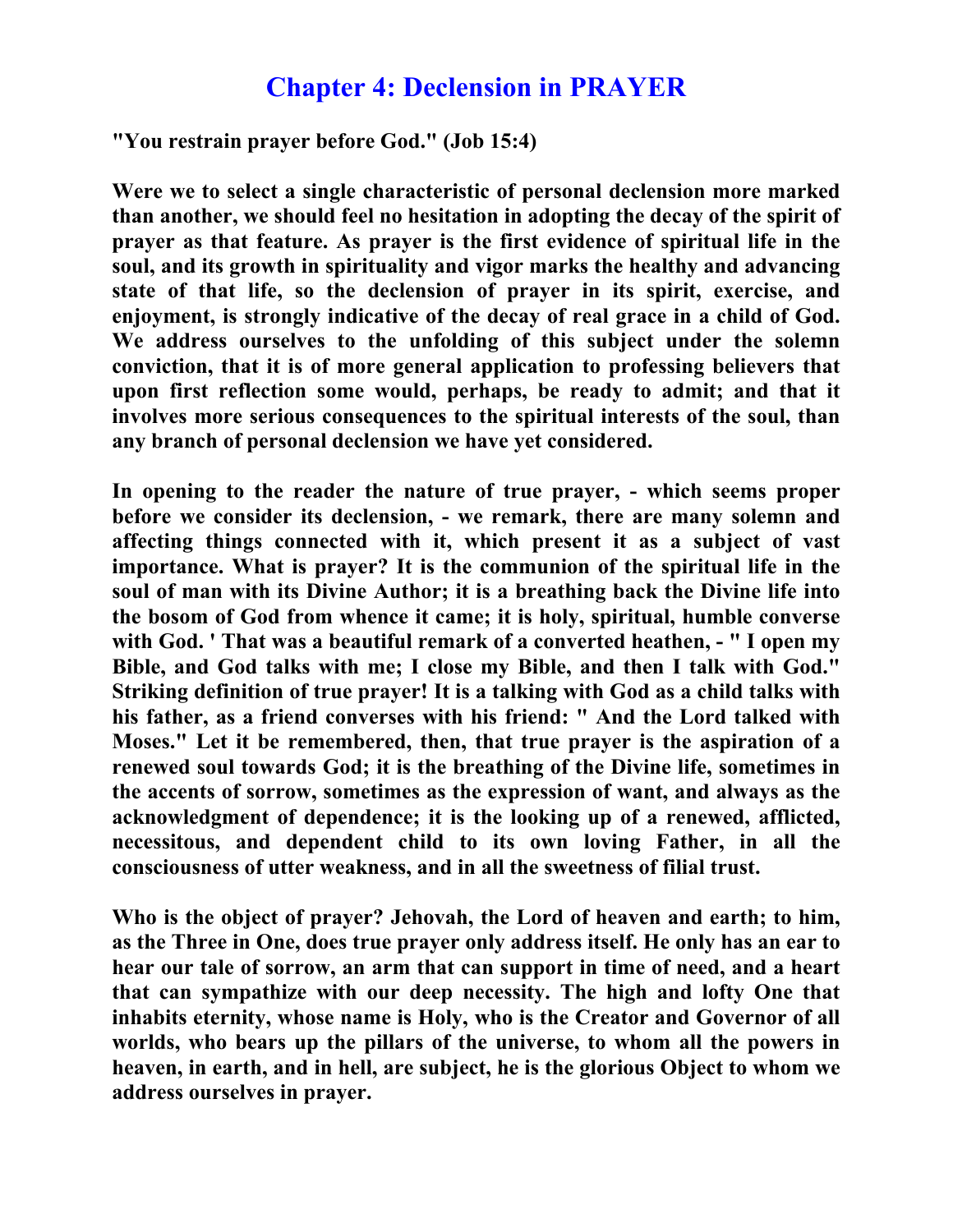## **Chapter 4: Declension in PRAYER**

**"You restrain prayer before God." (Job 15:4)** 

**Were we to select a single characteristic of personal declension more marked than another, we should feel no hesitation in adopting the decay of the spirit of prayer as that feature. As prayer is the first evidence of spiritual life in the soul, and its growth in spirituality and vigor marks the healthy and advancing state of that life, so the declension of prayer in its spirit, exercise, and enjoyment, is strongly indicative of the decay of real grace in a child of God. We address ourselves to the unfolding of this subject under the solemn conviction, that it is of more general application to professing believers that upon first reflection some would, perhaps, be ready to admit; and that it involves more serious consequences to the spiritual interests of the soul, than any branch of personal declension we have yet considered.** 

**In opening to the reader the nature of true prayer, - which seems proper before we consider its declension, - we remark, there are many solemn and affecting things connected with it, which present it as a subject of vast importance. What is prayer? It is the communion of the spiritual life in the soul of man with its Divine Author; it is a breathing back the Divine life into the bosom of God from whence it came; it is holy, spiritual, humble converse with God. ' That was a beautiful remark of a converted heathen, - " I open my Bible, and God talks with me; I close my Bible, and then I talk with God." Striking definition of true prayer! It is a talking with God as a child talks with his father, as a friend converses with his friend: " And the Lord talked with Moses." Let it be remembered, then, that true prayer is the aspiration of a renewed soul towards God; it is the breathing of the Divine life, sometimes in the accents of sorrow, sometimes as the expression of want, and always as the acknowledgment of dependence; it is the looking up of a renewed, afflicted, necessitous, and dependent child to its own loving Father, in all the consciousness of utter weakness, and in all the sweetness of filial trust.** 

**Who is the object of prayer? Jehovah, the Lord of heaven and earth; to him, as the Three in One, does true prayer only address itself. He only has an ear to hear our tale of sorrow, an arm that can support in time of need, and a heart that can sympathize with our deep necessity. The high and lofty One that inhabits eternity, whose name is Holy, who is the Creator and Governor of all worlds, who bears up the pillars of the universe, to whom all the powers in heaven, in earth, and in hell, are subject, he is the glorious Object to whom we address ourselves in prayer.**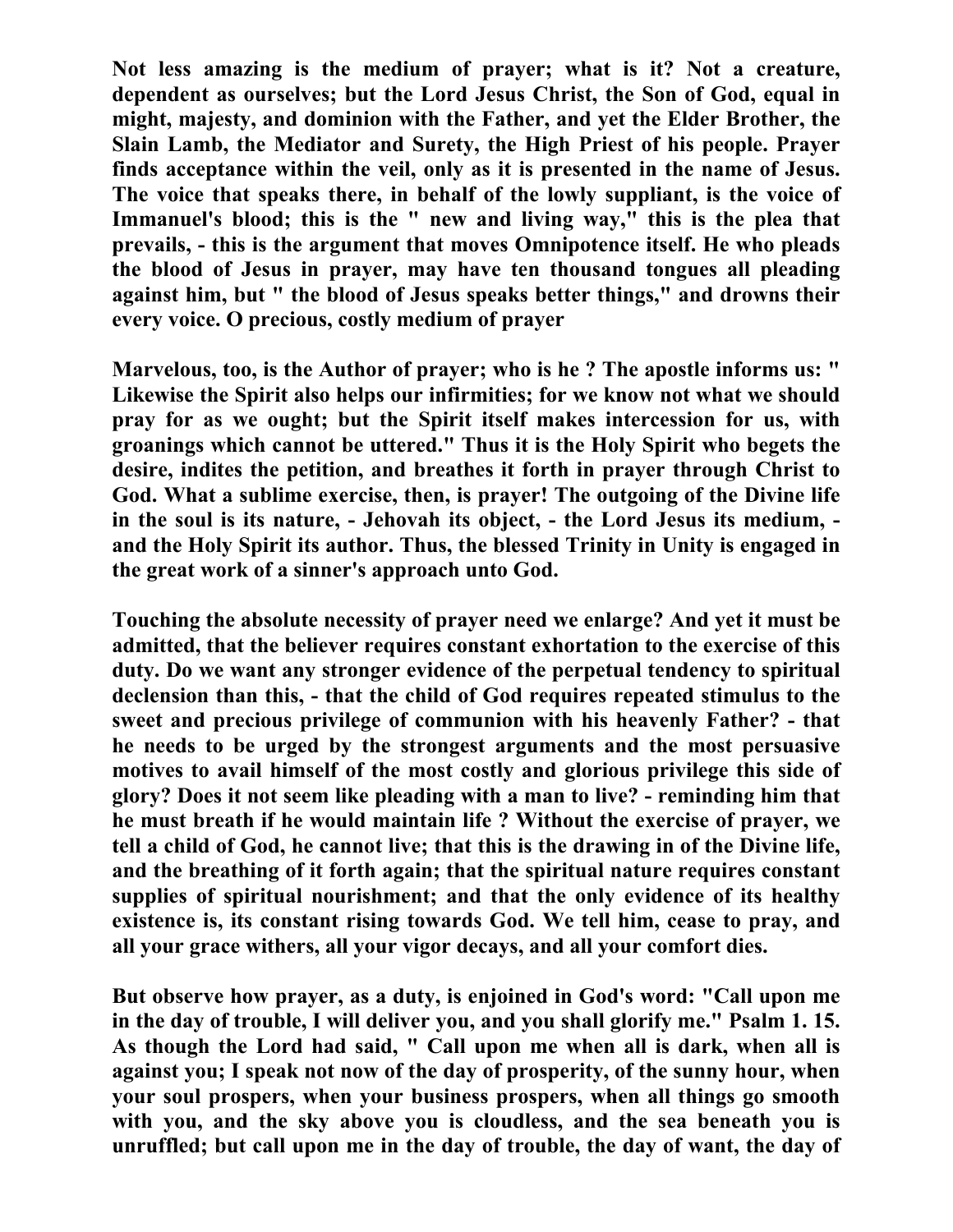**Not less amazing is the medium of prayer; what is it? Not a creature, dependent as ourselves; but the Lord Jesus Christ, the Son of God, equal in might, majesty, and dominion with the Father, and yet the Elder Brother, the Slain Lamb, the Mediator and Surety, the High Priest of his people. Prayer finds acceptance within the veil, only as it is presented in the name of Jesus. The voice that speaks there, in behalf of the lowly suppliant, is the voice of Immanuel's blood; this is the " new and living way," this is the plea that prevails, - this is the argument that moves Omnipotence itself. He who pleads the blood of Jesus in prayer, may have ten thousand tongues all pleading against him, but " the blood of Jesus speaks better things," and drowns their every voice. O precious, costly medium of prayer** 

**Marvelous, too, is the Author of prayer; who is he ? The apostle informs us: " Likewise the Spirit also helps our infirmities; for we know not what we should pray for as we ought; but the Spirit itself makes intercession for us, with groanings which cannot be uttered." Thus it is the Holy Spirit who begets the desire, indites the petition, and breathes it forth in prayer through Christ to God. What a sublime exercise, then, is prayer! The outgoing of the Divine life in the soul is its nature, - Jehovah its object, - the Lord Jesus its medium, and the Holy Spirit its author. Thus, the blessed Trinity in Unity is engaged in the great work of a sinner's approach unto God.** 

**Touching the absolute necessity of prayer need we enlarge? And yet it must be admitted, that the believer requires constant exhortation to the exercise of this duty. Do we want any stronger evidence of the perpetual tendency to spiritual declension than this, - that the child of God requires repeated stimulus to the sweet and precious privilege of communion with his heavenly Father? - that he needs to be urged by the strongest arguments and the most persuasive motives to avail himself of the most costly and glorious privilege this side of glory? Does it not seem like pleading with a man to live? - reminding him that he must breath if he would maintain life ? Without the exercise of prayer, we tell a child of God, he cannot live; that this is the drawing in of the Divine life, and the breathing of it forth again; that the spiritual nature requires constant supplies of spiritual nourishment; and that the only evidence of its healthy existence is, its constant rising towards God. We tell him, cease to pray, and all your grace withers, all your vigor decays, and all your comfort dies.** 

**But observe how prayer, as a duty, is enjoined in God's word: "Call upon me in the day of trouble, I will deliver you, and you shall glorify me." Psalm 1. 15. As though the Lord had said, " Call upon me when all is dark, when all is against you; I speak not now of the day of prosperity, of the sunny hour, when your soul prospers, when your business prospers, when all things go smooth with you, and the sky above you is cloudless, and the sea beneath you is unruffled; but call upon me in the day of trouble, the day of want, the day of**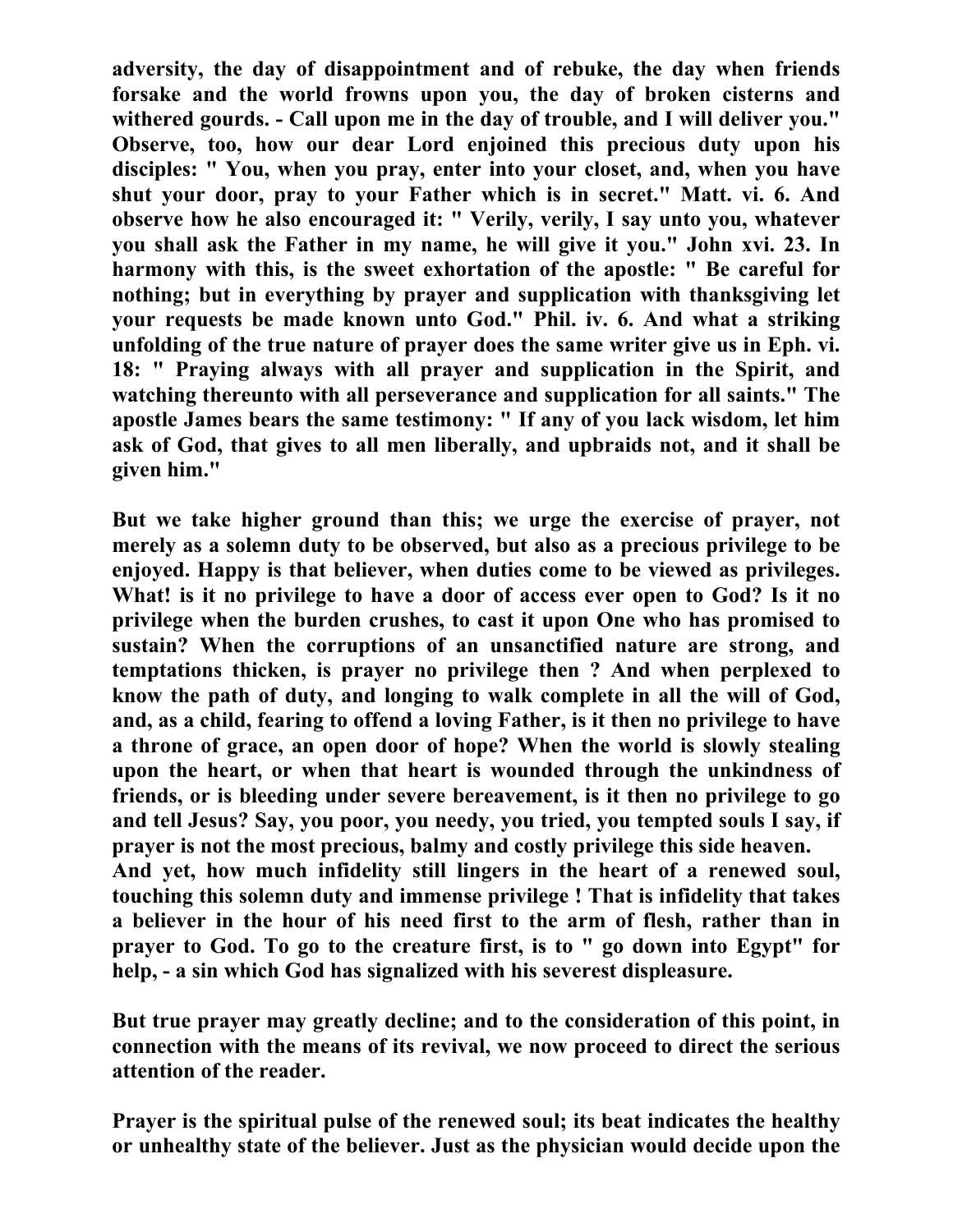**adversity, the day of disappointment and of rebuke, the day when friends forsake and the world frowns upon you, the day of broken cisterns and withered gourds. - Call upon me in the day of trouble, and I will deliver you." Observe, too, how our dear Lord enjoined this precious duty upon his disciples: " You, when you pray, enter into your closet, and, when you have shut your door, pray to your Father which is in secret." Matt. vi. 6. And observe how he also encouraged it: " Verily, verily, I say unto you, whatever you shall ask the Father in my name, he will give it you." John xvi. 23. In harmony with this, is the sweet exhortation of the apostle: " Be careful for nothing; but in everything by prayer and supplication with thanksgiving let your requests be made known unto God." Phil. iv. 6. And what a striking unfolding of the true nature of prayer does the same writer give us in Eph. vi. 18: " Praying always with all prayer and supplication in the Spirit, and watching thereunto with all perseverance and supplication for all saints." The apostle James bears the same testimony: " If any of you lack wisdom, let him ask of God, that gives to all men liberally, and upbraids not, and it shall be given him."** 

**But we take higher ground than this; we urge the exercise of prayer, not merely as a solemn duty to be observed, but also as a precious privilege to be enjoyed. Happy is that believer, when duties come to be viewed as privileges. What! is it no privilege to have a door of access ever open to God? Is it no privilege when the burden crushes, to cast it upon One who has promised to sustain? When the corruptions of an unsanctified nature are strong, and temptations thicken, is prayer no privilege then ? And when perplexed to know the path of duty, and longing to walk complete in all the will of God, and, as a child, fearing to offend a loving Father, is it then no privilege to have a throne of grace, an open door of hope? When the world is slowly stealing upon the heart, or when that heart is wounded through the unkindness of friends, or is bleeding under severe bereavement, is it then no privilege to go and tell Jesus? Say, you poor, you needy, you tried, you tempted souls I say, if prayer is not the most precious, balmy and costly privilege this side heaven. And yet, how much infidelity still lingers in the heart of a renewed soul, touching this solemn duty and immense privilege ! That is infidelity that takes a believer in the hour of his need first to the arm of flesh, rather than in prayer to God. To go to the creature first, is to " go down into Egypt" for help, - a sin which God has signalized with his severest displeasure.** 

**But true prayer may greatly decline; and to the consideration of this point, in connection with the means of its revival, we now proceed to direct the serious attention of the reader.** 

**Prayer is the spiritual pulse of the renewed soul; its beat indicates the healthy or unhealthy state of the believer. Just as the physician would decide upon the**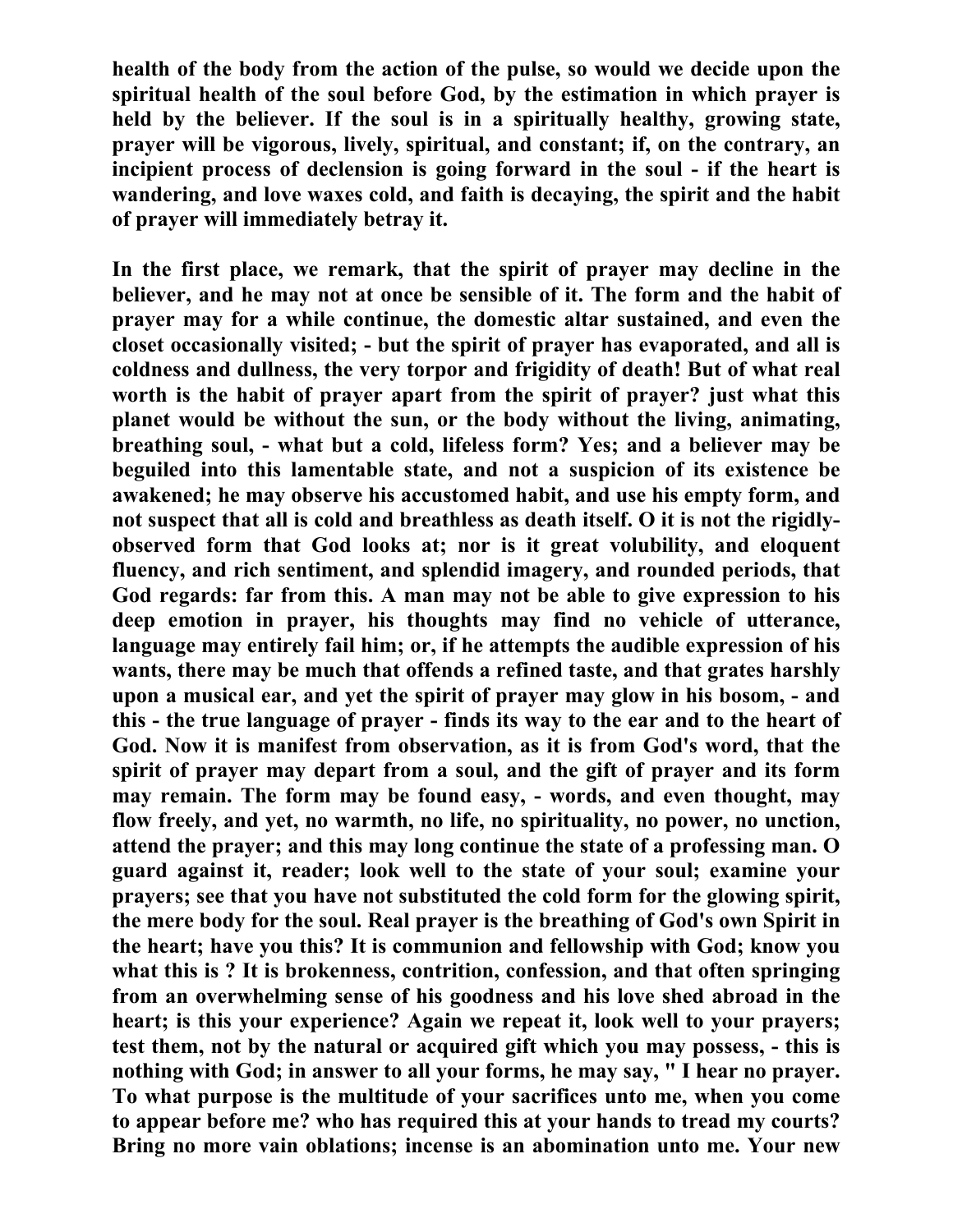**health of the body from the action of the pulse, so would we decide upon the spiritual health of the soul before God, by the estimation in which prayer is held by the believer. If the soul is in a spiritually healthy, growing state, prayer will be vigorous, lively, spiritual, and constant; if, on the contrary, an incipient process of declension is going forward in the soul - if the heart is wandering, and love waxes cold, and faith is decaying, the spirit and the habit of prayer will immediately betray it.** 

**In the first place, we remark, that the spirit of prayer may decline in the believer, and he may not at once be sensible of it. The form and the habit of prayer may for a while continue, the domestic altar sustained, and even the closet occasionally visited; - but the spirit of prayer has evaporated, and all is coldness and dullness, the very torpor and frigidity of death! But of what real worth is the habit of prayer apart from the spirit of prayer? just what this planet would be without the sun, or the body without the living, animating, breathing soul, - what but a cold, lifeless form? Yes; and a believer may be beguiled into this lamentable state, and not a suspicion of its existence be awakened; he may observe his accustomed habit, and use his empty form, and not suspect that all is cold and breathless as death itself. O it is not the rigidlyobserved form that God looks at; nor is it great volubility, and eloquent fluency, and rich sentiment, and splendid imagery, and rounded periods, that God regards: far from this. A man may not be able to give expression to his deep emotion in prayer, his thoughts may find no vehicle of utterance, language may entirely fail him; or, if he attempts the audible expression of his wants, there may be much that offends a refined taste, and that grates harshly upon a musical ear, and yet the spirit of prayer may glow in his bosom, - and this - the true language of prayer - finds its way to the ear and to the heart of God. Now it is manifest from observation, as it is from God's word, that the spirit of prayer may depart from a soul, and the gift of prayer and its form may remain. The form may be found easy, - words, and even thought, may flow freely, and yet, no warmth, no life, no spirituality, no power, no unction, attend the prayer; and this may long continue the state of a professing man. O guard against it, reader; look well to the state of your soul; examine your prayers; see that you have not substituted the cold form for the glowing spirit, the mere body for the soul. Real prayer is the breathing of God's own Spirit in the heart; have you this? It is communion and fellowship with God; know you what this is ? It is brokenness, contrition, confession, and that often springing from an overwhelming sense of his goodness and his love shed abroad in the heart; is this your experience? Again we repeat it, look well to your prayers; test them, not by the natural or acquired gift which you may possess, - this is nothing with God; in answer to all your forms, he may say, " I hear no prayer. To what purpose is the multitude of your sacrifices unto me, when you come to appear before me? who has required this at your hands to tread my courts? Bring no more vain oblations; incense is an abomination unto me. Your new**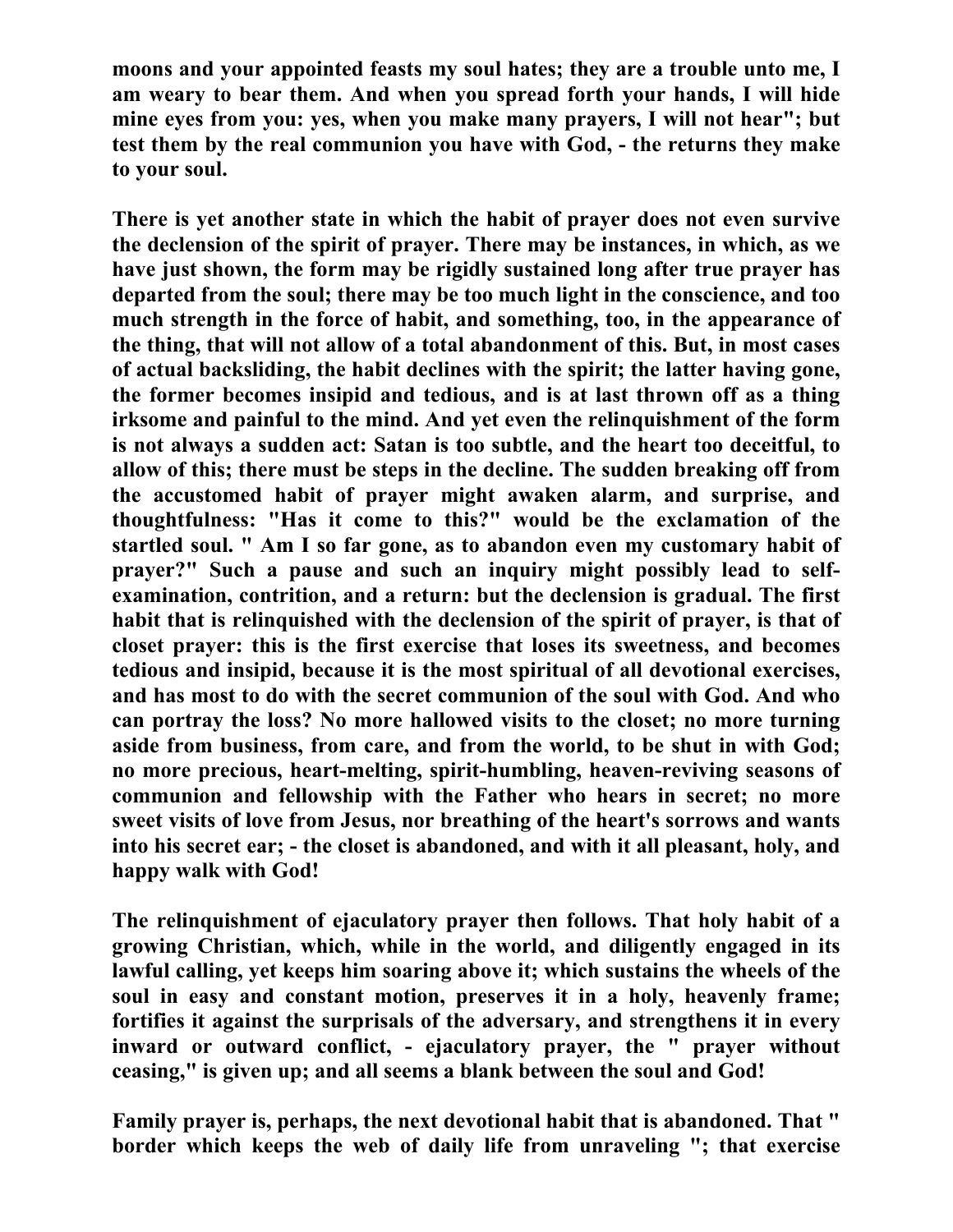**moons and your appointed feasts my soul hates; they are a trouble unto me, I am weary to bear them. And when you spread forth your hands, I will hide mine eyes from you: yes, when you make many prayers, I will not hear"; but test them by the real communion you have with God, - the returns they make to your soul.** 

**There is yet another state in which the habit of prayer does not even survive the declension of the spirit of prayer. There may be instances, in which, as we have just shown, the form may be rigidly sustained long after true prayer has departed from the soul; there may be too much light in the conscience, and too much strength in the force of habit, and something, too, in the appearance of the thing, that will not allow of a total abandonment of this. But, in most cases of actual backsliding, the habit declines with the spirit; the latter having gone, the former becomes insipid and tedious, and is at last thrown off as a thing irksome and painful to the mind. And yet even the relinquishment of the form is not always a sudden act: Satan is too subtle, and the heart too deceitful, to allow of this; there must be steps in the decline. The sudden breaking off from the accustomed habit of prayer might awaken alarm, and surprise, and thoughtfulness: "Has it come to this?" would be the exclamation of the startled soul. " Am I so far gone, as to abandon even my customary habit of prayer?" Such a pause and such an inquiry might possibly lead to selfexamination, contrition, and a return: but the declension is gradual. The first habit that is relinquished with the declension of the spirit of prayer, is that of closet prayer: this is the first exercise that loses its sweetness, and becomes tedious and insipid, because it is the most spiritual of all devotional exercises, and has most to do with the secret communion of the soul with God. And who can portray the loss? No more hallowed visits to the closet; no more turning aside from business, from care, and from the world, to be shut in with God; no more precious, heart-melting, spirit-humbling, heaven-reviving seasons of communion and fellowship with the Father who hears in secret; no more sweet visits of love from Jesus, nor breathing of the heart's sorrows and wants into his secret ear; - the closet is abandoned, and with it all pleasant, holy, and happy walk with God!** 

**The relinquishment of ejaculatory prayer then follows. That holy habit of a growing Christian, which, while in the world, and diligently engaged in its lawful calling, yet keeps him soaring above it; which sustains the wheels of the soul in easy and constant motion, preserves it in a holy, heavenly frame; fortifies it against the surprisals of the adversary, and strengthens it in every inward or outward conflict, - ejaculatory prayer, the " prayer without ceasing," is given up; and all seems a blank between the soul and God!** 

**Family prayer is, perhaps, the next devotional habit that is abandoned. That " border which keeps the web of daily life from unraveling "; that exercise**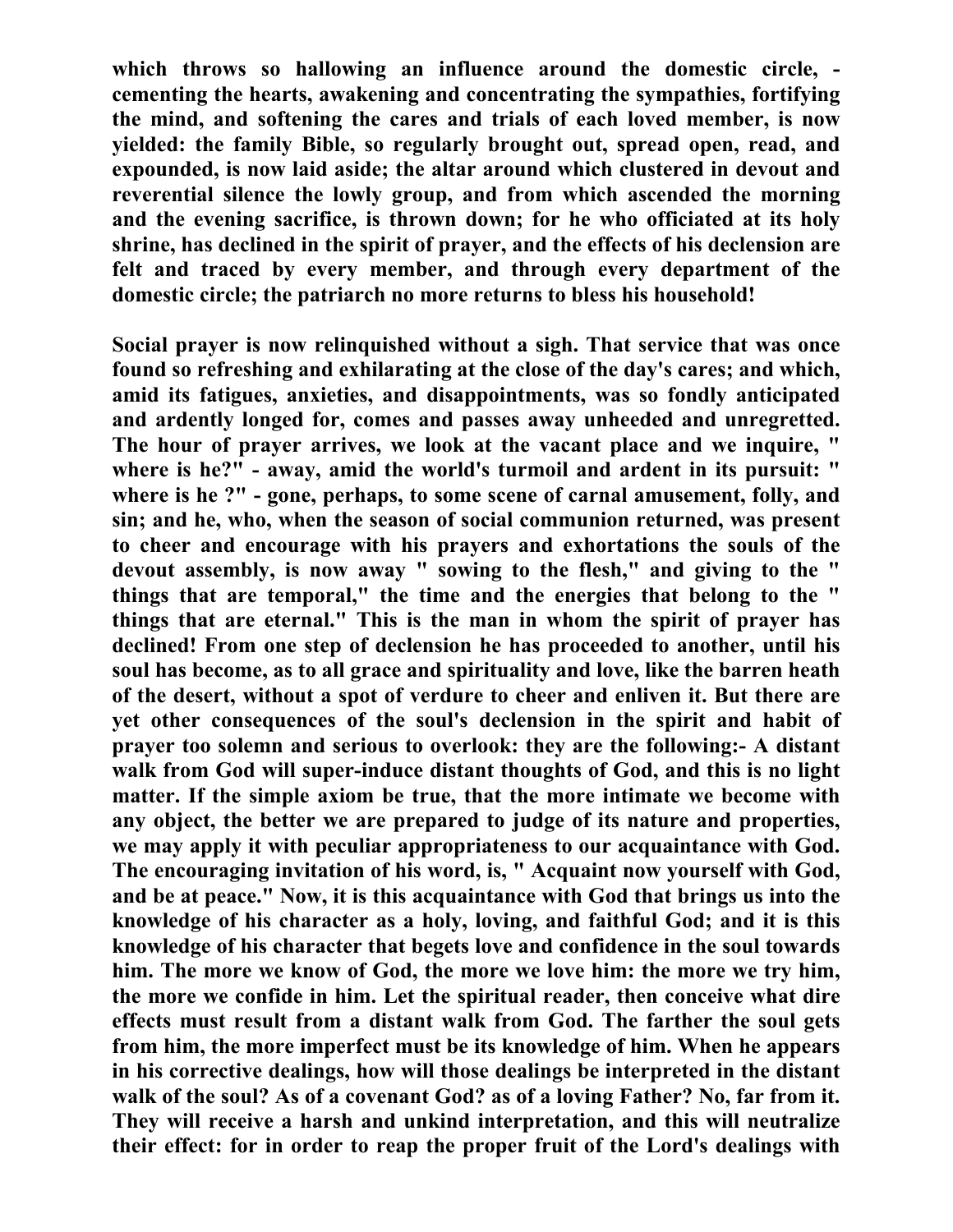**which throws so hallowing an influence around the domestic circle, cementing the hearts, awakening and concentrating the sympathies, fortifying the mind, and softening the cares and trials of each loved member, is now yielded: the family Bible, so regularly brought out, spread open, read, and expounded, is now laid aside; the altar around which clustered in devout and reverential silence the lowly group, and from which ascended the morning and the evening sacrifice, is thrown down; for he who officiated at its holy shrine, has declined in the spirit of prayer, and the effects of his declension are felt and traced by every member, and through every department of the domestic circle; the patriarch no more returns to bless his household!** 

**Social prayer is now relinquished without a sigh. That service that was once found so refreshing and exhilarating at the close of the day's cares; and which, amid its fatigues, anxieties, and disappointments, was so fondly anticipated and ardently longed for, comes and passes away unheeded and unregretted. The hour of prayer arrives, we look at the vacant place and we inquire, " where is he?" - away, amid the world's turmoil and ardent in its pursuit: " where is he ?" - gone, perhaps, to some scene of carnal amusement, folly, and sin; and he, who, when the season of social communion returned, was present to cheer and encourage with his prayers and exhortations the souls of the devout assembly, is now away " sowing to the flesh," and giving to the " things that are temporal," the time and the energies that belong to the " things that are eternal." This is the man in whom the spirit of prayer has declined! From one step of declension he has proceeded to another, until his soul has become, as to all grace and spirituality and love, like the barren heath of the desert, without a spot of verdure to cheer and enliven it. But there are yet other consequences of the soul's declension in the spirit and habit of prayer too solemn and serious to overlook: they are the following:- A distant walk from God will super-induce distant thoughts of God, and this is no light matter. If the simple axiom be true, that the more intimate we become with any object, the better we are prepared to judge of its nature and properties, we may apply it with peculiar appropriateness to our acquaintance with God. The encouraging invitation of his word, is, " Acquaint now yourself with God, and be at peace." Now, it is this acquaintance with God that brings us into the knowledge of his character as a holy, loving, and faithful God; and it is this knowledge of his character that begets love and confidence in the soul towards him. The more we know of God, the more we love him: the more we try him, the more we confide in him. Let the spiritual reader, then conceive what dire effects must result from a distant walk from God. The farther the soul gets from him, the more imperfect must be its knowledge of him. When he appears in his corrective dealings, how will those dealings be interpreted in the distant walk of the soul? As of a covenant God? as of a loving Father? No, far from it. They will receive a harsh and unkind interpretation, and this will neutralize their effect: for in order to reap the proper fruit of the Lord's dealings with**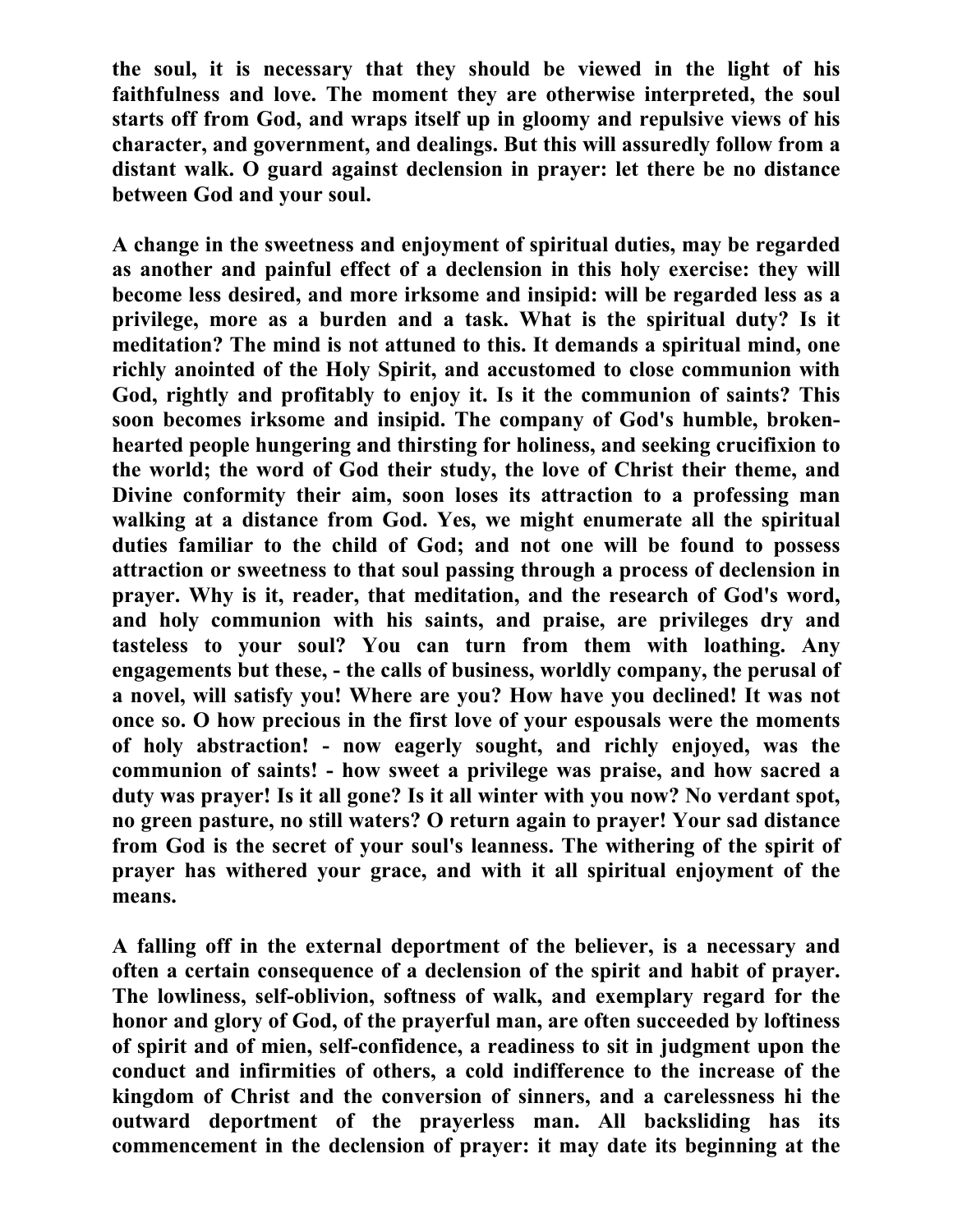**the soul, it is necessary that they should be viewed in the light of his faithfulness and love. The moment they are otherwise interpreted, the soul starts off from God, and wraps itself up in gloomy and repulsive views of his character, and government, and dealings. But this will assuredly follow from a distant walk. O guard against declension in prayer: let there be no distance between God and your soul.** 

**A change in the sweetness and enjoyment of spiritual duties, may be regarded as another and painful effect of a declension in this holy exercise: they will become less desired, and more irksome and insipid: will be regarded less as a privilege, more as a burden and a task. What is the spiritual duty? Is it meditation? The mind is not attuned to this. It demands a spiritual mind, one richly anointed of the Holy Spirit, and accustomed to close communion with God, rightly and profitably to enjoy it. Is it the communion of saints? This soon becomes irksome and insipid. The company of God's humble, brokenhearted people hungering and thirsting for holiness, and seeking crucifixion to the world; the word of God their study, the love of Christ their theme, and Divine conformity their aim, soon loses its attraction to a professing man walking at a distance from God. Yes, we might enumerate all the spiritual duties familiar to the child of God; and not one will be found to possess attraction or sweetness to that soul passing through a process of declension in prayer. Why is it, reader, that meditation, and the research of God's word, and holy communion with his saints, and praise, are privileges dry and tasteless to your soul? You can turn from them with loathing. Any engagements but these, - the calls of business, worldly company, the perusal of a novel, will satisfy you! Where are you? How have you declined! It was not once so. O how precious in the first love of your espousals were the moments of holy abstraction! - now eagerly sought, and richly enjoyed, was the communion of saints! - how sweet a privilege was praise, and how sacred a duty was prayer! Is it all gone? Is it all winter with you now? No verdant spot, no green pasture, no still waters? O return again to prayer! Your sad distance from God is the secret of your soul's leanness. The withering of the spirit of prayer has withered your grace, and with it all spiritual enjoyment of the means.** 

**A falling off in the external deportment of the believer, is a necessary and often a certain consequence of a declension of the spirit and habit of prayer. The lowliness, self-oblivion, softness of walk, and exemplary regard for the honor and glory of God, of the prayerful man, are often succeeded by loftiness of spirit and of mien, self-confidence, a readiness to sit in judgment upon the conduct and infirmities of others, a cold indifference to the increase of the kingdom of Christ and the conversion of sinners, and a carelessness hi the outward deportment of the prayerless man. All backsliding has its commencement in the declension of prayer: it may date its beginning at the**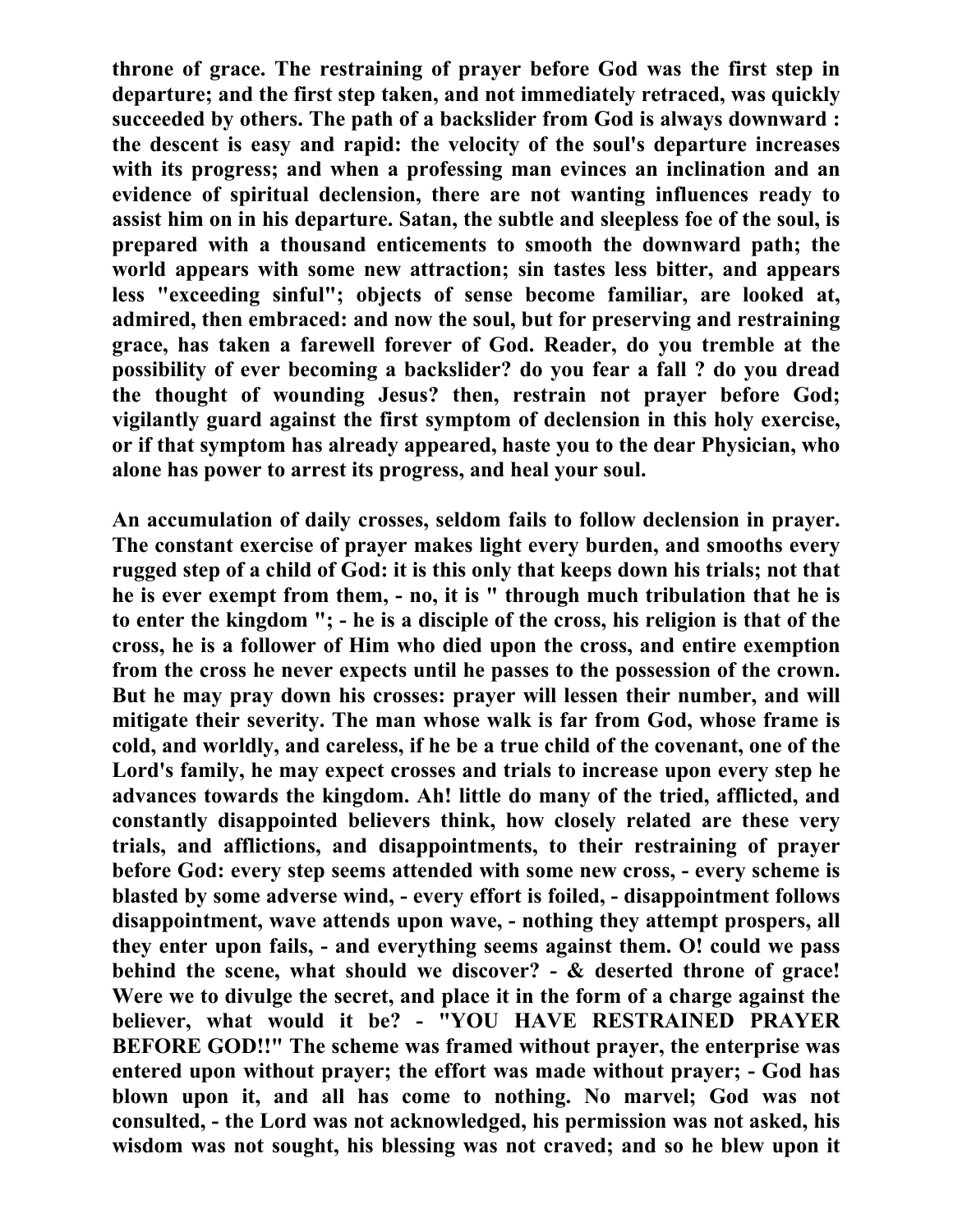**throne of grace. The restraining of prayer before God was the first step in departure; and the first step taken, and not immediately retraced, was quickly succeeded by others. The path of a backslider from God is always downward : the descent is easy and rapid: the velocity of the soul's departure increases with its progress; and when a professing man evinces an inclination and an evidence of spiritual declension, there are not wanting influences ready to assist him on in his departure. Satan, the subtle and sleepless foe of the soul, is prepared with a thousand enticements to smooth the downward path; the world appears with some new attraction; sin tastes less bitter, and appears less "exceeding sinful"; objects of sense become familiar, are looked at, admired, then embraced: and now the soul, but for preserving and restraining grace, has taken a farewell forever of God. Reader, do you tremble at the possibility of ever becoming a backslider? do you fear a fall ? do you dread the thought of wounding Jesus? then, restrain not prayer before God; vigilantly guard against the first symptom of declension in this holy exercise, or if that symptom has already appeared, haste you to the dear Physician, who alone has power to arrest its progress, and heal your soul.** 

**An accumulation of daily crosses, seldom fails to follow declension in prayer. The constant exercise of prayer makes light every burden, and smooths every rugged step of a child of God: it is this only that keeps down his trials; not that he is ever exempt from them, - no, it is " through much tribulation that he is to enter the kingdom "; - he is a disciple of the cross, his religion is that of the cross, he is a follower of Him who died upon the cross, and entire exemption from the cross he never expects until he passes to the possession of the crown. But he may pray down his crosses: prayer will lessen their number, and will mitigate their severity. The man whose walk is far from God, whose frame is cold, and worldly, and careless, if he be a true child of the covenant, one of the Lord's family, he may expect crosses and trials to increase upon every step he advances towards the kingdom. Ah! little do many of the tried, afflicted, and constantly disappointed believers think, how closely related are these very trials, and afflictions, and disappointments, to their restraining of prayer before God: every step seems attended with some new cross, - every scheme is blasted by some adverse wind, - every effort is foiled, - disappointment follows disappointment, wave attends upon wave, - nothing they attempt prospers, all they enter upon fails, - and everything seems against them. O! could we pass behind the scene, what should we discover? - & deserted throne of grace! Were we to divulge the secret, and place it in the form of a charge against the believer, what would it be? - "YOU HAVE RESTRAINED PRAYER BEFORE GOD!!" The scheme was framed without prayer, the enterprise was entered upon without prayer; the effort was made without prayer; - God has blown upon it, and all has come to nothing. No marvel; God was not consulted, - the Lord was not acknowledged, his permission was not asked, his wisdom was not sought, his blessing was not craved; and so he blew upon it**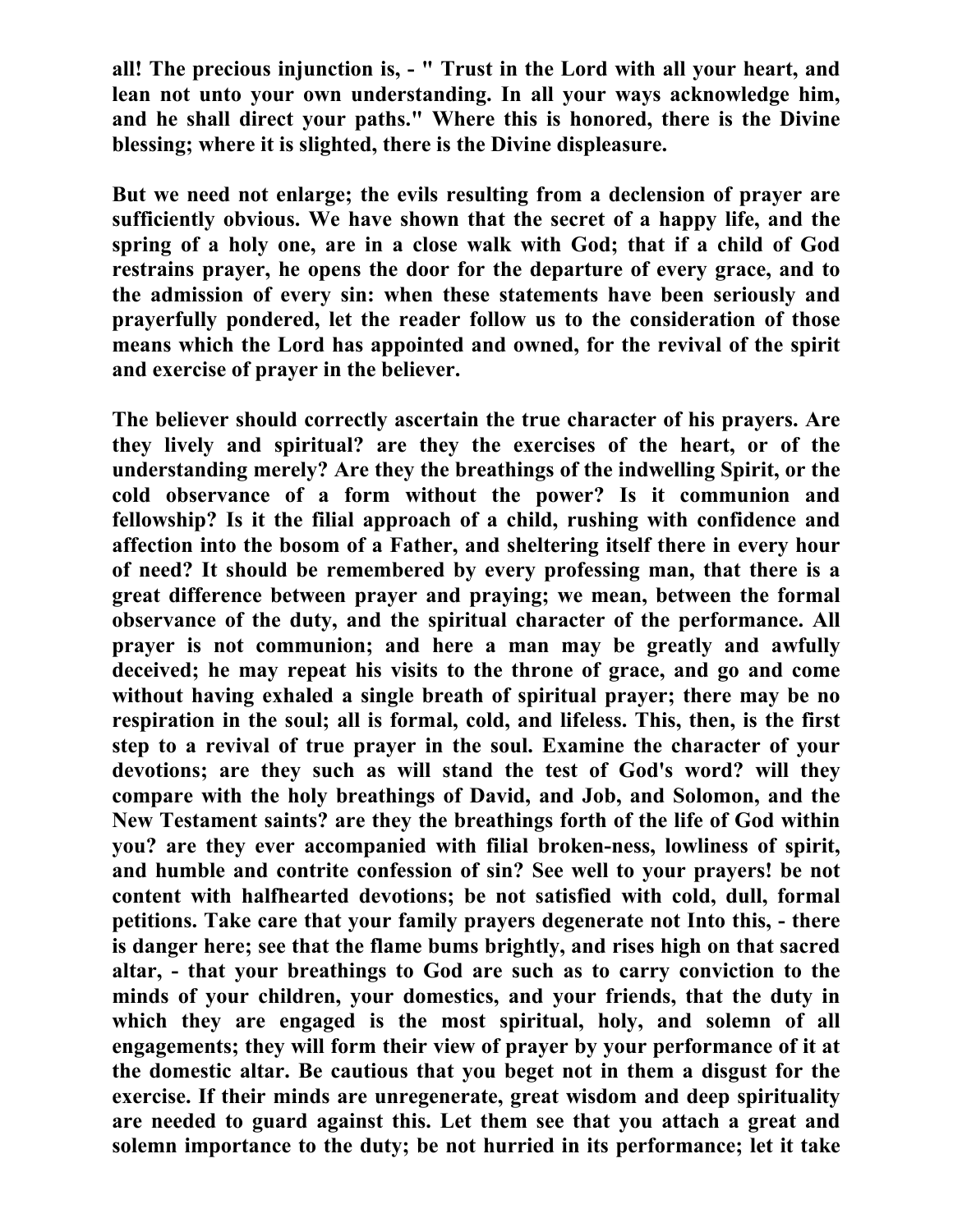**all! The precious injunction is, - " Trust in the Lord with all your heart, and lean not unto your own understanding. In all your ways acknowledge him, and he shall direct your paths." Where this is honored, there is the Divine blessing; where it is slighted, there is the Divine displeasure.** 

**But we need not enlarge; the evils resulting from a declension of prayer are sufficiently obvious. We have shown that the secret of a happy life, and the spring of a holy one, are in a close walk with God; that if a child of God restrains prayer, he opens the door for the departure of every grace, and to the admission of every sin: when these statements have been seriously and prayerfully pondered, let the reader follow us to the consideration of those means which the Lord has appointed and owned, for the revival of the spirit and exercise of prayer in the believer.** 

**The believer should correctly ascertain the true character of his prayers. Are they lively and spiritual? are they the exercises of the heart, or of the understanding merely? Are they the breathings of the indwelling Spirit, or the cold observance of a form without the power? Is it communion and fellowship? Is it the filial approach of a child, rushing with confidence and affection into the bosom of a Father, and sheltering itself there in every hour of need? It should be remembered by every professing man, that there is a great difference between prayer and praying; we mean, between the formal observance of the duty, and the spiritual character of the performance. All prayer is not communion; and here a man may be greatly and awfully deceived; he may repeat his visits to the throne of grace, and go and come without having exhaled a single breath of spiritual prayer; there may be no respiration in the soul; all is formal, cold, and lifeless. This, then, is the first step to a revival of true prayer in the soul. Examine the character of your devotions; are they such as will stand the test of God's word? will they compare with the holy breathings of David, and Job, and Solomon, and the New Testament saints? are they the breathings forth of the life of God within you? are they ever accompanied with filial broken-ness, lowliness of spirit, and humble and contrite confession of sin? See well to your prayers! be not content with halfhearted devotions; be not satisfied with cold, dull, formal petitions. Take care that your family prayers degenerate not Into this, - there is danger here; see that the flame bums brightly, and rises high on that sacred altar, - that your breathings to God are such as to carry conviction to the minds of your children, your domestics, and your friends, that the duty in which they are engaged is the most spiritual, holy, and solemn of all engagements; they will form their view of prayer by your performance of it at the domestic altar. Be cautious that you beget not in them a disgust for the exercise. If their minds are unregenerate, great wisdom and deep spirituality are needed to guard against this. Let them see that you attach a great and solemn importance to the duty; be not hurried in its performance; let it take**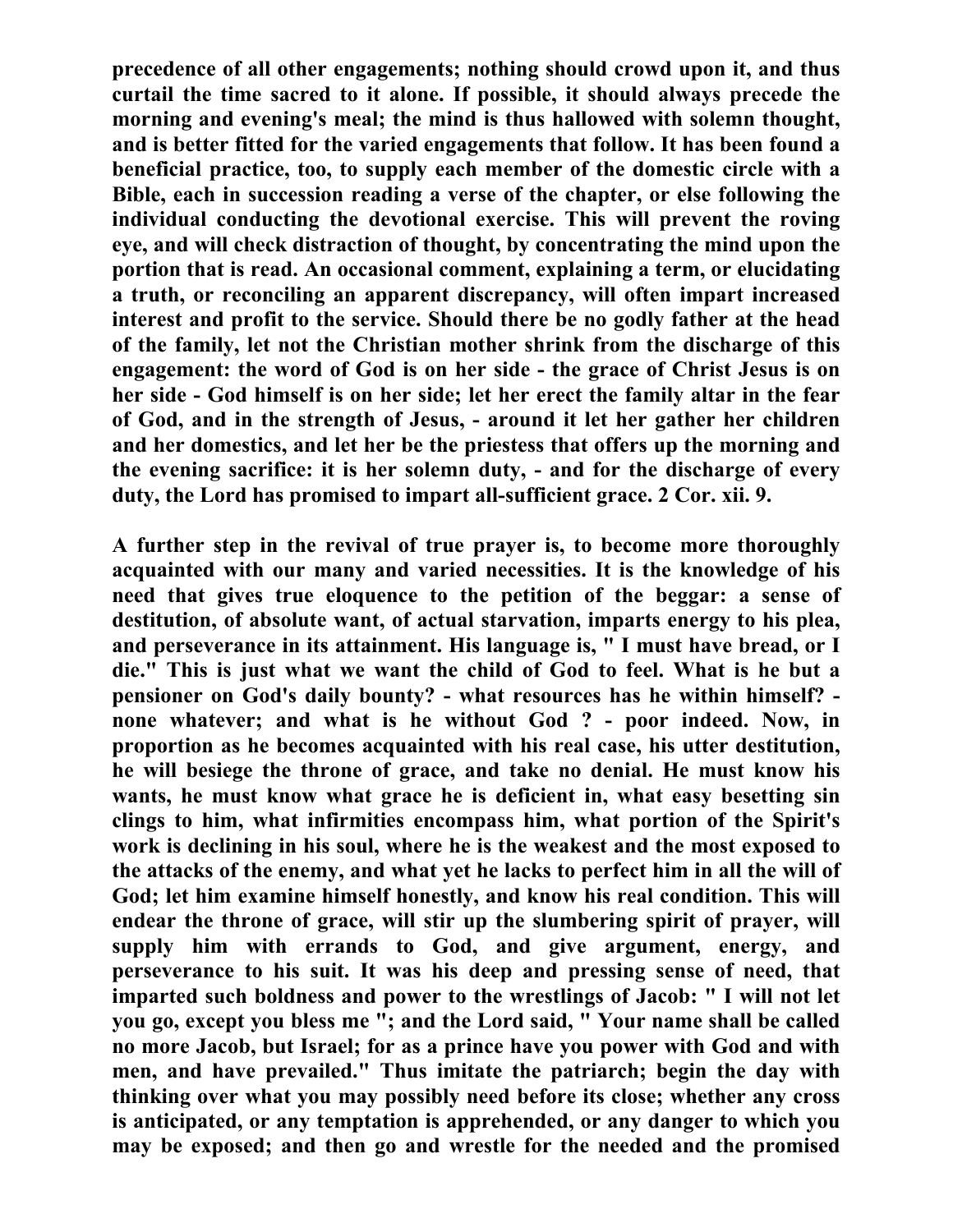**precedence of all other engagements; nothing should crowd upon it, and thus curtail the time sacred to it alone. If possible, it should always precede the morning and evening's meal; the mind is thus hallowed with solemn thought, and is better fitted for the varied engagements that follow. It has been found a beneficial practice, too, to supply each member of the domestic circle with a Bible, each in succession reading a verse of the chapter, or else following the individual conducting the devotional exercise. This will prevent the roving eye, and will check distraction of thought, by concentrating the mind upon the portion that is read. An occasional comment, explaining a term, or elucidating a truth, or reconciling an apparent discrepancy, will often impart increased interest and profit to the service. Should there be no godly father at the head of the family, let not the Christian mother shrink from the discharge of this engagement: the word of God is on her side - the grace of Christ Jesus is on her side - God himself is on her side; let her erect the family altar in the fear of God, and in the strength of Jesus, - around it let her gather her children and her domestics, and let her be the priestess that offers up the morning and the evening sacrifice: it is her solemn duty, - and for the discharge of every duty, the Lord has promised to impart all-sufficient grace. 2 Cor. xii. 9.** 

**A further step in the revival of true prayer is, to become more thoroughly acquainted with our many and varied necessities. It is the knowledge of his need that gives true eloquence to the petition of the beggar: a sense of destitution, of absolute want, of actual starvation, imparts energy to his plea, and perseverance in its attainment. His language is, " I must have bread, or I die." This is just what we want the child of God to feel. What is he but a pensioner on God's daily bounty? - what resources has he within himself? none whatever; and what is he without God ? - poor indeed. Now, in proportion as he becomes acquainted with his real case, his utter destitution, he will besiege the throne of grace, and take no denial. He must know his wants, he must know what grace he is deficient in, what easy besetting sin clings to him, what infirmities encompass him, what portion of the Spirit's work is declining in his soul, where he is the weakest and the most exposed to the attacks of the enemy, and what yet he lacks to perfect him in all the will of God; let him examine himself honestly, and know his real condition. This will endear the throne of grace, will stir up the slumbering spirit of prayer, will supply him with errands to God, and give argument, energy, and perseverance to his suit. It was his deep and pressing sense of need, that imparted such boldness and power to the wrestlings of Jacob: " I will not let you go, except you bless me "; and the Lord said, " Your name shall be called no more Jacob, but Israel; for as a prince have you power with God and with men, and have prevailed." Thus imitate the patriarch; begin the day with thinking over what you may possibly need before its close; whether any cross is anticipated, or any temptation is apprehended, or any danger to which you may be exposed; and then go and wrestle for the needed and the promised**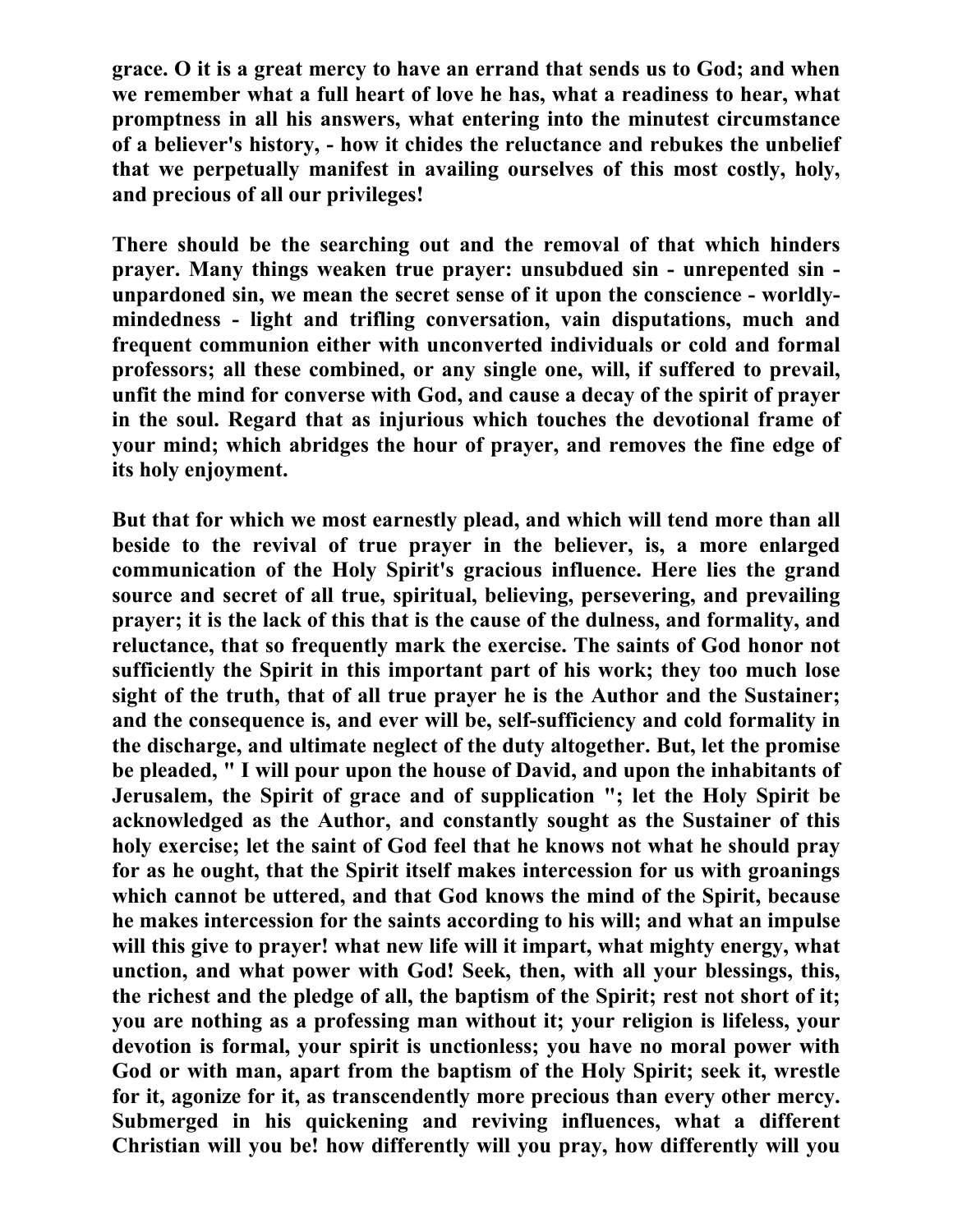**grace. O it is a great mercy to have an errand that sends us to God; and when we remember what a full heart of love he has, what a readiness to hear, what promptness in all his answers, what entering into the minutest circumstance of a believer's history, - how it chides the reluctance and rebukes the unbelief that we perpetually manifest in availing ourselves of this most costly, holy, and precious of all our privileges!** 

**There should be the searching out and the removal of that which hinders prayer. Many things weaken true prayer: unsubdued sin - unrepented sin unpardoned sin, we mean the secret sense of it upon the conscience - worldlymindedness - light and trifling conversation, vain disputations, much and frequent communion either with unconverted individuals or cold and formal professors; all these combined, or any single one, will, if suffered to prevail, unfit the mind for converse with God, and cause a decay of the spirit of prayer in the soul. Regard that as injurious which touches the devotional frame of your mind; which abridges the hour of prayer, and removes the fine edge of its holy enjoyment.** 

**But that for which we most earnestly plead, and which will tend more than all beside to the revival of true prayer in the believer, is, a more enlarged communication of the Holy Spirit's gracious influence. Here lies the grand source and secret of all true, spiritual, believing, persevering, and prevailing prayer; it is the lack of this that is the cause of the dulness, and formality, and reluctance, that so frequently mark the exercise. The saints of God honor not sufficiently the Spirit in this important part of his work; they too much lose sight of the truth, that of all true prayer he is the Author and the Sustainer; and the consequence is, and ever will be, self-sufficiency and cold formality in the discharge, and ultimate neglect of the duty altogether. But, let the promise be pleaded, " I will pour upon the house of David, and upon the inhabitants of Jerusalem, the Spirit of grace and of supplication "; let the Holy Spirit be acknowledged as the Author, and constantly sought as the Sustainer of this holy exercise; let the saint of God feel that he knows not what he should pray for as he ought, that the Spirit itself makes intercession for us with groanings which cannot be uttered, and that God knows the mind of the Spirit, because he makes intercession for the saints according to his will; and what an impulse will this give to prayer! what new life will it impart, what mighty energy, what unction, and what power with God! Seek, then, with all your blessings, this, the richest and the pledge of all, the baptism of the Spirit; rest not short of it; you are nothing as a professing man without it; your religion is lifeless, your devotion is formal, your spirit is unctionless; you have no moral power with God or with man, apart from the baptism of the Holy Spirit; seek it, wrestle for it, agonize for it, as transcendently more precious than every other mercy. Submerged in his quickening and reviving influences, what a different Christian will you be! how differently will you pray, how differently will you**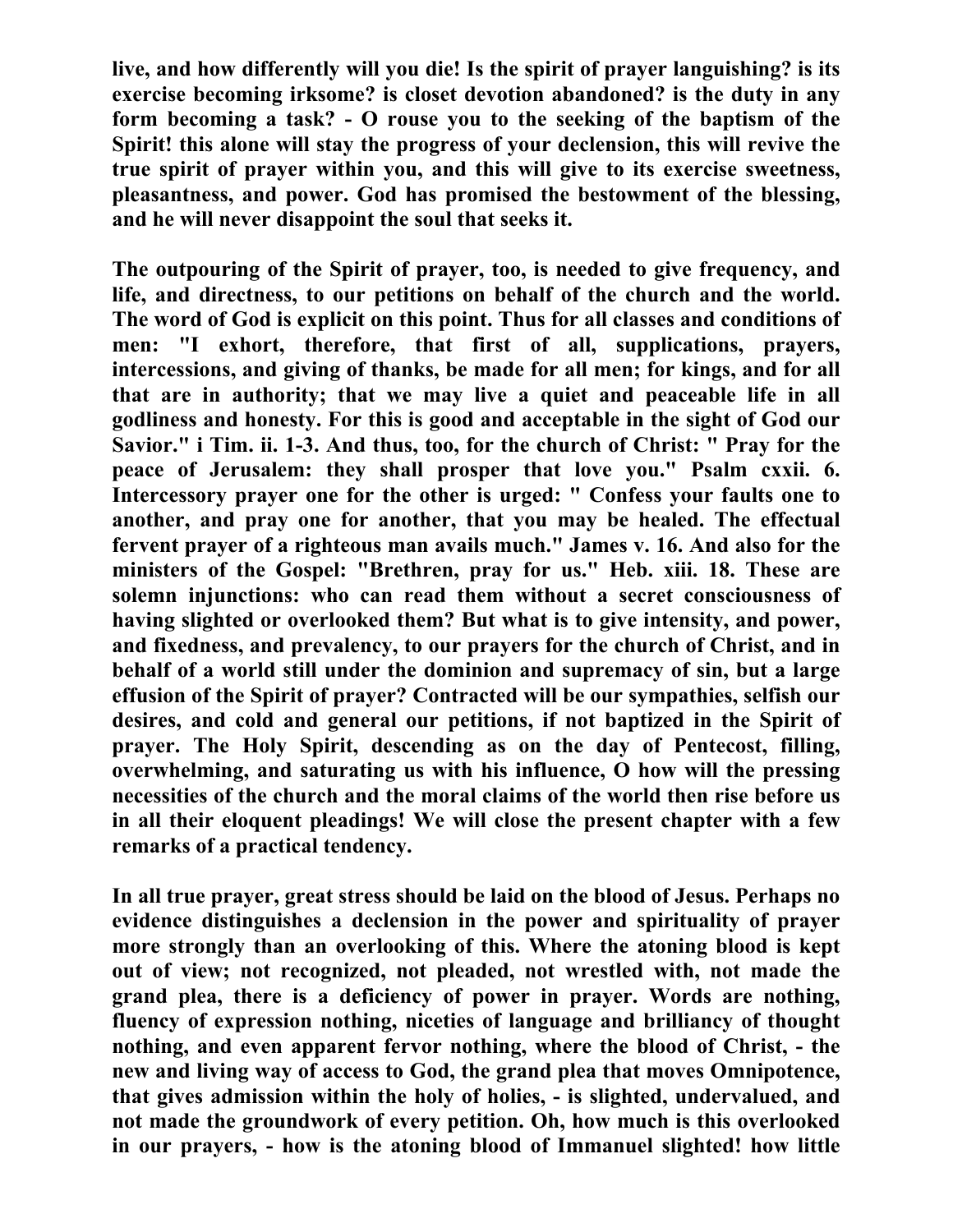**live, and how differently will you die! Is the spirit of prayer languishing? is its exercise becoming irksome? is closet devotion abandoned? is the duty in any form becoming a task? - O rouse you to the seeking of the baptism of the Spirit! this alone will stay the progress of your declension, this will revive the true spirit of prayer within you, and this will give to its exercise sweetness, pleasantness, and power. God has promised the bestowment of the blessing, and he will never disappoint the soul that seeks it.** 

**The outpouring of the Spirit of prayer, too, is needed to give frequency, and life, and directness, to our petitions on behalf of the church and the world. The word of God is explicit on this point. Thus for all classes and conditions of men: "I exhort, therefore, that first of all, supplications, prayers, intercessions, and giving of thanks, be made for all men; for kings, and for all that are in authority; that we may live a quiet and peaceable life in all godliness and honesty. For this is good and acceptable in the sight of God our Savior." i Tim. ii. 1-3. And thus, too, for the church of Christ: " Pray for the peace of Jerusalem: they shall prosper that love you." Psalm cxxii. 6. Intercessory prayer one for the other is urged: " Confess your faults one to another, and pray one for another, that you may be healed. The effectual fervent prayer of a righteous man avails much." James v. 16. And also for the ministers of the Gospel: "Brethren, pray for us." Heb. xiii. 18. These are solemn injunctions: who can read them without a secret consciousness of having slighted or overlooked them? But what is to give intensity, and power, and fixedness, and prevalency, to our prayers for the church of Christ, and in behalf of a world still under the dominion and supremacy of sin, but a large effusion of the Spirit of prayer? Contracted will be our sympathies, selfish our desires, and cold and general our petitions, if not baptized in the Spirit of prayer. The Holy Spirit, descending as on the day of Pentecost, filling, overwhelming, and saturating us with his influence, O how will the pressing necessities of the church and the moral claims of the world then rise before us in all their eloquent pleadings! We will close the present chapter with a few remarks of a practical tendency.** 

**In all true prayer, great stress should be laid on the blood of Jesus. Perhaps no evidence distinguishes a declension in the power and spirituality of prayer more strongly than an overlooking of this. Where the atoning blood is kept out of view; not recognized, not pleaded, not wrestled with, not made the grand plea, there is a deficiency of power in prayer. Words are nothing, fluency of expression nothing, niceties of language and brilliancy of thought nothing, and even apparent fervor nothing, where the blood of Christ, - the new and living way of access to God, the grand plea that moves Omnipotence, that gives admission within the holy of holies, - is slighted, undervalued, and not made the groundwork of every petition. Oh, how much is this overlooked in our prayers, - how is the atoning blood of Immanuel slighted! how little**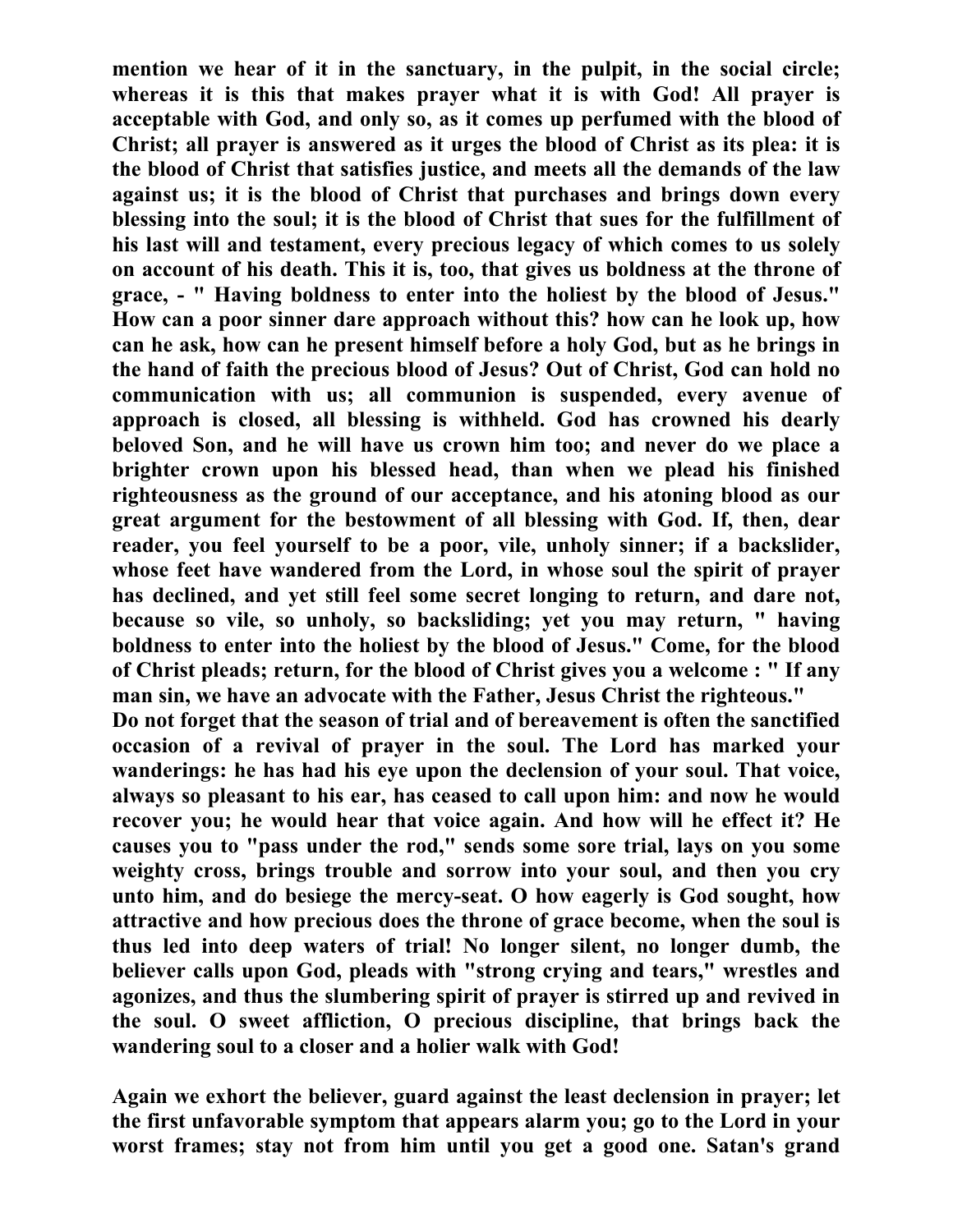**mention we hear of it in the sanctuary, in the pulpit, in the social circle; whereas it is this that makes prayer what it is with God! All prayer is acceptable with God, and only so, as it comes up perfumed with the blood of Christ; all prayer is answered as it urges the blood of Christ as its plea: it is the blood of Christ that satisfies justice, and meets all the demands of the law against us; it is the blood of Christ that purchases and brings down every blessing into the soul; it is the blood of Christ that sues for the fulfillment of his last will and testament, every precious legacy of which comes to us solely on account of his death. This it is, too, that gives us boldness at the throne of grace, - " Having boldness to enter into the holiest by the blood of Jesus." How can a poor sinner dare approach without this? how can he look up, how can he ask, how can he present himself before a holy God, but as he brings in the hand of faith the precious blood of Jesus? Out of Christ, God can hold no communication with us; all communion is suspended, every avenue of approach is closed, all blessing is withheld. God has crowned his dearly beloved Son, and he will have us crown him too; and never do we place a brighter crown upon his blessed head, than when we plead his finished righteousness as the ground of our acceptance, and his atoning blood as our great argument for the bestowment of all blessing with God. If, then, dear reader, you feel yourself to be a poor, vile, unholy sinner; if a backslider, whose feet have wandered from the Lord, in whose soul the spirit of prayer has declined, and yet still feel some secret longing to return, and dare not, because so vile, so unholy, so backsliding; yet you may return, " having boldness to enter into the holiest by the blood of Jesus." Come, for the blood of Christ pleads; return, for the blood of Christ gives you a welcome : " If any man sin, we have an advocate with the Father, Jesus Christ the righteous."** 

**Do not forget that the season of trial and of bereavement is often the sanctified occasion of a revival of prayer in the soul. The Lord has marked your wanderings: he has had his eye upon the declension of your soul. That voice, always so pleasant to his ear, has ceased to call upon him: and now he would recover you; he would hear that voice again. And how will he effect it? He causes you to "pass under the rod," sends some sore trial, lays on you some weighty cross, brings trouble and sorrow into your soul, and then you cry unto him, and do besiege the mercy-seat. O how eagerly is God sought, how attractive and how precious does the throne of grace become, when the soul is thus led into deep waters of trial! No longer silent, no longer dumb, the believer calls upon God, pleads with "strong crying and tears," wrestles and agonizes, and thus the slumbering spirit of prayer is stirred up and revived in the soul. O sweet affliction, O precious discipline, that brings back the wandering soul to a closer and a holier walk with God!** 

**Again we exhort the believer, guard against the least declension in prayer; let the first unfavorable symptom that appears alarm you; go to the Lord in your worst frames; stay not from him until you get a good one. Satan's grand**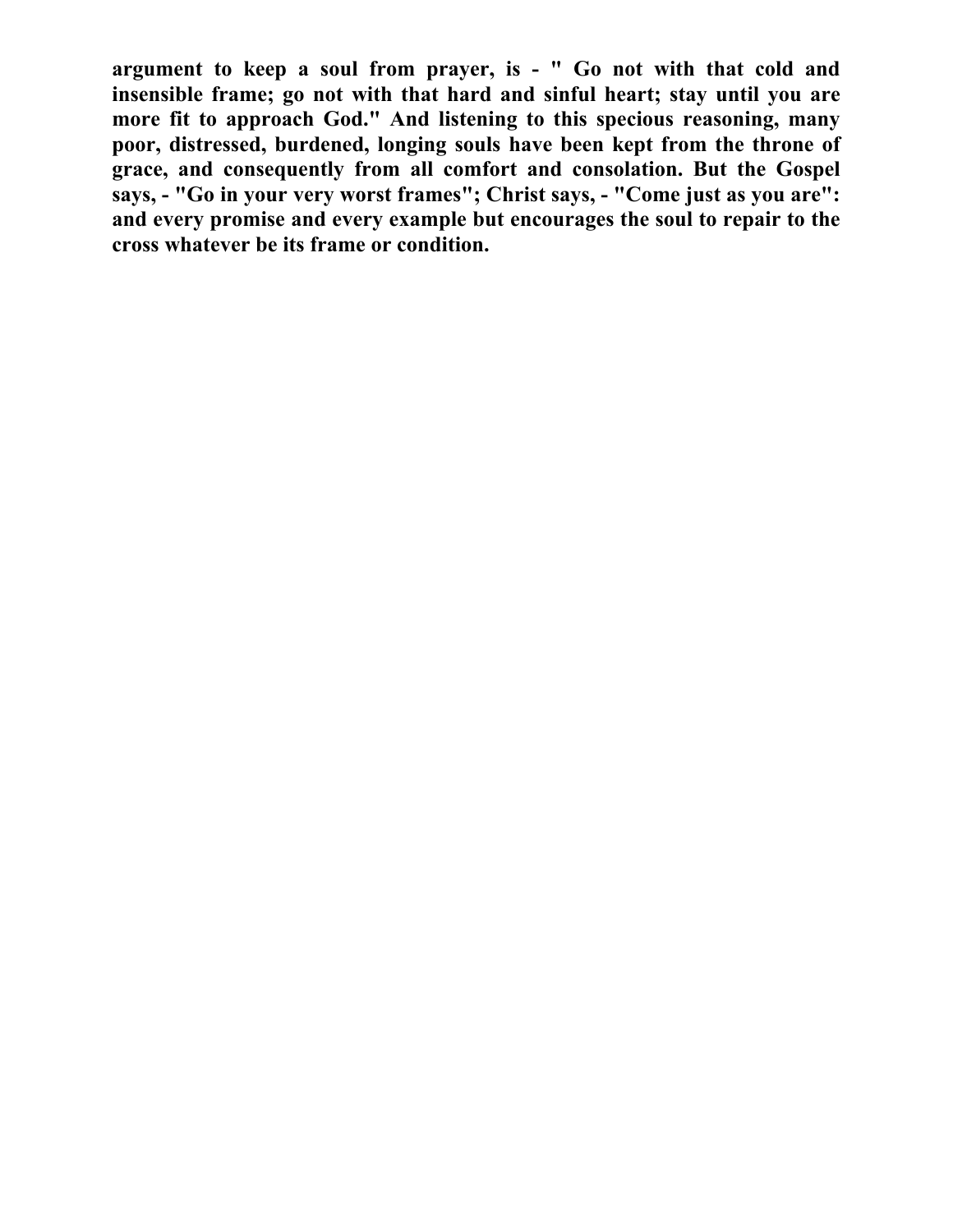**argument to keep a soul from prayer, is - " Go not with that cold and insensible frame; go not with that hard and sinful heart; stay until you are more fit to approach God." And listening to this specious reasoning, many poor, distressed, burdened, longing souls have been kept from the throne of grace, and consequently from all comfort and consolation. But the Gospel says, - "Go in your very worst frames"; Christ says, - "Come just as you are": and every promise and every example but encourages the soul to repair to the cross whatever be its frame or condition.**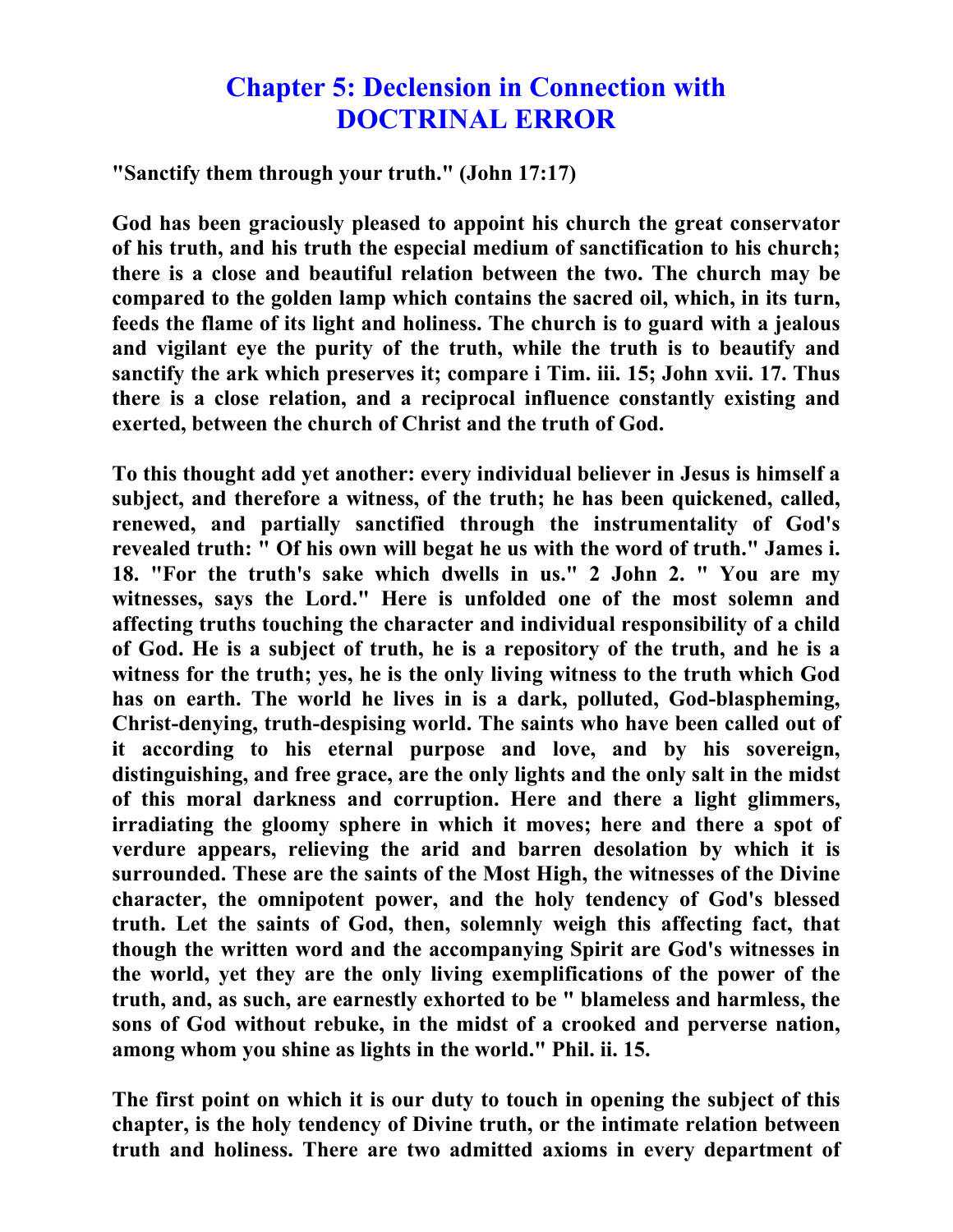## **Chapter 5: Declension in Connection with DOCTRINAL ERROR**

**"Sanctify them through your truth." (John 17:17)** 

**God has been graciously pleased to appoint his church the great conservator of his truth, and his truth the especial medium of sanctification to his church; there is a close and beautiful relation between the two. The church may be compared to the golden lamp which contains the sacred oil, which, in its turn, feeds the flame of its light and holiness. The church is to guard with a jealous and vigilant eye the purity of the truth, while the truth is to beautify and sanctify the ark which preserves it; compare i Tim. iii. 15; John xvii. 17. Thus there is a close relation, and a reciprocal influence constantly existing and exerted, between the church of Christ and the truth of God.** 

**To this thought add yet another: every individual believer in Jesus is himself a subject, and therefore a witness, of the truth; he has been quickened, called, renewed, and partially sanctified through the instrumentality of God's revealed truth: " Of his own will begat he us with the word of truth." James i. 18. "For the truth's sake which dwells in us." 2 John 2. " You are my witnesses, says the Lord." Here is unfolded one of the most solemn and affecting truths touching the character and individual responsibility of a child of God. He is a subject of truth, he is a repository of the truth, and he is a witness for the truth; yes, he is the only living witness to the truth which God has on earth. The world he lives in is a dark, polluted, God-blaspheming, Christ-denying, truth-despising world. The saints who have been called out of it according to his eternal purpose and love, and by his sovereign, distinguishing, and free grace, are the only lights and the only salt in the midst of this moral darkness and corruption. Here and there a light glimmers, irradiating the gloomy sphere in which it moves; here and there a spot of verdure appears, relieving the arid and barren desolation by which it is surrounded. These are the saints of the Most High, the witnesses of the Divine character, the omnipotent power, and the holy tendency of God's blessed truth. Let the saints of God, then, solemnly weigh this affecting fact, that though the written word and the accompanying Spirit are God's witnesses in the world, yet they are the only living exemplifications of the power of the truth, and, as such, are earnestly exhorted to be " blameless and harmless, the sons of God without rebuke, in the midst of a crooked and perverse nation, among whom you shine as lights in the world." Phil. ii. 15.** 

**The first point on which it is our duty to touch in opening the subject of this chapter, is the holy tendency of Divine truth, or the intimate relation between truth and holiness. There are two admitted axioms in every department of**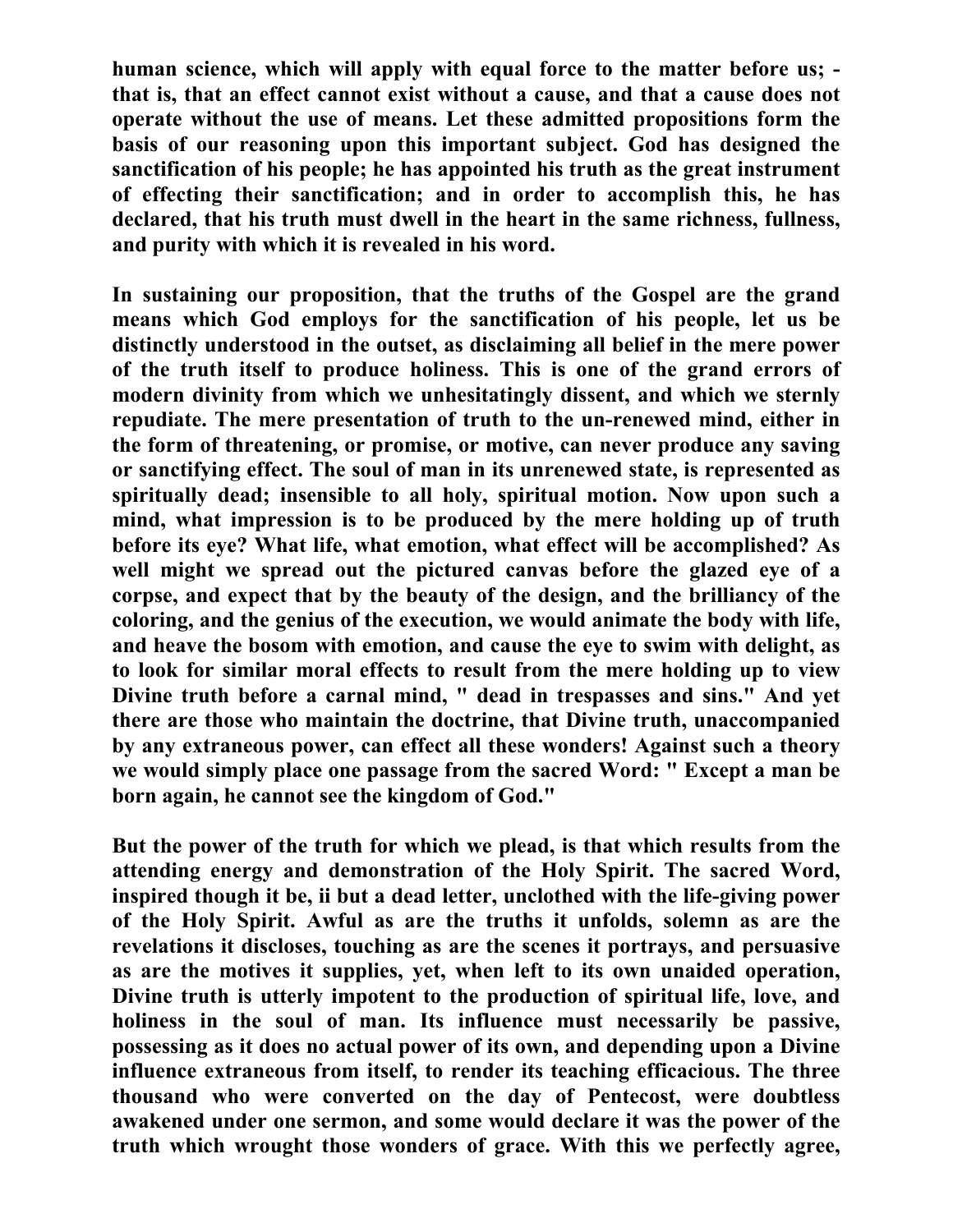**human science, which will apply with equal force to the matter before us; that is, that an effect cannot exist without a cause, and that a cause does not operate without the use of means. Let these admitted propositions form the basis of our reasoning upon this important subject. God has designed the sanctification of his people; he has appointed his truth as the great instrument of effecting their sanctification; and in order to accomplish this, he has declared, that his truth must dwell in the heart in the same richness, fullness, and purity with which it is revealed in his word.** 

**In sustaining our proposition, that the truths of the Gospel are the grand means which God employs for the sanctification of his people, let us be distinctly understood in the outset, as disclaiming all belief in the mere power of the truth itself to produce holiness. This is one of the grand errors of modern divinity from which we unhesitatingly dissent, and which we sternly repudiate. The mere presentation of truth to the un-renewed mind, either in the form of threatening, or promise, or motive, can never produce any saving or sanctifying effect. The soul of man in its unrenewed state, is represented as spiritually dead; insensible to all holy, spiritual motion. Now upon such a mind, what impression is to be produced by the mere holding up of truth before its eye? What life, what emotion, what effect will be accomplished? As well might we spread out the pictured canvas before the glazed eye of a corpse, and expect that by the beauty of the design, and the brilliancy of the coloring, and the genius of the execution, we would animate the body with life, and heave the bosom with emotion, and cause the eye to swim with delight, as to look for similar moral effects to result from the mere holding up to view Divine truth before a carnal mind, " dead in trespasses and sins." And yet there are those who maintain the doctrine, that Divine truth, unaccompanied by any extraneous power, can effect all these wonders! Against such a theory we would simply place one passage from the sacred Word: " Except a man be born again, he cannot see the kingdom of God."** 

**But the power of the truth for which we plead, is that which results from the attending energy and demonstration of the Holy Spirit. The sacred Word, inspired though it be, ii but a dead letter, unclothed with the life-giving power of the Holy Spirit. Awful as are the truths it unfolds, solemn as are the revelations it discloses, touching as are the scenes it portrays, and persuasive as are the motives it supplies, yet, when left to its own unaided operation, Divine truth is utterly impotent to the production of spiritual life, love, and holiness in the soul of man. Its influence must necessarily be passive, possessing as it does no actual power of its own, and depending upon a Divine influence extraneous from itself, to render its teaching efficacious. The three thousand who were converted on the day of Pentecost, were doubtless awakened under one sermon, and some would declare it was the power of the truth which wrought those wonders of grace. With this we perfectly agree,**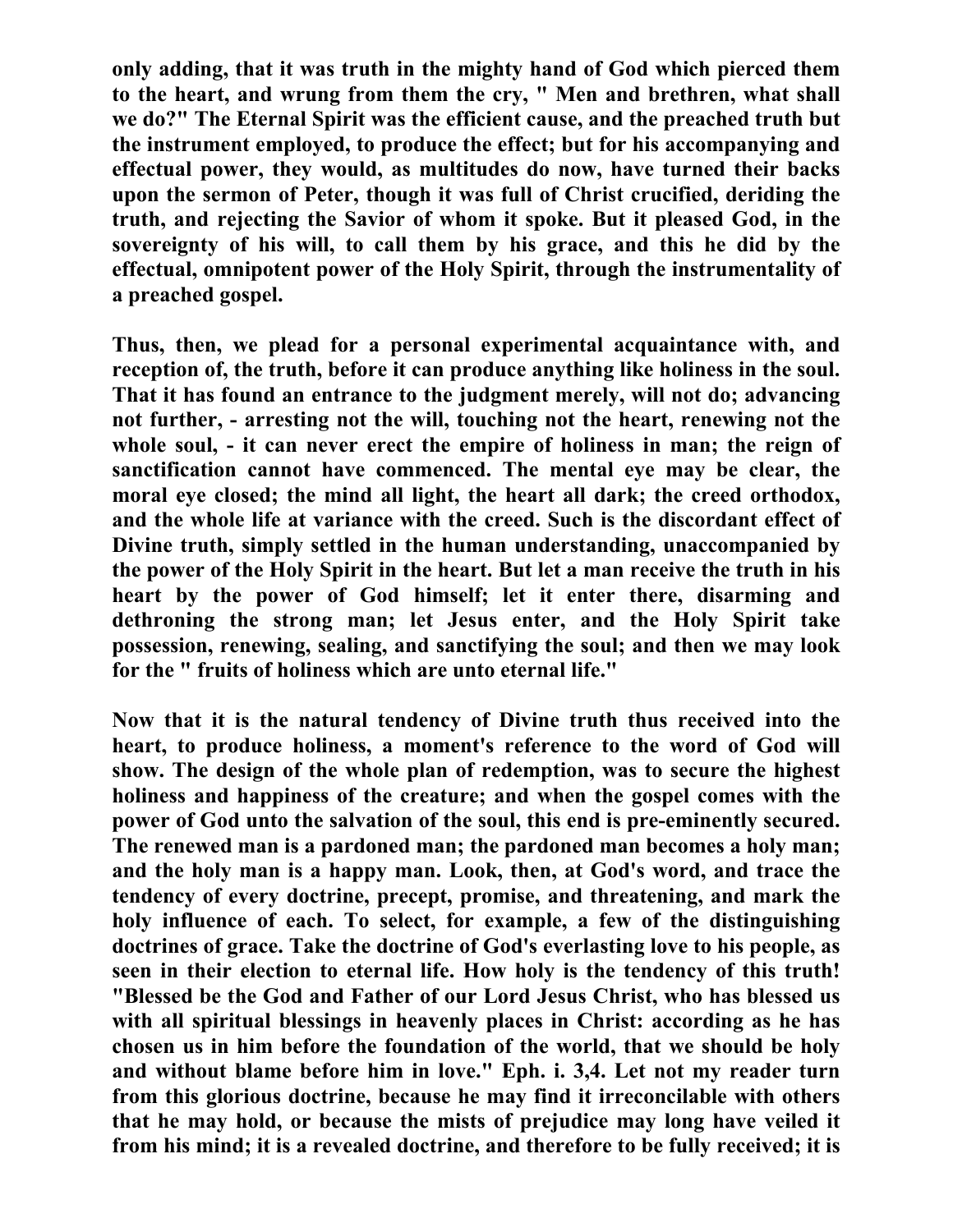**only adding, that it was truth in the mighty hand of God which pierced them to the heart, and wrung from them the cry, " Men and brethren, what shall we do?" The Eternal Spirit was the efficient cause, and the preached truth but the instrument employed, to produce the effect; but for his accompanying and effectual power, they would, as multitudes do now, have turned their backs upon the sermon of Peter, though it was full of Christ crucified, deriding the truth, and rejecting the Savior of whom it spoke. But it pleased God, in the sovereignty of his will, to call them by his grace, and this he did by the effectual, omnipotent power of the Holy Spirit, through the instrumentality of a preached gospel.** 

**Thus, then, we plead for a personal experimental acquaintance with, and reception of, the truth, before it can produce anything like holiness in the soul. That it has found an entrance to the judgment merely, will not do; advancing not further, - arresting not the will, touching not the heart, renewing not the whole soul, - it can never erect the empire of holiness in man; the reign of sanctification cannot have commenced. The mental eye may be clear, the moral eye closed; the mind all light, the heart all dark; the creed orthodox, and the whole life at variance with the creed. Such is the discordant effect of Divine truth, simply settled in the human understanding, unaccompanied by the power of the Holy Spirit in the heart. But let a man receive the truth in his heart by the power of God himself; let it enter there, disarming and dethroning the strong man; let Jesus enter, and the Holy Spirit take possession, renewing, sealing, and sanctifying the soul; and then we may look for the " fruits of holiness which are unto eternal life."** 

**Now that it is the natural tendency of Divine truth thus received into the heart, to produce holiness, a moment's reference to the word of God will show. The design of the whole plan of redemption, was to secure the highest holiness and happiness of the creature; and when the gospel comes with the power of God unto the salvation of the soul, this end is pre-eminently secured. The renewed man is a pardoned man; the pardoned man becomes a holy man; and the holy man is a happy man. Look, then, at God's word, and trace the tendency of every doctrine, precept, promise, and threatening, and mark the holy influence of each. To select, for example, a few of the distinguishing doctrines of grace. Take the doctrine of God's everlasting love to his people, as seen in their election to eternal life. How holy is the tendency of this truth! "Blessed be the God and Father of our Lord Jesus Christ, who has blessed us with all spiritual blessings in heavenly places in Christ: according as he has chosen us in him before the foundation of the world, that we should be holy and without blame before him in love." Eph. i. 3,4. Let not my reader turn from this glorious doctrine, because he may find it irreconcilable with others that he may hold, or because the mists of prejudice may long have veiled it from his mind; it is a revealed doctrine, and therefore to be fully received; it is**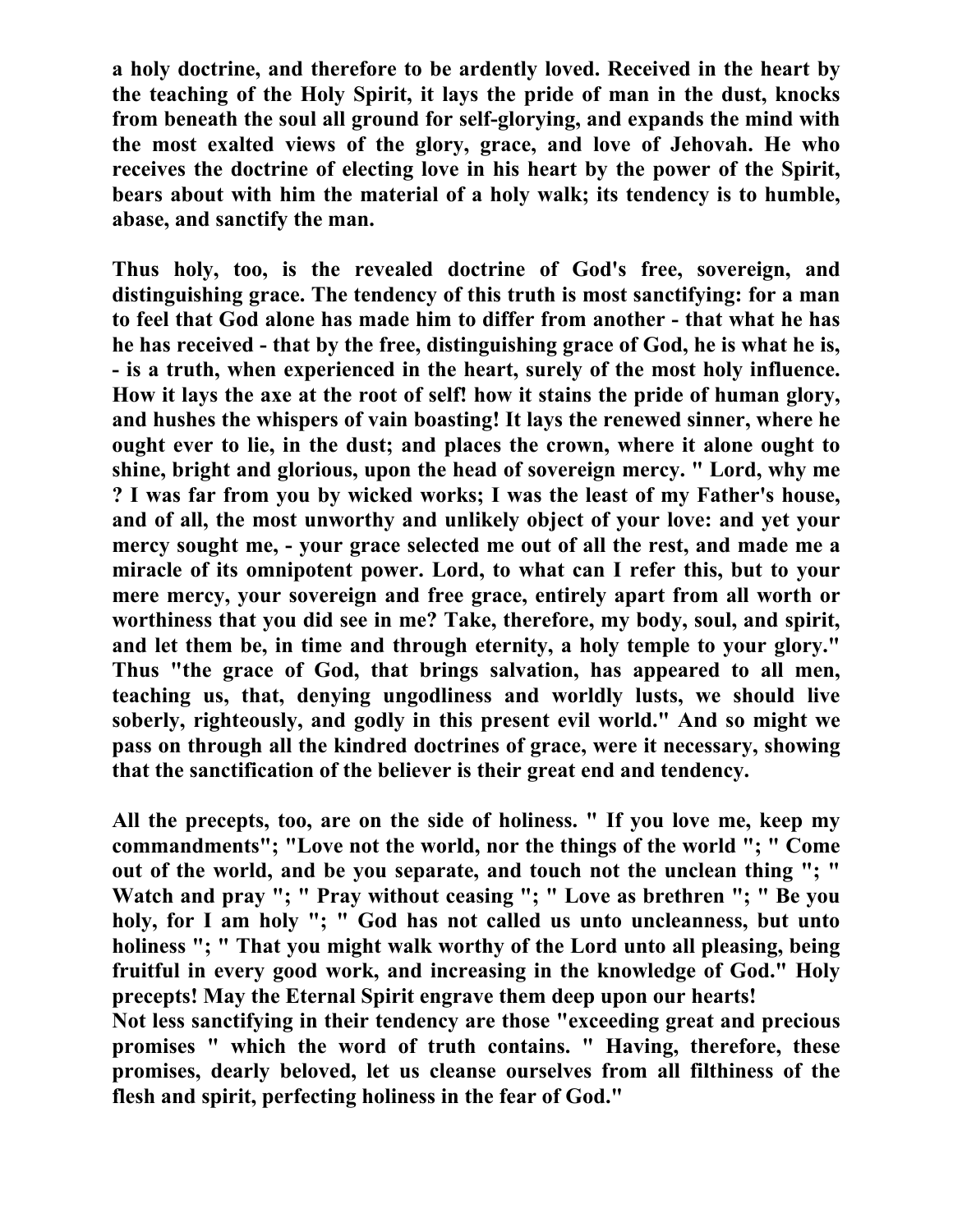**a holy doctrine, and therefore to be ardently loved. Received in the heart by the teaching of the Holy Spirit, it lays the pride of man in the dust, knocks from beneath the soul all ground for self-glorying, and expands the mind with the most exalted views of the glory, grace, and love of Jehovah. He who receives the doctrine of electing love in his heart by the power of the Spirit, bears about with him the material of a holy walk; its tendency is to humble, abase, and sanctify the man.** 

**Thus holy, too, is the revealed doctrine of God's free, sovereign, and distinguishing grace. The tendency of this truth is most sanctifying: for a man to feel that God alone has made him to differ from another - that what he has he has received - that by the free, distinguishing grace of God, he is what he is, - is a truth, when experienced in the heart, surely of the most holy influence. How it lays the axe at the root of self! how it stains the pride of human glory, and hushes the whispers of vain boasting! It lays the renewed sinner, where he ought ever to lie, in the dust; and places the crown, where it alone ought to shine, bright and glorious, upon the head of sovereign mercy. " Lord, why me ? I was far from you by wicked works; I was the least of my Father's house, and of all, the most unworthy and unlikely object of your love: and yet your mercy sought me, - your grace selected me out of all the rest, and made me a miracle of its omnipotent power. Lord, to what can I refer this, but to your mere mercy, your sovereign and free grace, entirely apart from all worth or worthiness that you did see in me? Take, therefore, my body, soul, and spirit, and let them be, in time and through eternity, a holy temple to your glory." Thus "the grace of God, that brings salvation, has appeared to all men, teaching us, that, denying ungodliness and worldly lusts, we should live soberly, righteously, and godly in this present evil world." And so might we pass on through all the kindred doctrines of grace, were it necessary, showing that the sanctification of the believer is their great end and tendency.** 

**All the precepts, too, are on the side of holiness. " If you love me, keep my commandments"; "Love not the world, nor the things of the world "; " Come out of the world, and be you separate, and touch not the unclean thing "; " Watch and pray "; " Pray without ceasing "; " Love as brethren "; " Be you holy, for I am holy "; " God has not called us unto uncleanness, but unto holiness "; " That you might walk worthy of the Lord unto all pleasing, being fruitful in every good work, and increasing in the knowledge of God." Holy precepts! May the Eternal Spirit engrave them deep upon our hearts!** 

**Not less sanctifying in their tendency are those "exceeding great and precious promises " which the word of truth contains. " Having, therefore, these promises, dearly beloved, let us cleanse ourselves from all filthiness of the flesh and spirit, perfecting holiness in the fear of God."**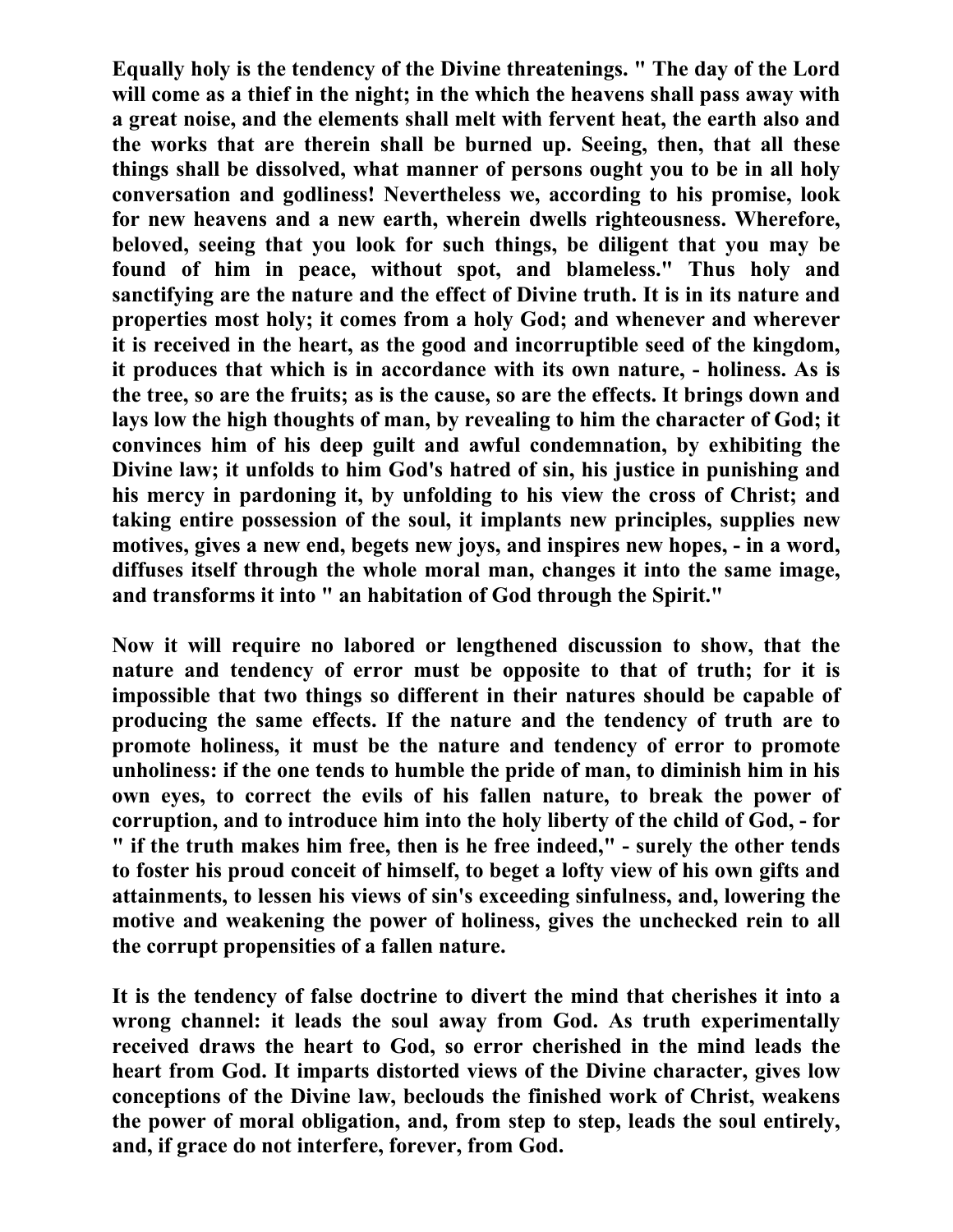**Equally holy is the tendency of the Divine threatenings. " The day of the Lord will come as a thief in the night; in the which the heavens shall pass away with a great noise, and the elements shall melt with fervent heat, the earth also and the works that are therein shall be burned up. Seeing, then, that all these things shall be dissolved, what manner of persons ought you to be in all holy conversation and godliness! Nevertheless we, according to his promise, look for new heavens and a new earth, wherein dwells righteousness. Wherefore, beloved, seeing that you look for such things, be diligent that you may be found of him in peace, without spot, and blameless." Thus holy and sanctifying are the nature and the effect of Divine truth. It is in its nature and properties most holy; it comes from a holy God; and whenever and wherever it is received in the heart, as the good and incorruptible seed of the kingdom, it produces that which is in accordance with its own nature, - holiness. As is the tree, so are the fruits; as is the cause, so are the effects. It brings down and lays low the high thoughts of man, by revealing to him the character of God; it convinces him of his deep guilt and awful condemnation, by exhibiting the Divine law; it unfolds to him God's hatred of sin, his justice in punishing and his mercy in pardoning it, by unfolding to his view the cross of Christ; and taking entire possession of the soul, it implants new principles, supplies new motives, gives a new end, begets new joys, and inspires new hopes, - in a word, diffuses itself through the whole moral man, changes it into the same image, and transforms it into " an habitation of God through the Spirit."** 

**Now it will require no labored or lengthened discussion to show, that the nature and tendency of error must be opposite to that of truth; for it is impossible that two things so different in their natures should be capable of producing the same effects. If the nature and the tendency of truth are to promote holiness, it must be the nature and tendency of error to promote unholiness: if the one tends to humble the pride of man, to diminish him in his own eyes, to correct the evils of his fallen nature, to break the power of corruption, and to introduce him into the holy liberty of the child of God, - for " if the truth makes him free, then is he free indeed," - surely the other tends to foster his proud conceit of himself, to beget a lofty view of his own gifts and attainments, to lessen his views of sin's exceeding sinfulness, and, lowering the motive and weakening the power of holiness, gives the unchecked rein to all the corrupt propensities of a fallen nature.** 

**It is the tendency of false doctrine to divert the mind that cherishes it into a wrong channel: it leads the soul away from God. As truth experimentally received draws the heart to God, so error cherished in the mind leads the heart from God. It imparts distorted views of the Divine character, gives low conceptions of the Divine law, beclouds the finished work of Christ, weakens the power of moral obligation, and, from step to step, leads the soul entirely, and, if grace do not interfere, forever, from God.**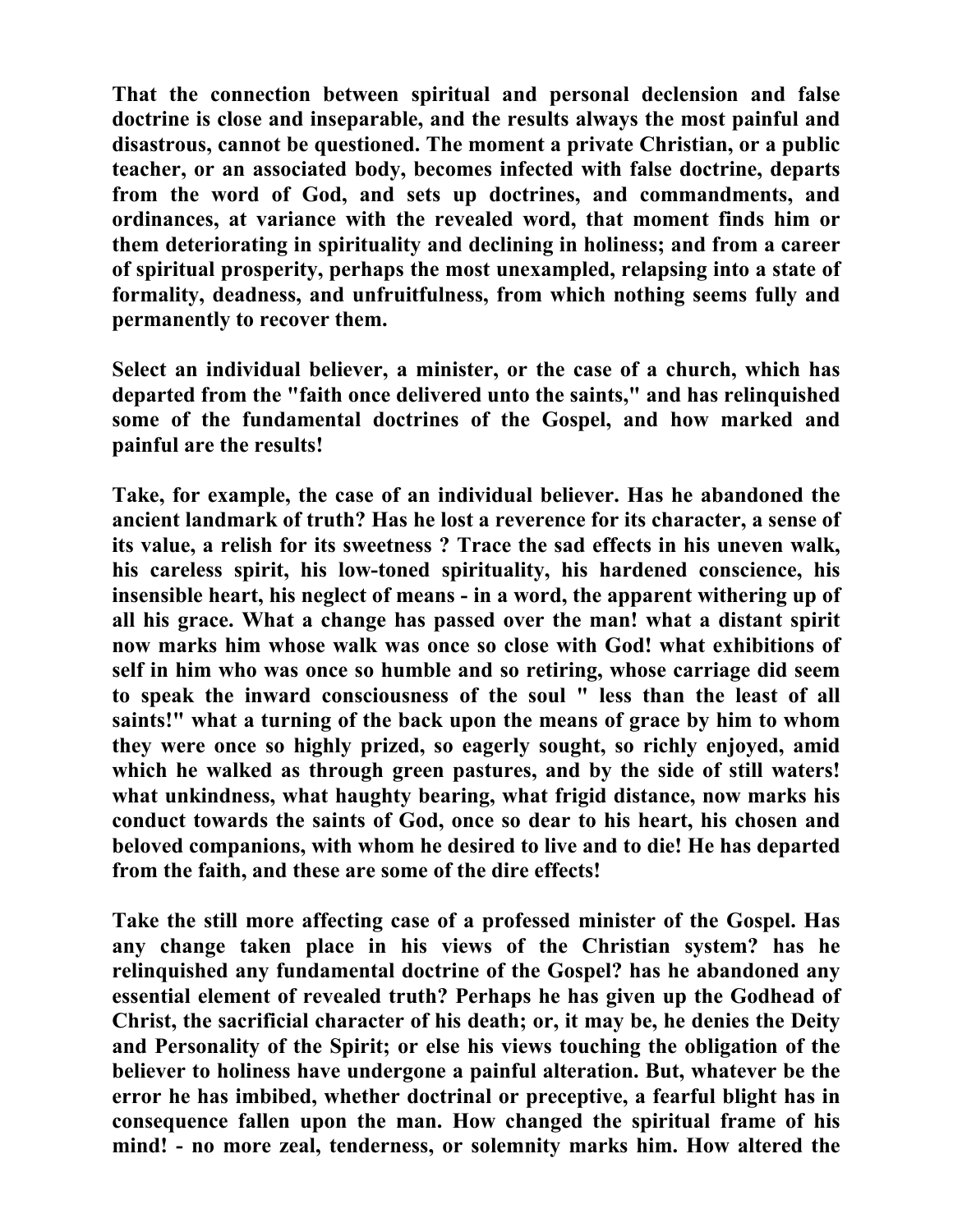**That the connection between spiritual and personal declension and false doctrine is close and inseparable, and the results always the most painful and disastrous, cannot be questioned. The moment a private Christian, or a public teacher, or an associated body, becomes infected with false doctrine, departs from the word of God, and sets up doctrines, and commandments, and ordinances, at variance with the revealed word, that moment finds him or them deteriorating in spirituality and declining in holiness; and from a career of spiritual prosperity, perhaps the most unexampled, relapsing into a state of formality, deadness, and unfruitfulness, from which nothing seems fully and permanently to recover them.** 

**Select an individual believer, a minister, or the case of a church, which has departed from the "faith once delivered unto the saints," and has relinquished some of the fundamental doctrines of the Gospel, and how marked and painful are the results!** 

**Take, for example, the case of an individual believer. Has he abandoned the ancient landmark of truth? Has he lost a reverence for its character, a sense of its value, a relish for its sweetness ? Trace the sad effects in his uneven walk, his careless spirit, his low-toned spirituality, his hardened conscience, his insensible heart, his neglect of means - in a word, the apparent withering up of all his grace. What a change has passed over the man! what a distant spirit now marks him whose walk was once so close with God! what exhibitions of self in him who was once so humble and so retiring, whose carriage did seem to speak the inward consciousness of the soul " less than the least of all saints!" what a turning of the back upon the means of grace by him to whom they were once so highly prized, so eagerly sought, so richly enjoyed, amid which he walked as through green pastures, and by the side of still waters! what unkindness, what haughty bearing, what frigid distance, now marks his conduct towards the saints of God, once so dear to his heart, his chosen and beloved companions, with whom he desired to live and to die! He has departed from the faith, and these are some of the dire effects!** 

**Take the still more affecting case of a professed minister of the Gospel. Has any change taken place in his views of the Christian system? has he relinquished any fundamental doctrine of the Gospel? has he abandoned any essential element of revealed truth? Perhaps he has given up the Godhead of Christ, the sacrificial character of his death; or, it may be, he denies the Deity and Personality of the Spirit; or else his views touching the obligation of the believer to holiness have undergone a painful alteration. But, whatever be the error he has imbibed, whether doctrinal or preceptive, a fearful blight has in consequence fallen upon the man. How changed the spiritual frame of his mind! - no more zeal, tenderness, or solemnity marks him. How altered the**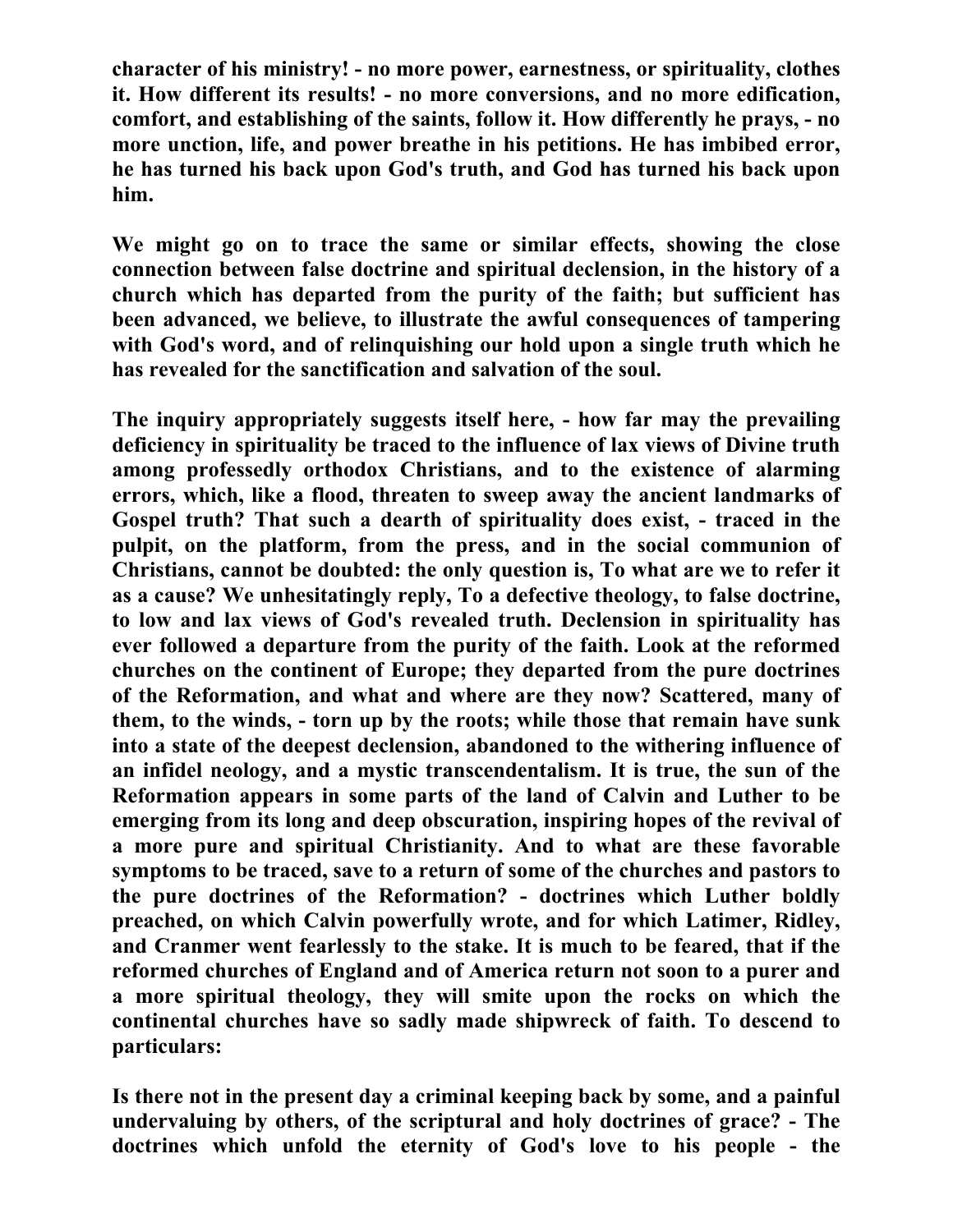**character of his ministry! - no more power, earnestness, or spirituality, clothes it. How different its results! - no more conversions, and no more edification, comfort, and establishing of the saints, follow it. How differently he prays, - no more unction, life, and power breathe in his petitions. He has imbibed error, he has turned his back upon God's truth, and God has turned his back upon him.** 

**We might go on to trace the same or similar effects, showing the close connection between false doctrine and spiritual declension, in the history of a church which has departed from the purity of the faith; but sufficient has been advanced, we believe, to illustrate the awful consequences of tampering with God's word, and of relinquishing our hold upon a single truth which he has revealed for the sanctification and salvation of the soul.** 

**The inquiry appropriately suggests itself here, - how far may the prevailing deficiency in spirituality be traced to the influence of lax views of Divine truth among professedly orthodox Christians, and to the existence of alarming errors, which, like a flood, threaten to sweep away the ancient landmarks of Gospel truth? That such a dearth of spirituality does exist, - traced in the pulpit, on the platform, from the press, and in the social communion of Christians, cannot be doubted: the only question is, To what are we to refer it as a cause? We unhesitatingly reply, To a defective theology, to false doctrine, to low and lax views of God's revealed truth. Declension in spirituality has ever followed a departure from the purity of the faith. Look at the reformed churches on the continent of Europe; they departed from the pure doctrines of the Reformation, and what and where are they now? Scattered, many of them, to the winds, - torn up by the roots; while those that remain have sunk into a state of the deepest declension, abandoned to the withering influence of an infidel neology, and a mystic transcendentalism. It is true, the sun of the Reformation appears in some parts of the land of Calvin and Luther to be emerging from its long and deep obscuration, inspiring hopes of the revival of a more pure and spiritual Christianity. And to what are these favorable symptoms to be traced, save to a return of some of the churches and pastors to the pure doctrines of the Reformation? - doctrines which Luther boldly preached, on which Calvin powerfully wrote, and for which Latimer, Ridley, and Cranmer went fearlessly to the stake. It is much to be feared, that if the reformed churches of England and of America return not soon to a purer and a more spiritual theology, they will smite upon the rocks on which the continental churches have so sadly made shipwreck of faith. To descend to particulars:** 

**Is there not in the present day a criminal keeping back by some, and a painful undervaluing by others, of the scriptural and holy doctrines of grace? - The doctrines which unfold the eternity of God's love to his people - the**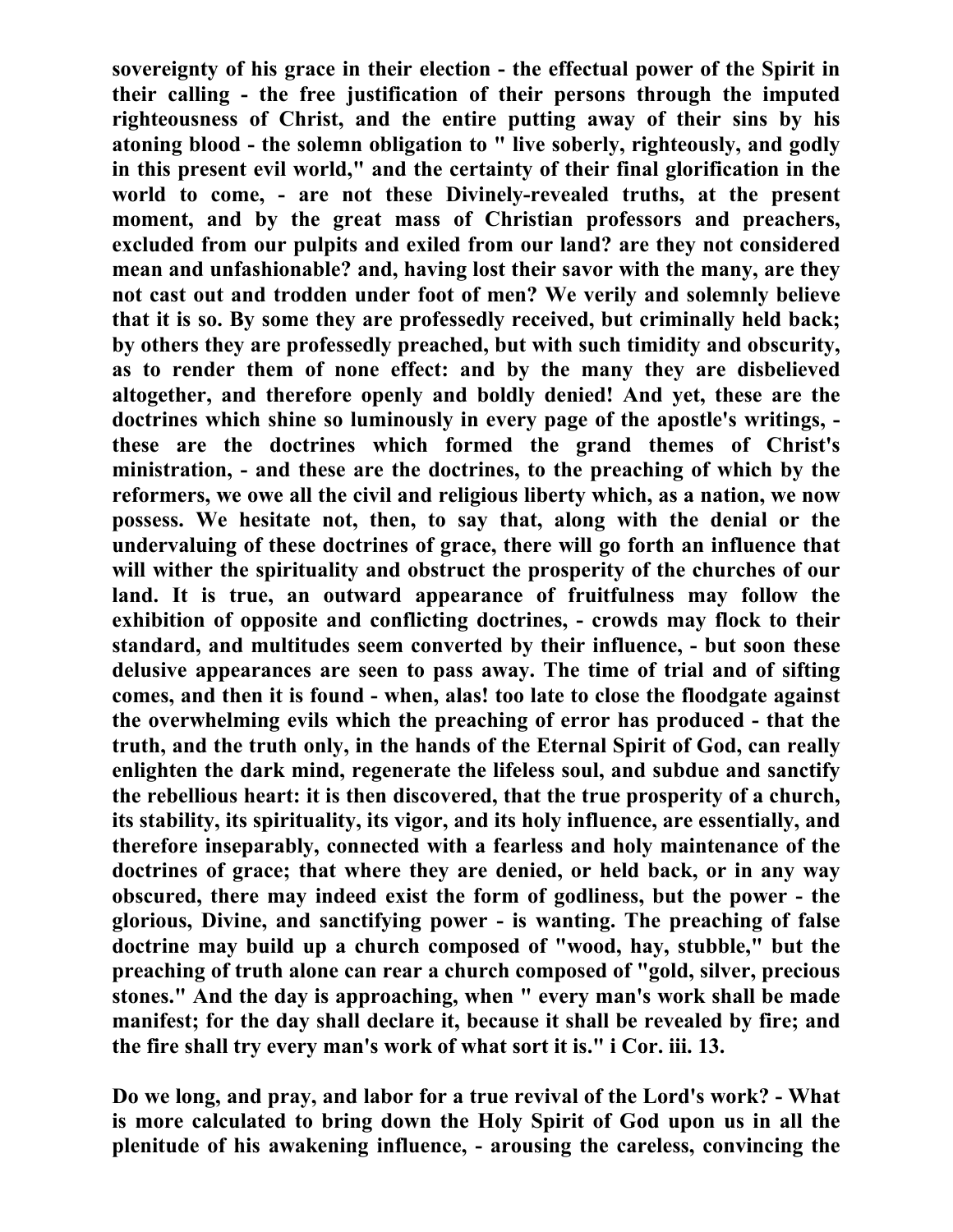**sovereignty of his grace in their election - the effectual power of the Spirit in their calling - the free justification of their persons through the imputed righteousness of Christ, and the entire putting away of their sins by his atoning blood - the solemn obligation to " live soberly, righteously, and godly in this present evil world," and the certainty of their final glorification in the world to come, - are not these Divinely-revealed truths, at the present moment, and by the great mass of Christian professors and preachers, excluded from our pulpits and exiled from our land? are they not considered mean and unfashionable? and, having lost their savor with the many, are they not cast out and trodden under foot of men? We verily and solemnly believe that it is so. By some they are professedly received, but criminally held back; by others they are professedly preached, but with such timidity and obscurity, as to render them of none effect: and by the many they are disbelieved altogether, and therefore openly and boldly denied! And yet, these are the doctrines which shine so luminously in every page of the apostle's writings, these are the doctrines which formed the grand themes of Christ's ministration, - and these are the doctrines, to the preaching of which by the reformers, we owe all the civil and religious liberty which, as a nation, we now possess. We hesitate not, then, to say that, along with the denial or the undervaluing of these doctrines of grace, there will go forth an influence that will wither the spirituality and obstruct the prosperity of the churches of our land. It is true, an outward appearance of fruitfulness may follow the exhibition of opposite and conflicting doctrines, - crowds may flock to their standard, and multitudes seem converted by their influence, - but soon these delusive appearances are seen to pass away. The time of trial and of sifting comes, and then it is found - when, alas! too late to close the floodgate against the overwhelming evils which the preaching of error has produced - that the truth, and the truth only, in the hands of the Eternal Spirit of God, can really enlighten the dark mind, regenerate the lifeless soul, and subdue and sanctify the rebellious heart: it is then discovered, that the true prosperity of a church, its stability, its spirituality, its vigor, and its holy influence, are essentially, and therefore inseparably, connected with a fearless and holy maintenance of the doctrines of grace; that where they are denied, or held back, or in any way obscured, there may indeed exist the form of godliness, but the power - the glorious, Divine, and sanctifying power - is wanting. The preaching of false doctrine may build up a church composed of "wood, hay, stubble," but the preaching of truth alone can rear a church composed of "gold, silver, precious stones." And the day is approaching, when " every man's work shall be made manifest; for the day shall declare it, because it shall be revealed by fire; and the fire shall try every man's work of what sort it is." i Cor. iii. 13.** 

**Do we long, and pray, and labor for a true revival of the Lord's work? - What is more calculated to bring down the Holy Spirit of God upon us in all the plenitude of his awakening influence, - arousing the careless, convincing the**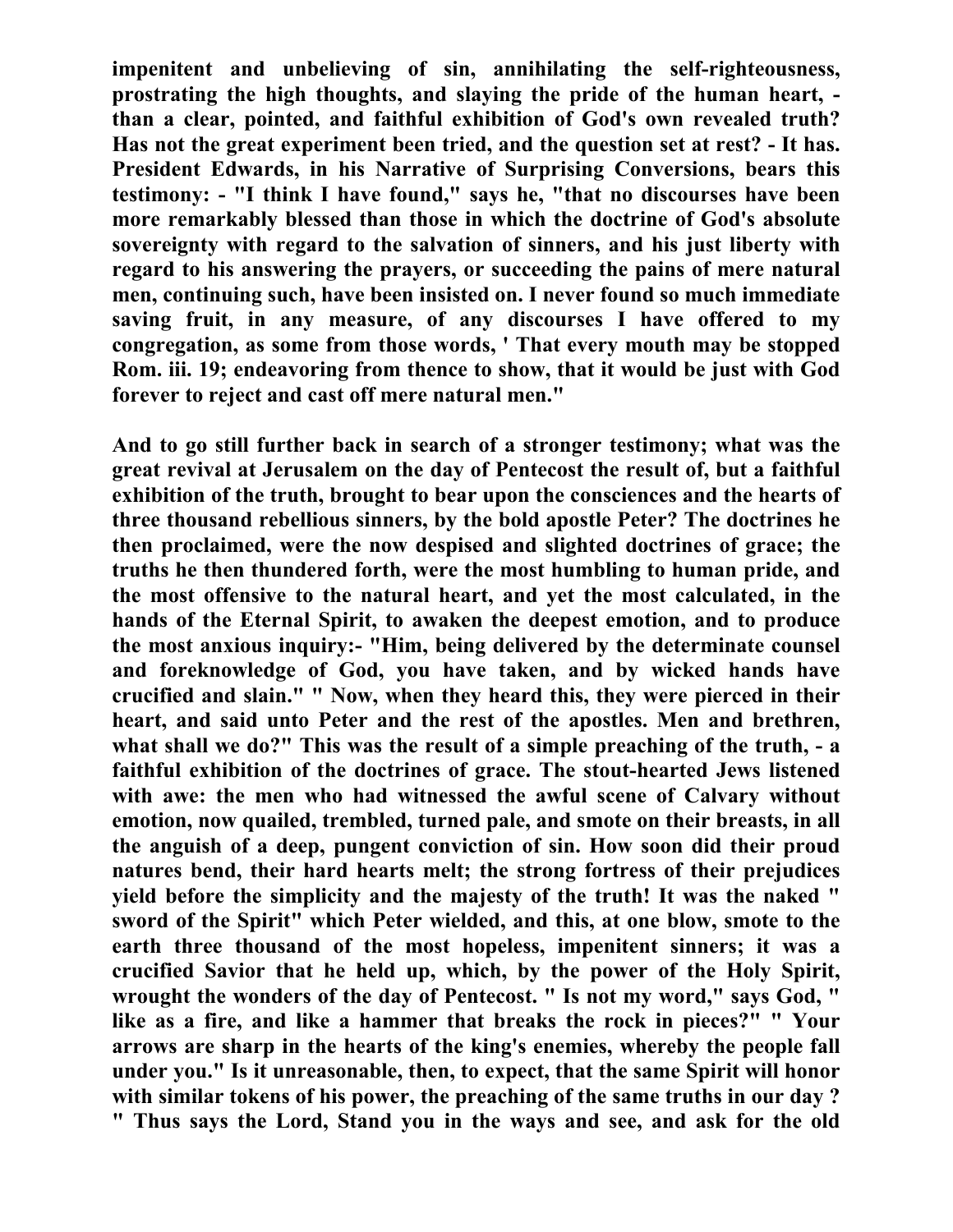**impenitent and unbelieving of sin, annihilating the self-righteousness, prostrating the high thoughts, and slaying the pride of the human heart, than a clear, pointed, and faithful exhibition of God's own revealed truth? Has not the great experiment been tried, and the question set at rest? - It has. President Edwards, in his Narrative of Surprising Conversions, bears this testimony: - "I think I have found," says he, "that no discourses have been more remarkably blessed than those in which the doctrine of God's absolute sovereignty with regard to the salvation of sinners, and his just liberty with regard to his answering the prayers, or succeeding the pains of mere natural men, continuing such, have been insisted on. I never found so much immediate saving fruit, in any measure, of any discourses I have offered to my congregation, as some from those words, ' That every mouth may be stopped Rom. iii. 19; endeavoring from thence to show, that it would be just with God forever to reject and cast off mere natural men."** 

**And to go still further back in search of a stronger testimony; what was the great revival at Jerusalem on the day of Pentecost the result of, but a faithful exhibition of the truth, brought to bear upon the consciences and the hearts of three thousand rebellious sinners, by the bold apostle Peter? The doctrines he then proclaimed, were the now despised and slighted doctrines of grace; the truths he then thundered forth, were the most humbling to human pride, and the most offensive to the natural heart, and yet the most calculated, in the hands of the Eternal Spirit, to awaken the deepest emotion, and to produce the most anxious inquiry:- "Him, being delivered by the determinate counsel and foreknowledge of God, you have taken, and by wicked hands have crucified and slain." " Now, when they heard this, they were pierced in their heart, and said unto Peter and the rest of the apostles. Men and brethren, what shall we do?" This was the result of a simple preaching of the truth, - a faithful exhibition of the doctrines of grace. The stout-hearted Jews listened with awe: the men who had witnessed the awful scene of Calvary without emotion, now quailed, trembled, turned pale, and smote on their breasts, in all the anguish of a deep, pungent conviction of sin. How soon did their proud natures bend, their hard hearts melt; the strong fortress of their prejudices yield before the simplicity and the majesty of the truth! It was the naked " sword of the Spirit" which Peter wielded, and this, at one blow, smote to the earth three thousand of the most hopeless, impenitent sinners; it was a crucified Savior that he held up, which, by the power of the Holy Spirit, wrought the wonders of the day of Pentecost. " Is not my word," says God, " like as a fire, and like a hammer that breaks the rock in pieces?" " Your arrows are sharp in the hearts of the king's enemies, whereby the people fall under you." Is it unreasonable, then, to expect, that the same Spirit will honor with similar tokens of his power, the preaching of the same truths in our day ? " Thus says the Lord, Stand you in the ways and see, and ask for the old**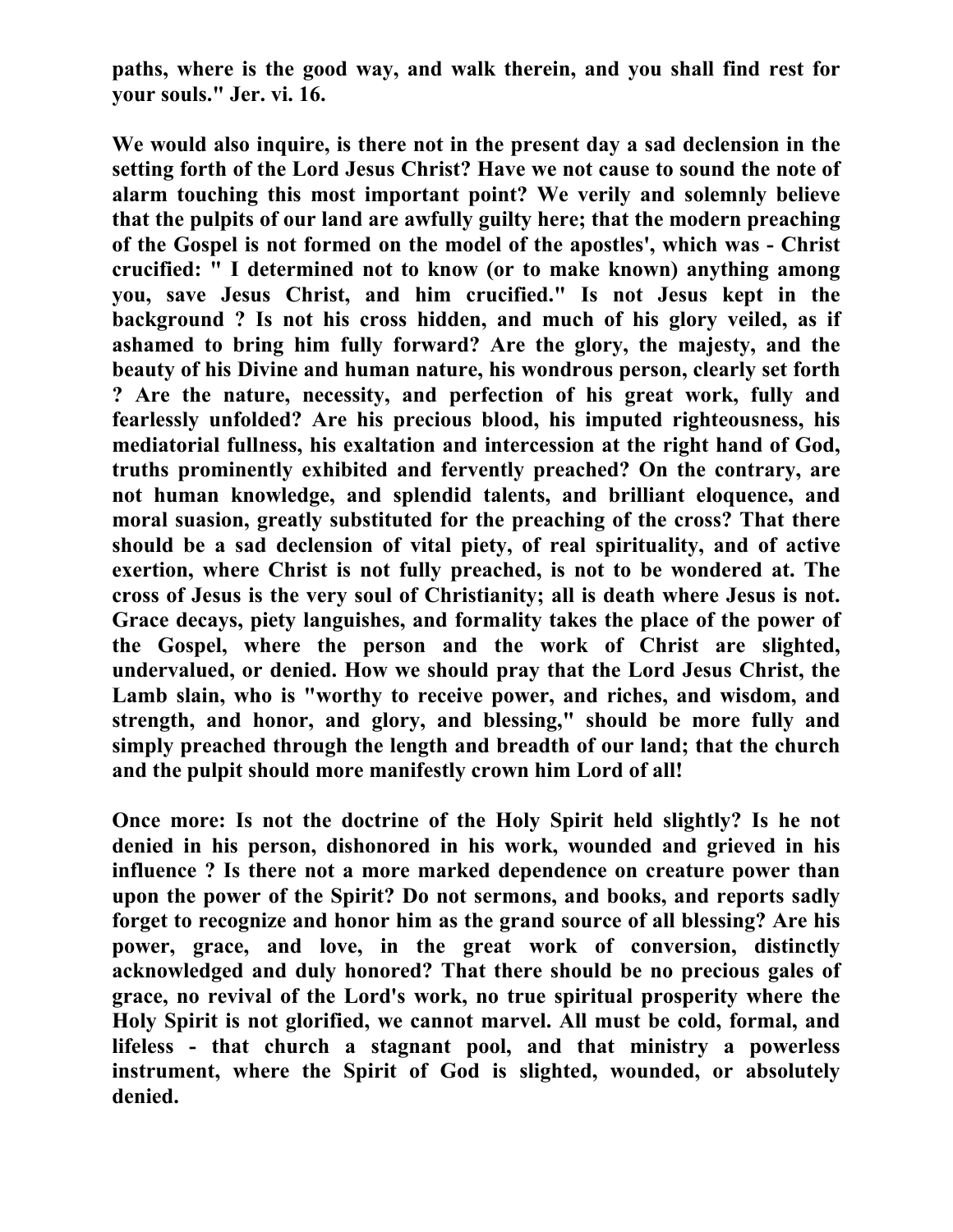**paths, where is the good way, and walk therein, and you shall find rest for your souls." Jer. vi. 16.** 

**We would also inquire, is there not in the present day a sad declension in the setting forth of the Lord Jesus Christ? Have we not cause to sound the note of alarm touching this most important point? We verily and solemnly believe that the pulpits of our land are awfully guilty here; that the modern preaching of the Gospel is not formed on the model of the apostles', which was - Christ crucified: " I determined not to know (or to make known) anything among you, save Jesus Christ, and him crucified." Is not Jesus kept in the background ? Is not his cross hidden, and much of his glory veiled, as if ashamed to bring him fully forward? Are the glory, the majesty, and the beauty of his Divine and human nature, his wondrous person, clearly set forth ? Are the nature, necessity, and perfection of his great work, fully and fearlessly unfolded? Are his precious blood, his imputed righteousness, his mediatorial fullness, his exaltation and intercession at the right hand of God, truths prominently exhibited and fervently preached? On the contrary, are not human knowledge, and splendid talents, and brilliant eloquence, and moral suasion, greatly substituted for the preaching of the cross? That there should be a sad declension of vital piety, of real spirituality, and of active exertion, where Christ is not fully preached, is not to be wondered at. The cross of Jesus is the very soul of Christianity; all is death where Jesus is not. Grace decays, piety languishes, and formality takes the place of the power of the Gospel, where the person and the work of Christ are slighted, undervalued, or denied. How we should pray that the Lord Jesus Christ, the Lamb slain, who is "worthy to receive power, and riches, and wisdom, and strength, and honor, and glory, and blessing," should be more fully and simply preached through the length and breadth of our land; that the church and the pulpit should more manifestly crown him Lord of all!** 

**Once more: Is not the doctrine of the Holy Spirit held slightly? Is he not denied in his person, dishonored in his work, wounded and grieved in his influence ? Is there not a more marked dependence on creature power than upon the power of the Spirit? Do not sermons, and books, and reports sadly forget to recognize and honor him as the grand source of all blessing? Are his power, grace, and love, in the great work of conversion, distinctly acknowledged and duly honored? That there should be no precious gales of grace, no revival of the Lord's work, no true spiritual prosperity where the Holy Spirit is not glorified, we cannot marvel. All must be cold, formal, and lifeless - that church a stagnant pool, and that ministry a powerless instrument, where the Spirit of God is slighted, wounded, or absolutely denied.**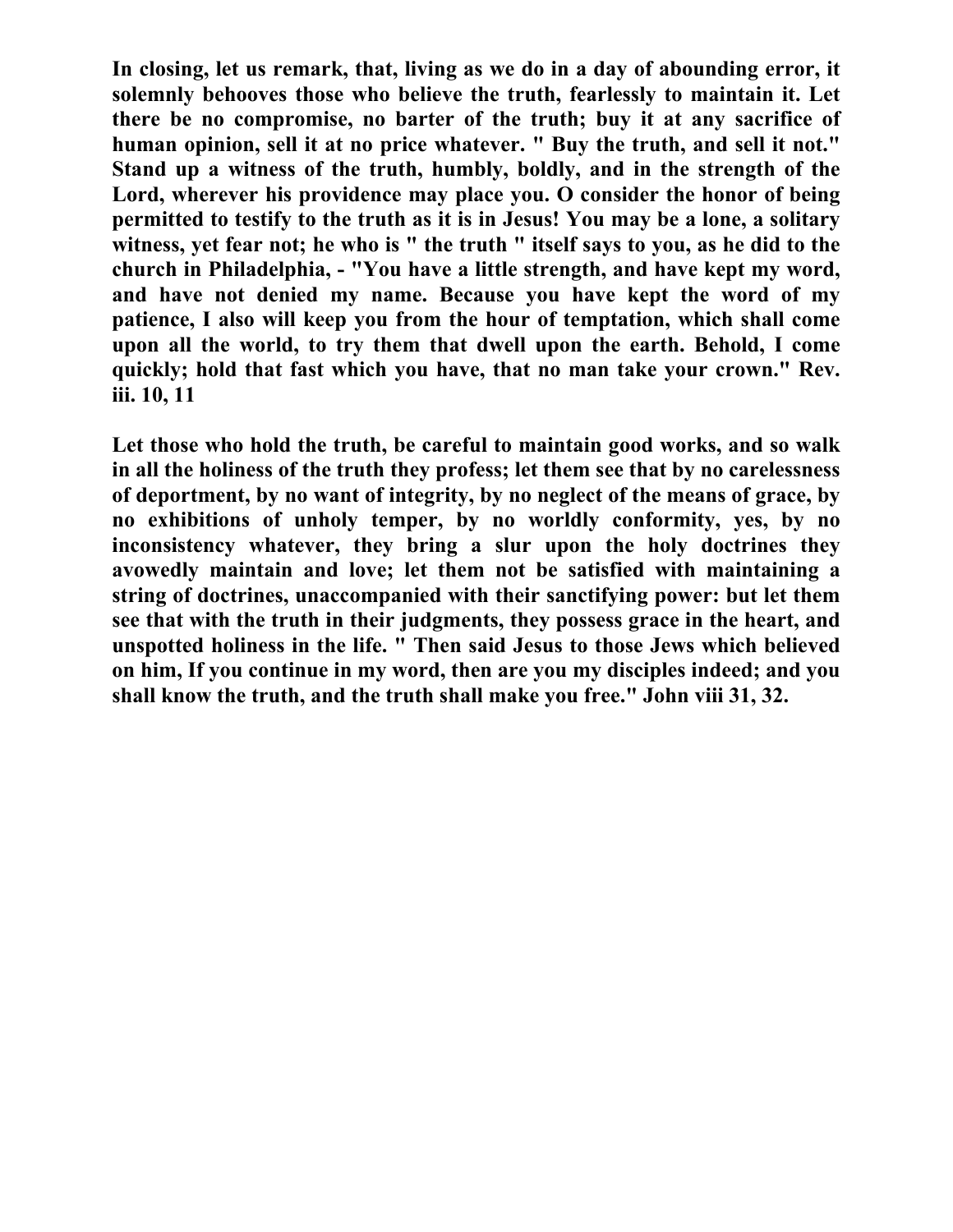**In closing, let us remark, that, living as we do in a day of abounding error, it solemnly behooves those who believe the truth, fearlessly to maintain it. Let there be no compromise, no barter of the truth; buy it at any sacrifice of human opinion, sell it at no price whatever. " Buy the truth, and sell it not." Stand up a witness of the truth, humbly, boldly, and in the strength of the Lord, wherever his providence may place you. O consider the honor of being permitted to testify to the truth as it is in Jesus! You may be a lone, a solitary witness, yet fear not; he who is " the truth " itself says to you, as he did to the church in Philadelphia, - "You have a little strength, and have kept my word, and have not denied my name. Because you have kept the word of my patience, I also will keep you from the hour of temptation, which shall come upon all the world, to try them that dwell upon the earth. Behold, I come quickly; hold that fast which you have, that no man take your crown." Rev. iii. 10, 11** 

**Let those who hold the truth, be careful to maintain good works, and so walk in all the holiness of the truth they profess; let them see that by no carelessness of deportment, by no want of integrity, by no neglect of the means of grace, by no exhibitions of unholy temper, by no worldly conformity, yes, by no inconsistency whatever, they bring a slur upon the holy doctrines they avowedly maintain and love; let them not be satisfied with maintaining a string of doctrines, unaccompanied with their sanctifying power: but let them see that with the truth in their judgments, they possess grace in the heart, and unspotted holiness in the life. " Then said Jesus to those Jews which believed on him, If you continue in my word, then are you my disciples indeed; and you shall know the truth, and the truth shall make you free." John viii 31, 32.**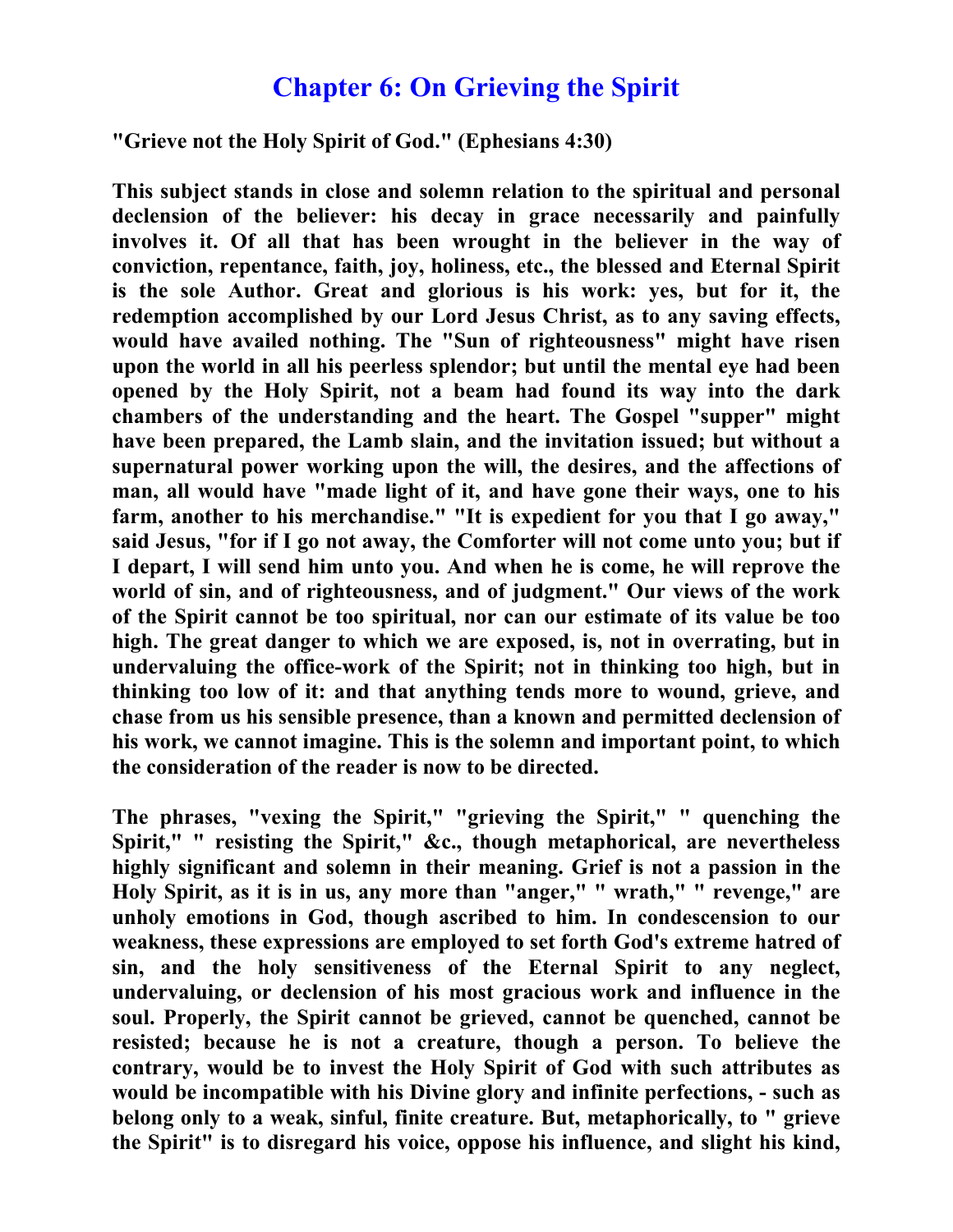## **Chapter 6: On Grieving the Spirit**

**"Grieve not the Holy Spirit of God." (Ephesians 4:30)** 

**This subject stands in close and solemn relation to the spiritual and personal declension of the believer: his decay in grace necessarily and painfully involves it. Of all that has been wrought in the believer in the way of conviction, repentance, faith, joy, holiness, etc., the blessed and Eternal Spirit is the sole Author. Great and glorious is his work: yes, but for it, the redemption accomplished by our Lord Jesus Christ, as to any saving effects, would have availed nothing. The "Sun of righteousness" might have risen upon the world in all his peerless splendor; but until the mental eye had been opened by the Holy Spirit, not a beam had found its way into the dark chambers of the understanding and the heart. The Gospel "supper" might have been prepared, the Lamb slain, and the invitation issued; but without a supernatural power working upon the will, the desires, and the affections of man, all would have "made light of it, and have gone their ways, one to his farm, another to his merchandise." "It is expedient for you that I go away," said Jesus, "for if I go not away, the Comforter will not come unto you; but if I depart, I will send him unto you. And when he is come, he will reprove the world of sin, and of righteousness, and of judgment." Our views of the work of the Spirit cannot be too spiritual, nor can our estimate of its value be too high. The great danger to which we are exposed, is, not in overrating, but in undervaluing the office-work of the Spirit; not in thinking too high, but in thinking too low of it: and that anything tends more to wound, grieve, and chase from us his sensible presence, than a known and permitted declension of his work, we cannot imagine. This is the solemn and important point, to which the consideration of the reader is now to be directed.** 

**The phrases, "vexing the Spirit," "grieving the Spirit," " quenching the Spirit," " resisting the Spirit," &c., though metaphorical, are nevertheless highly significant and solemn in their meaning. Grief is not a passion in the Holy Spirit, as it is in us, any more than "anger," " wrath," " revenge," are unholy emotions in God, though ascribed to him. In condescension to our weakness, these expressions are employed to set forth God's extreme hatred of sin, and the holy sensitiveness of the Eternal Spirit to any neglect, undervaluing, or declension of his most gracious work and influence in the soul. Properly, the Spirit cannot be grieved, cannot be quenched, cannot be resisted; because he is not a creature, though a person. To believe the contrary, would be to invest the Holy Spirit of God with such attributes as would be incompatible with his Divine glory and infinite perfections, - such as belong only to a weak, sinful, finite creature. But, metaphorically, to " grieve the Spirit" is to disregard his voice, oppose his influence, and slight his kind,**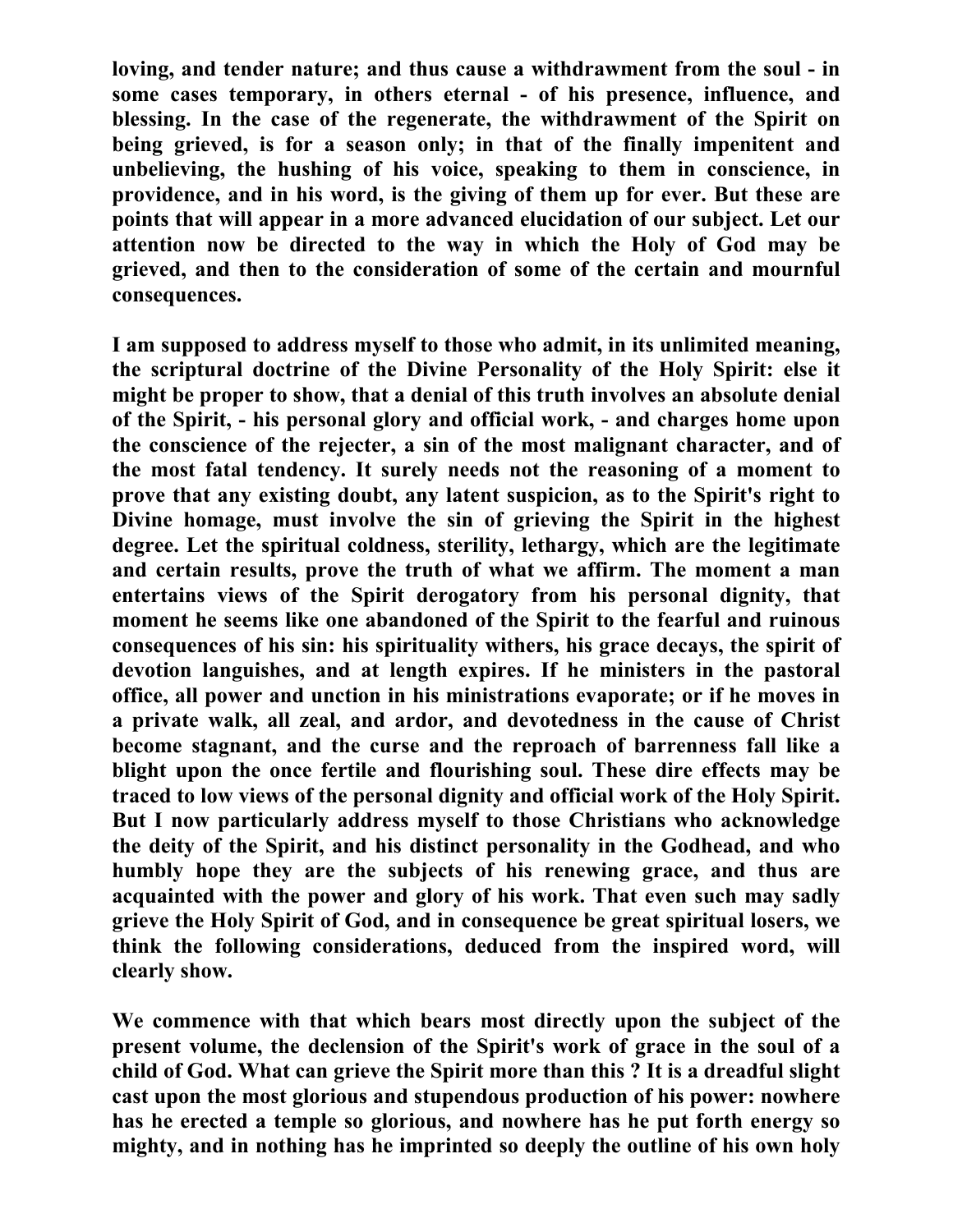**loving, and tender nature; and thus cause a withdrawment from the soul - in some cases temporary, in others eternal - of his presence, influence, and blessing. In the case of the regenerate, the withdrawment of the Spirit on being grieved, is for a season only; in that of the finally impenitent and unbelieving, the hushing of his voice, speaking to them in conscience, in providence, and in his word, is the giving of them up for ever. But these are points that will appear in a more advanced elucidation of our subject. Let our attention now be directed to the way in which the Holy of God may be grieved, and then to the consideration of some of the certain and mournful consequences.** 

**I am supposed to address myself to those who admit, in its unlimited meaning, the scriptural doctrine of the Divine Personality of the Holy Spirit: else it might be proper to show, that a denial of this truth involves an absolute denial of the Spirit, - his personal glory and official work, - and charges home upon the conscience of the rejecter, a sin of the most malignant character, and of the most fatal tendency. It surely needs not the reasoning of a moment to prove that any existing doubt, any latent suspicion, as to the Spirit's right to Divine homage, must involve the sin of grieving the Spirit in the highest degree. Let the spiritual coldness, sterility, lethargy, which are the legitimate and certain results, prove the truth of what we affirm. The moment a man entertains views of the Spirit derogatory from his personal dignity, that moment he seems like one abandoned of the Spirit to the fearful and ruinous consequences of his sin: his spirituality withers, his grace decays, the spirit of devotion languishes, and at length expires. If he ministers in the pastoral office, all power and unction in his ministrations evaporate; or if he moves in a private walk, all zeal, and ardor, and devotedness in the cause of Christ become stagnant, and the curse and the reproach of barrenness fall like a blight upon the once fertile and flourishing soul. These dire effects may be traced to low views of the personal dignity and official work of the Holy Spirit. But I now particularly address myself to those Christians who acknowledge the deity of the Spirit, and his distinct personality in the Godhead, and who humbly hope they are the subjects of his renewing grace, and thus are acquainted with the power and glory of his work. That even such may sadly grieve the Holy Spirit of God, and in consequence be great spiritual losers, we think the following considerations, deduced from the inspired word, will clearly show.** 

**We commence with that which bears most directly upon the subject of the present volume, the declension of the Spirit's work of grace in the soul of a child of God. What can grieve the Spirit more than this ? It is a dreadful slight cast upon the most glorious and stupendous production of his power: nowhere has he erected a temple so glorious, and nowhere has he put forth energy so mighty, and in nothing has he imprinted so deeply the outline of his own holy**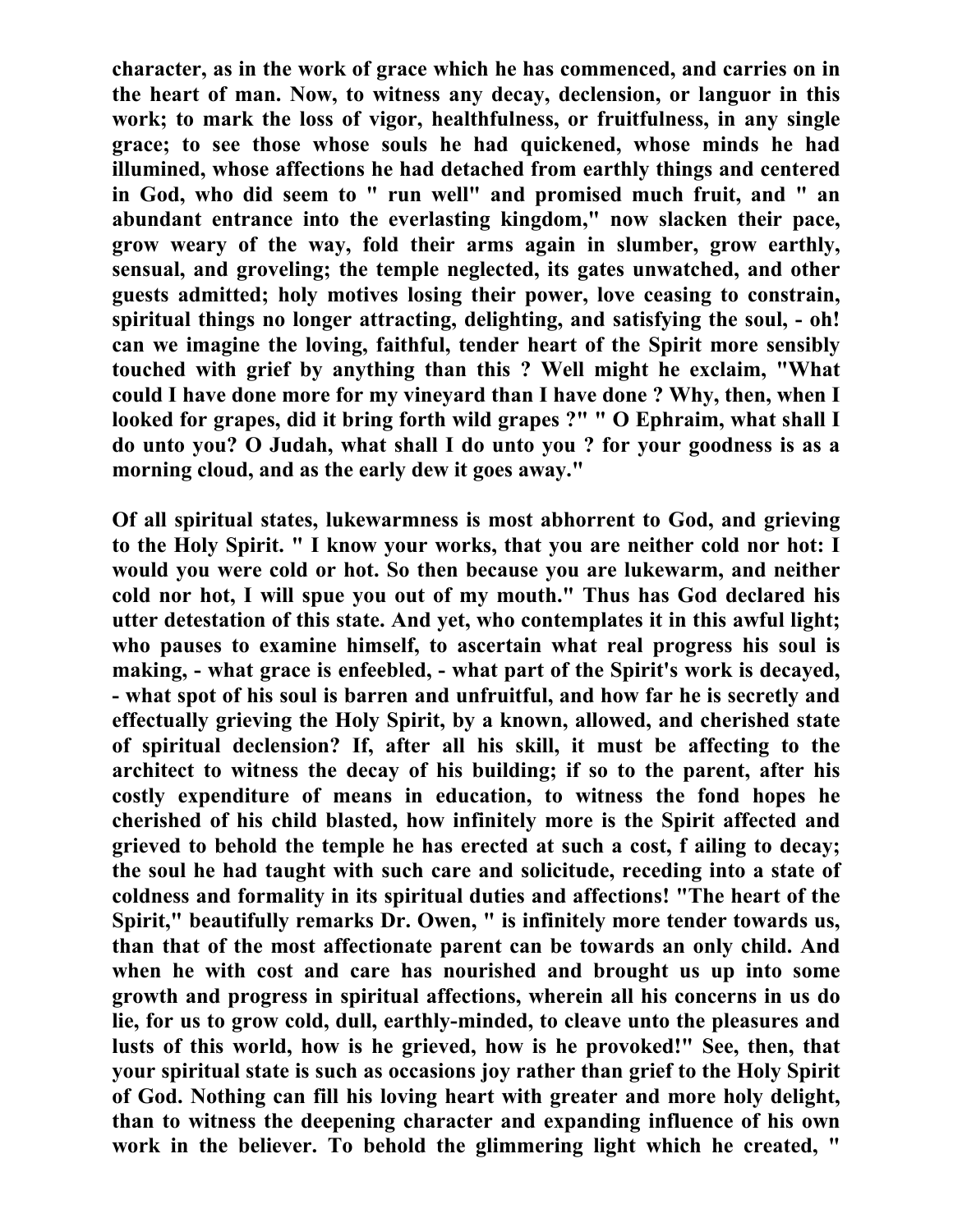**character, as in the work of grace which he has commenced, and carries on in the heart of man. Now, to witness any decay, declension, or languor in this work; to mark the loss of vigor, healthfulness, or fruitfulness, in any single grace; to see those whose souls he had quickened, whose minds he had illumined, whose affections he had detached from earthly things and centered in God, who did seem to " run well" and promised much fruit, and " an abundant entrance into the everlasting kingdom," now slacken their pace, grow weary of the way, fold their arms again in slumber, grow earthly, sensual, and groveling; the temple neglected, its gates unwatched, and other guests admitted; holy motives losing their power, love ceasing to constrain, spiritual things no longer attracting, delighting, and satisfying the soul, - oh! can we imagine the loving, faithful, tender heart of the Spirit more sensibly touched with grief by anything than this ? Well might he exclaim, "What could I have done more for my vineyard than I have done ? Why, then, when I looked for grapes, did it bring forth wild grapes ?" " O Ephraim, what shall I do unto you? O Judah, what shall I do unto you ? for your goodness is as a morning cloud, and as the early dew it goes away."** 

**Of all spiritual states, lukewarmness is most abhorrent to God, and grieving to the Holy Spirit. " I know your works, that you are neither cold nor hot: I would you were cold or hot. So then because you are lukewarm, and neither cold nor hot, I will spue you out of my mouth." Thus has God declared his utter detestation of this state. And yet, who contemplates it in this awful light; who pauses to examine himself, to ascertain what real progress his soul is making, - what grace is enfeebled, - what part of the Spirit's work is decayed, - what spot of his soul is barren and unfruitful, and how far he is secretly and effectually grieving the Holy Spirit, by a known, allowed, and cherished state of spiritual declension? If, after all his skill, it must be affecting to the architect to witness the decay of his building; if so to the parent, after his costly expenditure of means in education, to witness the fond hopes he cherished of his child blasted, how infinitely more is the Spirit affected and grieved to behold the temple he has erected at such a cost, f ailing to decay; the soul he had taught with such care and solicitude, receding into a state of coldness and formality in its spiritual duties and affections! "The heart of the Spirit," beautifully remarks Dr. Owen, " is infinitely more tender towards us, than that of the most affectionate parent can be towards an only child. And when he with cost and care has nourished and brought us up into some growth and progress in spiritual affections, wherein all his concerns in us do lie, for us to grow cold, dull, earthly-minded, to cleave unto the pleasures and lusts of this world, how is he grieved, how is he provoked!" See, then, that your spiritual state is such as occasions joy rather than grief to the Holy Spirit of God. Nothing can fill his loving heart with greater and more holy delight, than to witness the deepening character and expanding influence of his own work in the believer. To behold the glimmering light which he created, "**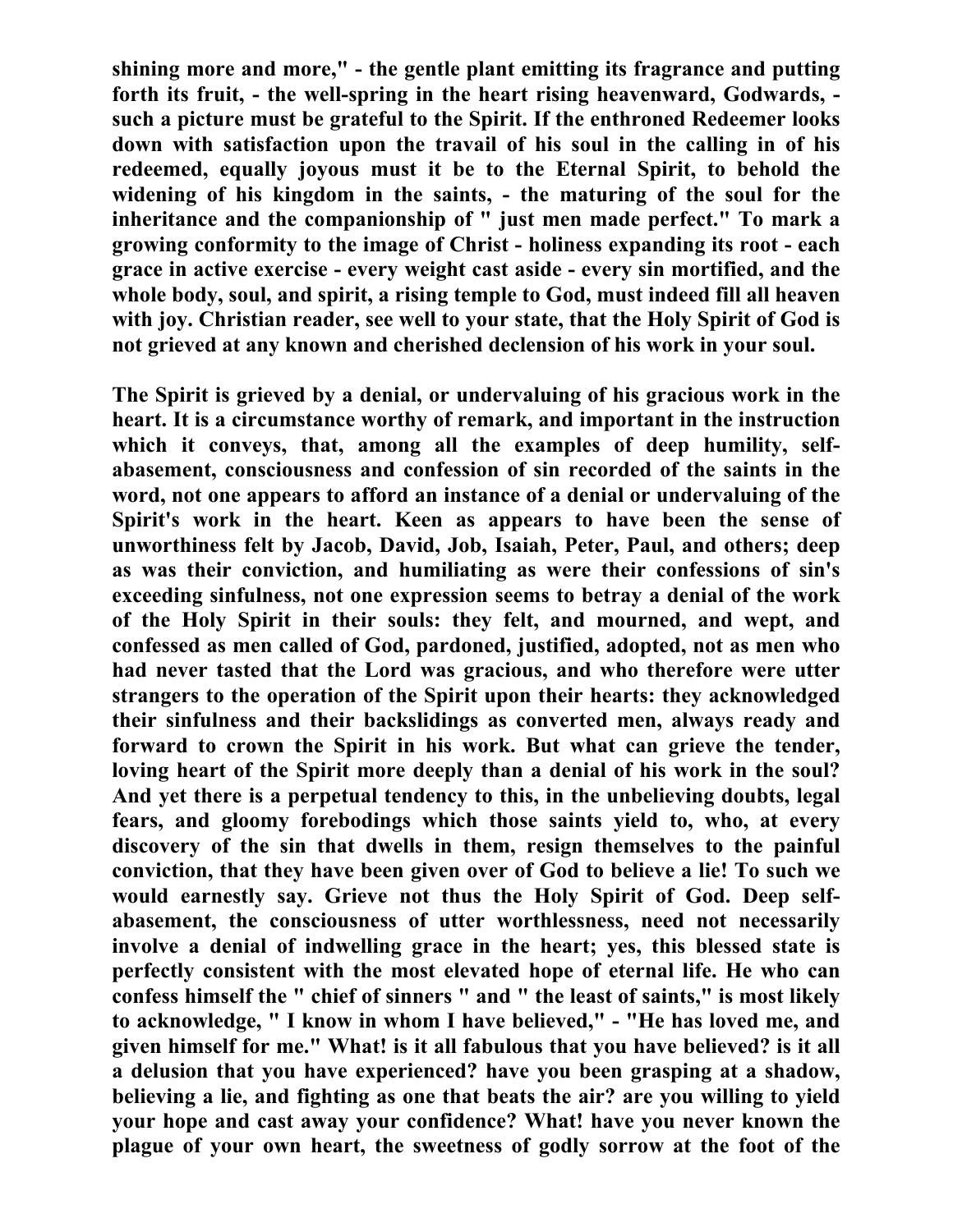**shining more and more," - the gentle plant emitting its fragrance and putting forth its fruit, - the well-spring in the heart rising heavenward, Godwards, such a picture must be grateful to the Spirit. If the enthroned Redeemer looks down with satisfaction upon the travail of his soul in the calling in of his redeemed, equally joyous must it be to the Eternal Spirit, to behold the widening of his kingdom in the saints, - the maturing of the soul for the inheritance and the companionship of " just men made perfect." To mark a growing conformity to the image of Christ - holiness expanding its root - each grace in active exercise - every weight cast aside - every sin mortified, and the whole body, soul, and spirit, a rising temple to God, must indeed fill all heaven with joy. Christian reader, see well to your state, that the Holy Spirit of God is not grieved at any known and cherished declension of his work in your soul.** 

**The Spirit is grieved by a denial, or undervaluing of his gracious work in the heart. It is a circumstance worthy of remark, and important in the instruction**  which it conveys, that, among all the examples of deep humility, self**abasement, consciousness and confession of sin recorded of the saints in the word, not one appears to afford an instance of a denial or undervaluing of the Spirit's work in the heart. Keen as appears to have been the sense of unworthiness felt by Jacob, David, Job, Isaiah, Peter, Paul, and others; deep as was their conviction, and humiliating as were their confessions of sin's exceeding sinfulness, not one expression seems to betray a denial of the work of the Holy Spirit in their souls: they felt, and mourned, and wept, and confessed as men called of God, pardoned, justified, adopted, not as men who had never tasted that the Lord was gracious, and who therefore were utter strangers to the operation of the Spirit upon their hearts: they acknowledged their sinfulness and their backslidings as converted men, always ready and forward to crown the Spirit in his work. But what can grieve the tender, loving heart of the Spirit more deeply than a denial of his work in the soul? And yet there is a perpetual tendency to this, in the unbelieving doubts, legal fears, and gloomy forebodings which those saints yield to, who, at every discovery of the sin that dwells in them, resign themselves to the painful conviction, that they have been given over of God to believe a lie! To such we would earnestly say. Grieve not thus the Holy Spirit of God. Deep selfabasement, the consciousness of utter worthlessness, need not necessarily involve a denial of indwelling grace in the heart; yes, this blessed state is perfectly consistent with the most elevated hope of eternal life. He who can confess himself the " chief of sinners " and " the least of saints," is most likely to acknowledge, " I know in whom I have believed," - "He has loved me, and given himself for me." What! is it all fabulous that you have believed? is it all a delusion that you have experienced? have you been grasping at a shadow, believing a lie, and fighting as one that beats the air? are you willing to yield your hope and cast away your confidence? What! have you never known the plague of your own heart, the sweetness of godly sorrow at the foot of the**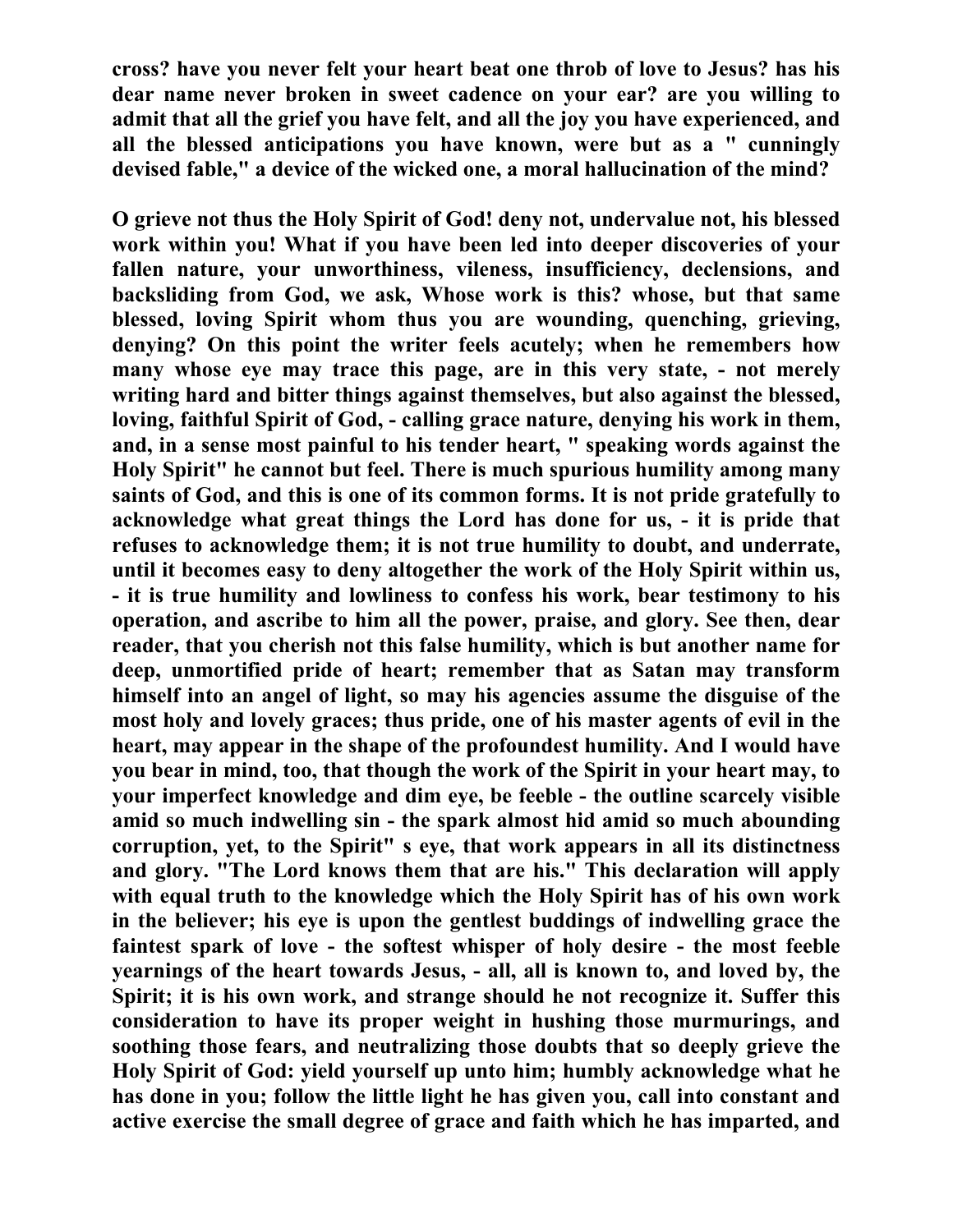**cross? have you never felt your heart beat one throb of love to Jesus? has his dear name never broken in sweet cadence on your ear? are you willing to admit that all the grief you have felt, and all the joy you have experienced, and all the blessed anticipations you have known, were but as a " cunningly devised fable," a device of the wicked one, a moral hallucination of the mind?** 

**O grieve not thus the Holy Spirit of God! deny not, undervalue not, his blessed work within you! What if you have been led into deeper discoveries of your fallen nature, your unworthiness, vileness, insufficiency, declensions, and backsliding from God, we ask, Whose work is this? whose, but that same blessed, loving Spirit whom thus you are wounding, quenching, grieving, denying? On this point the writer feels acutely; when he remembers how many whose eye may trace this page, are in this very state, - not merely writing hard and bitter things against themselves, but also against the blessed, loving, faithful Spirit of God, - calling grace nature, denying his work in them, and, in a sense most painful to his tender heart, " speaking words against the Holy Spirit" he cannot but feel. There is much spurious humility among many saints of God, and this is one of its common forms. It is not pride gratefully to acknowledge what great things the Lord has done for us, - it is pride that refuses to acknowledge them; it is not true humility to doubt, and underrate, until it becomes easy to deny altogether the work of the Holy Spirit within us, - it is true humility and lowliness to confess his work, bear testimony to his operation, and ascribe to him all the power, praise, and glory. See then, dear reader, that you cherish not this false humility, which is but another name for deep, unmortified pride of heart; remember that as Satan may transform himself into an angel of light, so may his agencies assume the disguise of the most holy and lovely graces; thus pride, one of his master agents of evil in the heart, may appear in the shape of the profoundest humility. And I would have you bear in mind, too, that though the work of the Spirit in your heart may, to your imperfect knowledge and dim eye, be feeble - the outline scarcely visible amid so much indwelling sin - the spark almost hid amid so much abounding corruption, yet, to the Spirit" s eye, that work appears in all its distinctness and glory. "The Lord knows them that are his." This declaration will apply with equal truth to the knowledge which the Holy Spirit has of his own work in the believer; his eye is upon the gentlest buddings of indwelling grace the faintest spark of love - the softest whisper of holy desire - the most feeble yearnings of the heart towards Jesus, - all, all is known to, and loved by, the Spirit; it is his own work, and strange should he not recognize it. Suffer this consideration to have its proper weight in hushing those murmurings, and soothing those fears, and neutralizing those doubts that so deeply grieve the Holy Spirit of God: yield yourself up unto him; humbly acknowledge what he has done in you; follow the little light he has given you, call into constant and active exercise the small degree of grace and faith which he has imparted, and**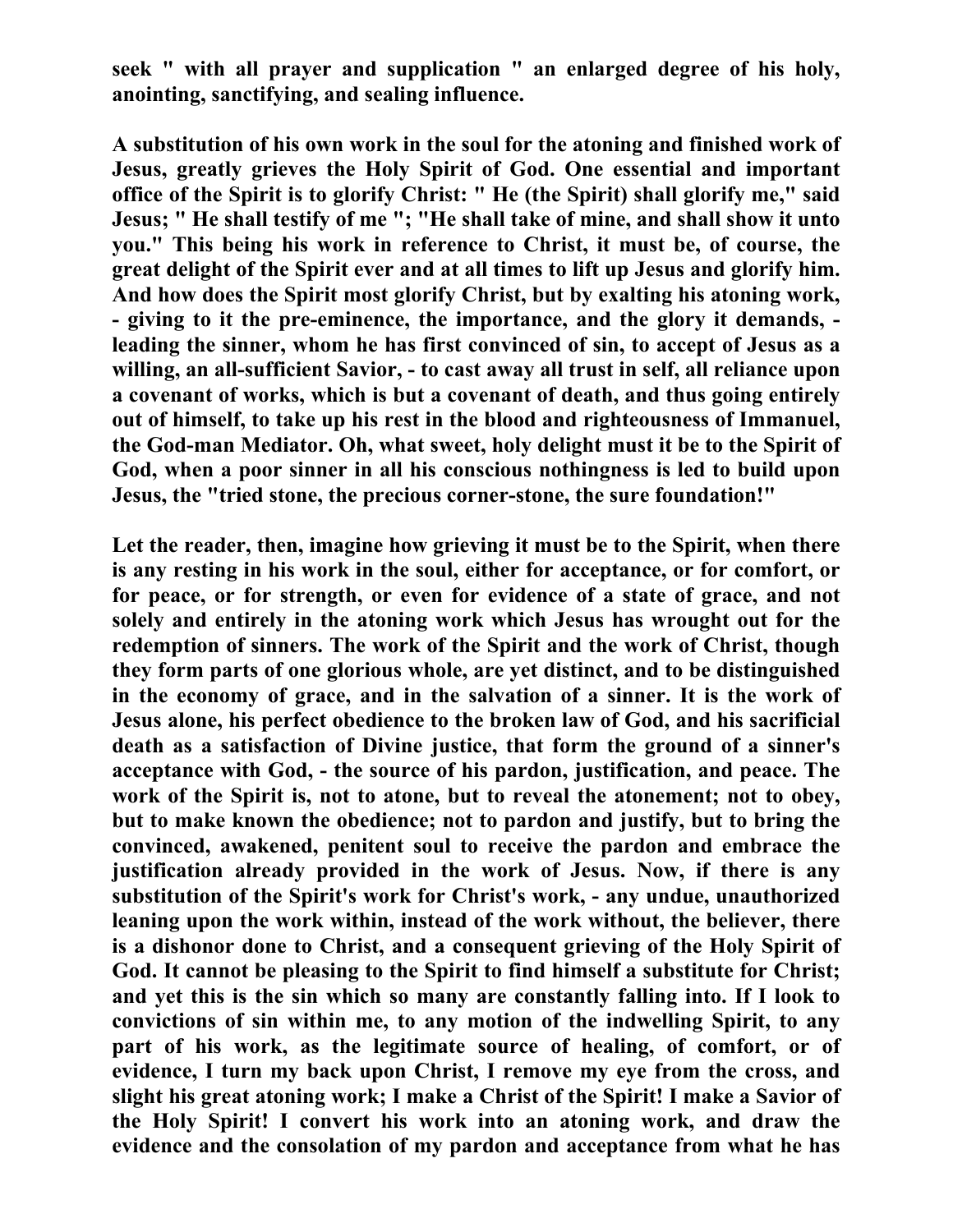**seek " with all prayer and supplication " an enlarged degree of his holy, anointing, sanctifying, and sealing influence.** 

**A substitution of his own work in the soul for the atoning and finished work of Jesus, greatly grieves the Holy Spirit of God. One essential and important office of the Spirit is to glorify Christ: " He (the Spirit) shall glorify me," said Jesus; " He shall testify of me "; "He shall take of mine, and shall show it unto you." This being his work in reference to Christ, it must be, of course, the great delight of the Spirit ever and at all times to lift up Jesus and glorify him. And how does the Spirit most glorify Christ, but by exalting his atoning work, - giving to it the pre-eminence, the importance, and the glory it demands, leading the sinner, whom he has first convinced of sin, to accept of Jesus as a willing, an all-sufficient Savior, - to cast away all trust in self, all reliance upon a covenant of works, which is but a covenant of death, and thus going entirely out of himself, to take up his rest in the blood and righteousness of Immanuel, the God-man Mediator. Oh, what sweet, holy delight must it be to the Spirit of God, when a poor sinner in all his conscious nothingness is led to build upon Jesus, the "tried stone, the precious corner-stone, the sure foundation!"** 

**Let the reader, then, imagine how grieving it must be to the Spirit, when there is any resting in his work in the soul, either for acceptance, or for comfort, or for peace, or for strength, or even for evidence of a state of grace, and not solely and entirely in the atoning work which Jesus has wrought out for the redemption of sinners. The work of the Spirit and the work of Christ, though they form parts of one glorious whole, are yet distinct, and to be distinguished in the economy of grace, and in the salvation of a sinner. It is the work of Jesus alone, his perfect obedience to the broken law of God, and his sacrificial death as a satisfaction of Divine justice, that form the ground of a sinner's acceptance with God, - the source of his pardon, justification, and peace. The work of the Spirit is, not to atone, but to reveal the atonement; not to obey, but to make known the obedience; not to pardon and justify, but to bring the convinced, awakened, penitent soul to receive the pardon and embrace the justification already provided in the work of Jesus. Now, if there is any substitution of the Spirit's work for Christ's work, - any undue, unauthorized leaning upon the work within, instead of the work without, the believer, there is a dishonor done to Christ, and a consequent grieving of the Holy Spirit of God. It cannot be pleasing to the Spirit to find himself a substitute for Christ; and yet this is the sin which so many are constantly falling into. If I look to convictions of sin within me, to any motion of the indwelling Spirit, to any part of his work, as the legitimate source of healing, of comfort, or of evidence, I turn my back upon Christ, I remove my eye from the cross, and slight his great atoning work; I make a Christ of the Spirit! I make a Savior of the Holy Spirit! I convert his work into an atoning work, and draw the evidence and the consolation of my pardon and acceptance from what he has**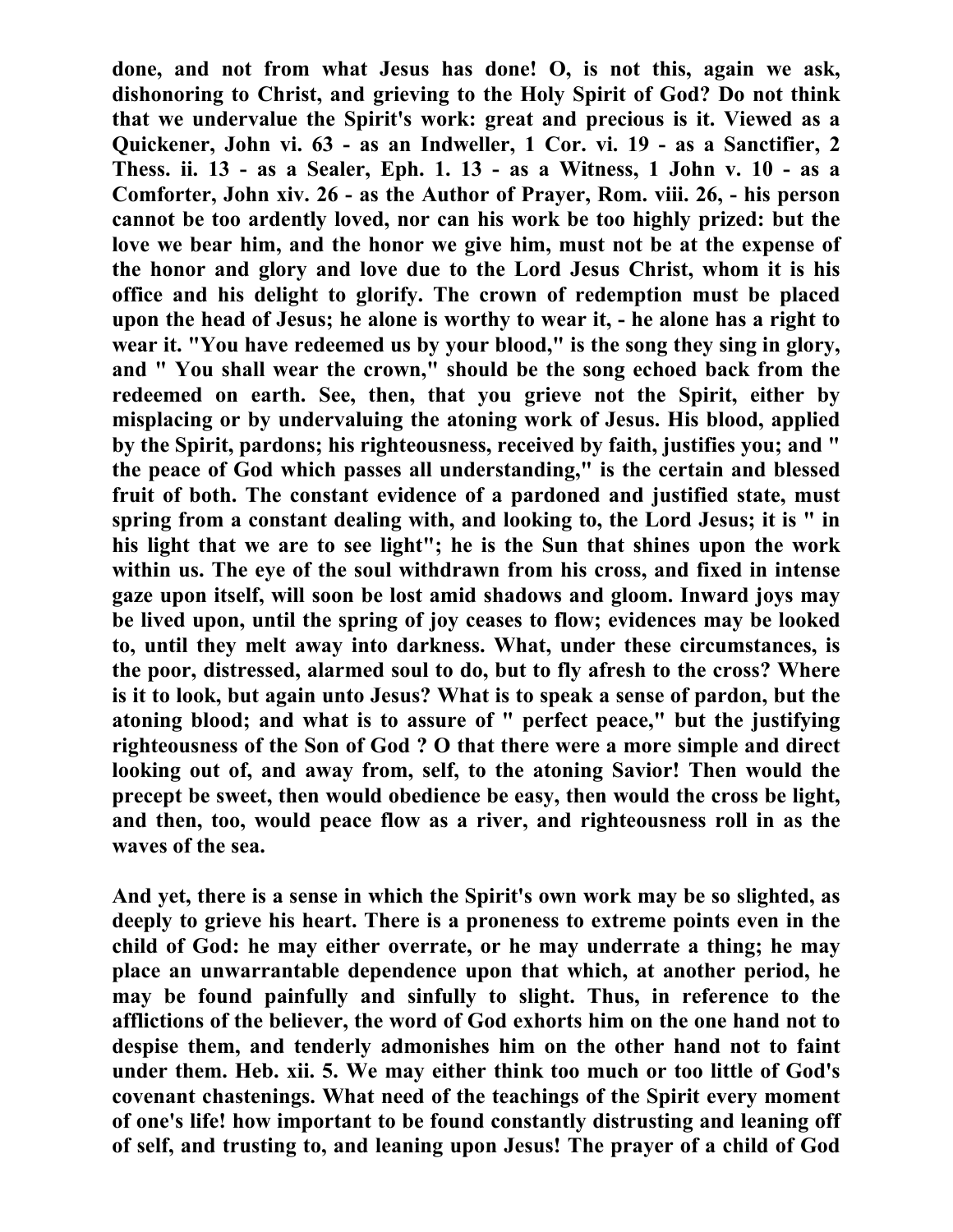**done, and not from what Jesus has done! O, is not this, again we ask, dishonoring to Christ, and grieving to the Holy Spirit of God? Do not think that we undervalue the Spirit's work: great and precious is it. Viewed as a Quickener, John vi. 63 - as an Indweller, 1 Cor. vi. 19 - as a Sanctifier, 2 Thess. ii. 13 - as a Sealer, Eph. 1. 13 - as a Witness, 1 John v. 10 - as a Comforter, John xiv. 26 - as the Author of Prayer, Rom. viii. 26, - his person cannot be too ardently loved, nor can his work be too highly prized: but the love we bear him, and the honor we give him, must not be at the expense of the honor and glory and love due to the Lord Jesus Christ, whom it is his office and his delight to glorify. The crown of redemption must be placed upon the head of Jesus; he alone is worthy to wear it, - he alone has a right to wear it. "You have redeemed us by your blood," is the song they sing in glory, and " You shall wear the crown," should be the song echoed back from the redeemed on earth. See, then, that you grieve not the Spirit, either by misplacing or by undervaluing the atoning work of Jesus. His blood, applied by the Spirit, pardons; his righteousness, received by faith, justifies you; and " the peace of God which passes all understanding," is the certain and blessed fruit of both. The constant evidence of a pardoned and justified state, must spring from a constant dealing with, and looking to, the Lord Jesus; it is " in his light that we are to see light"; he is the Sun that shines upon the work within us. The eye of the soul withdrawn from his cross, and fixed in intense gaze upon itself, will soon be lost amid shadows and gloom. Inward joys may be lived upon, until the spring of joy ceases to flow; evidences may be looked to, until they melt away into darkness. What, under these circumstances, is the poor, distressed, alarmed soul to do, but to fly afresh to the cross? Where is it to look, but again unto Jesus? What is to speak a sense of pardon, but the atoning blood; and what is to assure of " perfect peace," but the justifying righteousness of the Son of God ? O that there were a more simple and direct looking out of, and away from, self, to the atoning Savior! Then would the precept be sweet, then would obedience be easy, then would the cross be light, and then, too, would peace flow as a river, and righteousness roll in as the waves of the sea.** 

**And yet, there is a sense in which the Spirit's own work may be so slighted, as deeply to grieve his heart. There is a proneness to extreme points even in the child of God: he may either overrate, or he may underrate a thing; he may place an unwarrantable dependence upon that which, at another period, he may be found painfully and sinfully to slight. Thus, in reference to the afflictions of the believer, the word of God exhorts him on the one hand not to despise them, and tenderly admonishes him on the other hand not to faint under them. Heb. xii. 5. We may either think too much or too little of God's covenant chastenings. What need of the teachings of the Spirit every moment of one's life! how important to be found constantly distrusting and leaning off of self, and trusting to, and leaning upon Jesus! The prayer of a child of God**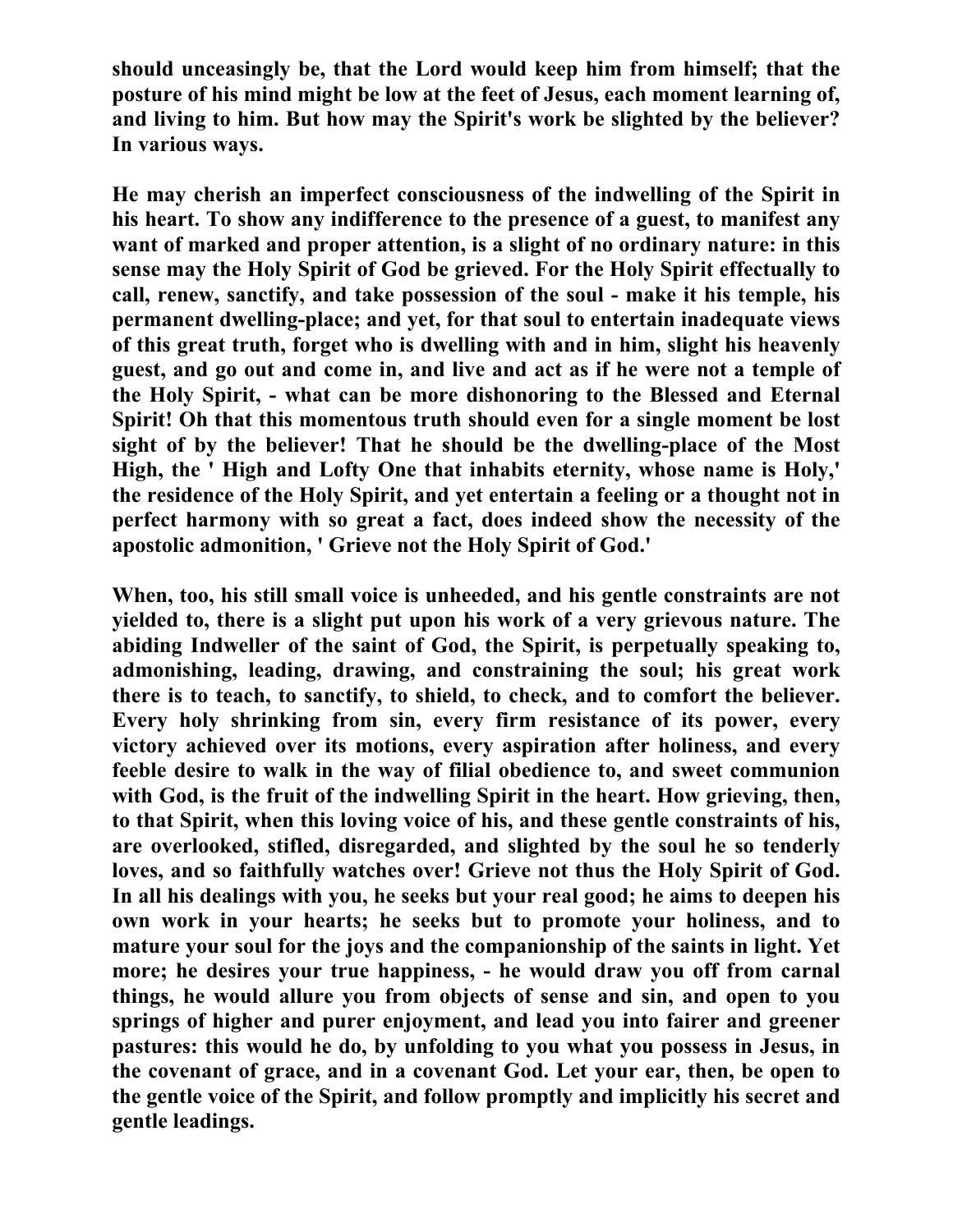**should unceasingly be, that the Lord would keep him from himself; that the posture of his mind might be low at the feet of Jesus, each moment learning of, and living to him. But how may the Spirit's work be slighted by the believer? In various ways.** 

**He may cherish an imperfect consciousness of the indwelling of the Spirit in his heart. To show any indifference to the presence of a guest, to manifest any want of marked and proper attention, is a slight of no ordinary nature: in this sense may the Holy Spirit of God be grieved. For the Holy Spirit effectually to call, renew, sanctify, and take possession of the soul - make it his temple, his permanent dwelling-place; and yet, for that soul to entertain inadequate views of this great truth, forget who is dwelling with and in him, slight his heavenly guest, and go out and come in, and live and act as if he were not a temple of the Holy Spirit, - what can be more dishonoring to the Blessed and Eternal Spirit! Oh that this momentous truth should even for a single moment be lost sight of by the believer! That he should be the dwelling-place of the Most High, the ' High and Lofty One that inhabits eternity, whose name is Holy,' the residence of the Holy Spirit, and yet entertain a feeling or a thought not in perfect harmony with so great a fact, does indeed show the necessity of the apostolic admonition, ' Grieve not the Holy Spirit of God.'** 

**When, too, his still small voice is unheeded, and his gentle constraints are not yielded to, there is a slight put upon his work of a very grievous nature. The abiding Indweller of the saint of God, the Spirit, is perpetually speaking to, admonishing, leading, drawing, and constraining the soul; his great work there is to teach, to sanctify, to shield, to check, and to comfort the believer. Every holy shrinking from sin, every firm resistance of its power, every victory achieved over its motions, every aspiration after holiness, and every feeble desire to walk in the way of filial obedience to, and sweet communion with God, is the fruit of the indwelling Spirit in the heart. How grieving, then, to that Spirit, when this loving voice of his, and these gentle constraints of his, are overlooked, stifled, disregarded, and slighted by the soul he so tenderly loves, and so faithfully watches over! Grieve not thus the Holy Spirit of God. In all his dealings with you, he seeks but your real good; he aims to deepen his own work in your hearts; he seeks but to promote your holiness, and to mature your soul for the joys and the companionship of the saints in light. Yet more; he desires your true happiness, - he would draw you off from carnal things, he would allure you from objects of sense and sin, and open to you springs of higher and purer enjoyment, and lead you into fairer and greener pastures: this would he do, by unfolding to you what you possess in Jesus, in the covenant of grace, and in a covenant God. Let your ear, then, be open to the gentle voice of the Spirit, and follow promptly and implicitly his secret and gentle leadings.**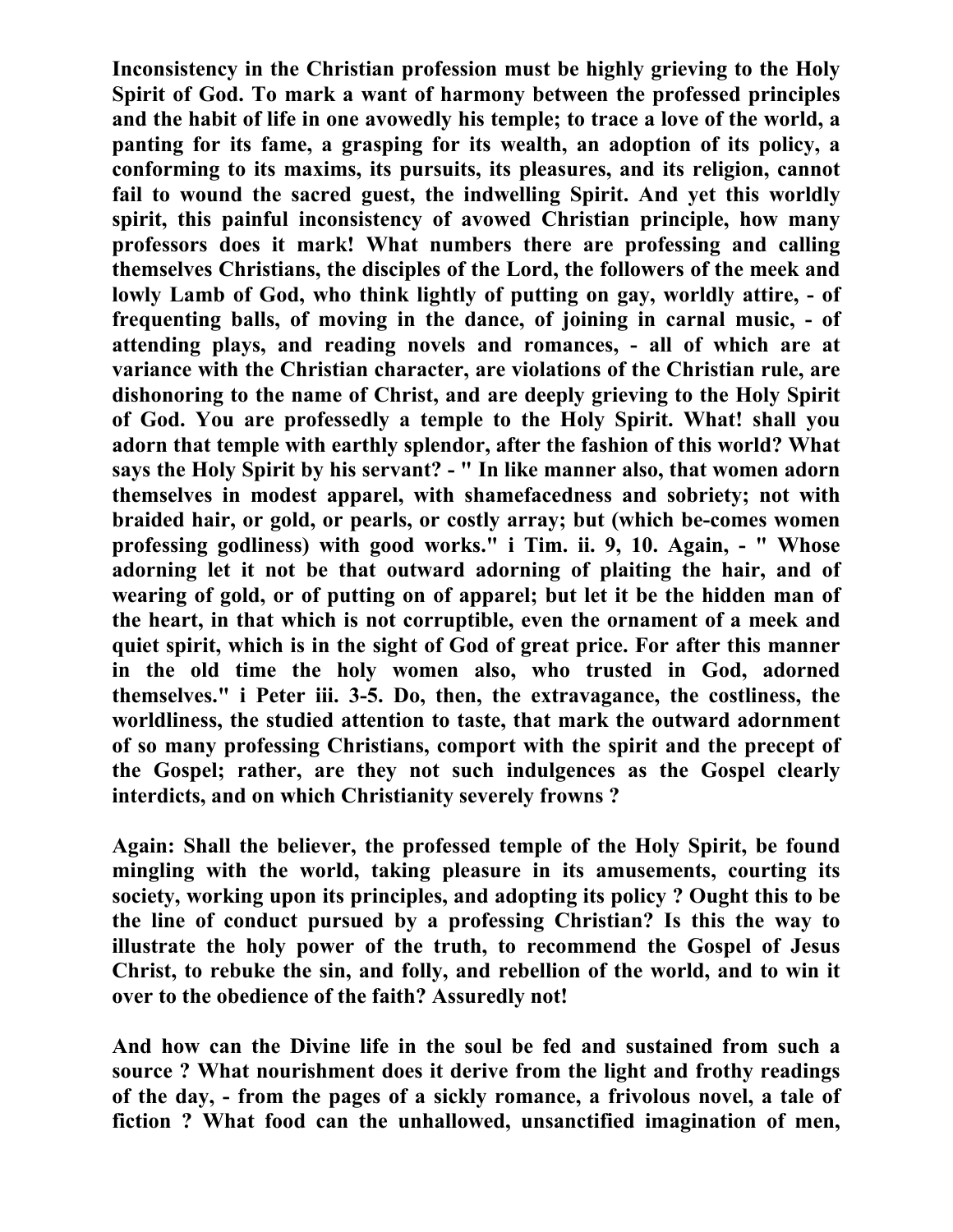**Inconsistency in the Christian profession must be highly grieving to the Holy Spirit of God. To mark a want of harmony between the professed principles and the habit of life in one avowedly his temple; to trace a love of the world, a panting for its fame, a grasping for its wealth, an adoption of its policy, a conforming to its maxims, its pursuits, its pleasures, and its religion, cannot fail to wound the sacred guest, the indwelling Spirit. And yet this worldly spirit, this painful inconsistency of avowed Christian principle, how many professors does it mark! What numbers there are professing and calling themselves Christians, the disciples of the Lord, the followers of the meek and lowly Lamb of God, who think lightly of putting on gay, worldly attire, - of frequenting balls, of moving in the dance, of joining in carnal music, - of attending plays, and reading novels and romances, - all of which are at variance with the Christian character, are violations of the Christian rule, are dishonoring to the name of Christ, and are deeply grieving to the Holy Spirit of God. You are professedly a temple to the Holy Spirit. What! shall you adorn that temple with earthly splendor, after the fashion of this world? What says the Holy Spirit by his servant? - " In like manner also, that women adorn themselves in modest apparel, with shamefacedness and sobriety; not with braided hair, or gold, or pearls, or costly array; but (which be-comes women professing godliness) with good works." i Tim. ii. 9, 10. Again, - " Whose adorning let it not be that outward adorning of plaiting the hair, and of wearing of gold, or of putting on of apparel; but let it be the hidden man of the heart, in that which is not corruptible, even the ornament of a meek and quiet spirit, which is in the sight of God of great price. For after this manner in the old time the holy women also, who trusted in God, adorned themselves." i Peter iii. 3-5. Do, then, the extravagance, the costliness, the worldliness, the studied attention to taste, that mark the outward adornment of so many professing Christians, comport with the spirit and the precept of the Gospel; rather, are they not such indulgences as the Gospel clearly interdicts, and on which Christianity severely frowns ?** 

**Again: Shall the believer, the professed temple of the Holy Spirit, be found mingling with the world, taking pleasure in its amusements, courting its society, working upon its principles, and adopting its policy ? Ought this to be the line of conduct pursued by a professing Christian? Is this the way to illustrate the holy power of the truth, to recommend the Gospel of Jesus Christ, to rebuke the sin, and folly, and rebellion of the world, and to win it over to the obedience of the faith? Assuredly not!** 

**And how can the Divine life in the soul be fed and sustained from such a source ? What nourishment does it derive from the light and frothy readings of the day, - from the pages of a sickly romance, a frivolous novel, a tale of fiction ? What food can the unhallowed, unsanctified imagination of men,**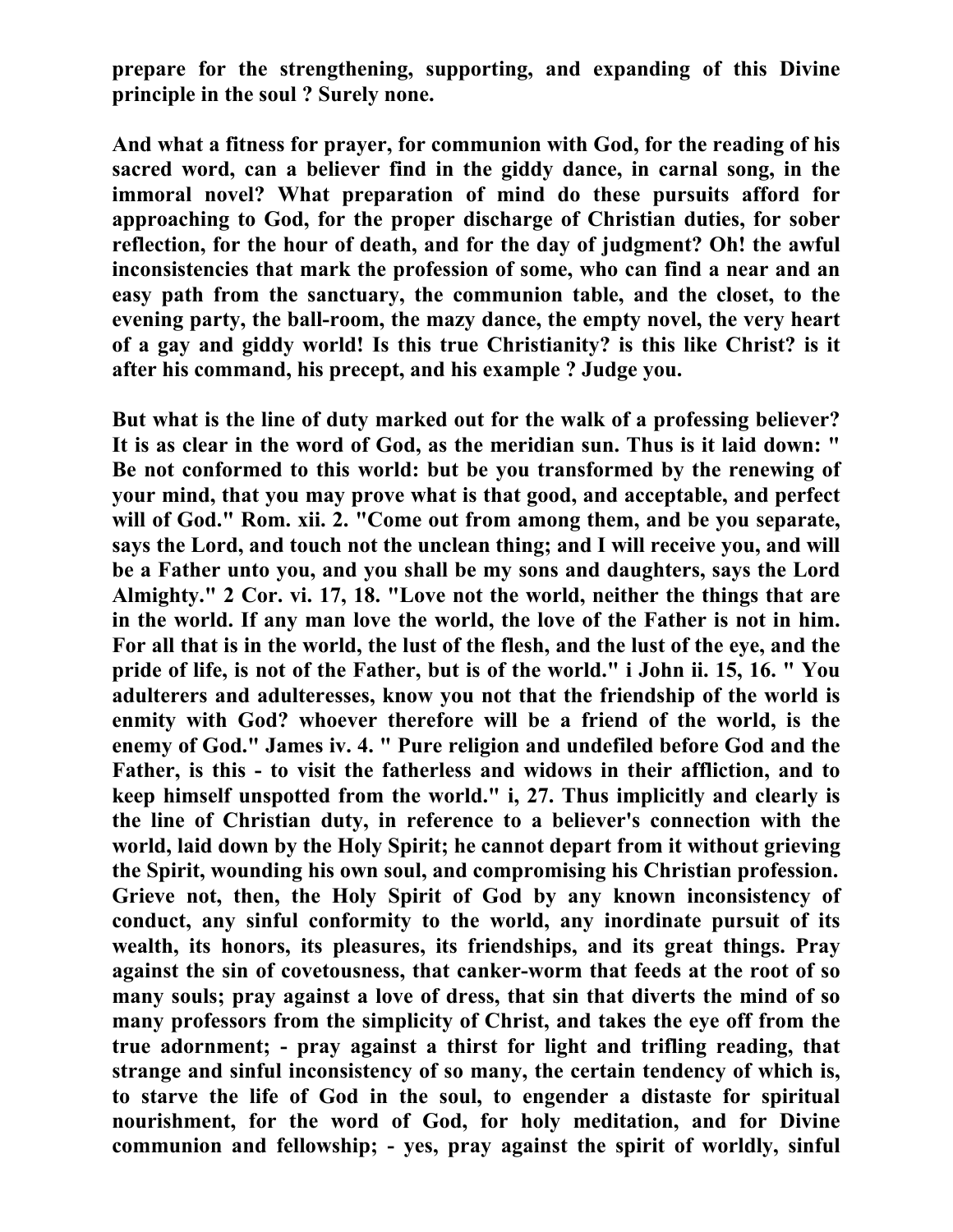**prepare for the strengthening, supporting, and expanding of this Divine principle in the soul ? Surely none.** 

**And what a fitness for prayer, for communion with God, for the reading of his sacred word, can a believer find in the giddy dance, in carnal song, in the immoral novel? What preparation of mind do these pursuits afford for approaching to God, for the proper discharge of Christian duties, for sober reflection, for the hour of death, and for the day of judgment? Oh! the awful inconsistencies that mark the profession of some, who can find a near and an easy path from the sanctuary, the communion table, and the closet, to the evening party, the ball-room, the mazy dance, the empty novel, the very heart of a gay and giddy world! Is this true Christianity? is this like Christ? is it after his command, his precept, and his example ? Judge you.** 

**But what is the line of duty marked out for the walk of a professing believer? It is as clear in the word of God, as the meridian sun. Thus is it laid down: " Be not conformed to this world: but be you transformed by the renewing of your mind, that you may prove what is that good, and acceptable, and perfect will of God." Rom. xii. 2. "Come out from among them, and be you separate, says the Lord, and touch not the unclean thing; and I will receive you, and will be a Father unto you, and you shall be my sons and daughters, says the Lord Almighty." 2 Cor. vi. 17, 18. "Love not the world, neither the things that are in the world. If any man love the world, the love of the Father is not in him. For all that is in the world, the lust of the flesh, and the lust of the eye, and the pride of life, is not of the Father, but is of the world." i John ii. 15, 16. " You adulterers and adulteresses, know you not that the friendship of the world is enmity with God? whoever therefore will be a friend of the world, is the enemy of God." James iv. 4. " Pure religion and undefiled before God and the Father, is this - to visit the fatherless and widows in their affliction, and to keep himself unspotted from the world." i, 27. Thus implicitly and clearly is the line of Christian duty, in reference to a believer's connection with the world, laid down by the Holy Spirit; he cannot depart from it without grieving the Spirit, wounding his own soul, and compromising his Christian profession. Grieve not, then, the Holy Spirit of God by any known inconsistency of conduct, any sinful conformity to the world, any inordinate pursuit of its wealth, its honors, its pleasures, its friendships, and its great things. Pray against the sin of covetousness, that canker-worm that feeds at the root of so many souls; pray against a love of dress, that sin that diverts the mind of so many professors from the simplicity of Christ, and takes the eye off from the true adornment; - pray against a thirst for light and trifling reading, that strange and sinful inconsistency of so many, the certain tendency of which is, to starve the life of God in the soul, to engender a distaste for spiritual nourishment, for the word of God, for holy meditation, and for Divine communion and fellowship; - yes, pray against the spirit of worldly, sinful**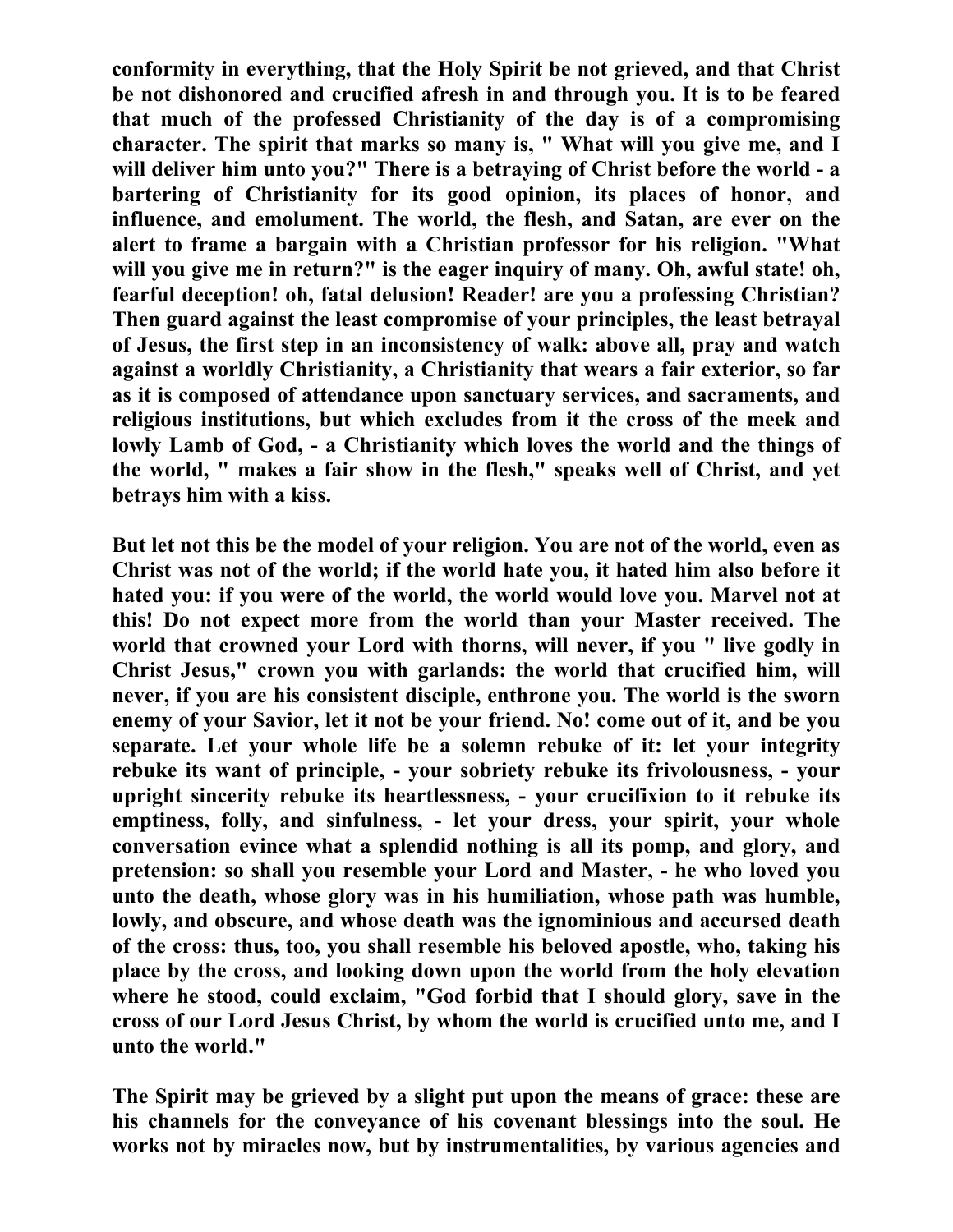**conformity in everything, that the Holy Spirit be not grieved, and that Christ be not dishonored and crucified afresh in and through you. It is to be feared that much of the professed Christianity of the day is of a compromising character. The spirit that marks so many is, " What will you give me, and I will deliver him unto you?" There is a betraying of Christ before the world - a bartering of Christianity for its good opinion, its places of honor, and influence, and emolument. The world, the flesh, and Satan, are ever on the alert to frame a bargain with a Christian professor for his religion. "What will you give me in return?" is the eager inquiry of many. Oh, awful state! oh, fearful deception! oh, fatal delusion! Reader! are you a professing Christian? Then guard against the least compromise of your principles, the least betrayal of Jesus, the first step in an inconsistency of walk: above all, pray and watch against a worldly Christianity, a Christianity that wears a fair exterior, so far as it is composed of attendance upon sanctuary services, and sacraments, and religious institutions, but which excludes from it the cross of the meek and lowly Lamb of God, - a Christianity which loves the world and the things of the world, " makes a fair show in the flesh," speaks well of Christ, and yet betrays him with a kiss.** 

**But let not this be the model of your religion. You are not of the world, even as Christ was not of the world; if the world hate you, it hated him also before it hated you: if you were of the world, the world would love you. Marvel not at this! Do not expect more from the world than your Master received. The world that crowned your Lord with thorns, will never, if you " live godly in Christ Jesus," crown you with garlands: the world that crucified him, will never, if you are his consistent disciple, enthrone you. The world is the sworn enemy of your Savior, let it not be your friend. No! come out of it, and be you separate. Let your whole life be a solemn rebuke of it: let your integrity rebuke its want of principle, - your sobriety rebuke its frivolousness, - your upright sincerity rebuke its heartlessness, - your crucifixion to it rebuke its emptiness, folly, and sinfulness, - let your dress, your spirit, your whole conversation evince what a splendid nothing is all its pomp, and glory, and pretension: so shall you resemble your Lord and Master, - he who loved you unto the death, whose glory was in his humiliation, whose path was humble, lowly, and obscure, and whose death was the ignominious and accursed death of the cross: thus, too, you shall resemble his beloved apostle, who, taking his place by the cross, and looking down upon the world from the holy elevation where he stood, could exclaim, "God forbid that I should glory, save in the cross of our Lord Jesus Christ, by whom the world is crucified unto me, and I unto the world."** 

**The Spirit may be grieved by a slight put upon the means of grace: these are his channels for the conveyance of his covenant blessings into the soul. He works not by miracles now, but by instrumentalities, by various agencies and**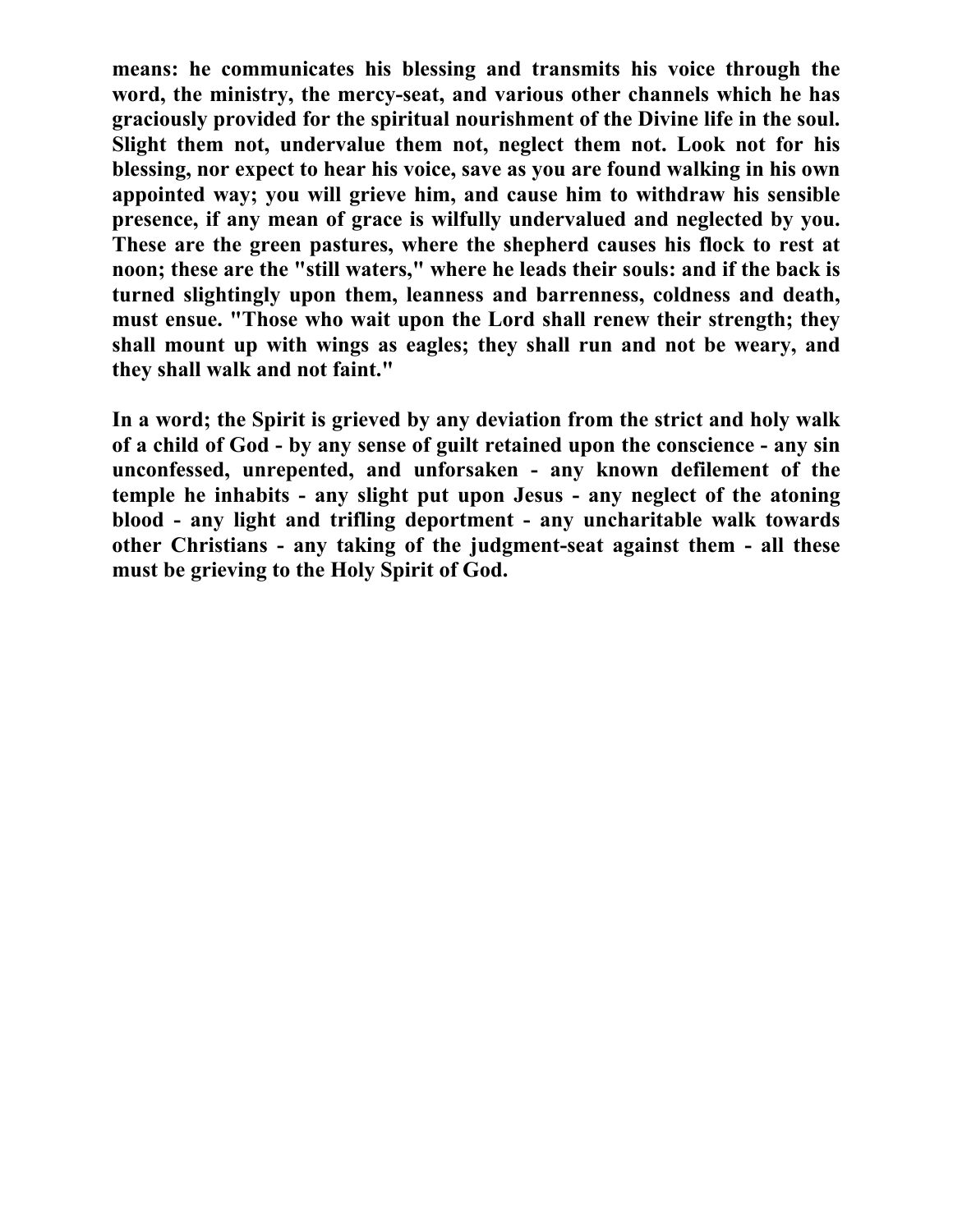**means: he communicates his blessing and transmits his voice through the word, the ministry, the mercy-seat, and various other channels which he has graciously provided for the spiritual nourishment of the Divine life in the soul. Slight them not, undervalue them not, neglect them not. Look not for his blessing, nor expect to hear his voice, save as you are found walking in his own appointed way; you will grieve him, and cause him to withdraw his sensible presence, if any mean of grace is wilfully undervalued and neglected by you. These are the green pastures, where the shepherd causes his flock to rest at noon; these are the "still waters," where he leads their souls: and if the back is turned slightingly upon them, leanness and barrenness, coldness and death, must ensue. "Those who wait upon the Lord shall renew their strength; they shall mount up with wings as eagles; they shall run and not be weary, and they shall walk and not faint."** 

**In a word; the Spirit is grieved by any deviation from the strict and holy walk of a child of God - by any sense of guilt retained upon the conscience - any sin unconfessed, unrepented, and unforsaken - any known defilement of the temple he inhabits - any slight put upon Jesus - any neglect of the atoning blood - any light and trifling deportment - any uncharitable walk towards other Christians - any taking of the judgment-seat against them - all these must be grieving to the Holy Spirit of God.**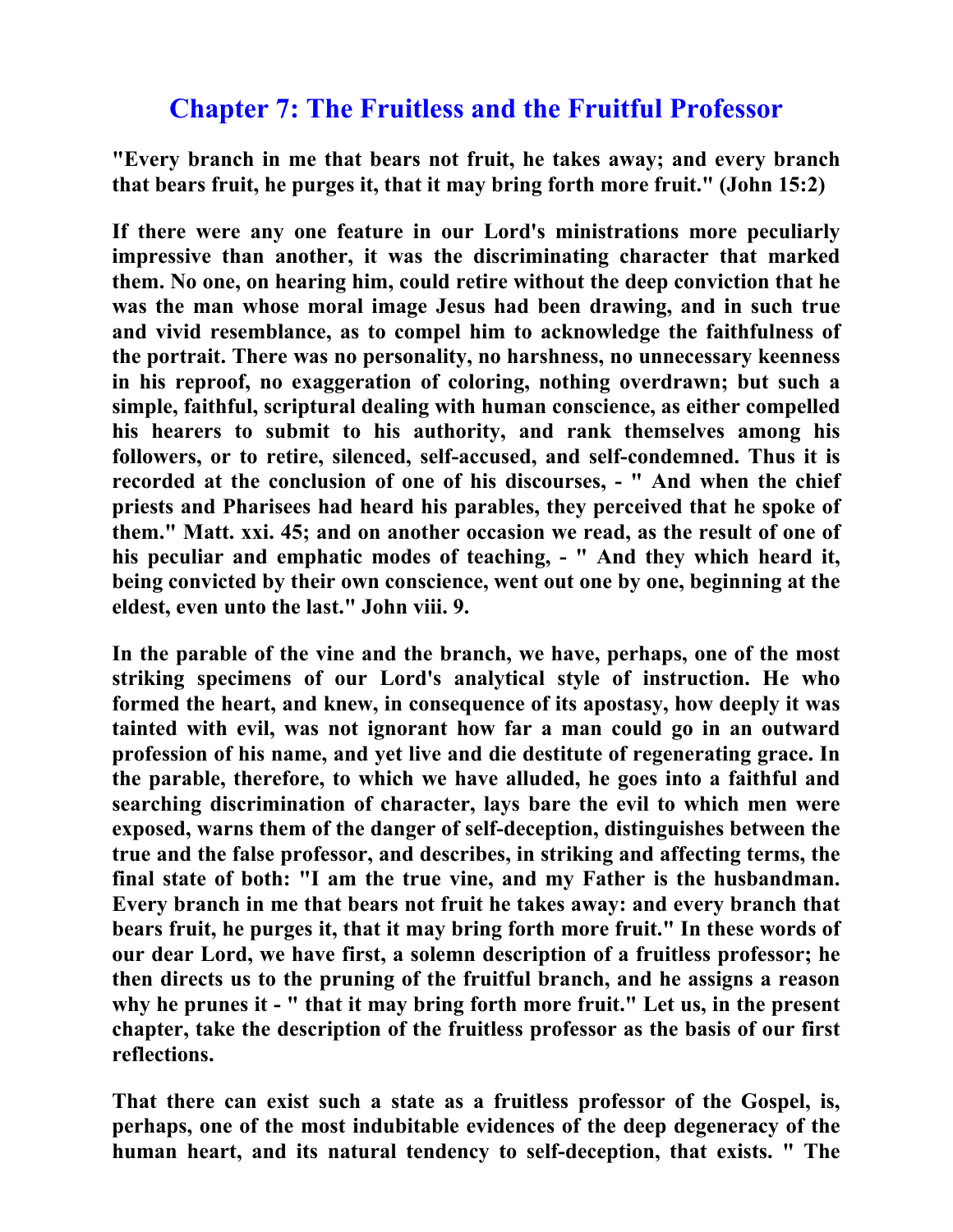## **Chapter 7: The Fruitless and the Fruitful Professor**

**"Every branch in me that bears not fruit, he takes away; and every branch that bears fruit, he purges it, that it may bring forth more fruit." (John 15:2)** 

**If there were any one feature in our Lord's ministrations more peculiarly impressive than another, it was the discriminating character that marked them. No one, on hearing him, could retire without the deep conviction that he was the man whose moral image Jesus had been drawing, and in such true and vivid resemblance, as to compel him to acknowledge the faithfulness of the portrait. There was no personality, no harshness, no unnecessary keenness in his reproof, no exaggeration of coloring, nothing overdrawn; but such a simple, faithful, scriptural dealing with human conscience, as either compelled his hearers to submit to his authority, and rank themselves among his followers, or to retire, silenced, self-accused, and self-condemned. Thus it is recorded at the conclusion of one of his discourses, - " And when the chief priests and Pharisees had heard his parables, they perceived that he spoke of them." Matt. xxi. 45; and on another occasion we read, as the result of one of his peculiar and emphatic modes of teaching, - " And they which heard it, being convicted by their own conscience, went out one by one, beginning at the eldest, even unto the last." John viii. 9.** 

**In the parable of the vine and the branch, we have, perhaps, one of the most striking specimens of our Lord's analytical style of instruction. He who formed the heart, and knew, in consequence of its apostasy, how deeply it was tainted with evil, was not ignorant how far a man could go in an outward profession of his name, and yet live and die destitute of regenerating grace. In the parable, therefore, to which we have alluded, he goes into a faithful and searching discrimination of character, lays bare the evil to which men were exposed, warns them of the danger of self-deception, distinguishes between the true and the false professor, and describes, in striking and affecting terms, the final state of both: "I am the true vine, and my Father is the husbandman. Every branch in me that bears not fruit he takes away: and every branch that bears fruit, he purges it, that it may bring forth more fruit." In these words of our dear Lord, we have first, a solemn description of a fruitless professor; he then directs us to the pruning of the fruitful branch, and he assigns a reason why he prunes it - " that it may bring forth more fruit." Let us, in the present chapter, take the description of the fruitless professor as the basis of our first reflections.** 

**That there can exist such a state as a fruitless professor of the Gospel, is, perhaps, one of the most indubitable evidences of the deep degeneracy of the human heart, and its natural tendency to self-deception, that exists. " The**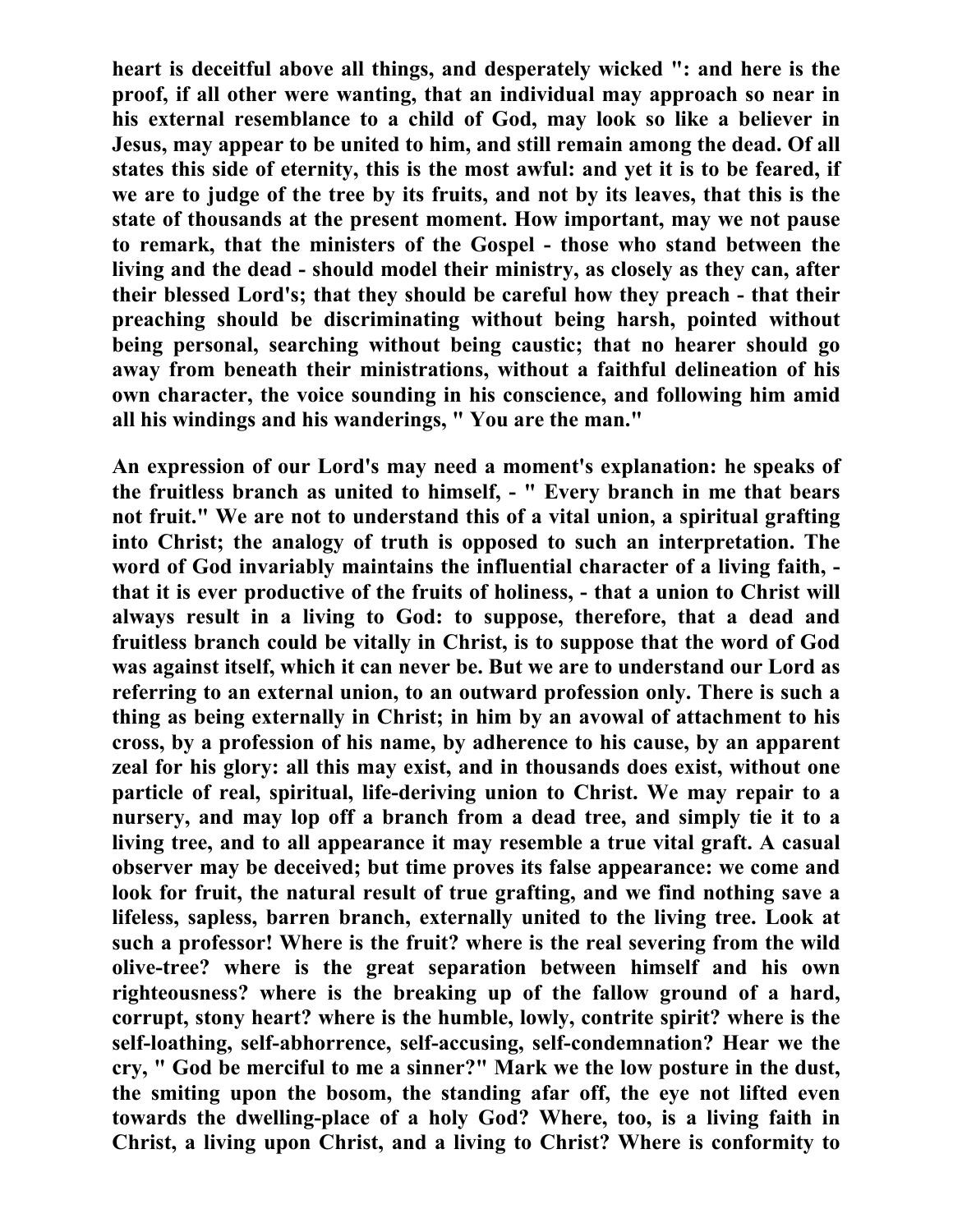**heart is deceitful above all things, and desperately wicked ": and here is the proof, if all other were wanting, that an individual may approach so near in his external resemblance to a child of God, may look so like a believer in Jesus, may appear to be united to him, and still remain among the dead. Of all states this side of eternity, this is the most awful: and yet it is to be feared, if we are to judge of the tree by its fruits, and not by its leaves, that this is the state of thousands at the present moment. How important, may we not pause to remark, that the ministers of the Gospel - those who stand between the living and the dead - should model their ministry, as closely as they can, after their blessed Lord's; that they should be careful how they preach - that their preaching should be discriminating without being harsh, pointed without being personal, searching without being caustic; that no hearer should go away from beneath their ministrations, without a faithful delineation of his own character, the voice sounding in his conscience, and following him amid all his windings and his wanderings, " You are the man."** 

**An expression of our Lord's may need a moment's explanation: he speaks of the fruitless branch as united to himself, - " Every branch in me that bears not fruit." We are not to understand this of a vital union, a spiritual grafting into Christ; the analogy of truth is opposed to such an interpretation. The word of God invariably maintains the influential character of a living faith, that it is ever productive of the fruits of holiness, - that a union to Christ will always result in a living to God: to suppose, therefore, that a dead and fruitless branch could be vitally in Christ, is to suppose that the word of God was against itself, which it can never be. But we are to understand our Lord as referring to an external union, to an outward profession only. There is such a thing as being externally in Christ; in him by an avowal of attachment to his cross, by a profession of his name, by adherence to his cause, by an apparent zeal for his glory: all this may exist, and in thousands does exist, without one particle of real, spiritual, life-deriving union to Christ. We may repair to a nursery, and may lop off a branch from a dead tree, and simply tie it to a living tree, and to all appearance it may resemble a true vital graft. A casual observer may be deceived; but time proves its false appearance: we come and look for fruit, the natural result of true grafting, and we find nothing save a lifeless, sapless, barren branch, externally united to the living tree. Look at such a professor! Where is the fruit? where is the real severing from the wild olive-tree? where is the great separation between himself and his own righteousness? where is the breaking up of the fallow ground of a hard, corrupt, stony heart? where is the humble, lowly, contrite spirit? where is the self-loathing, self-abhorrence, self-accusing, self-condemnation? Hear we the cry, " God be merciful to me a sinner?" Mark we the low posture in the dust, the smiting upon the bosom, the standing afar off, the eye not lifted even towards the dwelling-place of a holy God? Where, too, is a living faith in Christ, a living upon Christ, and a living to Christ? Where is conformity to**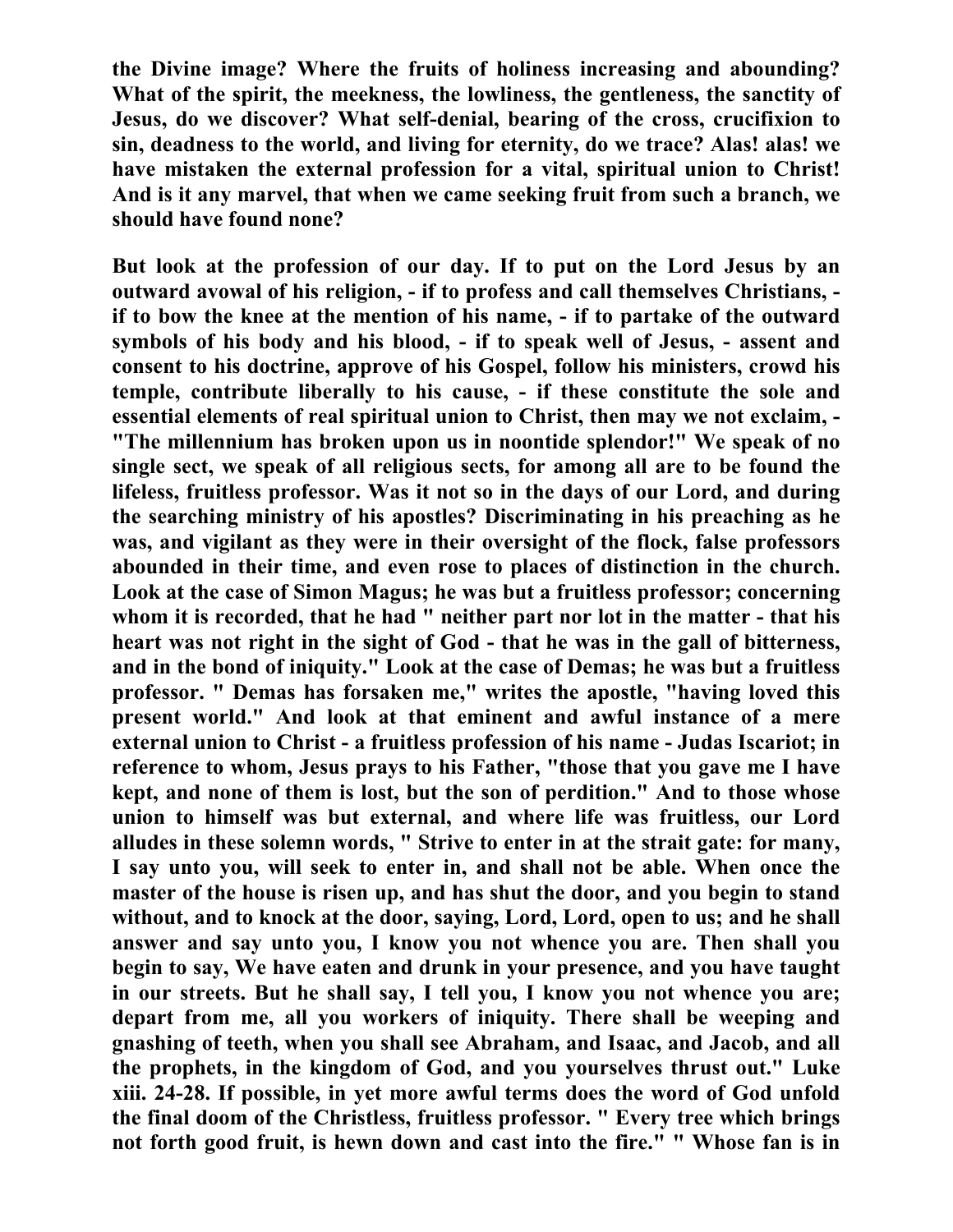**the Divine image? Where the fruits of holiness increasing and abounding? What of the spirit, the meekness, the lowliness, the gentleness, the sanctity of Jesus, do we discover? What self-denial, bearing of the cross, crucifixion to sin, deadness to the world, and living for eternity, do we trace? Alas! alas! we have mistaken the external profession for a vital, spiritual union to Christ! And is it any marvel, that when we came seeking fruit from such a branch, we should have found none?** 

**But look at the profession of our day. If to put on the Lord Jesus by an outward avowal of his religion, - if to profess and call themselves Christians, if to bow the knee at the mention of his name, - if to partake of the outward symbols of his body and his blood, - if to speak well of Jesus, - assent and consent to his doctrine, approve of his Gospel, follow his ministers, crowd his temple, contribute liberally to his cause, - if these constitute the sole and essential elements of real spiritual union to Christ, then may we not exclaim, - "The millennium has broken upon us in noontide splendor!" We speak of no single sect, we speak of all religious sects, for among all are to be found the lifeless, fruitless professor. Was it not so in the days of our Lord, and during the searching ministry of his apostles? Discriminating in his preaching as he was, and vigilant as they were in their oversight of the flock, false professors abounded in their time, and even rose to places of distinction in the church. Look at the case of Simon Magus; he was but a fruitless professor; concerning whom it is recorded, that he had " neither part nor lot in the matter - that his heart was not right in the sight of God - that he was in the gall of bitterness, and in the bond of iniquity." Look at the case of Demas; he was but a fruitless professor. " Demas has forsaken me," writes the apostle, "having loved this present world." And look at that eminent and awful instance of a mere external union to Christ - a fruitless profession of his name - Judas Iscariot; in reference to whom, Jesus prays to his Father, "those that you gave me I have kept, and none of them is lost, but the son of perdition." And to those whose union to himself was but external, and where life was fruitless, our Lord alludes in these solemn words, " Strive to enter in at the strait gate: for many, I say unto you, will seek to enter in, and shall not be able. When once the master of the house is risen up, and has shut the door, and you begin to stand without, and to knock at the door, saying, Lord, Lord, open to us; and he shall answer and say unto you, I know you not whence you are. Then shall you begin to say, We have eaten and drunk in your presence, and you have taught in our streets. But he shall say, I tell you, I know you not whence you are; depart from me, all you workers of iniquity. There shall be weeping and gnashing of teeth, when you shall see Abraham, and Isaac, and Jacob, and all the prophets, in the kingdom of God, and you yourselves thrust out." Luke xiii. 24-28. If possible, in yet more awful terms does the word of God unfold the final doom of the Christless, fruitless professor. " Every tree which brings not forth good fruit, is hewn down and cast into the fire." " Whose fan is in**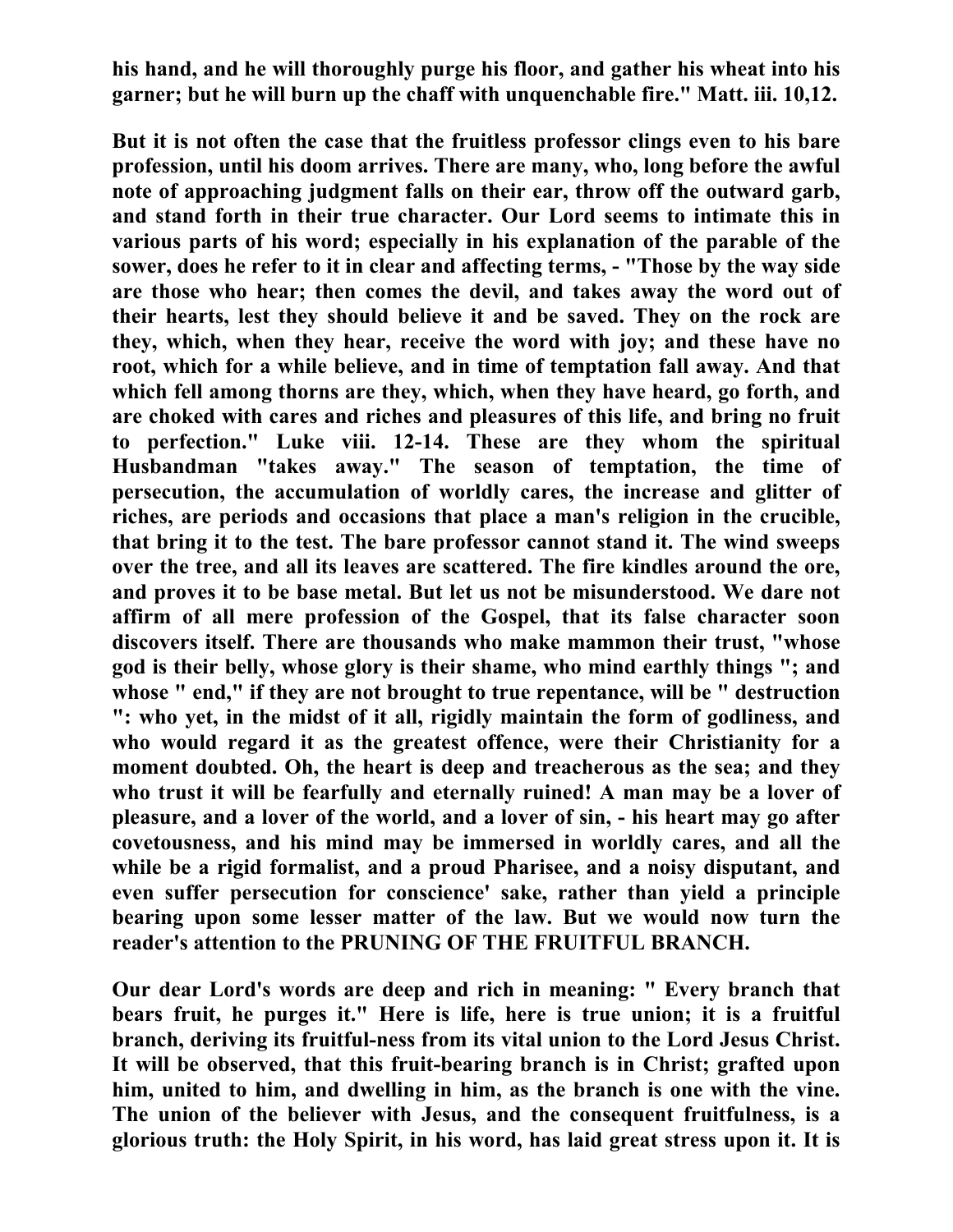**his hand, and he will thoroughly purge his floor, and gather his wheat into his garner; but he will burn up the chaff with unquenchable fire." Matt. iii. 10,12.** 

**But it is not often the case that the fruitless professor clings even to his bare profession, until his doom arrives. There are many, who, long before the awful note of approaching judgment falls on their ear, throw off the outward garb, and stand forth in their true character. Our Lord seems to intimate this in various parts of his word; especially in his explanation of the parable of the sower, does he refer to it in clear and affecting terms, - "Those by the way side are those who hear; then comes the devil, and takes away the word out of their hearts, lest they should believe it and be saved. They on the rock are they, which, when they hear, receive the word with joy; and these have no root, which for a while believe, and in time of temptation fall away. And that which fell among thorns are they, which, when they have heard, go forth, and are choked with cares and riches and pleasures of this life, and bring no fruit to perfection." Luke viii. 12-14. These are they whom the spiritual Husbandman "takes away." The season of temptation, the time of persecution, the accumulation of worldly cares, the increase and glitter of riches, are periods and occasions that place a man's religion in the crucible, that bring it to the test. The bare professor cannot stand it. The wind sweeps over the tree, and all its leaves are scattered. The fire kindles around the ore, and proves it to be base metal. But let us not be misunderstood. We dare not affirm of all mere profession of the Gospel, that its false character soon discovers itself. There are thousands who make mammon their trust, "whose god is their belly, whose glory is their shame, who mind earthly things "; and**  whose " end." if they are not brought to true repentance, will be " destruction **": who yet, in the midst of it all, rigidly maintain the form of godliness, and who would regard it as the greatest offence, were their Christianity for a moment doubted. Oh, the heart is deep and treacherous as the sea; and they who trust it will be fearfully and eternally ruined! A man may be a lover of pleasure, and a lover of the world, and a lover of sin, - his heart may go after covetousness, and his mind may be immersed in worldly cares, and all the while be a rigid formalist, and a proud Pharisee, and a noisy disputant, and even suffer persecution for conscience' sake, rather than yield a principle bearing upon some lesser matter of the law. But we would now turn the reader's attention to the PRUNING OF THE FRUITFUL BRANCH.** 

**Our dear Lord's words are deep and rich in meaning: " Every branch that bears fruit, he purges it." Here is life, here is true union; it is a fruitful branch, deriving its fruitful-ness from its vital union to the Lord Jesus Christ. It will be observed, that this fruit-bearing branch is in Christ; grafted upon him, united to him, and dwelling in him, as the branch is one with the vine. The union of the believer with Jesus, and the consequent fruitfulness, is a glorious truth: the Holy Spirit, in his word, has laid great stress upon it. It is**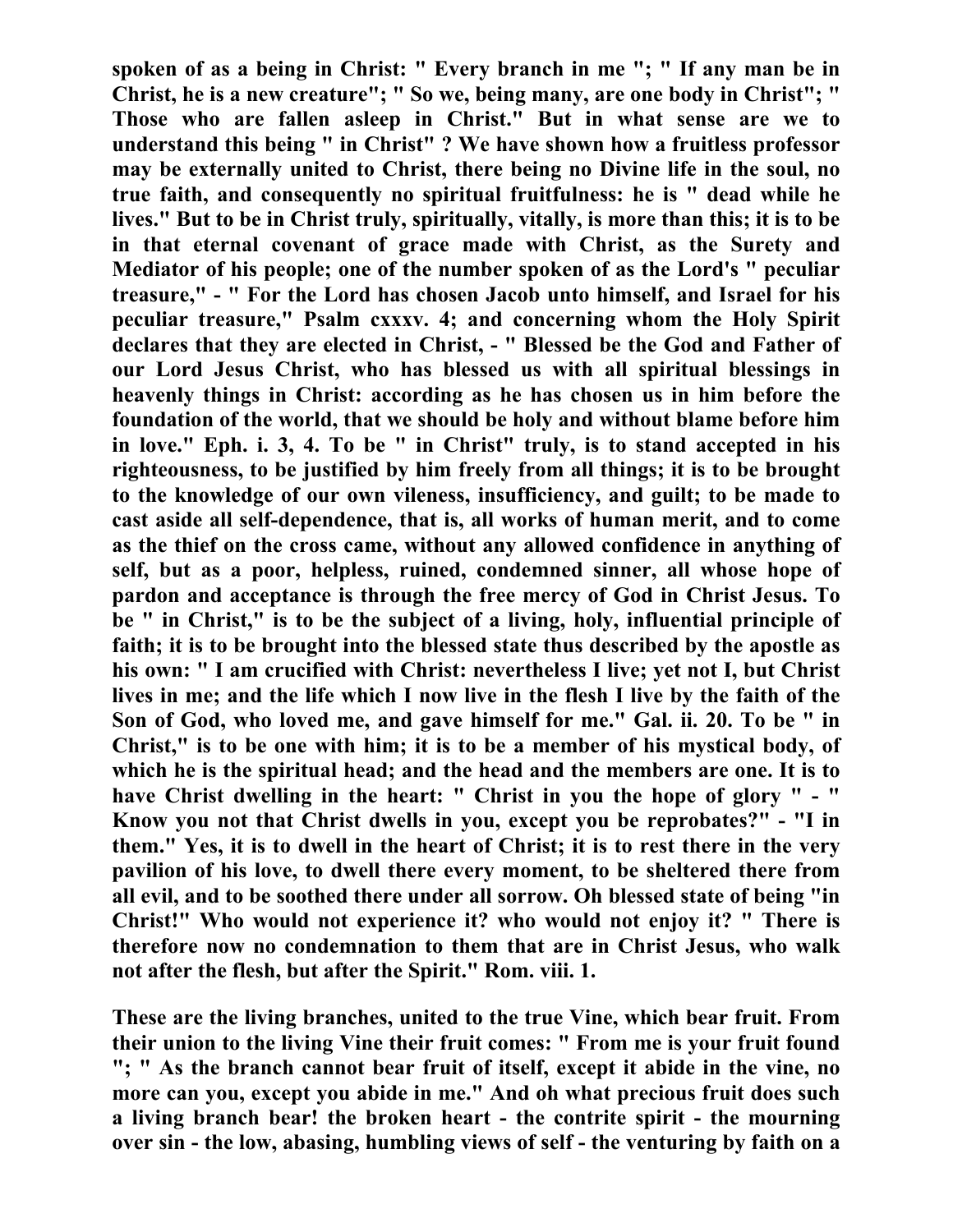**spoken of as a being in Christ: " Every branch in me "; " If any man be in Christ, he is a new creature"; " So we, being many, are one body in Christ"; " Those who are fallen asleep in Christ." But in what sense are we to understand this being " in Christ" ? We have shown how a fruitless professor may be externally united to Christ, there being no Divine life in the soul, no true faith, and consequently no spiritual fruitfulness: he is " dead while he lives." But to be in Christ truly, spiritually, vitally, is more than this; it is to be in that eternal covenant of grace made with Christ, as the Surety and Mediator of his people; one of the number spoken of as the Lord's " peculiar treasure," - " For the Lord has chosen Jacob unto himself, and Israel for his peculiar treasure," Psalm cxxxv. 4; and concerning whom the Holy Spirit declares that they are elected in Christ, - " Blessed be the God and Father of our Lord Jesus Christ, who has blessed us with all spiritual blessings in heavenly things in Christ: according as he has chosen us in him before the foundation of the world, that we should be holy and without blame before him in love." Eph. i. 3, 4. To be " in Christ" truly, is to stand accepted in his righteousness, to be justified by him freely from all things; it is to be brought to the knowledge of our own vileness, insufficiency, and guilt; to be made to cast aside all self-dependence, that is, all works of human merit, and to come as the thief on the cross came, without any allowed confidence in anything of self, but as a poor, helpless, ruined, condemned sinner, all whose hope of pardon and acceptance is through the free mercy of God in Christ Jesus. To be " in Christ," is to be the subject of a living, holy, influential principle of faith; it is to be brought into the blessed state thus described by the apostle as his own: " I am crucified with Christ: nevertheless I live; yet not I, but Christ lives in me; and the life which I now live in the flesh I live by the faith of the Son of God, who loved me, and gave himself for me." Gal. ii. 20. To be " in Christ," is to be one with him; it is to be a member of his mystical body, of which he is the spiritual head; and the head and the members are one. It is to have Christ dwelling in the heart: " Christ in you the hope of glory " - " Know you not that Christ dwells in you, except you be reprobates?" - "I in them." Yes, it is to dwell in the heart of Christ; it is to rest there in the very pavilion of his love, to dwell there every moment, to be sheltered there from all evil, and to be soothed there under all sorrow. Oh blessed state of being "in Christ!" Who would not experience it? who would not enjoy it? " There is therefore now no condemnation to them that are in Christ Jesus, who walk not after the flesh, but after the Spirit." Rom. viii. 1.** 

**These are the living branches, united to the true Vine, which bear fruit. From their union to the living Vine their fruit comes: " From me is your fruit found "; " As the branch cannot bear fruit of itself, except it abide in the vine, no more can you, except you abide in me." And oh what precious fruit does such a living branch bear! the broken heart - the contrite spirit - the mourning over sin - the low, abasing, humbling views of self - the venturing by faith on a**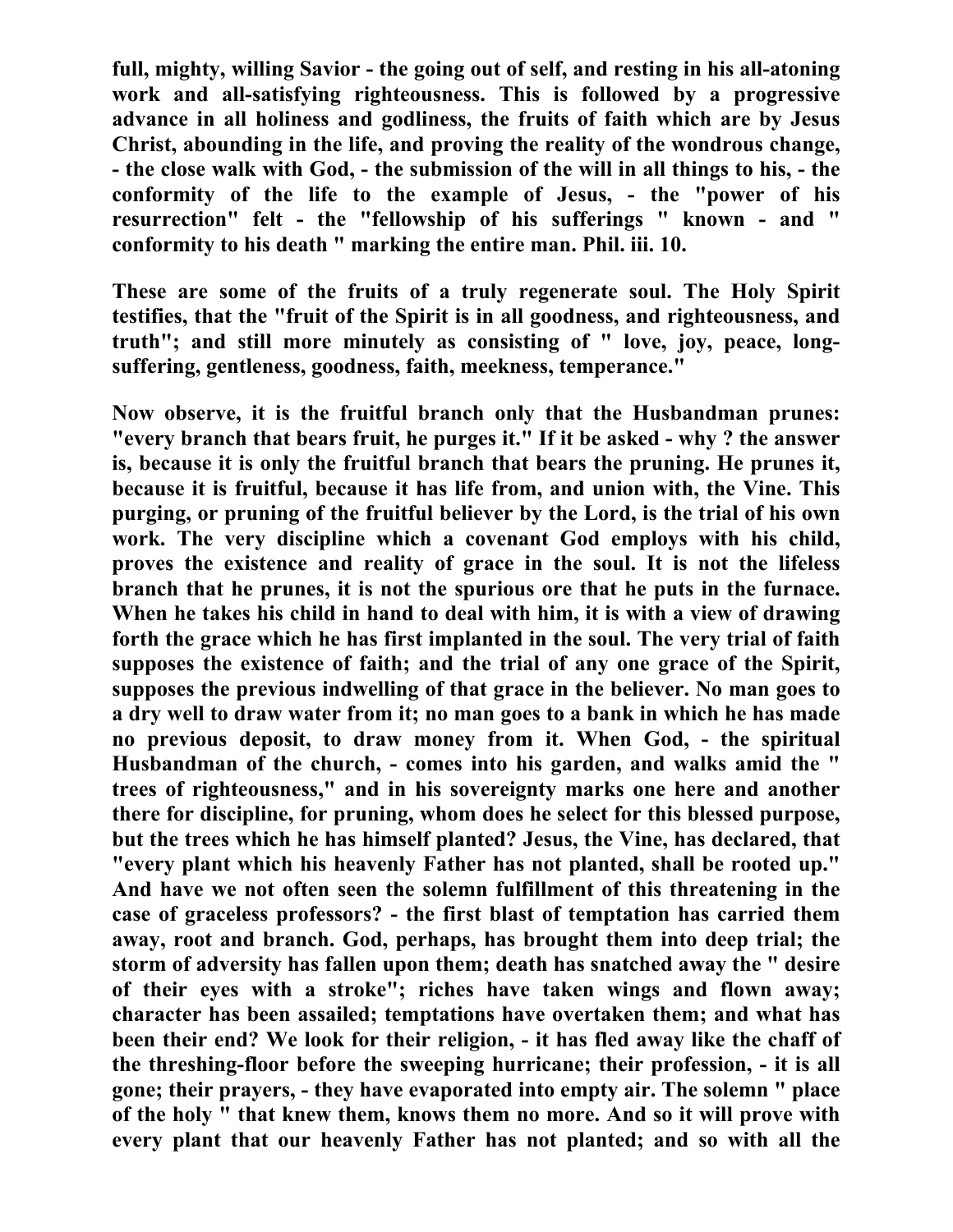**full, mighty, willing Savior - the going out of self, and resting in his all-atoning work and all-satisfying righteousness. This is followed by a progressive advance in all holiness and godliness, the fruits of faith which are by Jesus Christ, abounding in the life, and proving the reality of the wondrous change, - the close walk with God, - the submission of the will in all things to his, - the conformity of the life to the example of Jesus, - the "power of his resurrection" felt - the "fellowship of his sufferings " known - and " conformity to his death " marking the entire man. Phil. iii. 10.** 

**These are some of the fruits of a truly regenerate soul. The Holy Spirit testifies, that the "fruit of the Spirit is in all goodness, and righteousness, and truth"; and still more minutely as consisting of " love, joy, peace, longsuffering, gentleness, goodness, faith, meekness, temperance."** 

**Now observe, it is the fruitful branch only that the Husbandman prunes: "every branch that bears fruit, he purges it." If it be asked - why ? the answer is, because it is only the fruitful branch that bears the pruning. He prunes it, because it is fruitful, because it has life from, and union with, the Vine. This purging, or pruning of the fruitful believer by the Lord, is the trial of his own work. The very discipline which a covenant God employs with his child, proves the existence and reality of grace in the soul. It is not the lifeless branch that he prunes, it is not the spurious ore that he puts in the furnace. When he takes his child in hand to deal with him, it is with a view of drawing forth the grace which he has first implanted in the soul. The very trial of faith supposes the existence of faith; and the trial of any one grace of the Spirit, supposes the previous indwelling of that grace in the believer. No man goes to a dry well to draw water from it; no man goes to a bank in which he has made no previous deposit, to draw money from it. When God, - the spiritual Husbandman of the church, - comes into his garden, and walks amid the " trees of righteousness," and in his sovereignty marks one here and another there for discipline, for pruning, whom does he select for this blessed purpose, but the trees which he has himself planted? Jesus, the Vine, has declared, that "every plant which his heavenly Father has not planted, shall be rooted up." And have we not often seen the solemn fulfillment of this threatening in the case of graceless professors? - the first blast of temptation has carried them away, root and branch. God, perhaps, has brought them into deep trial; the storm of adversity has fallen upon them; death has snatched away the " desire of their eyes with a stroke"; riches have taken wings and flown away; character has been assailed; temptations have overtaken them; and what has been their end? We look for their religion, - it has fled away like the chaff of the threshing-floor before the sweeping hurricane; their profession, - it is all gone; their prayers, - they have evaporated into empty air. The solemn " place of the holy " that knew them, knows them no more. And so it will prove with every plant that our heavenly Father has not planted; and so with all the**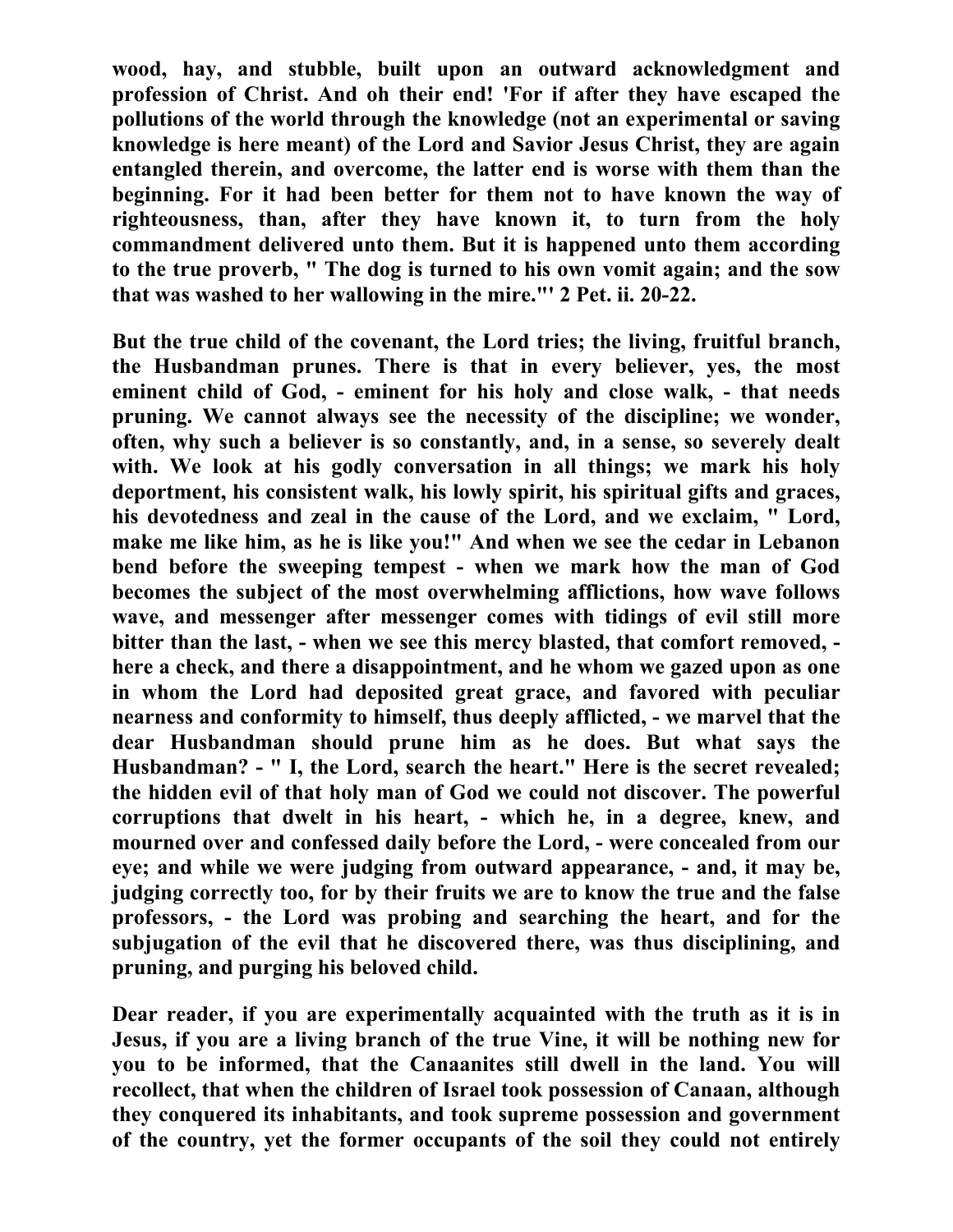**wood, hay, and stubble, built upon an outward acknowledgment and profession of Christ. And oh their end! 'For if after they have escaped the pollutions of the world through the knowledge (not an experimental or saving knowledge is here meant) of the Lord and Savior Jesus Christ, they are again entangled therein, and overcome, the latter end is worse with them than the beginning. For it had been better for them not to have known the way of righteousness, than, after they have known it, to turn from the holy commandment delivered unto them. But it is happened unto them according to the true proverb, " The dog is turned to his own vomit again; and the sow that was washed to her wallowing in the mire."' 2 Pet. ii. 20-22.** 

**But the true child of the covenant, the Lord tries; the living, fruitful branch, the Husbandman prunes. There is that in every believer, yes, the most eminent child of God, - eminent for his holy and close walk, - that needs pruning. We cannot always see the necessity of the discipline; we wonder, often, why such a believer is so constantly, and, in a sense, so severely dealt with. We look at his godly conversation in all things; we mark his holy deportment, his consistent walk, his lowly spirit, his spiritual gifts and graces, his devotedness and zeal in the cause of the Lord, and we exclaim, " Lord, make me like him, as he is like you!" And when we see the cedar in Lebanon bend before the sweeping tempest - when we mark how the man of God becomes the subject of the most overwhelming afflictions, how wave follows wave, and messenger after messenger comes with tidings of evil still more bitter than the last, - when we see this mercy blasted, that comfort removed, here a check, and there a disappointment, and he whom we gazed upon as one in whom the Lord had deposited great grace, and favored with peculiar nearness and conformity to himself, thus deeply afflicted, - we marvel that the dear Husbandman should prune him as he does. But what says the Husbandman? - " I, the Lord, search the heart." Here is the secret revealed; the hidden evil of that holy man of God we could not discover. The powerful corruptions that dwelt in his heart, - which he, in a degree, knew, and mourned over and confessed daily before the Lord, - were concealed from our eye; and while we were judging from outward appearance, - and, it may be, judging correctly too, for by their fruits we are to know the true and the false professors, - the Lord was probing and searching the heart, and for the subjugation of the evil that he discovered there, was thus disciplining, and pruning, and purging his beloved child.** 

**Dear reader, if you are experimentally acquainted with the truth as it is in Jesus, if you are a living branch of the true Vine, it will be nothing new for you to be informed, that the Canaanites still dwell in the land. You will recollect, that when the children of Israel took possession of Canaan, although they conquered its inhabitants, and took supreme possession and government of the country, yet the former occupants of the soil they could not entirely**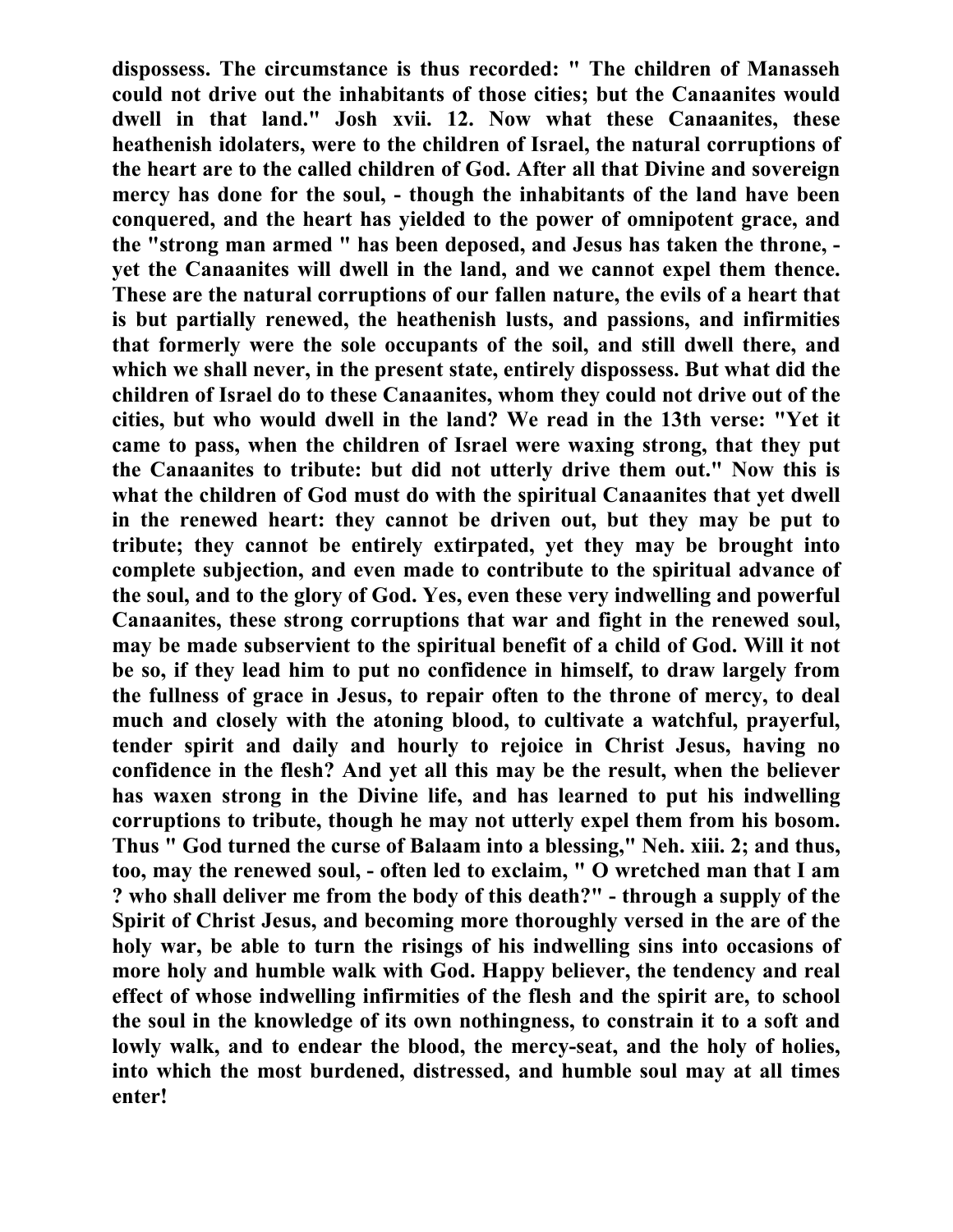**dispossess. The circumstance is thus recorded: " The children of Manasseh could not drive out the inhabitants of those cities; but the Canaanites would dwell in that land." Josh xvii. 12. Now what these Canaanites, these heathenish idolaters, were to the children of Israel, the natural corruptions of the heart are to the called children of God. After all that Divine and sovereign mercy has done for the soul, - though the inhabitants of the land have been conquered, and the heart has yielded to the power of omnipotent grace, and the "strong man armed " has been deposed, and Jesus has taken the throne, yet the Canaanites will dwell in the land, and we cannot expel them thence. These are the natural corruptions of our fallen nature, the evils of a heart that is but partially renewed, the heathenish lusts, and passions, and infirmities that formerly were the sole occupants of the soil, and still dwell there, and which we shall never, in the present state, entirely dispossess. But what did the children of Israel do to these Canaanites, whom they could not drive out of the cities, but who would dwell in the land? We read in the 13th verse: "Yet it came to pass, when the children of Israel were waxing strong, that they put the Canaanites to tribute: but did not utterly drive them out." Now this is what the children of God must do with the spiritual Canaanites that yet dwell in the renewed heart: they cannot be driven out, but they may be put to tribute; they cannot be entirely extirpated, yet they may be brought into complete subjection, and even made to contribute to the spiritual advance of the soul, and to the glory of God. Yes, even these very indwelling and powerful Canaanites, these strong corruptions that war and fight in the renewed soul, may be made subservient to the spiritual benefit of a child of God. Will it not be so, if they lead him to put no confidence in himself, to draw largely from the fullness of grace in Jesus, to repair often to the throne of mercy, to deal much and closely with the atoning blood, to cultivate a watchful, prayerful, tender spirit and daily and hourly to rejoice in Christ Jesus, having no confidence in the flesh? And yet all this may be the result, when the believer has waxen strong in the Divine life, and has learned to put his indwelling corruptions to tribute, though he may not utterly expel them from his bosom. Thus " God turned the curse of Balaam into a blessing," Neh. xiii. 2; and thus, too, may the renewed soul, - often led to exclaim, " O wretched man that I am ? who shall deliver me from the body of this death?" - through a supply of the Spirit of Christ Jesus, and becoming more thoroughly versed in the are of the holy war, be able to turn the risings of his indwelling sins into occasions of more holy and humble walk with God. Happy believer, the tendency and real effect of whose indwelling infirmities of the flesh and the spirit are, to school the soul in the knowledge of its own nothingness, to constrain it to a soft and lowly walk, and to endear the blood, the mercy-seat, and the holy of holies, into which the most burdened, distressed, and humble soul may at all times enter!**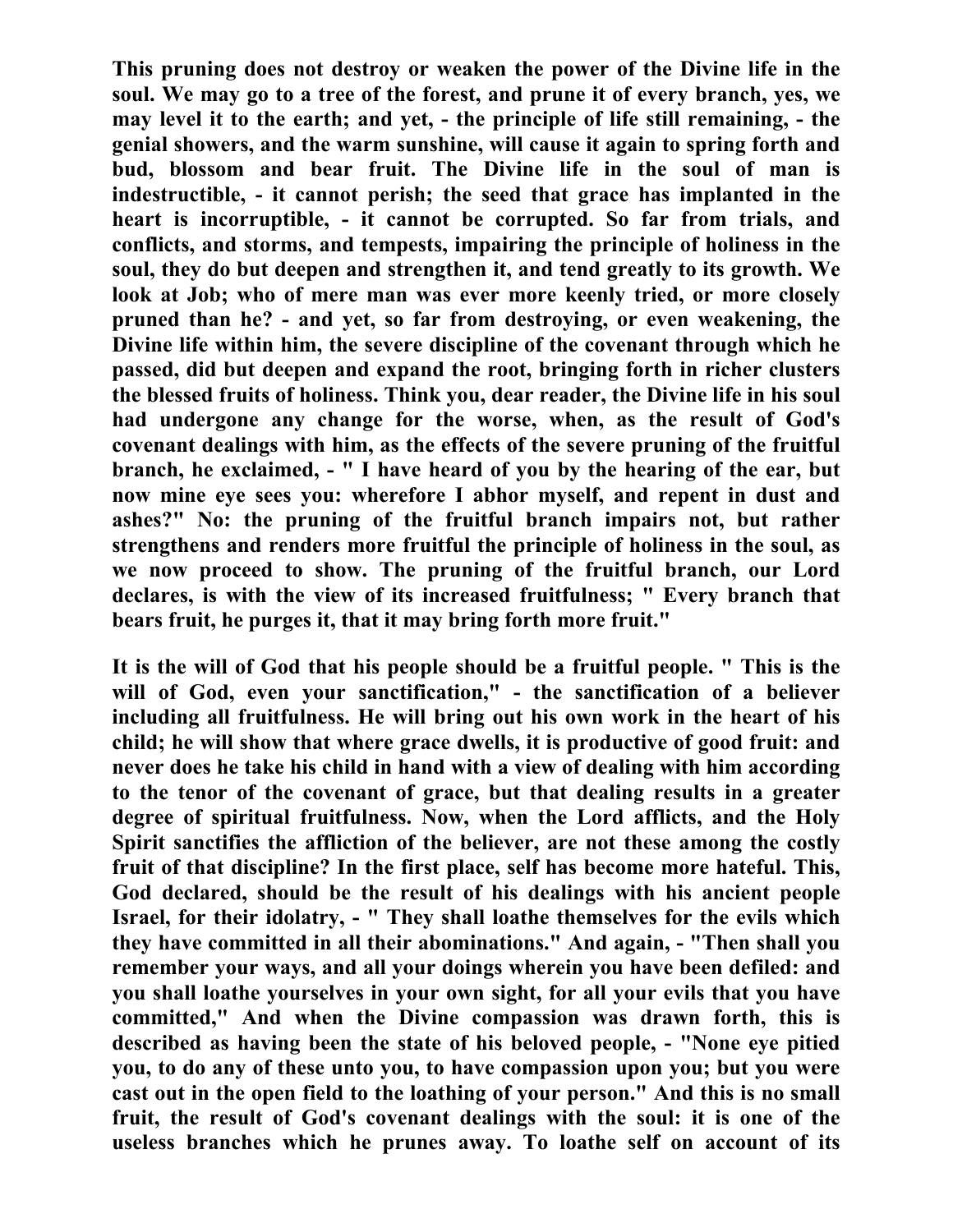**This pruning does not destroy or weaken the power of the Divine life in the soul. We may go to a tree of the forest, and prune it of every branch, yes, we may level it to the earth; and yet, - the principle of life still remaining, - the genial showers, and the warm sunshine, will cause it again to spring forth and bud, blossom and bear fruit. The Divine life in the soul of man is indestructible, - it cannot perish; the seed that grace has implanted in the heart is incorruptible, - it cannot be corrupted. So far from trials, and conflicts, and storms, and tempests, impairing the principle of holiness in the soul, they do but deepen and strengthen it, and tend greatly to its growth. We look at Job; who of mere man was ever more keenly tried, or more closely pruned than he? - and yet, so far from destroying, or even weakening, the Divine life within him, the severe discipline of the covenant through which he passed, did but deepen and expand the root, bringing forth in richer clusters the blessed fruits of holiness. Think you, dear reader, the Divine life in his soul had undergone any change for the worse, when, as the result of God's covenant dealings with him, as the effects of the severe pruning of the fruitful branch, he exclaimed, - " I have heard of you by the hearing of the ear, but now mine eye sees you: wherefore I abhor myself, and repent in dust and ashes?" No: the pruning of the fruitful branch impairs not, but rather strengthens and renders more fruitful the principle of holiness in the soul, as we now proceed to show. The pruning of the fruitful branch, our Lord declares, is with the view of its increased fruitfulness; " Every branch that bears fruit, he purges it, that it may bring forth more fruit."** 

**It is the will of God that his people should be a fruitful people. " This is the will of God, even your sanctification," - the sanctification of a believer including all fruitfulness. He will bring out his own work in the heart of his child; he will show that where grace dwells, it is productive of good fruit: and never does he take his child in hand with a view of dealing with him according to the tenor of the covenant of grace, but that dealing results in a greater degree of spiritual fruitfulness. Now, when the Lord afflicts, and the Holy Spirit sanctifies the affliction of the believer, are not these among the costly fruit of that discipline? In the first place, self has become more hateful. This, God declared, should be the result of his dealings with his ancient people Israel, for their idolatry, - " They shall loathe themselves for the evils which they have committed in all their abominations." And again, - "Then shall you remember your ways, and all your doings wherein you have been defiled: and you shall loathe yourselves in your own sight, for all your evils that you have committed," And when the Divine compassion was drawn forth, this is described as having been the state of his beloved people, - "None eye pitied you, to do any of these unto you, to have compassion upon you; but you were cast out in the open field to the loathing of your person." And this is no small fruit, the result of God's covenant dealings with the soul: it is one of the useless branches which he prunes away. To loathe self on account of its**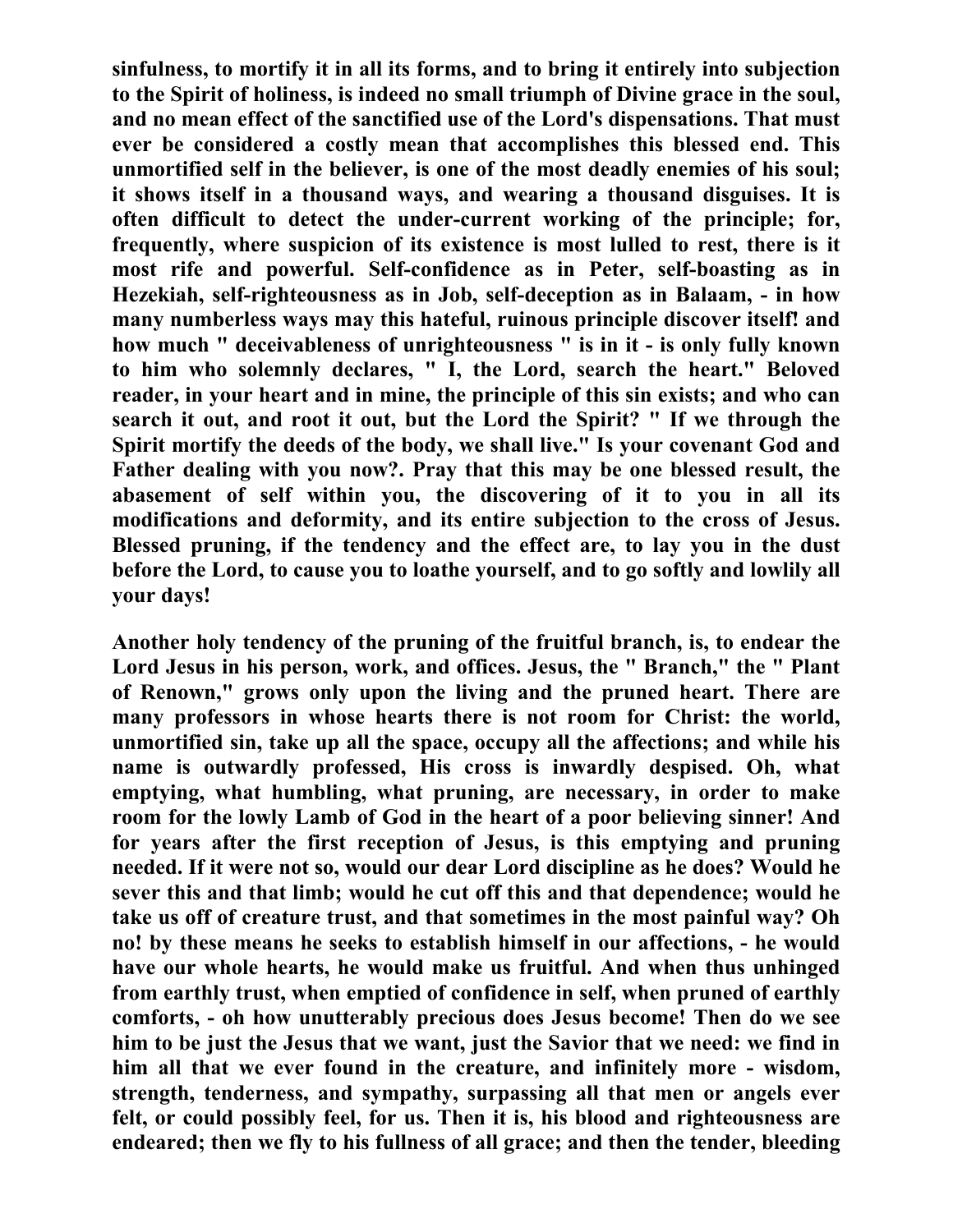**sinfulness, to mortify it in all its forms, and to bring it entirely into subjection to the Spirit of holiness, is indeed no small triumph of Divine grace in the soul, and no mean effect of the sanctified use of the Lord's dispensations. That must ever be considered a costly mean that accomplishes this blessed end. This unmortified self in the believer, is one of the most deadly enemies of his soul; it shows itself in a thousand ways, and wearing a thousand disguises. It is often difficult to detect the under-current working of the principle; for, frequently, where suspicion of its existence is most lulled to rest, there is it most rife and powerful. Self-confidence as in Peter, self-boasting as in Hezekiah, self-righteousness as in Job, self-deception as in Balaam, - in how many numberless ways may this hateful, ruinous principle discover itself! and how much " deceivableness of unrighteousness " is in it - is only fully known to him who solemnly declares, " I, the Lord, search the heart." Beloved reader, in your heart and in mine, the principle of this sin exists; and who can search it out, and root it out, but the Lord the Spirit? " If we through the Spirit mortify the deeds of the body, we shall live." Is your covenant God and Father dealing with you now?. Pray that this may be one blessed result, the abasement of self within you, the discovering of it to you in all its modifications and deformity, and its entire subjection to the cross of Jesus. Blessed pruning, if the tendency and the effect are, to lay you in the dust before the Lord, to cause you to loathe yourself, and to go softly and lowlily all your days!** 

**Another holy tendency of the pruning of the fruitful branch, is, to endear the Lord Jesus in his person, work, and offices. Jesus, the " Branch," the " Plant of Renown," grows only upon the living and the pruned heart. There are many professors in whose hearts there is not room for Christ: the world, unmortified sin, take up all the space, occupy all the affections; and while his name is outwardly professed, His cross is inwardly despised. Oh, what emptying, what humbling, what pruning, are necessary, in order to make room for the lowly Lamb of God in the heart of a poor believing sinner! And for years after the first reception of Jesus, is this emptying and pruning needed. If it were not so, would our dear Lord discipline as he does? Would he sever this and that limb; would he cut off this and that dependence; would he take us off of creature trust, and that sometimes in the most painful way? Oh no! by these means he seeks to establish himself in our affections, - he would have our whole hearts, he would make us fruitful. And when thus unhinged from earthly trust, when emptied of confidence in self, when pruned of earthly comforts, - oh how unutterably precious does Jesus become! Then do we see him to be just the Jesus that we want, just the Savior that we need: we find in him all that we ever found in the creature, and infinitely more - wisdom, strength, tenderness, and sympathy, surpassing all that men or angels ever felt, or could possibly feel, for us. Then it is, his blood and righteousness are endeared; then we fly to his fullness of all grace; and then the tender, bleeding**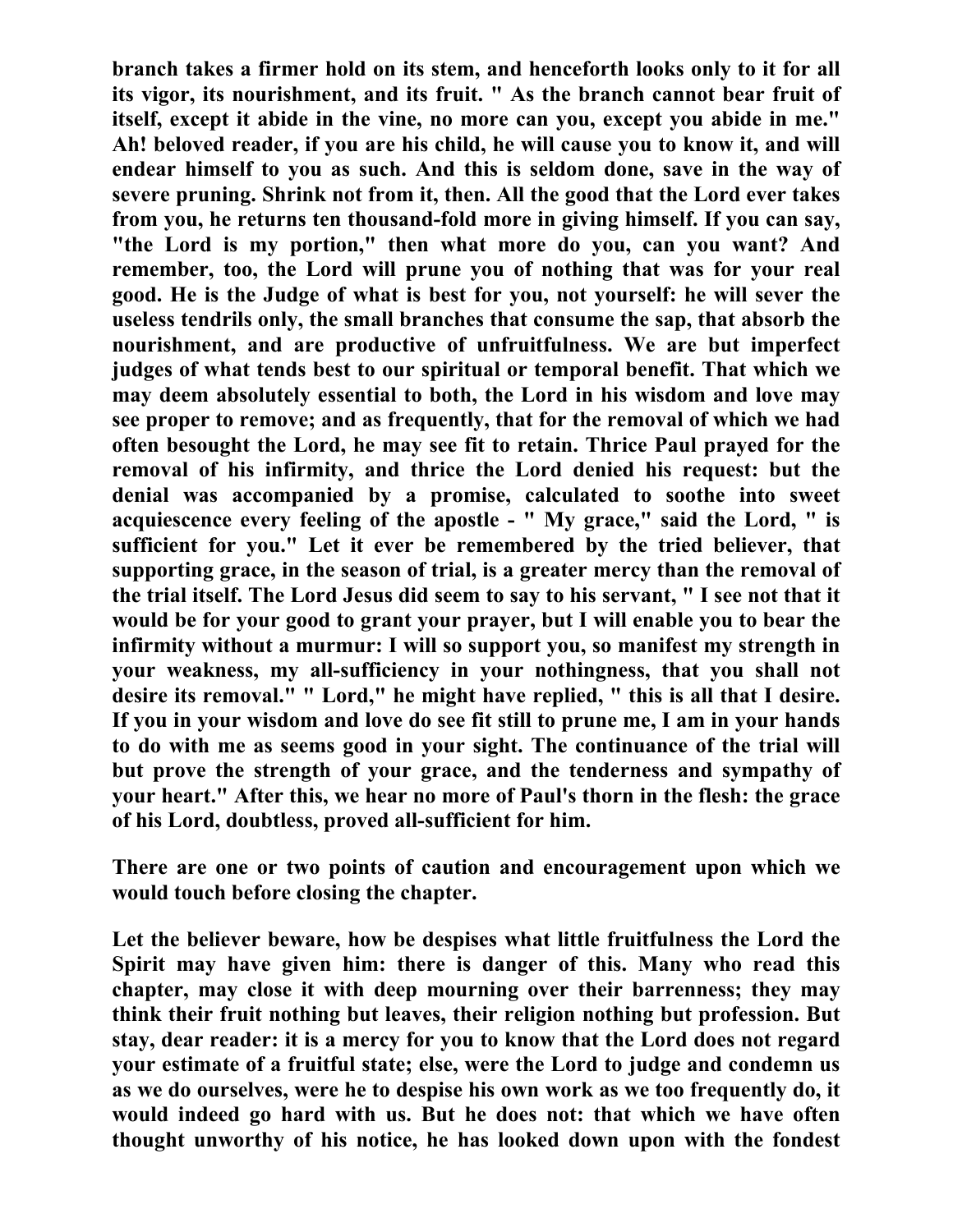**branch takes a firmer hold on its stem, and henceforth looks only to it for all its vigor, its nourishment, and its fruit. " As the branch cannot bear fruit of itself, except it abide in the vine, no more can you, except you abide in me." Ah! beloved reader, if you are his child, he will cause you to know it, and will endear himself to you as such. And this is seldom done, save in the way of severe pruning. Shrink not from it, then. All the good that the Lord ever takes from you, he returns ten thousand-fold more in giving himself. If you can say, "the Lord is my portion," then what more do you, can you want? And remember, too, the Lord will prune you of nothing that was for your real good. He is the Judge of what is best for you, not yourself: he will sever the useless tendrils only, the small branches that consume the sap, that absorb the nourishment, and are productive of unfruitfulness. We are but imperfect judges of what tends best to our spiritual or temporal benefit. That which we may deem absolutely essential to both, the Lord in his wisdom and love may see proper to remove; and as frequently, that for the removal of which we had often besought the Lord, he may see fit to retain. Thrice Paul prayed for the removal of his infirmity, and thrice the Lord denied his request: but the denial was accompanied by a promise, calculated to soothe into sweet acquiescence every feeling of the apostle - " My grace," said the Lord, " is sufficient for you." Let it ever be remembered by the tried believer, that supporting grace, in the season of trial, is a greater mercy than the removal of the trial itself. The Lord Jesus did seem to say to his servant, " I see not that it would be for your good to grant your prayer, but I will enable you to bear the infirmity without a murmur: I will so support you, so manifest my strength in your weakness, my all-sufficiency in your nothingness, that you shall not desire its removal." " Lord," he might have replied, " this is all that I desire. If you in your wisdom and love do see fit still to prune me, I am in your hands to do with me as seems good in your sight. The continuance of the trial will but prove the strength of your grace, and the tenderness and sympathy of your heart." After this, we hear no more of Paul's thorn in the flesh: the grace of his Lord, doubtless, proved all-sufficient for him.** 

**There are one or two points of caution and encouragement upon which we would touch before closing the chapter.** 

**Let the believer beware, how be despises what little fruitfulness the Lord the Spirit may have given him: there is danger of this. Many who read this chapter, may close it with deep mourning over their barrenness; they may think their fruit nothing but leaves, their religion nothing but profession. But stay, dear reader: it is a mercy for you to know that the Lord does not regard your estimate of a fruitful state; else, were the Lord to judge and condemn us as we do ourselves, were he to despise his own work as we too frequently do, it would indeed go hard with us. But he does not: that which we have often thought unworthy of his notice, he has looked down upon with the fondest**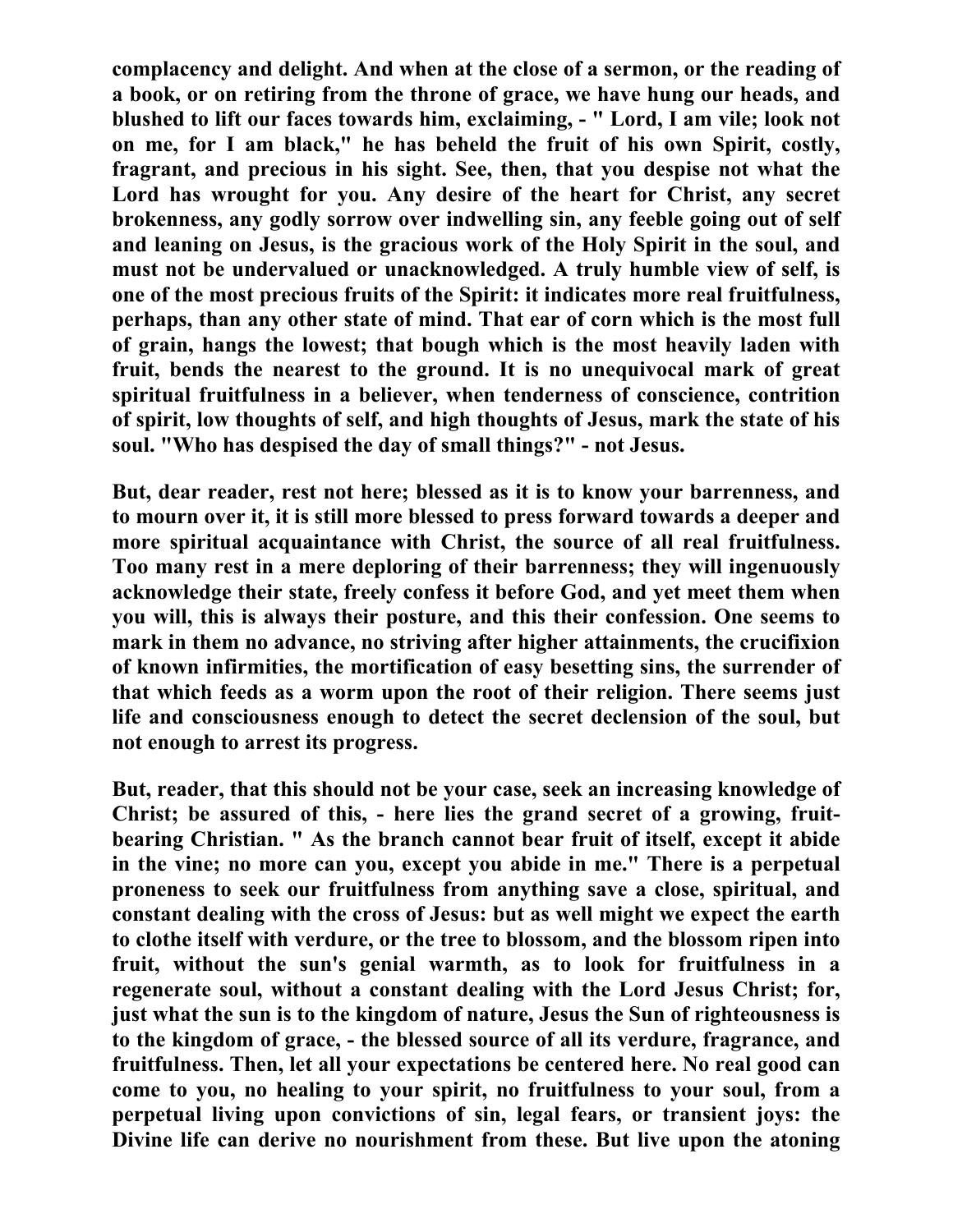**complacency and delight. And when at the close of a sermon, or the reading of a book, or on retiring from the throne of grace, we have hung our heads, and blushed to lift our faces towards him, exclaiming, - " Lord, I am vile; look not on me, for I am black," he has beheld the fruit of his own Spirit, costly, fragrant, and precious in his sight. See, then, that you despise not what the Lord has wrought for you. Any desire of the heart for Christ, any secret brokenness, any godly sorrow over indwelling sin, any feeble going out of self and leaning on Jesus, is the gracious work of the Holy Spirit in the soul, and must not be undervalued or unacknowledged. A truly humble view of self, is one of the most precious fruits of the Spirit: it indicates more real fruitfulness, perhaps, than any other state of mind. That ear of corn which is the most full of grain, hangs the lowest; that bough which is the most heavily laden with fruit, bends the nearest to the ground. It is no unequivocal mark of great spiritual fruitfulness in a believer, when tenderness of conscience, contrition of spirit, low thoughts of self, and high thoughts of Jesus, mark the state of his soul. "Who has despised the day of small things?" - not Jesus.** 

**But, dear reader, rest not here; blessed as it is to know your barrenness, and to mourn over it, it is still more blessed to press forward towards a deeper and more spiritual acquaintance with Christ, the source of all real fruitfulness. Too many rest in a mere deploring of their barrenness; they will ingenuously acknowledge their state, freely confess it before God, and yet meet them when you will, this is always their posture, and this their confession. One seems to mark in them no advance, no striving after higher attainments, the crucifixion of known infirmities, the mortification of easy besetting sins, the surrender of that which feeds as a worm upon the root of their religion. There seems just life and consciousness enough to detect the secret declension of the soul, but not enough to arrest its progress.** 

**But, reader, that this should not be your case, seek an increasing knowledge of Christ; be assured of this, - here lies the grand secret of a growing, fruitbearing Christian. " As the branch cannot bear fruit of itself, except it abide in the vine; no more can you, except you abide in me." There is a perpetual proneness to seek our fruitfulness from anything save a close, spiritual, and constant dealing with the cross of Jesus: but as well might we expect the earth to clothe itself with verdure, or the tree to blossom, and the blossom ripen into fruit, without the sun's genial warmth, as to look for fruitfulness in a regenerate soul, without a constant dealing with the Lord Jesus Christ; for, just what the sun is to the kingdom of nature, Jesus the Sun of righteousness is to the kingdom of grace, - the blessed source of all its verdure, fragrance, and fruitfulness. Then, let all your expectations be centered here. No real good can come to you, no healing to your spirit, no fruitfulness to your soul, from a perpetual living upon convictions of sin, legal fears, or transient joys: the Divine life can derive no nourishment from these. But live upon the atoning**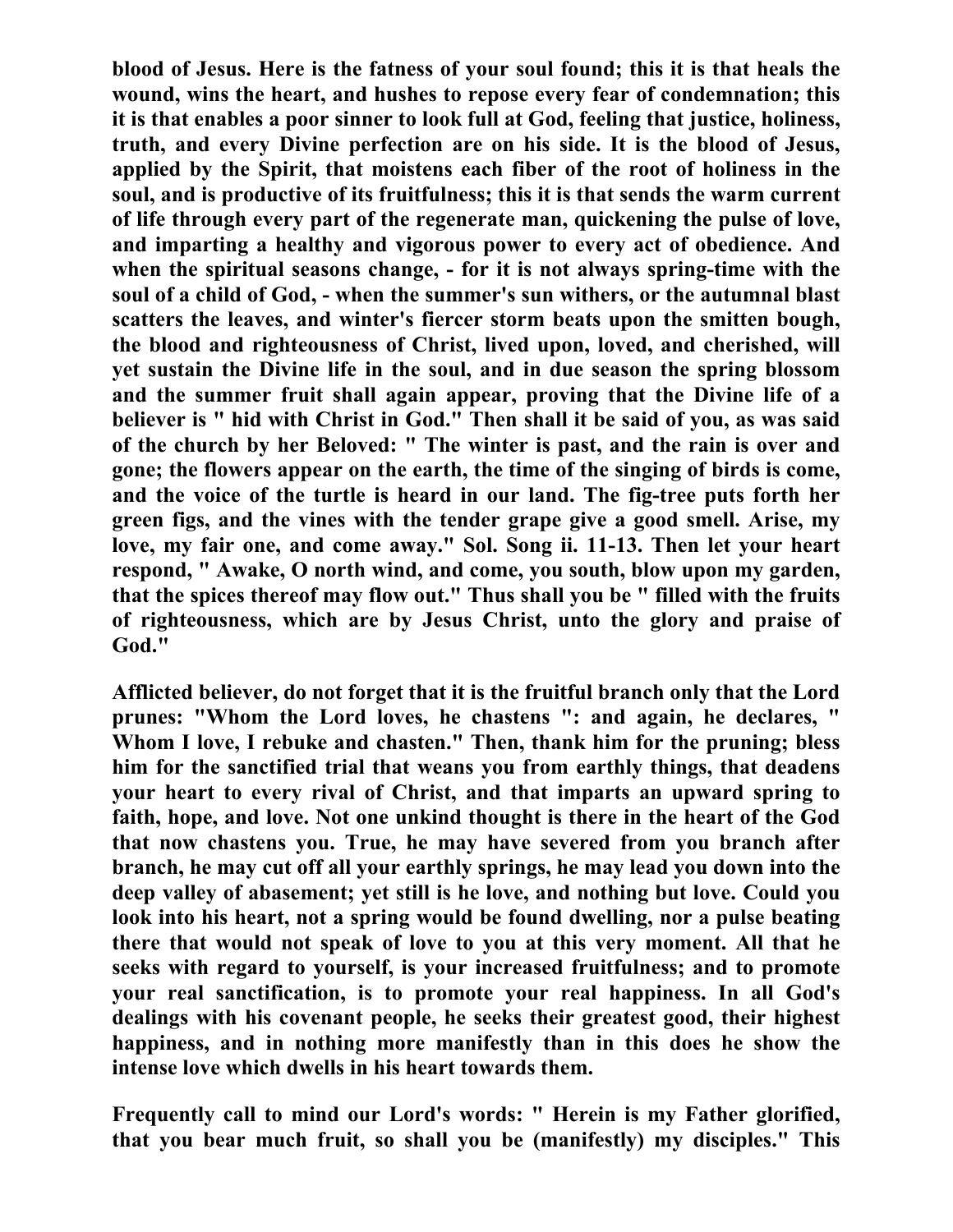**blood of Jesus. Here is the fatness of your soul found; this it is that heals the wound, wins the heart, and hushes to repose every fear of condemnation; this it is that enables a poor sinner to look full at God, feeling that justice, holiness, truth, and every Divine perfection are on his side. It is the blood of Jesus, applied by the Spirit, that moistens each fiber of the root of holiness in the soul, and is productive of its fruitfulness; this it is that sends the warm current of life through every part of the regenerate man, quickening the pulse of love, and imparting a healthy and vigorous power to every act of obedience. And when the spiritual seasons change, - for it is not always spring-time with the soul of a child of God, - when the summer's sun withers, or the autumnal blast scatters the leaves, and winter's fiercer storm beats upon the smitten bough, the blood and righteousness of Christ, lived upon, loved, and cherished, will yet sustain the Divine life in the soul, and in due season the spring blossom and the summer fruit shall again appear, proving that the Divine life of a believer is " hid with Christ in God." Then shall it be said of you, as was said of the church by her Beloved: " The winter is past, and the rain is over and gone; the flowers appear on the earth, the time of the singing of birds is come, and the voice of the turtle is heard in our land. The fig-tree puts forth her green figs, and the vines with the tender grape give a good smell. Arise, my love, my fair one, and come away." Sol. Song ii. 11-13. Then let your heart respond, " Awake, O north wind, and come, you south, blow upon my garden, that the spices thereof may flow out." Thus shall you be " filled with the fruits of righteousness, which are by Jesus Christ, unto the glory and praise of God."** 

**Afflicted believer, do not forget that it is the fruitful branch only that the Lord prunes: "Whom the Lord loves, he chastens ": and again, he declares, " Whom I love, I rebuke and chasten." Then, thank him for the pruning; bless him for the sanctified trial that weans you from earthly things, that deadens your heart to every rival of Christ, and that imparts an upward spring to faith, hope, and love. Not one unkind thought is there in the heart of the God that now chastens you. True, he may have severed from you branch after branch, he may cut off all your earthly springs, he may lead you down into the deep valley of abasement; yet still is he love, and nothing but love. Could you look into his heart, not a spring would be found dwelling, nor a pulse beating there that would not speak of love to you at this very moment. All that he seeks with regard to yourself, is your increased fruitfulness; and to promote your real sanctification, is to promote your real happiness. In all God's dealings with his covenant people, he seeks their greatest good, their highest happiness, and in nothing more manifestly than in this does he show the intense love which dwells in his heart towards them.** 

**Frequently call to mind our Lord's words: " Herein is my Father glorified, that you bear much fruit, so shall you be (manifestly) my disciples." This**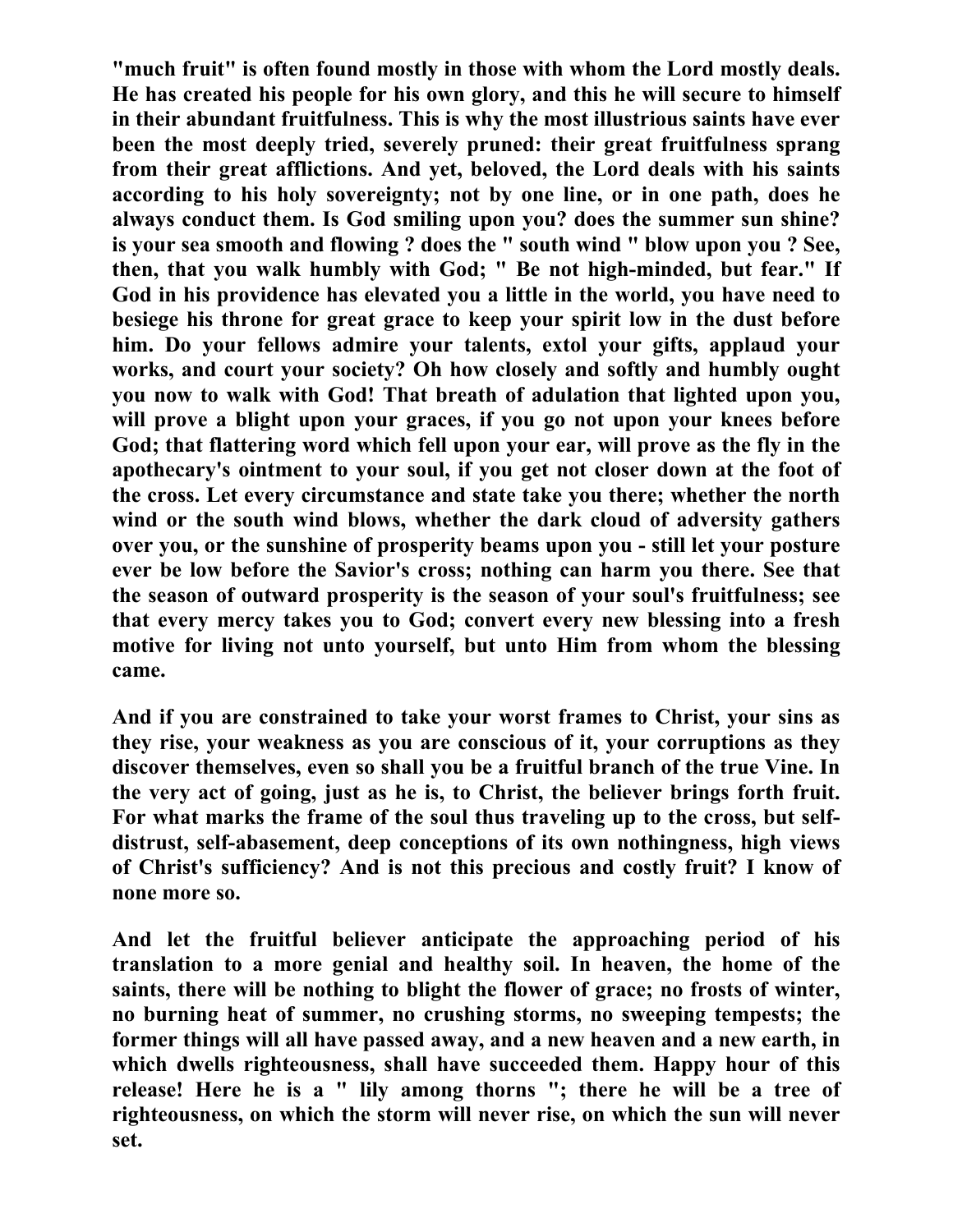**"much fruit" is often found mostly in those with whom the Lord mostly deals. He has created his people for his own glory, and this he will secure to himself in their abundant fruitfulness. This is why the most illustrious saints have ever been the most deeply tried, severely pruned: their great fruitfulness sprang from their great afflictions. And yet, beloved, the Lord deals with his saints according to his holy sovereignty; not by one line, or in one path, does he always conduct them. Is God smiling upon you? does the summer sun shine? is your sea smooth and flowing ? does the " south wind " blow upon you ? See, then, that you walk humbly with God; " Be not high-minded, but fear." If God in his providence has elevated you a little in the world, you have need to besiege his throne for great grace to keep your spirit low in the dust before him. Do your fellows admire your talents, extol your gifts, applaud your works, and court your society? Oh how closely and softly and humbly ought you now to walk with God! That breath of adulation that lighted upon you, will prove a blight upon your graces, if you go not upon your knees before God; that flattering word which fell upon your ear, will prove as the fly in the apothecary's ointment to your soul, if you get not closer down at the foot of the cross. Let every circumstance and state take you there; whether the north wind or the south wind blows, whether the dark cloud of adversity gathers over you, or the sunshine of prosperity beams upon you - still let your posture ever be low before the Savior's cross; nothing can harm you there. See that the season of outward prosperity is the season of your soul's fruitfulness; see that every mercy takes you to God; convert every new blessing into a fresh motive for living not unto yourself, but unto Him from whom the blessing came.** 

**And if you are constrained to take your worst frames to Christ, your sins as they rise, your weakness as you are conscious of it, your corruptions as they discover themselves, even so shall you be a fruitful branch of the true Vine. In the very act of going, just as he is, to Christ, the believer brings forth fruit. For what marks the frame of the soul thus traveling up to the cross, but selfdistrust, self-abasement, deep conceptions of its own nothingness, high views of Christ's sufficiency? And is not this precious and costly fruit? I know of none more so.** 

**And let the fruitful believer anticipate the approaching period of his translation to a more genial and healthy soil. In heaven, the home of the saints, there will be nothing to blight the flower of grace; no frosts of winter, no burning heat of summer, no crushing storms, no sweeping tempests; the former things will all have passed away, and a new heaven and a new earth, in which dwells righteousness, shall have succeeded them. Happy hour of this release! Here he is a " lily among thorns "; there he will be a tree of righteousness, on which the storm will never rise, on which the sun will never set.**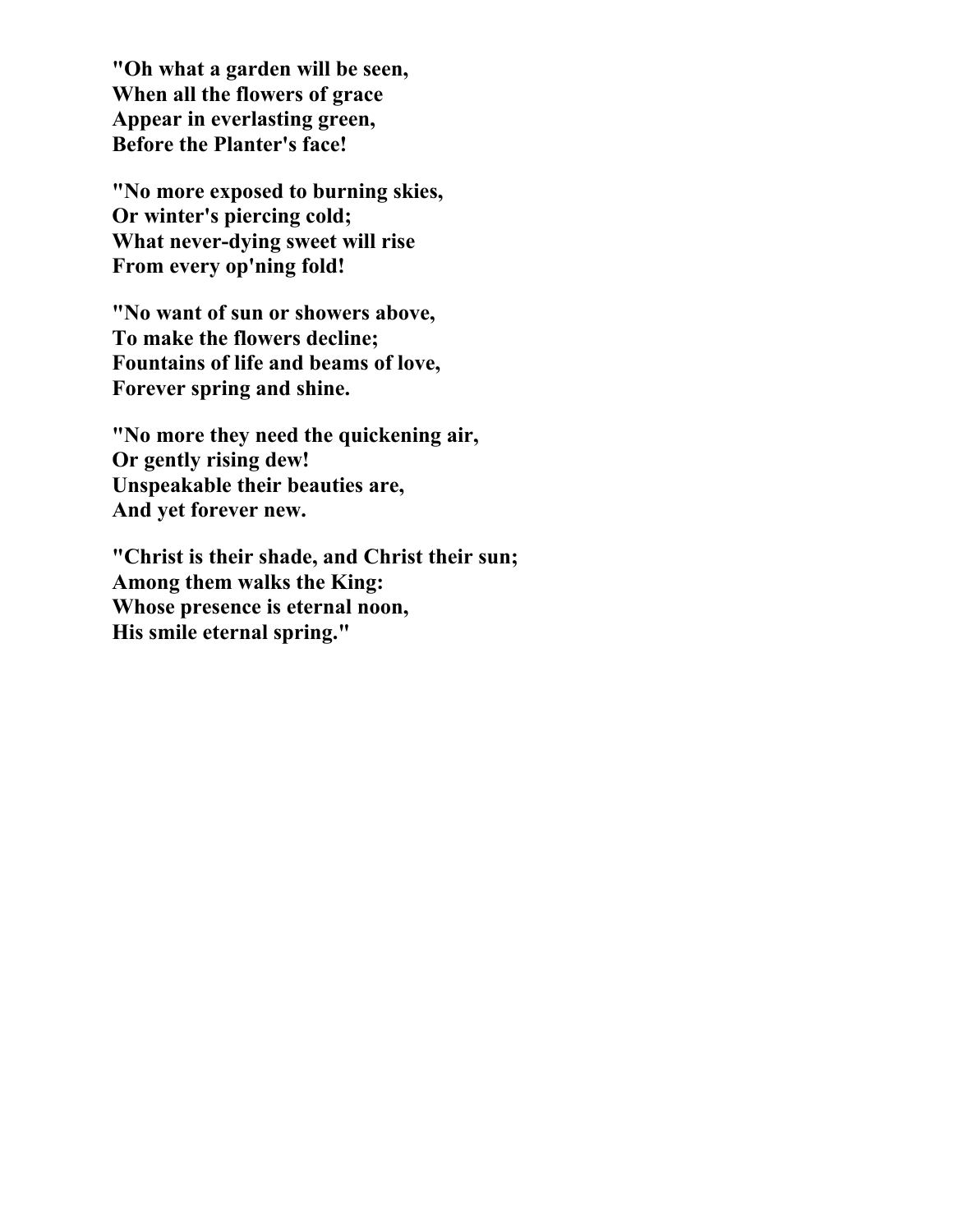**"Oh what a garden will be seen, When all the flowers of grace Appear in everlasting green, Before the Planter's face!** 

**"No more exposed to burning skies, Or winter's piercing cold; What never-dying sweet will rise From every op'ning fold!** 

**"No want of sun or showers above, To make the flowers decline; Fountains of life and beams of love, Forever spring and shine.** 

**"No more they need the quickening air, Or gently rising dew! Unspeakable their beauties are, And yet forever new.** 

**"Christ is their shade, and Christ their sun; Among them walks the King: Whose presence is eternal noon, His smile eternal spring."**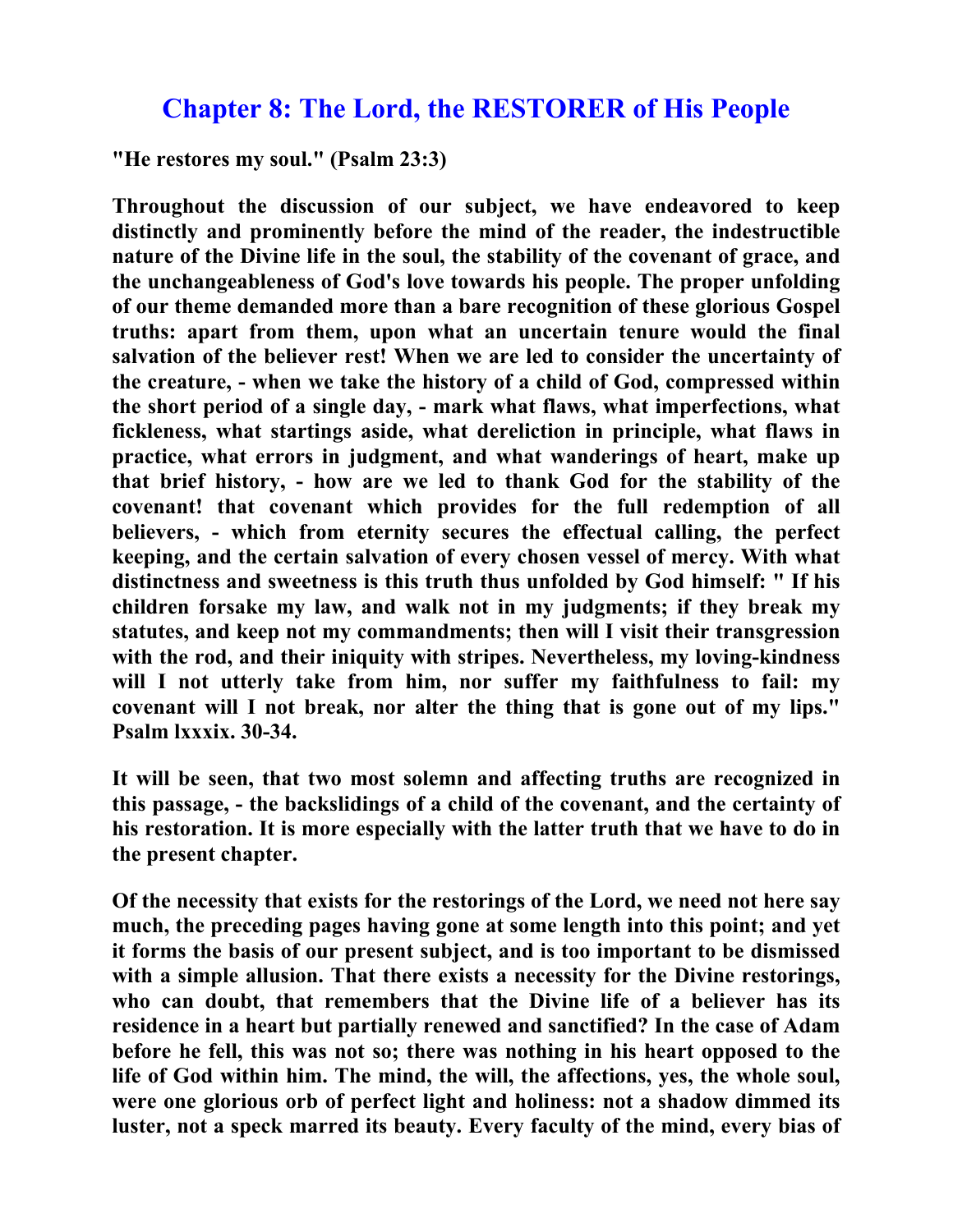## **Chapter 8: The Lord, the RESTORER of His People**

**"He restores my soul." (Psalm 23:3)** 

**Throughout the discussion of our subject, we have endeavored to keep distinctly and prominently before the mind of the reader, the indestructible nature of the Divine life in the soul, the stability of the covenant of grace, and the unchangeableness of God's love towards his people. The proper unfolding of our theme demanded more than a bare recognition of these glorious Gospel truths: apart from them, upon what an uncertain tenure would the final salvation of the believer rest! When we are led to consider the uncertainty of the creature, - when we take the history of a child of God, compressed within the short period of a single day, - mark what flaws, what imperfections, what fickleness, what startings aside, what dereliction in principle, what flaws in practice, what errors in judgment, and what wanderings of heart, make up that brief history, - how are we led to thank God for the stability of the covenant! that covenant which provides for the full redemption of all believers, - which from eternity secures the effectual calling, the perfect keeping, and the certain salvation of every chosen vessel of mercy. With what distinctness and sweetness is this truth thus unfolded by God himself: " If his children forsake my law, and walk not in my judgments; if they break my statutes, and keep not my commandments; then will I visit their transgression with the rod, and their iniquity with stripes. Nevertheless, my loving-kindness will I not utterly take from him, nor suffer my faithfulness to fail: my covenant will I not break, nor alter the thing that is gone out of my lips." Psalm lxxxix. 30-34.** 

**It will be seen, that two most solemn and affecting truths are recognized in this passage, - the backslidings of a child of the covenant, and the certainty of his restoration. It is more especially with the latter truth that we have to do in the present chapter.** 

**Of the necessity that exists for the restorings of the Lord, we need not here say much, the preceding pages having gone at some length into this point; and yet it forms the basis of our present subject, and is too important to be dismissed with a simple allusion. That there exists a necessity for the Divine restorings, who can doubt, that remembers that the Divine life of a believer has its residence in a heart but partially renewed and sanctified? In the case of Adam before he fell, this was not so; there was nothing in his heart opposed to the life of God within him. The mind, the will, the affections, yes, the whole soul, were one glorious orb of perfect light and holiness: not a shadow dimmed its luster, not a speck marred its beauty. Every faculty of the mind, every bias of**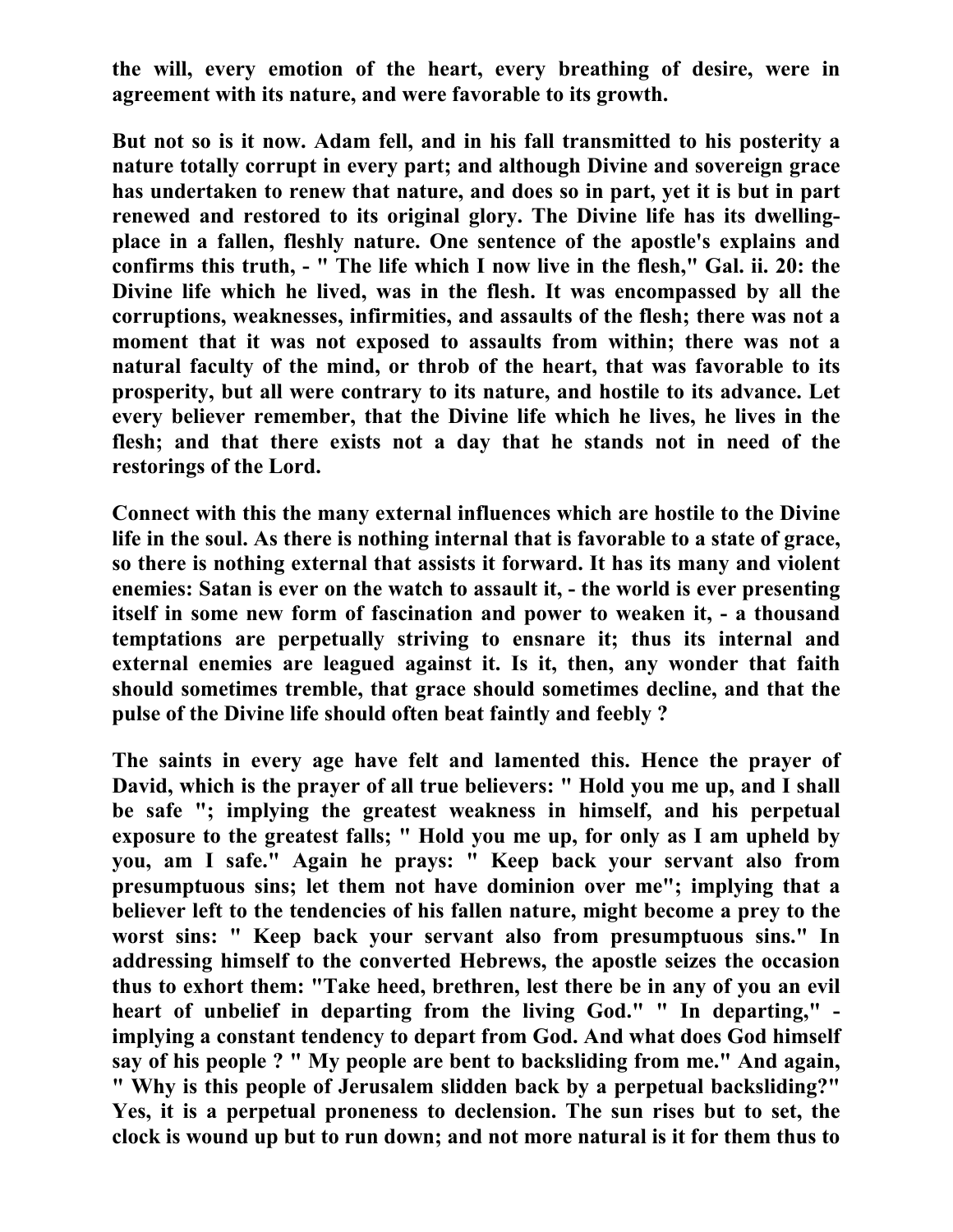**the will, every emotion of the heart, every breathing of desire, were in agreement with its nature, and were favorable to its growth.** 

**But not so is it now. Adam fell, and in his fall transmitted to his posterity a nature totally corrupt in every part; and although Divine and sovereign grace has undertaken to renew that nature, and does so in part, yet it is but in part renewed and restored to its original glory. The Divine life has its dwellingplace in a fallen, fleshly nature. One sentence of the apostle's explains and confirms this truth, - " The life which I now live in the flesh," Gal. ii. 20: the Divine life which he lived, was in the flesh. It was encompassed by all the corruptions, weaknesses, infirmities, and assaults of the flesh; there was not a moment that it was not exposed to assaults from within; there was not a natural faculty of the mind, or throb of the heart, that was favorable to its prosperity, but all were contrary to its nature, and hostile to its advance. Let every believer remember, that the Divine life which he lives, he lives in the flesh; and that there exists not a day that he stands not in need of the restorings of the Lord.** 

**Connect with this the many external influences which are hostile to the Divine life in the soul. As there is nothing internal that is favorable to a state of grace, so there is nothing external that assists it forward. It has its many and violent enemies: Satan is ever on the watch to assault it, - the world is ever presenting itself in some new form of fascination and power to weaken it, - a thousand temptations are perpetually striving to ensnare it; thus its internal and external enemies are leagued against it. Is it, then, any wonder that faith should sometimes tremble, that grace should sometimes decline, and that the pulse of the Divine life should often beat faintly and feebly ?** 

**The saints in every age have felt and lamented this. Hence the prayer of David, which is the prayer of all true believers: " Hold you me up, and I shall be safe "; implying the greatest weakness in himself, and his perpetual exposure to the greatest falls; " Hold you me up, for only as I am upheld by you, am I safe." Again he prays: " Keep back your servant also from presumptuous sins; let them not have dominion over me"; implying that a believer left to the tendencies of his fallen nature, might become a prey to the worst sins: " Keep back your servant also from presumptuous sins." In addressing himself to the converted Hebrews, the apostle seizes the occasion thus to exhort them: "Take heed, brethren, lest there be in any of you an evil heart of unbelief in departing from the living God." " In departing," implying a constant tendency to depart from God. And what does God himself say of his people ? " My people are bent to backsliding from me." And again, " Why is this people of Jerusalem slidden back by a perpetual backsliding?" Yes, it is a perpetual proneness to declension. The sun rises but to set, the clock is wound up but to run down; and not more natural is it for them thus to**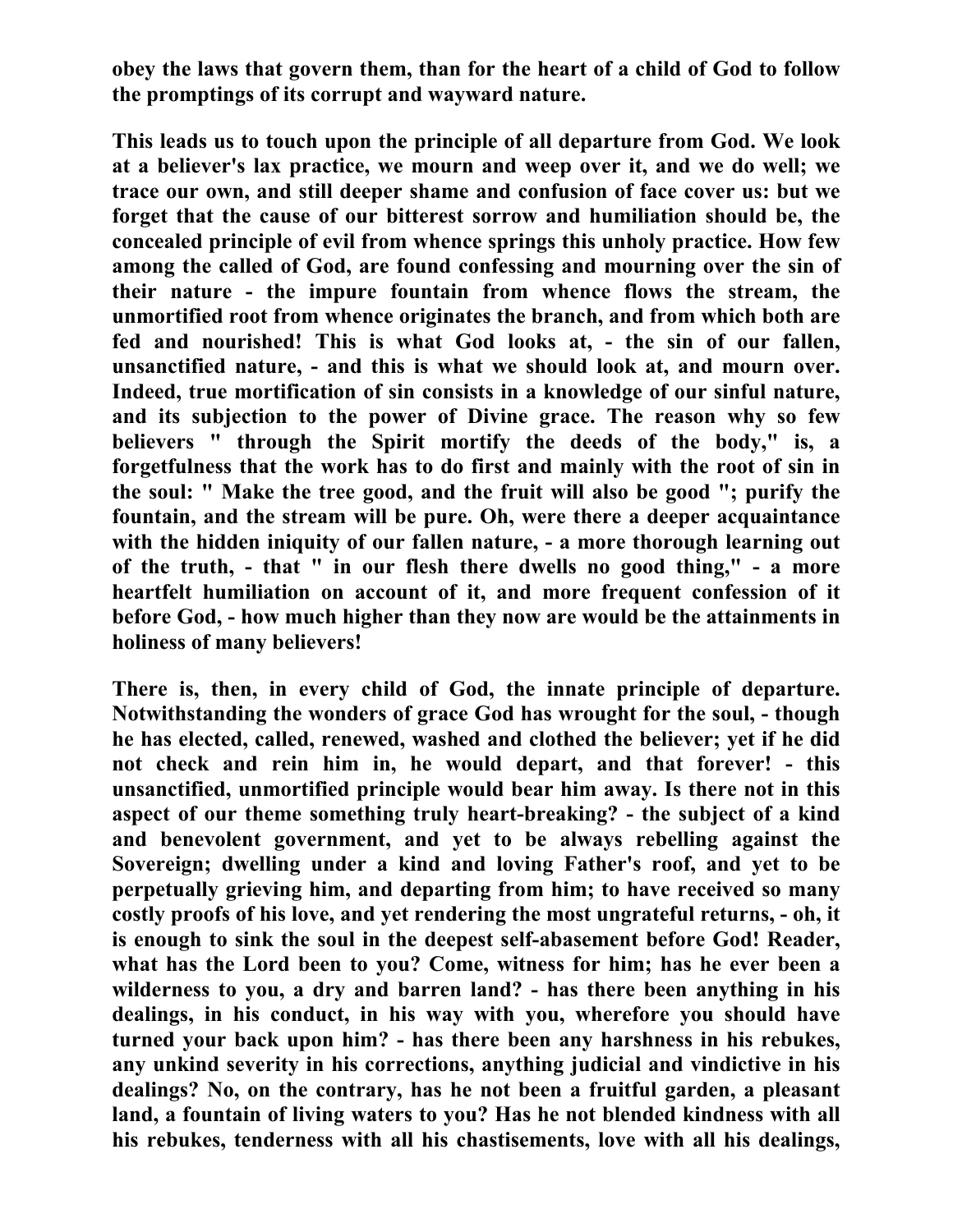**obey the laws that govern them, than for the heart of a child of God to follow the promptings of its corrupt and wayward nature.** 

**This leads us to touch upon the principle of all departure from God. We look at a believer's lax practice, we mourn and weep over it, and we do well; we trace our own, and still deeper shame and confusion of face cover us: but we forget that the cause of our bitterest sorrow and humiliation should be, the concealed principle of evil from whence springs this unholy practice. How few among the called of God, are found confessing and mourning over the sin of their nature - the impure fountain from whence flows the stream, the unmortified root from whence originates the branch, and from which both are fed and nourished! This is what God looks at, - the sin of our fallen, unsanctified nature, - and this is what we should look at, and mourn over. Indeed, true mortification of sin consists in a knowledge of our sinful nature, and its subjection to the power of Divine grace. The reason why so few believers " through the Spirit mortify the deeds of the body," is, a forgetfulness that the work has to do first and mainly with the root of sin in the soul: " Make the tree good, and the fruit will also be good "; purify the fountain, and the stream will be pure. Oh, were there a deeper acquaintance with the hidden iniquity of our fallen nature, - a more thorough learning out of the truth, - that " in our flesh there dwells no good thing," - a more heartfelt humiliation on account of it, and more frequent confession of it before God, - how much higher than they now are would be the attainments in holiness of many believers!** 

**There is, then, in every child of God, the innate principle of departure. Notwithstanding the wonders of grace God has wrought for the soul, - though he has elected, called, renewed, washed and clothed the believer; yet if he did not check and rein him in, he would depart, and that forever! - this unsanctified, unmortified principle would bear him away. Is there not in this aspect of our theme something truly heart-breaking? - the subject of a kind and benevolent government, and yet to be always rebelling against the Sovereign; dwelling under a kind and loving Father's roof, and yet to be perpetually grieving him, and departing from him; to have received so many costly proofs of his love, and yet rendering the most ungrateful returns, - oh, it is enough to sink the soul in the deepest self-abasement before God! Reader, what has the Lord been to you? Come, witness for him; has he ever been a wilderness to you, a dry and barren land? - has there been anything in his dealings, in his conduct, in his way with you, wherefore you should have turned your back upon him? - has there been any harshness in his rebukes, any unkind severity in his corrections, anything judicial and vindictive in his dealings? No, on the contrary, has he not been a fruitful garden, a pleasant land, a fountain of living waters to you? Has he not blended kindness with all his rebukes, tenderness with all his chastisements, love with all his dealings,**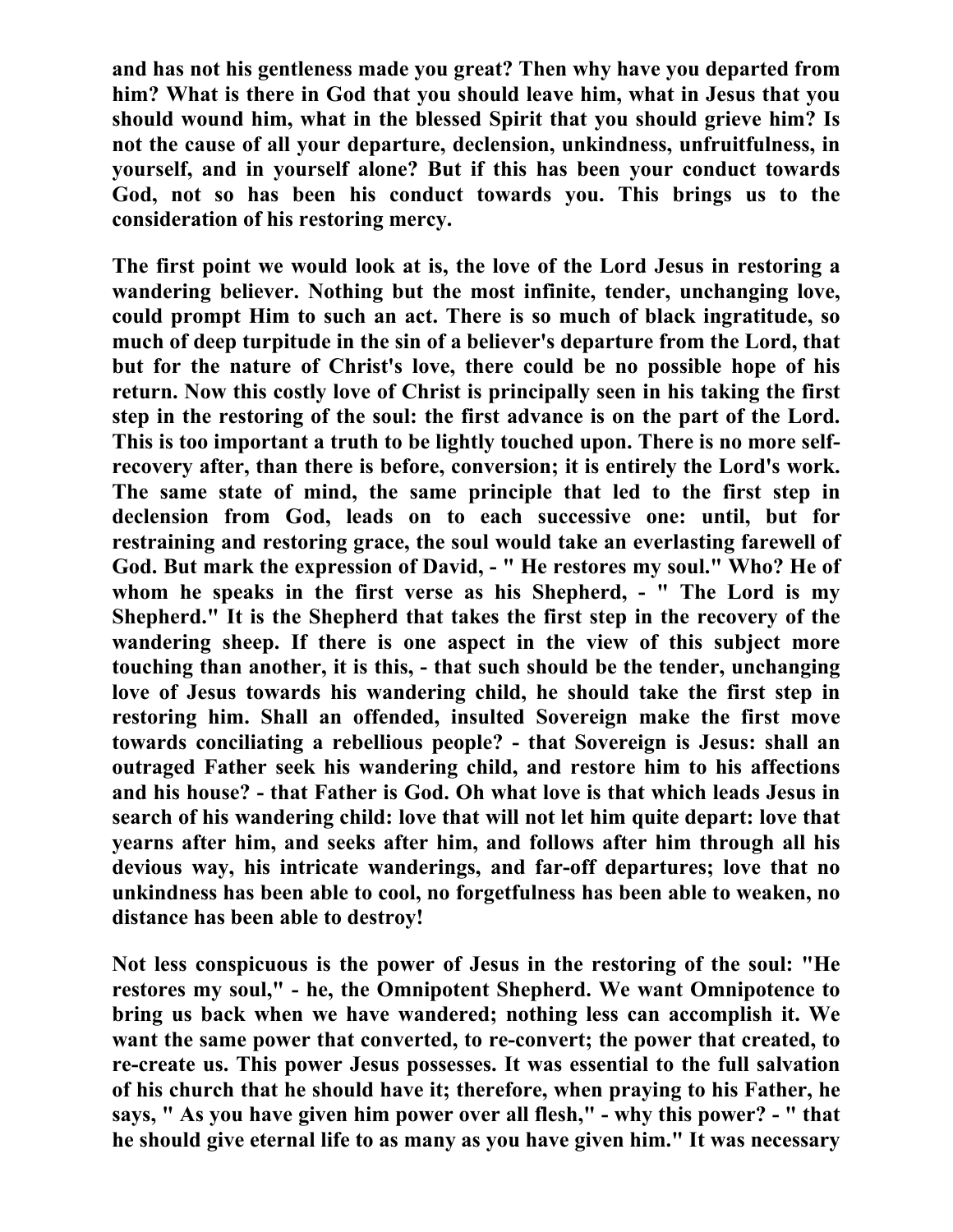**and has not his gentleness made you great? Then why have you departed from him? What is there in God that you should leave him, what in Jesus that you should wound him, what in the blessed Spirit that you should grieve him? Is not the cause of all your departure, declension, unkindness, unfruitfulness, in yourself, and in yourself alone? But if this has been your conduct towards God, not so has been his conduct towards you. This brings us to the consideration of his restoring mercy.** 

**The first point we would look at is, the love of the Lord Jesus in restoring a wandering believer. Nothing but the most infinite, tender, unchanging love, could prompt Him to such an act. There is so much of black ingratitude, so much of deep turpitude in the sin of a believer's departure from the Lord, that but for the nature of Christ's love, there could be no possible hope of his return. Now this costly love of Christ is principally seen in his taking the first step in the restoring of the soul: the first advance is on the part of the Lord. This is too important a truth to be lightly touched upon. There is no more selfrecovery after, than there is before, conversion; it is entirely the Lord's work. The same state of mind, the same principle that led to the first step in declension from God, leads on to each successive one: until, but for restraining and restoring grace, the soul would take an everlasting farewell of God. But mark the expression of David, - " He restores my soul." Who? He of whom he speaks in the first verse as his Shepherd, - " The Lord is my Shepherd." It is the Shepherd that takes the first step in the recovery of the wandering sheep. If there is one aspect in the view of this subject more touching than another, it is this, - that such should be the tender, unchanging love of Jesus towards his wandering child, he should take the first step in restoring him. Shall an offended, insulted Sovereign make the first move towards conciliating a rebellious people? - that Sovereign is Jesus: shall an outraged Father seek his wandering child, and restore him to his affections and his house? - that Father is God. Oh what love is that which leads Jesus in search of his wandering child: love that will not let him quite depart: love that yearns after him, and seeks after him, and follows after him through all his devious way, his intricate wanderings, and far-off departures; love that no unkindness has been able to cool, no forgetfulness has been able to weaken, no distance has been able to destroy!** 

**Not less conspicuous is the power of Jesus in the restoring of the soul: "He restores my soul," - he, the Omnipotent Shepherd. We want Omnipotence to bring us back when we have wandered; nothing less can accomplish it. We**  want the same power that converted, to re-convert; the power that created, to **re-create us. This power Jesus possesses. It was essential to the full salvation of his church that he should have it; therefore, when praying to his Father, he says, " As you have given him power over all flesh," - why this power? - " that he should give eternal life to as many as you have given him." It was necessary**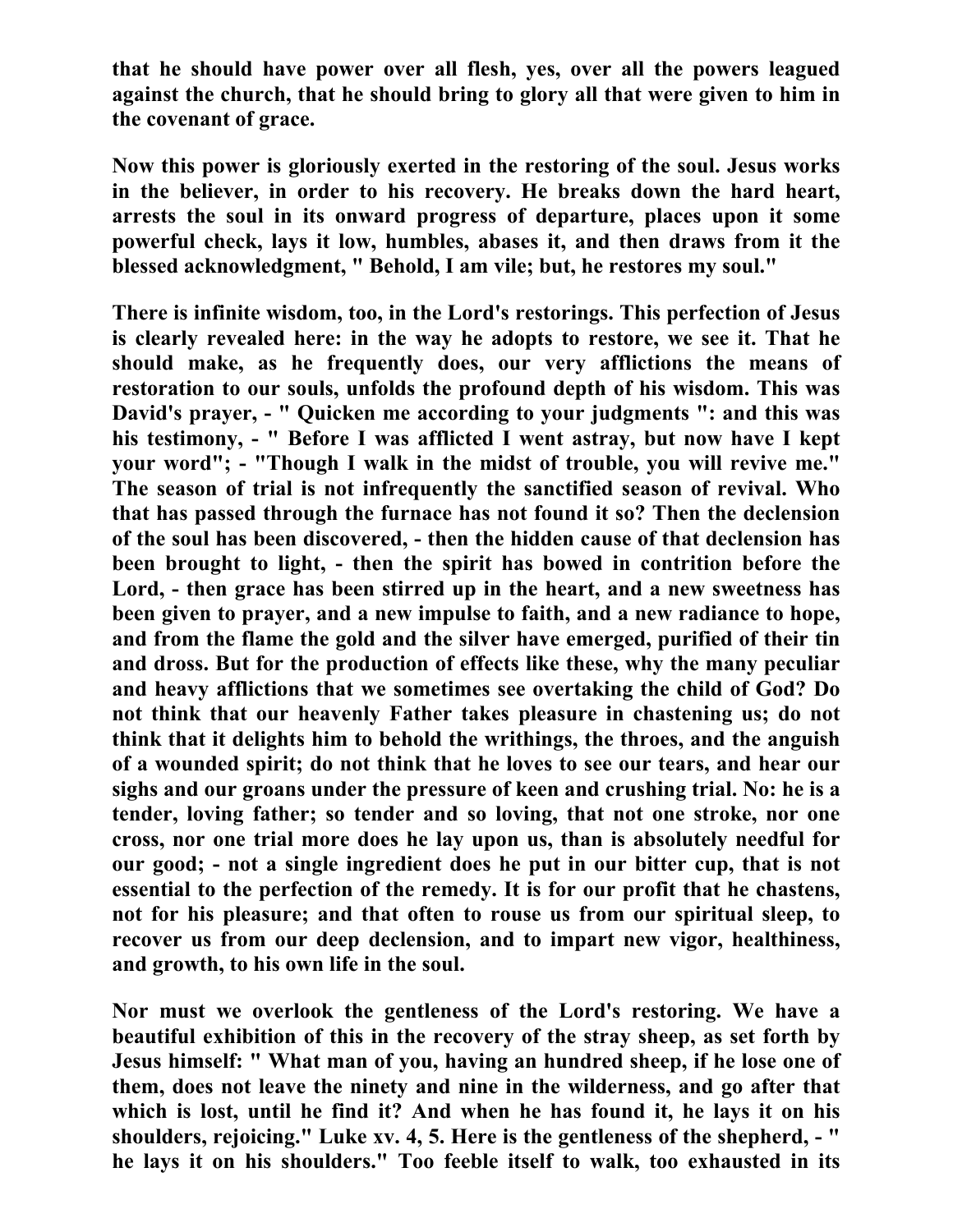**that he should have power over all flesh, yes, over all the powers leagued against the church, that he should bring to glory all that were given to him in the covenant of grace.** 

**Now this power is gloriously exerted in the restoring of the soul. Jesus works in the believer, in order to his recovery. He breaks down the hard heart, arrests the soul in its onward progress of departure, places upon it some powerful check, lays it low, humbles, abases it, and then draws from it the blessed acknowledgment, " Behold, I am vile; but, he restores my soul."** 

**There is infinite wisdom, too, in the Lord's restorings. This perfection of Jesus is clearly revealed here: in the way he adopts to restore, we see it. That he should make, as he frequently does, our very afflictions the means of restoration to our souls, unfolds the profound depth of his wisdom. This was David's prayer, - " Quicken me according to your judgments ": and this was his testimony, - " Before I was afflicted I went astray, but now have I kept your word"; - "Though I walk in the midst of trouble, you will revive me." The season of trial is not infrequently the sanctified season of revival. Who that has passed through the furnace has not found it so? Then the declension of the soul has been discovered, - then the hidden cause of that declension has been brought to light, - then the spirit has bowed in contrition before the Lord, - then grace has been stirred up in the heart, and a new sweetness has been given to prayer, and a new impulse to faith, and a new radiance to hope, and from the flame the gold and the silver have emerged, purified of their tin and dross. But for the production of effects like these, why the many peculiar and heavy afflictions that we sometimes see overtaking the child of God? Do not think that our heavenly Father takes pleasure in chastening us; do not think that it delights him to behold the writhings, the throes, and the anguish of a wounded spirit; do not think that he loves to see our tears, and hear our sighs and our groans under the pressure of keen and crushing trial. No: he is a tender, loving father; so tender and so loving, that not one stroke, nor one cross, nor one trial more does he lay upon us, than is absolutely needful for our good; - not a single ingredient does he put in our bitter cup, that is not essential to the perfection of the remedy. It is for our profit that he chastens, not for his pleasure; and that often to rouse us from our spiritual sleep, to recover us from our deep declension, and to impart new vigor, healthiness, and growth, to his own life in the soul.** 

**Nor must we overlook the gentleness of the Lord's restoring. We have a beautiful exhibition of this in the recovery of the stray sheep, as set forth by Jesus himself: " What man of you, having an hundred sheep, if he lose one of them, does not leave the ninety and nine in the wilderness, and go after that which is lost, until he find it? And when he has found it, he lays it on his shoulders, rejoicing." Luke xv. 4, 5. Here is the gentleness of the shepherd, - " he lays it on his shoulders." Too feeble itself to walk, too exhausted in its**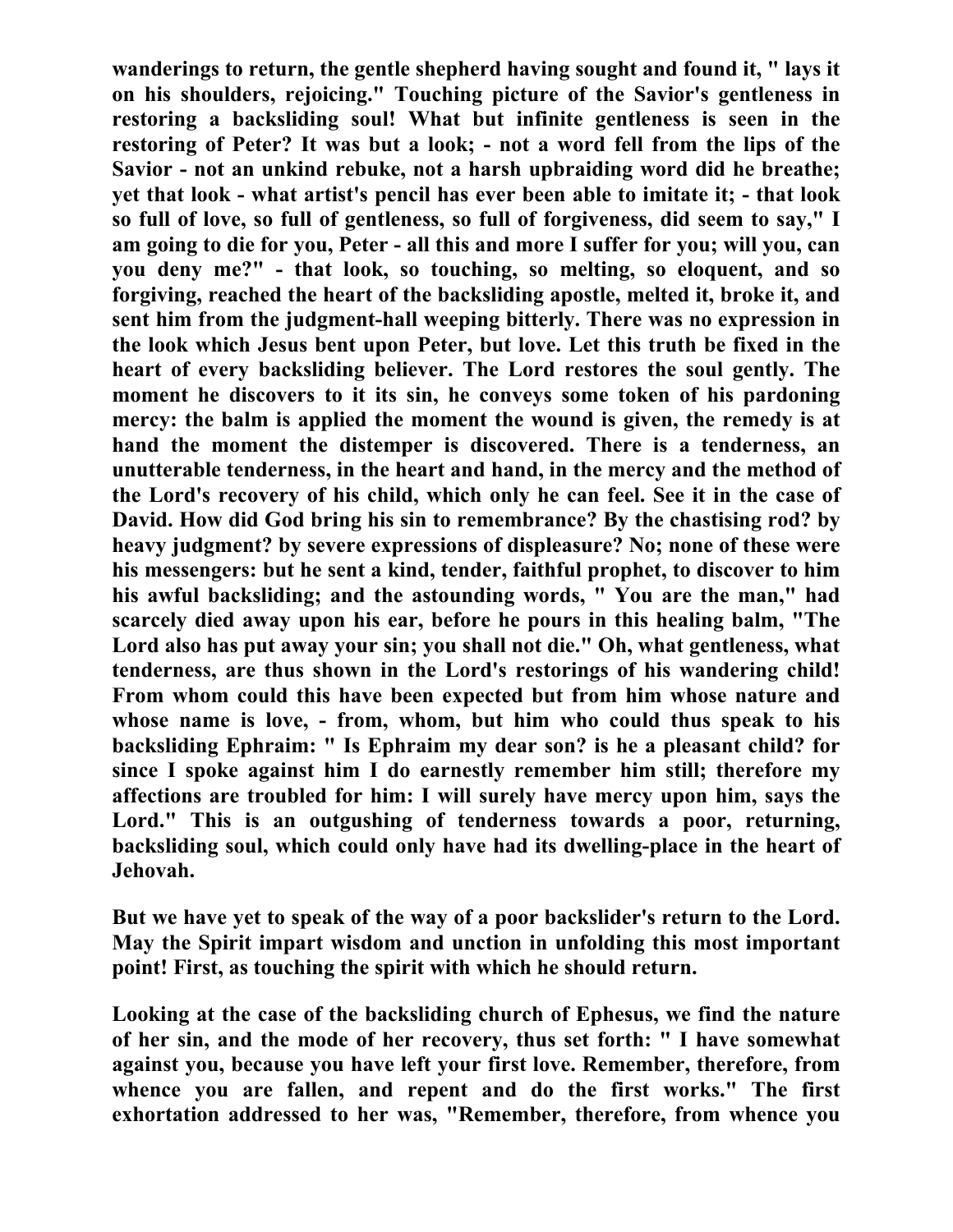**wanderings to return, the gentle shepherd having sought and found it, " lays it on his shoulders, rejoicing." Touching picture of the Savior's gentleness in restoring a backsliding soul! What but infinite gentleness is seen in the restoring of Peter? It was but a look; - not a word fell from the lips of the Savior - not an unkind rebuke, not a harsh upbraiding word did he breathe; yet that look - what artist's pencil has ever been able to imitate it; - that look so full of love, so full of gentleness, so full of forgiveness, did seem to say," I am going to die for you, Peter - all this and more I suffer for you; will you, can you deny me?" - that look, so touching, so melting, so eloquent, and so forgiving, reached the heart of the backsliding apostle, melted it, broke it, and sent him from the judgment-hall weeping bitterly. There was no expression in the look which Jesus bent upon Peter, but love. Let this truth be fixed in the heart of every backsliding believer. The Lord restores the soul gently. The moment he discovers to it its sin, he conveys some token of his pardoning mercy: the balm is applied the moment the wound is given, the remedy is at hand the moment the distemper is discovered. There is a tenderness, an unutterable tenderness, in the heart and hand, in the mercy and the method of the Lord's recovery of his child, which only he can feel. See it in the case of David. How did God bring his sin to remembrance? By the chastising rod? by heavy judgment? by severe expressions of displeasure? No; none of these were his messengers: but he sent a kind, tender, faithful prophet, to discover to him his awful backsliding; and the astounding words, " You are the man," had scarcely died away upon his ear, before he pours in this healing balm, "The Lord also has put away your sin; you shall not die." Oh, what gentleness, what tenderness, are thus shown in the Lord's restorings of his wandering child! From whom could this have been expected but from him whose nature and whose name is love, - from, whom, but him who could thus speak to his backsliding Ephraim: " Is Ephraim my dear son? is he a pleasant child? for since I spoke against him I do earnestly remember him still; therefore my affections are troubled for him: I will surely have mercy upon him, says the Lord." This is an outgushing of tenderness towards a poor, returning, backsliding soul, which could only have had its dwelling-place in the heart of Jehovah.** 

**But we have yet to speak of the way of a poor backslider's return to the Lord. May the Spirit impart wisdom and unction in unfolding this most important point! First, as touching the spirit with which he should return.** 

**Looking at the case of the backsliding church of Ephesus, we find the nature of her sin, and the mode of her recovery, thus set forth: " I have somewhat against you, because you have left your first love. Remember, therefore, from whence you are fallen, and repent and do the first works." The first exhortation addressed to her was, "Remember, therefore, from whence you**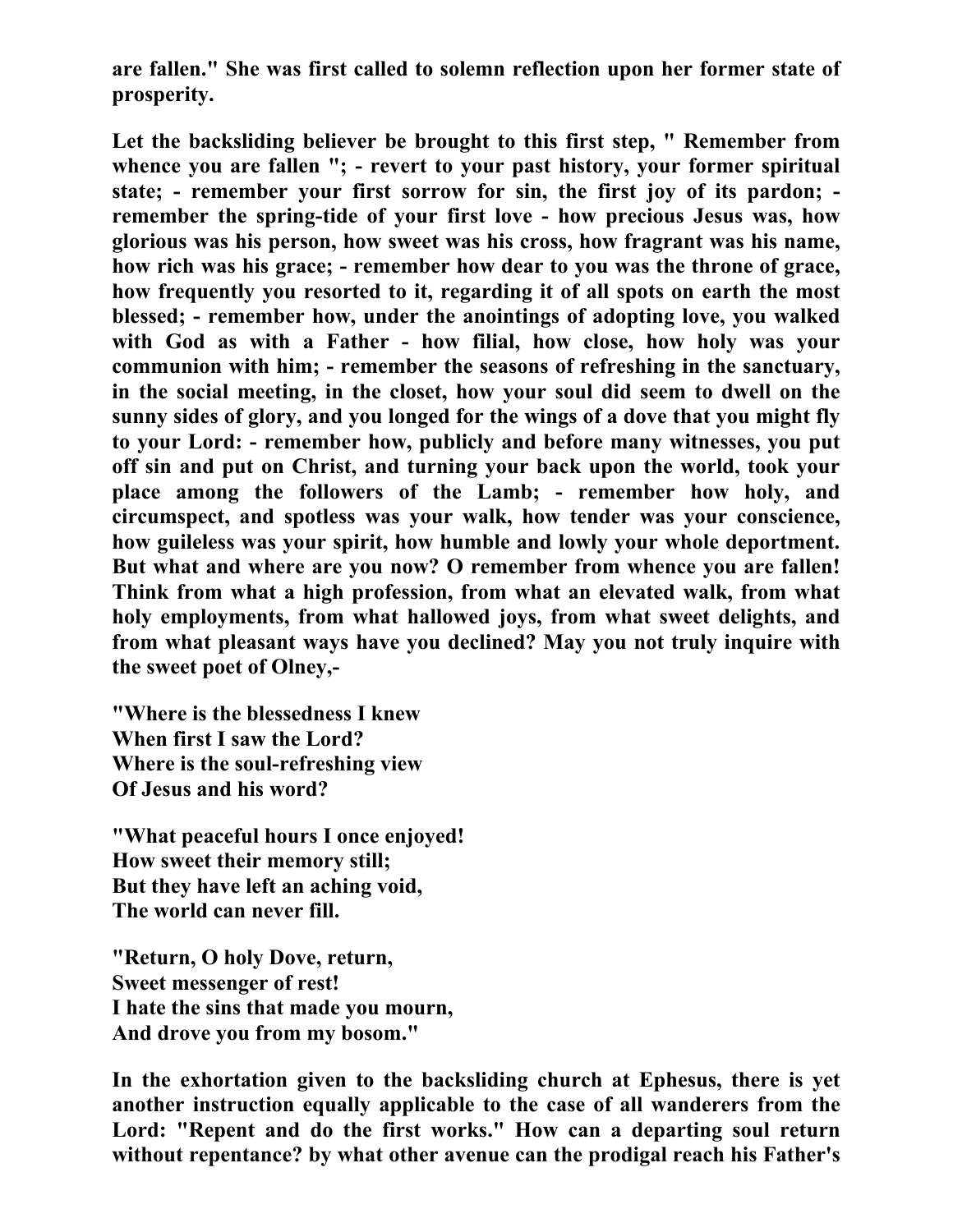**are fallen." She was first called to solemn reflection upon her former state of prosperity.** 

**Let the backsliding believer be brought to this first step, " Remember from whence you are fallen "; - revert to your past history, your former spiritual state; - remember your first sorrow for sin, the first joy of its pardon; remember the spring-tide of your first love - how precious Jesus was, how glorious was his person, how sweet was his cross, how fragrant was his name, how rich was his grace; - remember how dear to you was the throne of grace, how frequently you resorted to it, regarding it of all spots on earth the most blessed; - remember how, under the anointings of adopting love, you walked with God as with a Father - how filial, how close, how holy was your communion with him; - remember the seasons of refreshing in the sanctuary, in the social meeting, in the closet, how your soul did seem to dwell on the sunny sides of glory, and you longed for the wings of a dove that you might fly to your Lord: - remember how, publicly and before many witnesses, you put off sin and put on Christ, and turning your back upon the world, took your place among the followers of the Lamb; - remember how holy, and circumspect, and spotless was your walk, how tender was your conscience, how guileless was your spirit, how humble and lowly your whole deportment. But what and where are you now? O remember from whence you are fallen! Think from what a high profession, from what an elevated walk, from what holy employments, from what hallowed joys, from what sweet delights, and from what pleasant ways have you declined? May you not truly inquire with the sweet poet of Olney,-** 

**"Where is the blessedness I knew When first I saw the Lord? Where is the soul-refreshing view Of Jesus and his word?** 

**"What peaceful hours I once enjoyed! How sweet their memory still; But they have left an aching void, The world can never fill.** 

**"Return, O holy Dove, return, Sweet messenger of rest! I hate the sins that made you mourn, And drove you from my bosom."** 

**In the exhortation given to the backsliding church at Ephesus, there is yet another instruction equally applicable to the case of all wanderers from the Lord: "Repent and do the first works." How can a departing soul return without repentance? by what other avenue can the prodigal reach his Father's**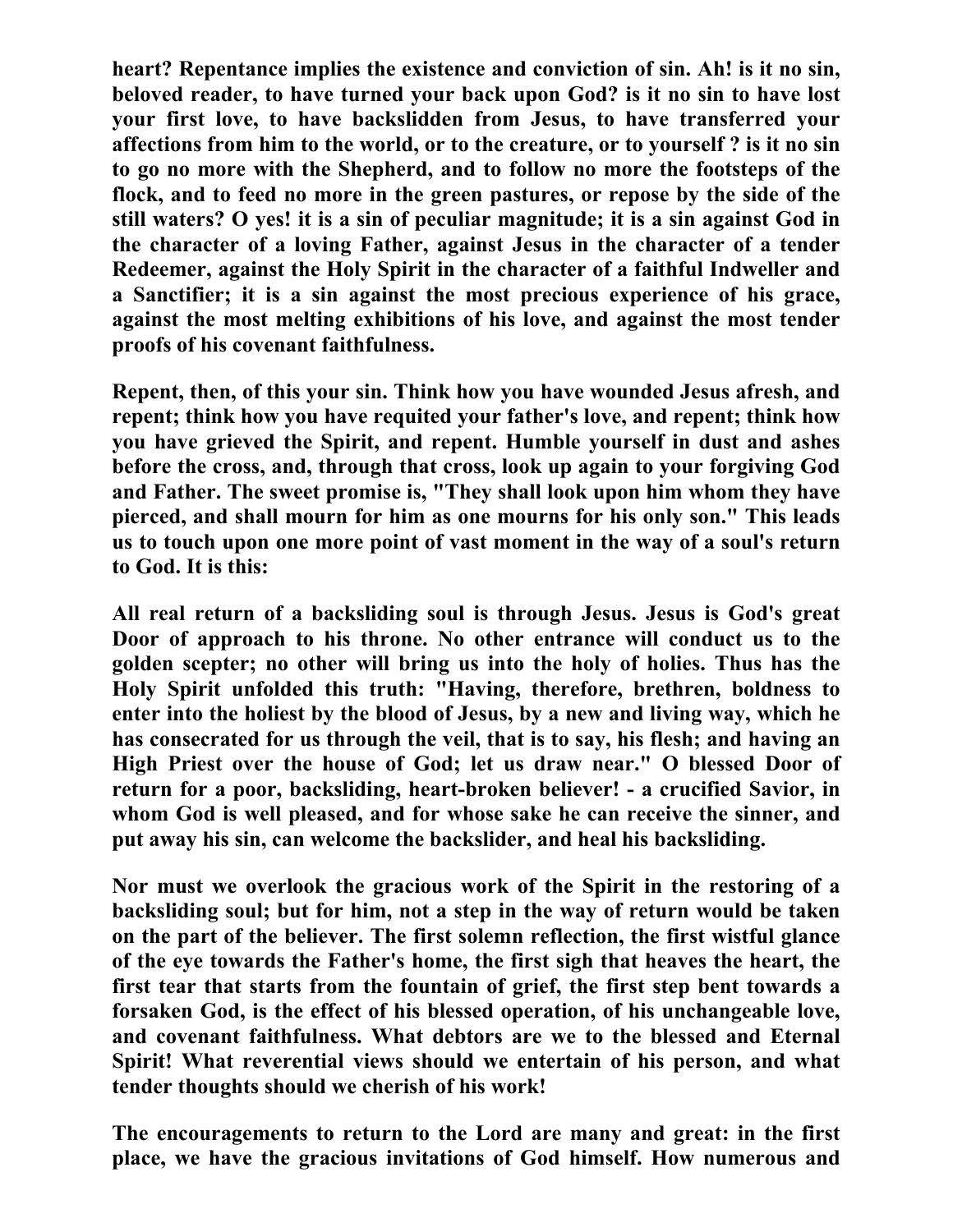**heart? Repentance implies the existence and conviction of sin. Ah! is it no sin, beloved reader, to have turned your back upon God? is it no sin to have lost your first love, to have backslidden from Jesus, to have transferred your affections from him to the world, or to the creature, or to yourself ? is it no sin to go no more with the Shepherd, and to follow no more the footsteps of the flock, and to feed no more in the green pastures, or repose by the side of the still waters? O yes! it is a sin of peculiar magnitude; it is a sin against God in the character of a loving Father, against Jesus in the character of a tender Redeemer, against the Holy Spirit in the character of a faithful Indweller and a Sanctifier; it is a sin against the most precious experience of his grace, against the most melting exhibitions of his love, and against the most tender proofs of his covenant faithfulness.** 

**Repent, then, of this your sin. Think how you have wounded Jesus afresh, and repent; think how you have requited your father's love, and repent; think how you have grieved the Spirit, and repent. Humble yourself in dust and ashes before the cross, and, through that cross, look up again to your forgiving God and Father. The sweet promise is, "They shall look upon him whom they have pierced, and shall mourn for him as one mourns for his only son." This leads us to touch upon one more point of vast moment in the way of a soul's return to God. It is this:** 

**All real return of a backsliding soul is through Jesus. Jesus is God's great Door of approach to his throne. No other entrance will conduct us to the golden scepter; no other will bring us into the holy of holies. Thus has the Holy Spirit unfolded this truth: "Having, therefore, brethren, boldness to enter into the holiest by the blood of Jesus, by a new and living way, which he has consecrated for us through the veil, that is to say, his flesh; and having an High Priest over the house of God; let us draw near." O blessed Door of return for a poor, backsliding, heart-broken believer! - a crucified Savior, in whom God is well pleased, and for whose sake he can receive the sinner, and put away his sin, can welcome the backslider, and heal his backsliding.** 

**Nor must we overlook the gracious work of the Spirit in the restoring of a backsliding soul; but for him, not a step in the way of return would be taken on the part of the believer. The first solemn reflection, the first wistful glance of the eye towards the Father's home, the first sigh that heaves the heart, the first tear that starts from the fountain of grief, the first step bent towards a forsaken God, is the effect of his blessed operation, of his unchangeable love, and covenant faithfulness. What debtors are we to the blessed and Eternal Spirit! What reverential views should we entertain of his person, and what tender thoughts should we cherish of his work!** 

**The encouragements to return to the Lord are many and great: in the first place, we have the gracious invitations of God himself. How numerous and**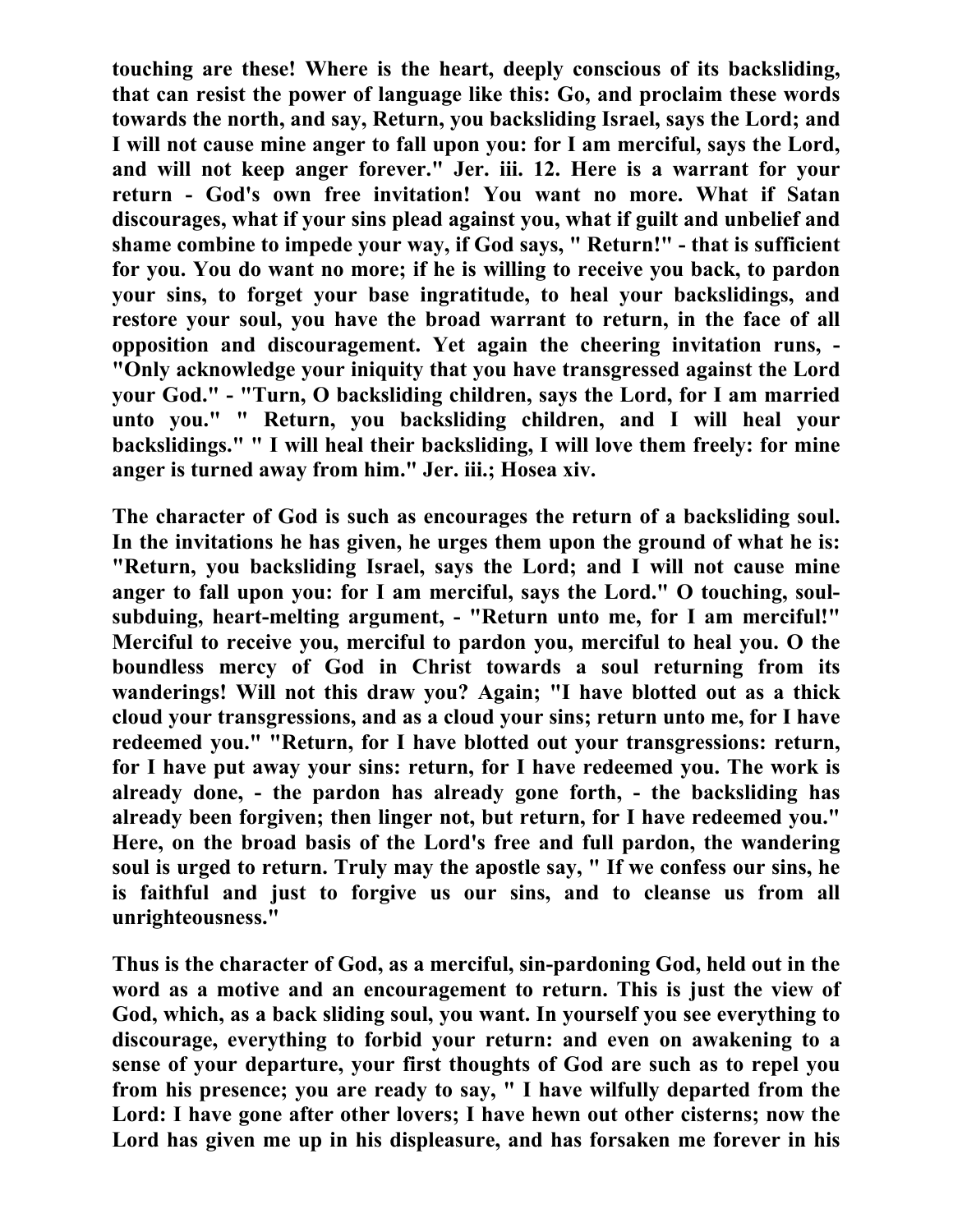**touching are these! Where is the heart, deeply conscious of its backsliding, that can resist the power of language like this: Go, and proclaim these words towards the north, and say, Return, you backsliding Israel, says the Lord; and I will not cause mine anger to fall upon you: for I am merciful, says the Lord, and will not keep anger forever." Jer. iii. 12. Here is a warrant for your return - God's own free invitation! You want no more. What if Satan discourages, what if your sins plead against you, what if guilt and unbelief and shame combine to impede your way, if God says, " Return!" - that is sufficient for you. You do want no more; if he is willing to receive you back, to pardon your sins, to forget your base ingratitude, to heal your backslidings, and restore your soul, you have the broad warrant to return, in the face of all opposition and discouragement. Yet again the cheering invitation runs, - "Only acknowledge your iniquity that you have transgressed against the Lord your God." - "Turn, O backsliding children, says the Lord, for I am married unto you." " Return, you backsliding children, and I will heal your backslidings." " I will heal their backsliding, I will love them freely: for mine anger is turned away from him." Jer. iii.; Hosea xiv.** 

**The character of God is such as encourages the return of a backsliding soul. In the invitations he has given, he urges them upon the ground of what he is: "Return, you backsliding Israel, says the Lord; and I will not cause mine anger to fall upon you: for I am merciful, says the Lord." O touching, soulsubduing, heart-melting argument, - "Return unto me, for I am merciful!" Merciful to receive you, merciful to pardon you, merciful to heal you. O the boundless mercy of God in Christ towards a soul returning from its wanderings! Will not this draw you? Again; "I have blotted out as a thick cloud your transgressions, and as a cloud your sins; return unto me, for I have redeemed you." "Return, for I have blotted out your transgressions: return, for I have put away your sins: return, for I have redeemed you. The work is already done, - the pardon has already gone forth, - the backsliding has already been forgiven; then linger not, but return, for I have redeemed you." Here, on the broad basis of the Lord's free and full pardon, the wandering soul is urged to return. Truly may the apostle say, " If we confess our sins, he is faithful and just to forgive us our sins, and to cleanse us from all unrighteousness."** 

**Thus is the character of God, as a merciful, sin-pardoning God, held out in the word as a motive and an encouragement to return. This is just the view of God, which, as a back sliding soul, you want. In yourself you see everything to discourage, everything to forbid your return: and even on awakening to a sense of your departure, your first thoughts of God are such as to repel you from his presence; you are ready to say, " I have wilfully departed from the Lord: I have gone after other lovers; I have hewn out other cisterns; now the Lord has given me up in his displeasure, and has forsaken me forever in his**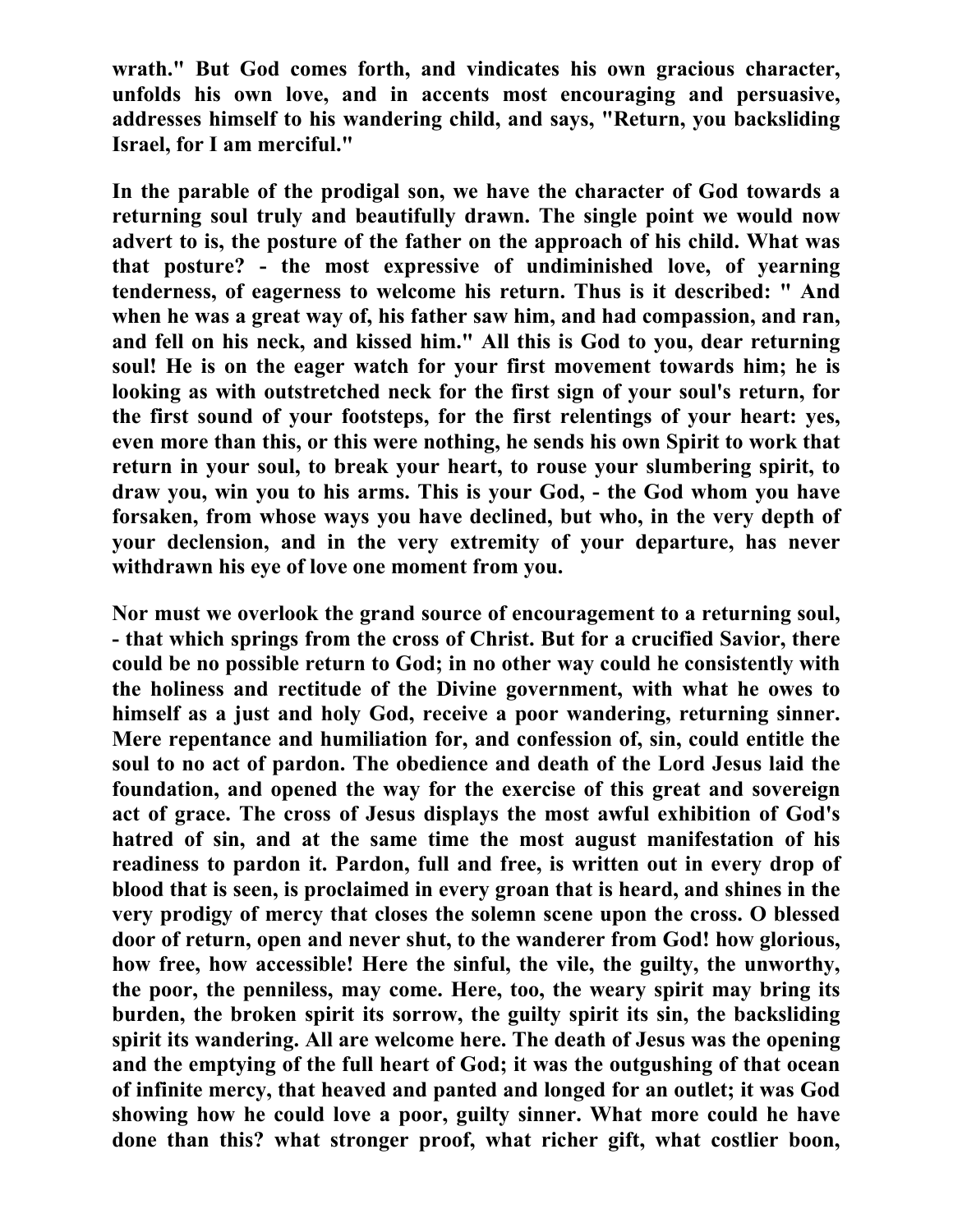**wrath." But God comes forth, and vindicates his own gracious character, unfolds his own love, and in accents most encouraging and persuasive, addresses himself to his wandering child, and says, "Return, you backsliding Israel, for I am merciful."** 

**In the parable of the prodigal son, we have the character of God towards a returning soul truly and beautifully drawn. The single point we would now advert to is, the posture of the father on the approach of his child. What was that posture? - the most expressive of undiminished love, of yearning tenderness, of eagerness to welcome his return. Thus is it described: " And when he was a great way of, his father saw him, and had compassion, and ran, and fell on his neck, and kissed him." All this is God to you, dear returning soul! He is on the eager watch for your first movement towards him; he is looking as with outstretched neck for the first sign of your soul's return, for the first sound of your footsteps, for the first relentings of your heart: yes, even more than this, or this were nothing, he sends his own Spirit to work that return in your soul, to break your heart, to rouse your slumbering spirit, to draw you, win you to his arms. This is your God, - the God whom you have forsaken, from whose ways you have declined, but who, in the very depth of your declension, and in the very extremity of your departure, has never withdrawn his eye of love one moment from you.** 

**Nor must we overlook the grand source of encouragement to a returning soul, - that which springs from the cross of Christ. But for a crucified Savior, there could be no possible return to God; in no other way could he consistently with the holiness and rectitude of the Divine government, with what he owes to himself as a just and holy God, receive a poor wandering, returning sinner. Mere repentance and humiliation for, and confession of, sin, could entitle the soul to no act of pardon. The obedience and death of the Lord Jesus laid the foundation, and opened the way for the exercise of this great and sovereign act of grace. The cross of Jesus displays the most awful exhibition of God's hatred of sin, and at the same time the most august manifestation of his readiness to pardon it. Pardon, full and free, is written out in every drop of blood that is seen, is proclaimed in every groan that is heard, and shines in the very prodigy of mercy that closes the solemn scene upon the cross. O blessed door of return, open and never shut, to the wanderer from God! how glorious, how free, how accessible! Here the sinful, the vile, the guilty, the unworthy, the poor, the penniless, may come. Here, too, the weary spirit may bring its burden, the broken spirit its sorrow, the guilty spirit its sin, the backsliding spirit its wandering. All are welcome here. The death of Jesus was the opening and the emptying of the full heart of God; it was the outgushing of that ocean of infinite mercy, that heaved and panted and longed for an outlet; it was God showing how he could love a poor, guilty sinner. What more could he have done than this? what stronger proof, what richer gift, what costlier boon,**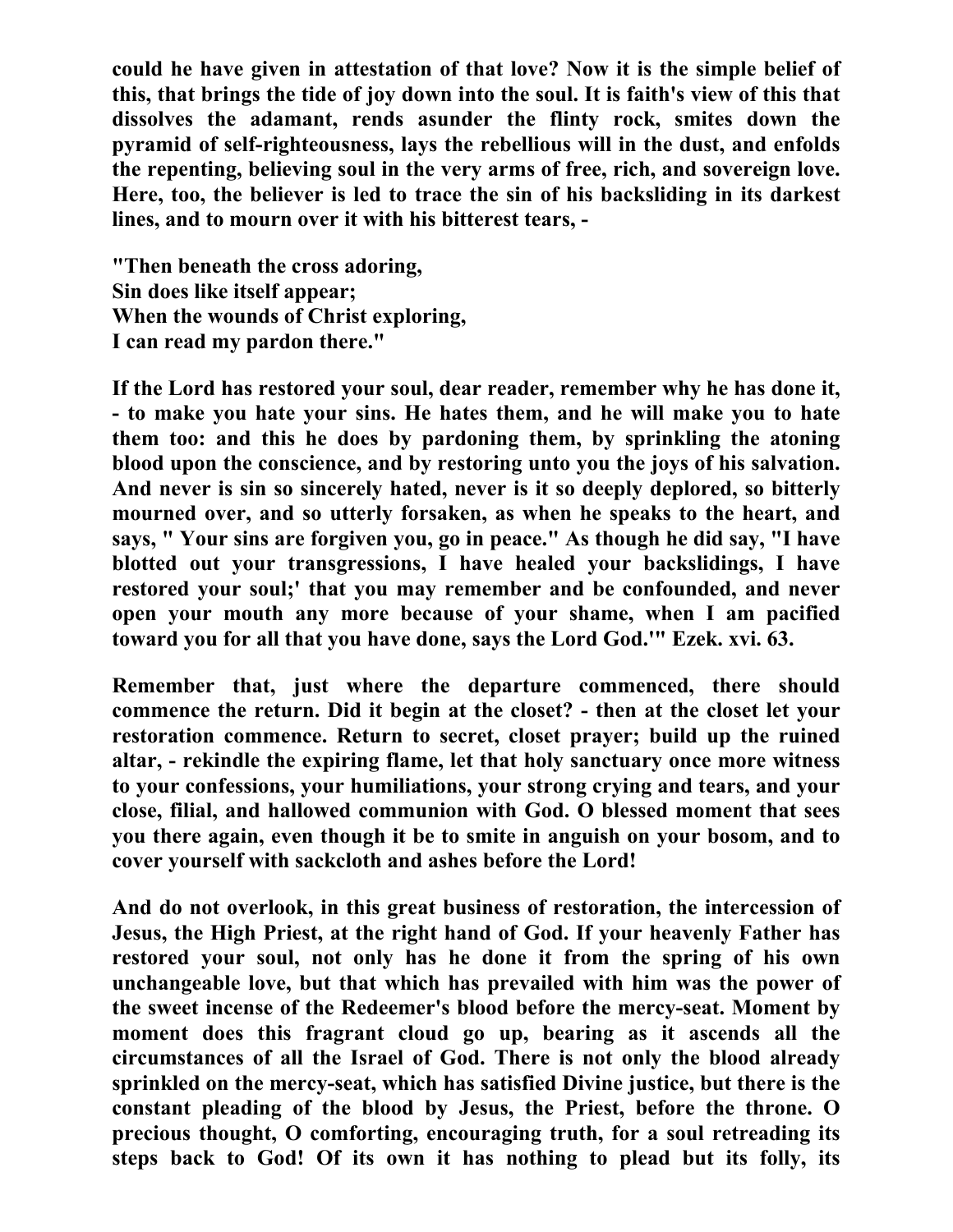**could he have given in attestation of that love? Now it is the simple belief of this, that brings the tide of joy down into the soul. It is faith's view of this that dissolves the adamant, rends asunder the flinty rock, smites down the pyramid of self-righteousness, lays the rebellious will in the dust, and enfolds the repenting, believing soul in the very arms of free, rich, and sovereign love. Here, too, the believer is led to trace the sin of his backsliding in its darkest lines, and to mourn over it with his bitterest tears, -** 

**"Then beneath the cross adoring, Sin does like itself appear; When the wounds of Christ exploring, I can read my pardon there."** 

**If the Lord has restored your soul, dear reader, remember why he has done it, - to make you hate your sins. He hates them, and he will make you to hate them too: and this he does by pardoning them, by sprinkling the atoning blood upon the conscience, and by restoring unto you the joys of his salvation. And never is sin so sincerely hated, never is it so deeply deplored, so bitterly mourned over, and so utterly forsaken, as when he speaks to the heart, and says, " Your sins are forgiven you, go in peace." As though he did say, "I have blotted out your transgressions, I have healed your backslidings, I have restored your soul;' that you may remember and be confounded, and never open your mouth any more because of your shame, when I am pacified toward you for all that you have done, says the Lord God.'" Ezek. xvi. 63.** 

**Remember that, just where the departure commenced, there should commence the return. Did it begin at the closet? - then at the closet let your restoration commence. Return to secret, closet prayer; build up the ruined altar, - rekindle the expiring flame, let that holy sanctuary once more witness to your confessions, your humiliations, your strong crying and tears, and your close, filial, and hallowed communion with God. O blessed moment that sees you there again, even though it be to smite in anguish on your bosom, and to cover yourself with sackcloth and ashes before the Lord!** 

**And do not overlook, in this great business of restoration, the intercession of Jesus, the High Priest, at the right hand of God. If your heavenly Father has restored your soul, not only has he done it from the spring of his own unchangeable love, but that which has prevailed with him was the power of the sweet incense of the Redeemer's blood before the mercy-seat. Moment by moment does this fragrant cloud go up, bearing as it ascends all the circumstances of all the Israel of God. There is not only the blood already sprinkled on the mercy-seat, which has satisfied Divine justice, but there is the constant pleading of the blood by Jesus, the Priest, before the throne. O precious thought, O comforting, encouraging truth, for a soul retreading its steps back to God! Of its own it has nothing to plead but its folly, its**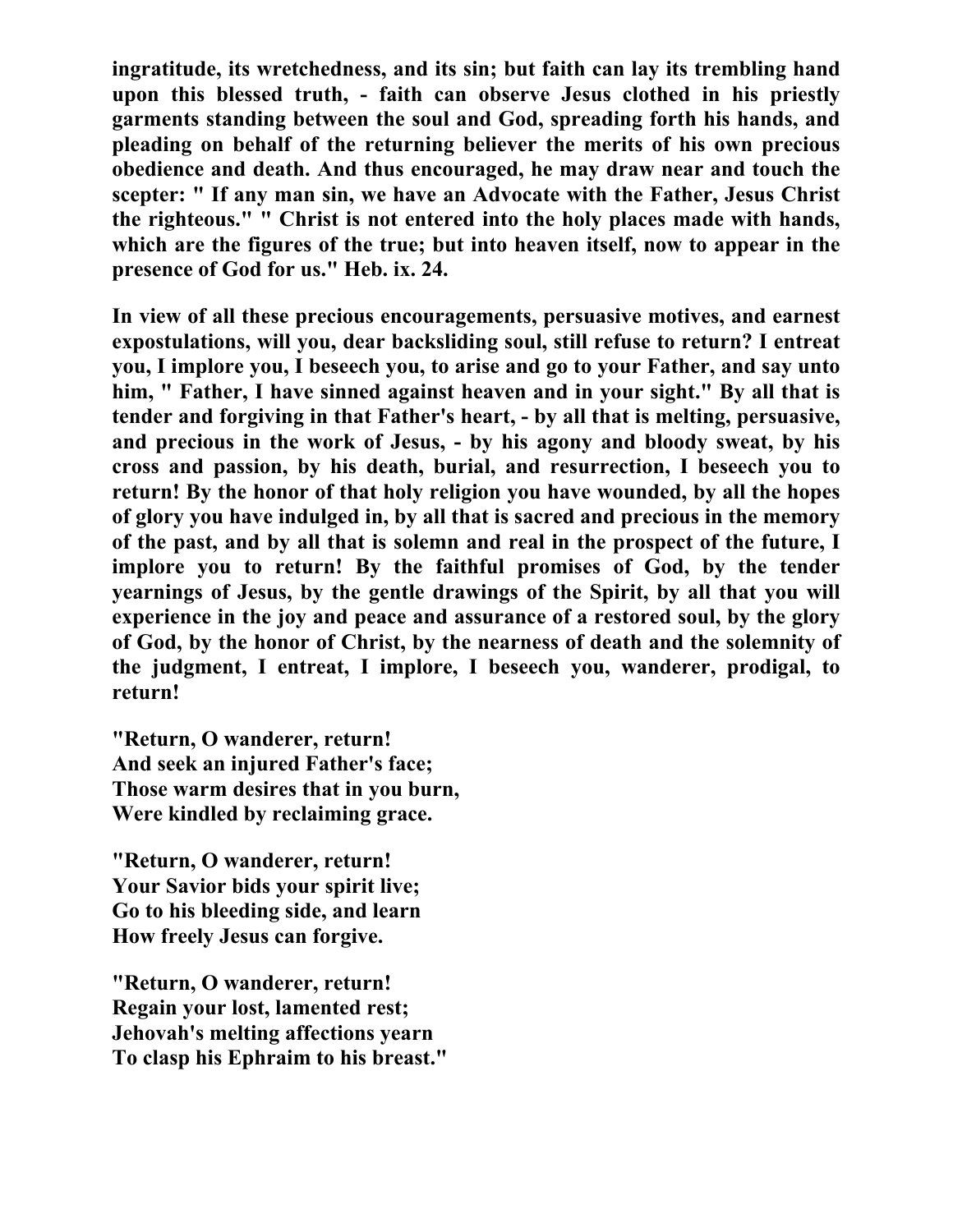**ingratitude, its wretchedness, and its sin; but faith can lay its trembling hand upon this blessed truth, - faith can observe Jesus clothed in his priestly garments standing between the soul and God, spreading forth his hands, and pleading on behalf of the returning believer the merits of his own precious obedience and death. And thus encouraged, he may draw near and touch the scepter: " If any man sin, we have an Advocate with the Father, Jesus Christ the righteous." " Christ is not entered into the holy places made with hands, which are the figures of the true; but into heaven itself, now to appear in the presence of God for us." Heb. ix. 24.** 

**In view of all these precious encouragements, persuasive motives, and earnest expostulations, will you, dear backsliding soul, still refuse to return? I entreat you, I implore you, I beseech you, to arise and go to your Father, and say unto him, " Father, I have sinned against heaven and in your sight." By all that is tender and forgiving in that Father's heart, - by all that is melting, persuasive, and precious in the work of Jesus, - by his agony and bloody sweat, by his cross and passion, by his death, burial, and resurrection, I beseech you to return! By the honor of that holy religion you have wounded, by all the hopes of glory you have indulged in, by all that is sacred and precious in the memory of the past, and by all that is solemn and real in the prospect of the future, I implore you to return! By the faithful promises of God, by the tender yearnings of Jesus, by the gentle drawings of the Spirit, by all that you will experience in the joy and peace and assurance of a restored soul, by the glory of God, by the honor of Christ, by the nearness of death and the solemnity of the judgment, I entreat, I implore, I beseech you, wanderer, prodigal, to return!** 

**"Return, O wanderer, return! And seek an injured Father's face; Those warm desires that in you burn, Were kindled by reclaiming grace.** 

**"Return, O wanderer, return! Your Savior bids your spirit live; Go to his bleeding side, and learn How freely Jesus can forgive.** 

**"Return, O wanderer, return! Regain your lost, lamented rest; Jehovah's melting affections yearn To clasp his Ephraim to his breast."**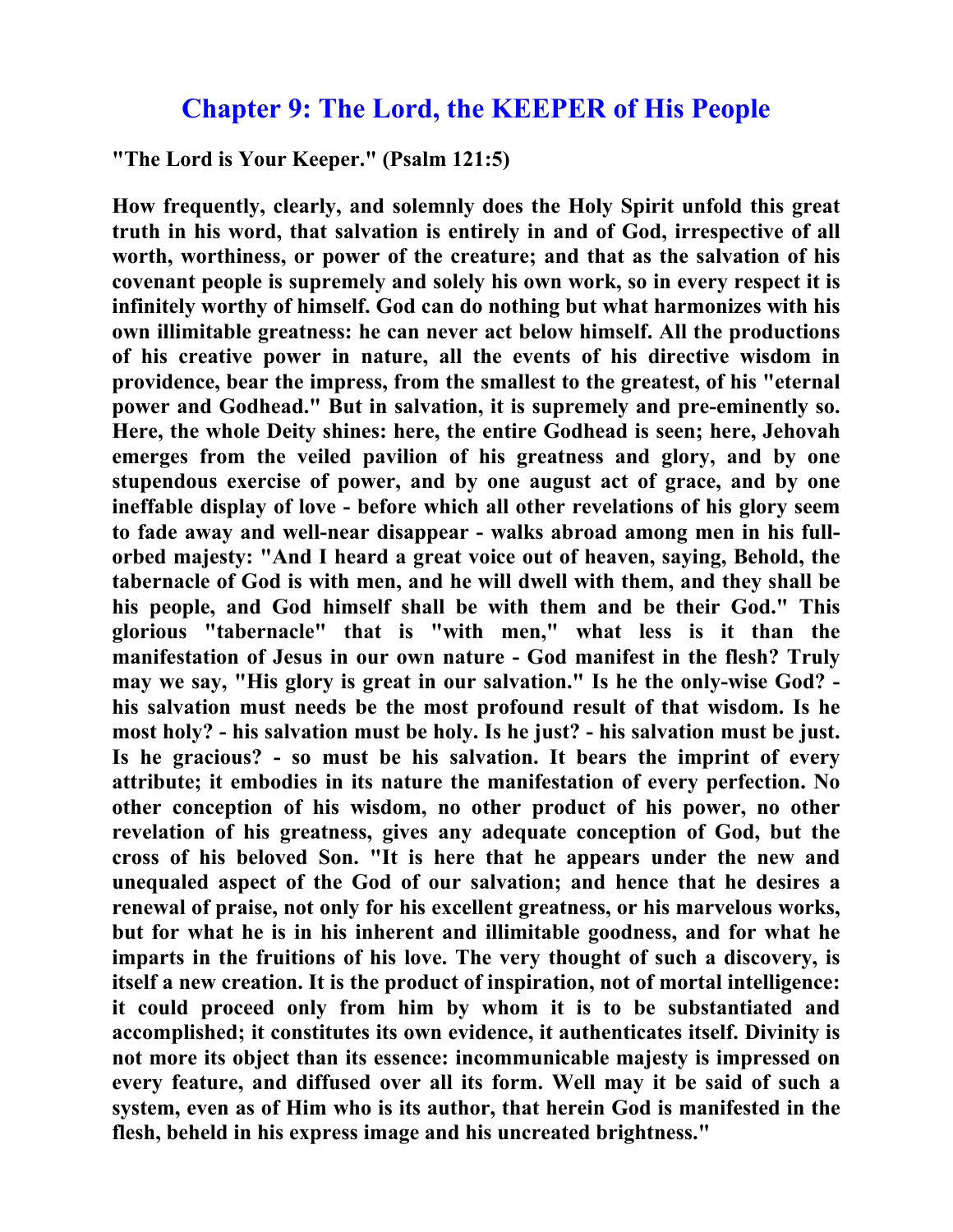## **Chapter 9: The Lord, the KEEPER of His People**

**"The Lord is Your Keeper." (Psalm 121:5)** 

**How frequently, clearly, and solemnly does the Holy Spirit unfold this great truth in his word, that salvation is entirely in and of God, irrespective of all worth, worthiness, or power of the creature; and that as the salvation of his covenant people is supremely and solely his own work, so in every respect it is infinitely worthy of himself. God can do nothing but what harmonizes with his own illimitable greatness: he can never act below himself. All the productions of his creative power in nature, all the events of his directive wisdom in providence, bear the impress, from the smallest to the greatest, of his "eternal power and Godhead." But in salvation, it is supremely and pre-eminently so. Here, the whole Deity shines: here, the entire Godhead is seen; here, Jehovah emerges from the veiled pavilion of his greatness and glory, and by one stupendous exercise of power, and by one august act of grace, and by one ineffable display of love - before which all other revelations of his glory seem to fade away and well-near disappear - walks abroad among men in his fullorbed majesty: "And I heard a great voice out of heaven, saying, Behold, the tabernacle of God is with men, and he will dwell with them, and they shall be his people, and God himself shall be with them and be their God." This glorious "tabernacle" that is "with men," what less is it than the manifestation of Jesus in our own nature - God manifest in the flesh? Truly may we say, "His glory is great in our salvation." Is he the only-wise God? his salvation must needs be the most profound result of that wisdom. Is he most holy? - his salvation must be holy. Is he just? - his salvation must be just. Is he gracious? - so must be his salvation. It bears the imprint of every attribute; it embodies in its nature the manifestation of every perfection. No other conception of his wisdom, no other product of his power, no other revelation of his greatness, gives any adequate conception of God, but the cross of his beloved Son. "It is here that he appears under the new and unequaled aspect of the God of our salvation; and hence that he desires a renewal of praise, not only for his excellent greatness, or his marvelous works, but for what he is in his inherent and illimitable goodness, and for what he imparts in the fruitions of his love. The very thought of such a discovery, is itself a new creation. It is the product of inspiration, not of mortal intelligence: it could proceed only from him by whom it is to be substantiated and accomplished; it constitutes its own evidence, it authenticates itself. Divinity is not more its object than its essence: incommunicable majesty is impressed on every feature, and diffused over all its form. Well may it be said of such a system, even as of Him who is its author, that herein God is manifested in the flesh, beheld in his express image and his uncreated brightness."**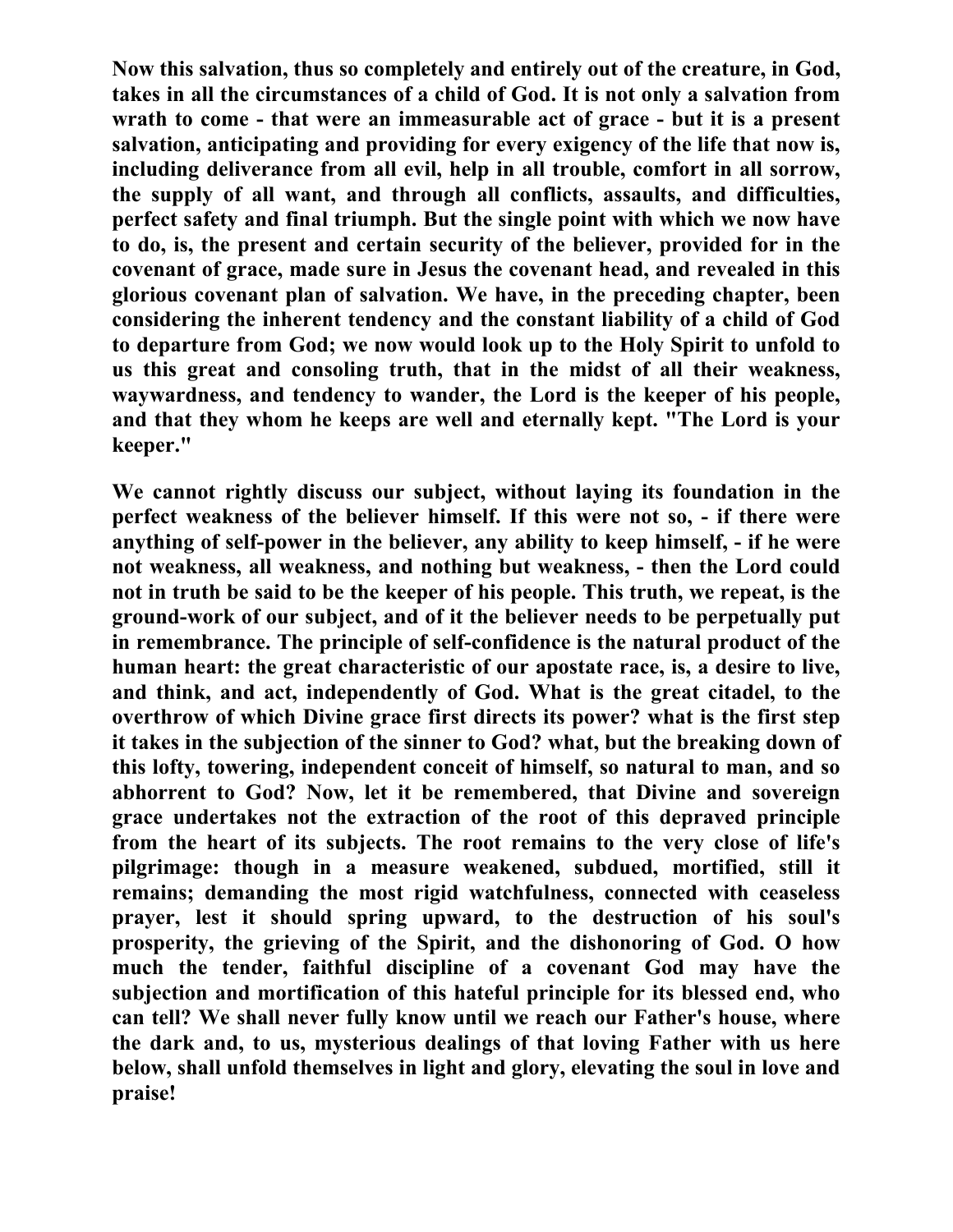**Now this salvation, thus so completely and entirely out of the creature, in God, takes in all the circumstances of a child of God. It is not only a salvation from wrath to come - that were an immeasurable act of grace - but it is a present salvation, anticipating and providing for every exigency of the life that now is, including deliverance from all evil, help in all trouble, comfort in all sorrow, the supply of all want, and through all conflicts, assaults, and difficulties, perfect safety and final triumph. But the single point with which we now have to do, is, the present and certain security of the believer, provided for in the covenant of grace, made sure in Jesus the covenant head, and revealed in this glorious covenant plan of salvation. We have, in the preceding chapter, been considering the inherent tendency and the constant liability of a child of God to departure from God; we now would look up to the Holy Spirit to unfold to us this great and consoling truth, that in the midst of all their weakness, waywardness, and tendency to wander, the Lord is the keeper of his people, and that they whom he keeps are well and eternally kept. "The Lord is your keeper."** 

**We cannot rightly discuss our subject, without laying its foundation in the perfect weakness of the believer himself. If this were not so, - if there were anything of self-power in the believer, any ability to keep himself, - if he were not weakness, all weakness, and nothing but weakness, - then the Lord could not in truth be said to be the keeper of his people. This truth, we repeat, is the ground-work of our subject, and of it the believer needs to be perpetually put in remembrance. The principle of self-confidence is the natural product of the human heart: the great characteristic of our apostate race, is, a desire to live, and think, and act, independently of God. What is the great citadel, to the overthrow of which Divine grace first directs its power? what is the first step it takes in the subjection of the sinner to God? what, but the breaking down of this lofty, towering, independent conceit of himself, so natural to man, and so abhorrent to God? Now, let it be remembered, that Divine and sovereign grace undertakes not the extraction of the root of this depraved principle from the heart of its subjects. The root remains to the very close of life's pilgrimage: though in a measure weakened, subdued, mortified, still it remains; demanding the most rigid watchfulness, connected with ceaseless prayer, lest it should spring upward, to the destruction of his soul's prosperity, the grieving of the Spirit, and the dishonoring of God. O how much the tender, faithful discipline of a covenant God may have the subjection and mortification of this hateful principle for its blessed end, who can tell? We shall never fully know until we reach our Father's house, where the dark and, to us, mysterious dealings of that loving Father with us here below, shall unfold themselves in light and glory, elevating the soul in love and praise!**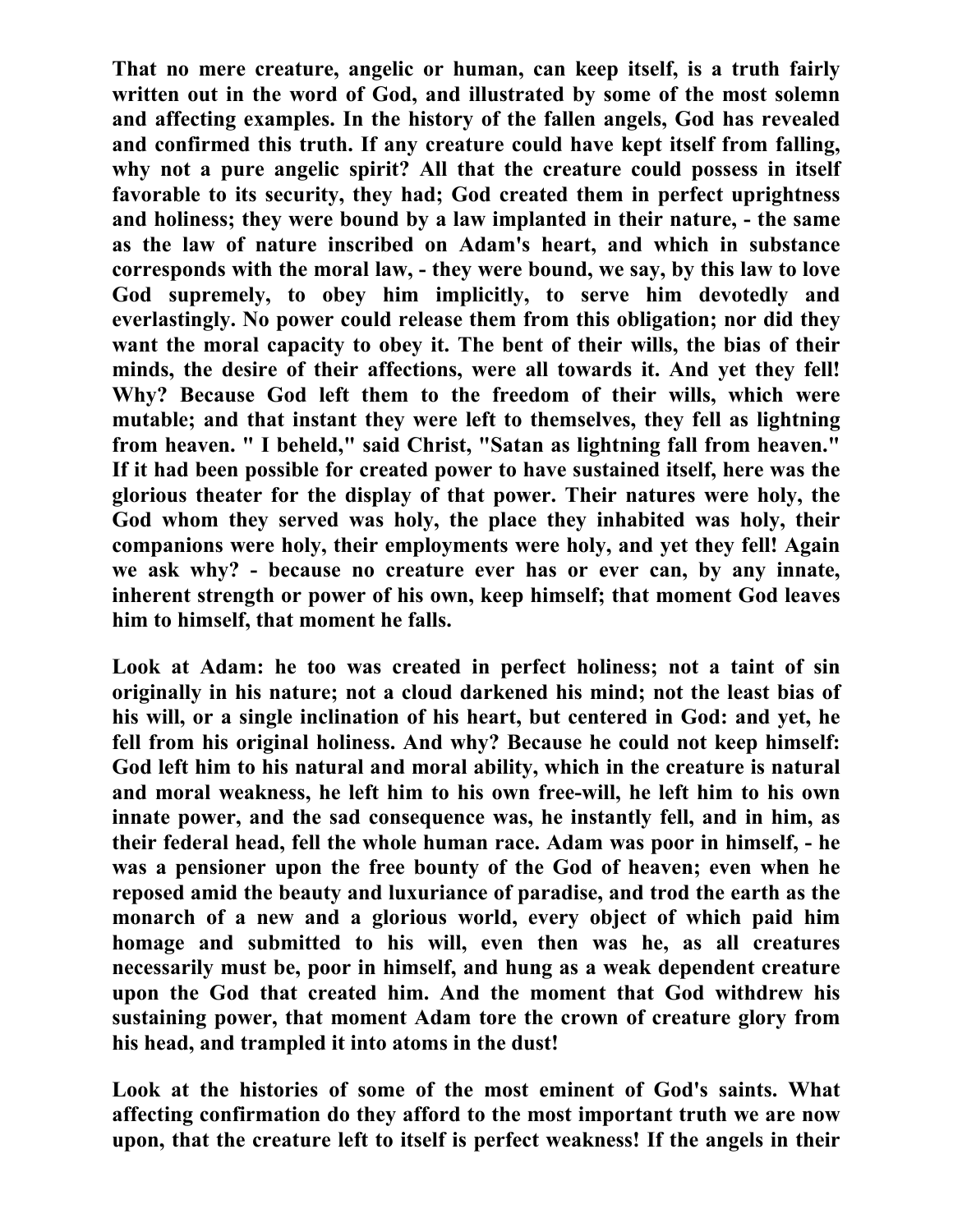**That no mere creature, angelic or human, can keep itself, is a truth fairly written out in the word of God, and illustrated by some of the most solemn and affecting examples. In the history of the fallen angels, God has revealed and confirmed this truth. If any creature could have kept itself from falling, why not a pure angelic spirit? All that the creature could possess in itself favorable to its security, they had; God created them in perfect uprightness and holiness; they were bound by a law implanted in their nature, - the same as the law of nature inscribed on Adam's heart, and which in substance corresponds with the moral law, - they were bound, we say, by this law to love God supremely, to obey him implicitly, to serve him devotedly and everlastingly. No power could release them from this obligation; nor did they want the moral capacity to obey it. The bent of their wills, the bias of their minds, the desire of their affections, were all towards it. And yet they fell! Why? Because God left them to the freedom of their wills, which were mutable; and that instant they were left to themselves, they fell as lightning from heaven. " I beheld," said Christ, "Satan as lightning fall from heaven." If it had been possible for created power to have sustained itself, here was the glorious theater for the display of that power. Their natures were holy, the God whom they served was holy, the place they inhabited was holy, their companions were holy, their employments were holy, and yet they fell! Again we ask why? - because no creature ever has or ever can, by any innate, inherent strength or power of his own, keep himself; that moment God leaves him to himself, that moment he falls.** 

**Look at Adam: he too was created in perfect holiness; not a taint of sin originally in his nature; not a cloud darkened his mind; not the least bias of his will, or a single inclination of his heart, but centered in God: and yet, he fell from his original holiness. And why? Because he could not keep himself: God left him to his natural and moral ability, which in the creature is natural and moral weakness, he left him to his own free-will, he left him to his own innate power, and the sad consequence was, he instantly fell, and in him, as their federal head, fell the whole human race. Adam was poor in himself, - he was a pensioner upon the free bounty of the God of heaven; even when he reposed amid the beauty and luxuriance of paradise, and trod the earth as the monarch of a new and a glorious world, every object of which paid him homage and submitted to his will, even then was he, as all creatures necessarily must be, poor in himself, and hung as a weak dependent creature upon the God that created him. And the moment that God withdrew his sustaining power, that moment Adam tore the crown of creature glory from his head, and trampled it into atoms in the dust!** 

**Look at the histories of some of the most eminent of God's saints. What affecting confirmation do they afford to the most important truth we are now upon, that the creature left to itself is perfect weakness! If the angels in their**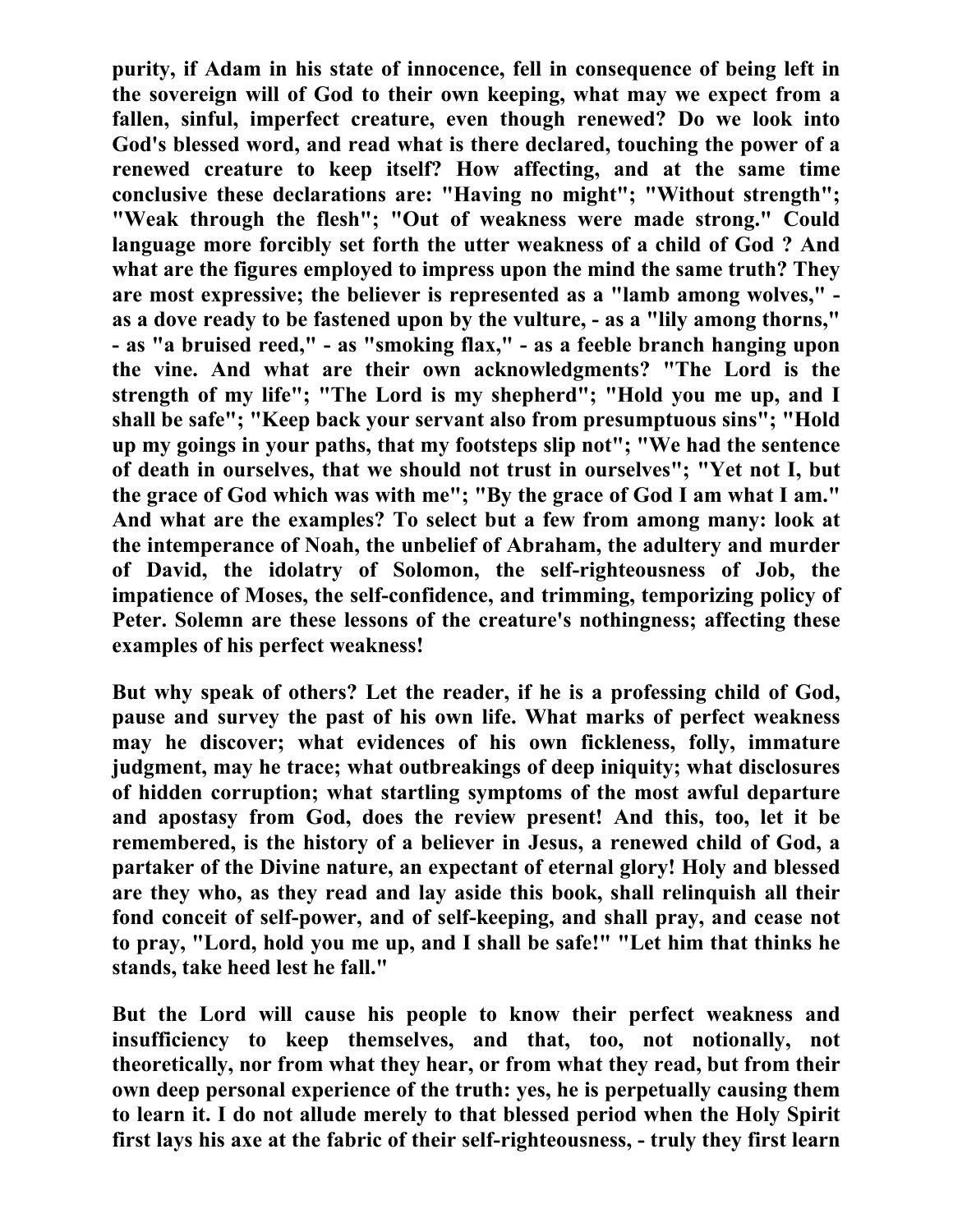**purity, if Adam in his state of innocence, fell in consequence of being left in the sovereign will of God to their own keeping, what may we expect from a fallen, sinful, imperfect creature, even though renewed? Do we look into God's blessed word, and read what is there declared, touching the power of a renewed creature to keep itself? How affecting, and at the same time conclusive these declarations are: "Having no might"; "Without strength"; "Weak through the flesh"; "Out of weakness were made strong." Could language more forcibly set forth the utter weakness of a child of God ? And what are the figures employed to impress upon the mind the same truth? They are most expressive; the believer is represented as a "lamb among wolves," as a dove ready to be fastened upon by the vulture, - as a "lily among thorns," - as "a bruised reed," - as "smoking flax," - as a feeble branch hanging upon the vine. And what are their own acknowledgments? "The Lord is the strength of my life"; "The Lord is my shepherd"; "Hold you me up, and I shall be safe"; "Keep back your servant also from presumptuous sins"; "Hold up my goings in your paths, that my footsteps slip not"; "We had the sentence of death in ourselves, that we should not trust in ourselves"; "Yet not I, but the grace of God which was with me"; "By the grace of God I am what I am." And what are the examples? To select but a few from among many: look at the intemperance of Noah, the unbelief of Abraham, the adultery and murder of David, the idolatry of Solomon, the self-righteousness of Job, the impatience of Moses, the self-confidence, and trimming, temporizing policy of Peter. Solemn are these lessons of the creature's nothingness; affecting these examples of his perfect weakness!** 

**But why speak of others? Let the reader, if he is a professing child of God, pause and survey the past of his own life. What marks of perfect weakness may he discover; what evidences of his own fickleness, folly, immature judgment, may he trace; what outbreakings of deep iniquity; what disclosures of hidden corruption; what startling symptoms of the most awful departure and apostasy from God, does the review present! And this, too, let it be remembered, is the history of a believer in Jesus, a renewed child of God, a partaker of the Divine nature, an expectant of eternal glory! Holy and blessed are they who, as they read and lay aside this book, shall relinquish all their fond conceit of self-power, and of self-keeping, and shall pray, and cease not to pray, "Lord, hold you me up, and I shall be safe!" "Let him that thinks he stands, take heed lest he fall."** 

**But the Lord will cause his people to know their perfect weakness and insufficiency to keep themselves, and that, too, not notionally, not theoretically, nor from what they hear, or from what they read, but from their own deep personal experience of the truth: yes, he is perpetually causing them to learn it. I do not allude merely to that blessed period when the Holy Spirit first lays his axe at the fabric of their self-righteousness, - truly they first learn**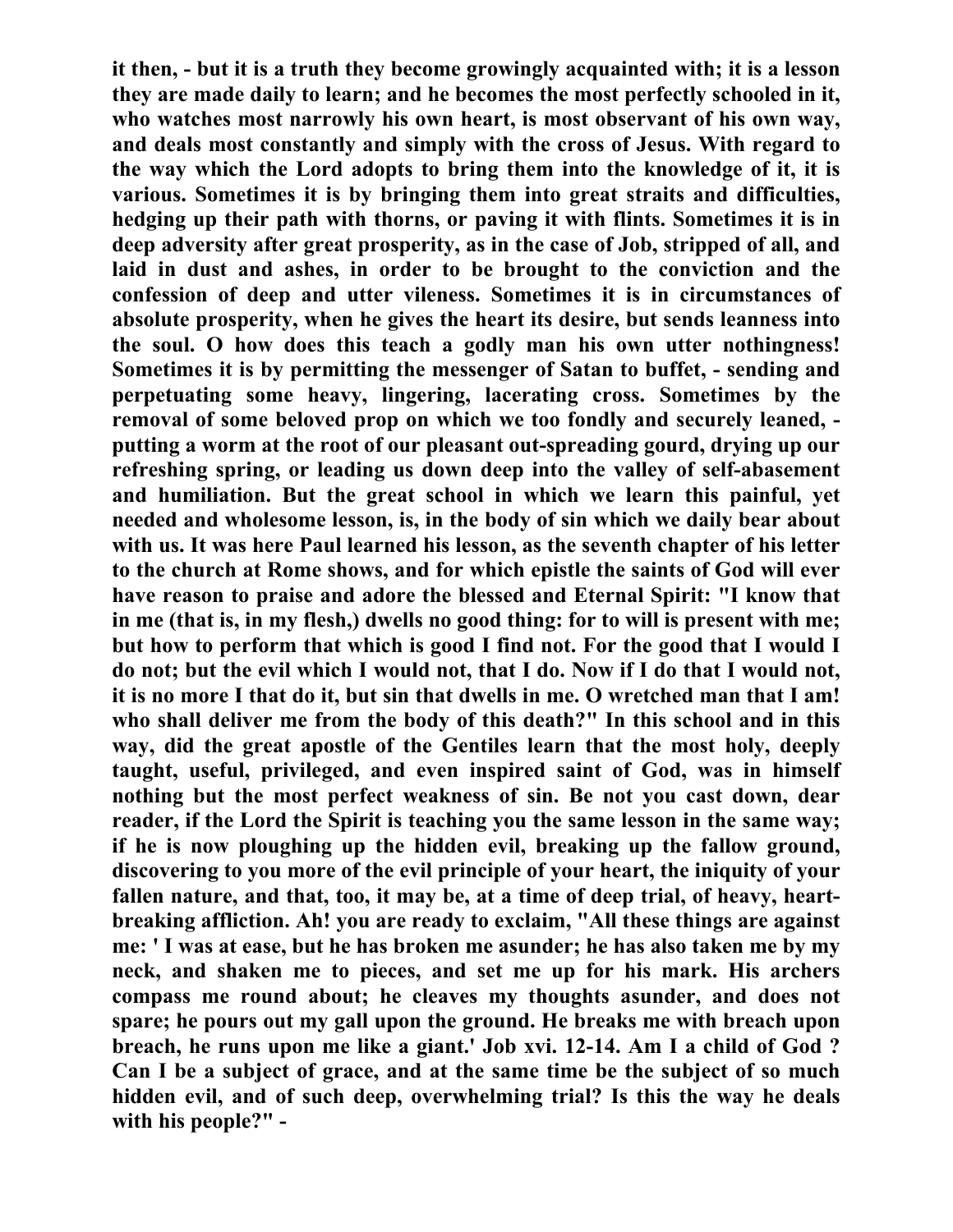**it then, - but it is a truth they become growingly acquainted with; it is a lesson they are made daily to learn; and he becomes the most perfectly schooled in it, who watches most narrowly his own heart, is most observant of his own way, and deals most constantly and simply with the cross of Jesus. With regard to the way which the Lord adopts to bring them into the knowledge of it, it is various. Sometimes it is by bringing them into great straits and difficulties, hedging up their path with thorns, or paving it with flints. Sometimes it is in deep adversity after great prosperity, as in the case of Job, stripped of all, and laid in dust and ashes, in order to be brought to the conviction and the confession of deep and utter vileness. Sometimes it is in circumstances of absolute prosperity, when he gives the heart its desire, but sends leanness into the soul. O how does this teach a godly man his own utter nothingness! Sometimes it is by permitting the messenger of Satan to buffet, - sending and perpetuating some heavy, lingering, lacerating cross. Sometimes by the removal of some beloved prop on which we too fondly and securely leaned, putting a worm at the root of our pleasant out-spreading gourd, drying up our refreshing spring, or leading us down deep into the valley of self-abasement and humiliation. But the great school in which we learn this painful, yet needed and wholesome lesson, is, in the body of sin which we daily bear about with us. It was here Paul learned his lesson, as the seventh chapter of his letter to the church at Rome shows, and for which epistle the saints of God will ever have reason to praise and adore the blessed and Eternal Spirit: "I know that in me (that is, in my flesh,) dwells no good thing: for to will is present with me; but how to perform that which is good I find not. For the good that I would I do not; but the evil which I would not, that I do. Now if I do that I would not, it is no more I that do it, but sin that dwells in me. O wretched man that I am! who shall deliver me from the body of this death?" In this school and in this way, did the great apostle of the Gentiles learn that the most holy, deeply taught, useful, privileged, and even inspired saint of God, was in himself nothing but the most perfect weakness of sin. Be not you cast down, dear reader, if the Lord the Spirit is teaching you the same lesson in the same way; if he is now ploughing up the hidden evil, breaking up the fallow ground, discovering to you more of the evil principle of your heart, the iniquity of your fallen nature, and that, too, it may be, at a time of deep trial, of heavy, heartbreaking affliction. Ah! you are ready to exclaim, "All these things are against me: ' I was at ease, but he has broken me asunder; he has also taken me by my neck, and shaken me to pieces, and set me up for his mark. His archers compass me round about; he cleaves my thoughts asunder, and does not spare; he pours out my gall upon the ground. He breaks me with breach upon breach, he runs upon me like a giant.' Job xvi. 12-14. Am I a child of God ? Can I be a subject of grace, and at the same time be the subject of so much hidden evil, and of such deep, overwhelming trial? Is this the way he deals with his people?" -**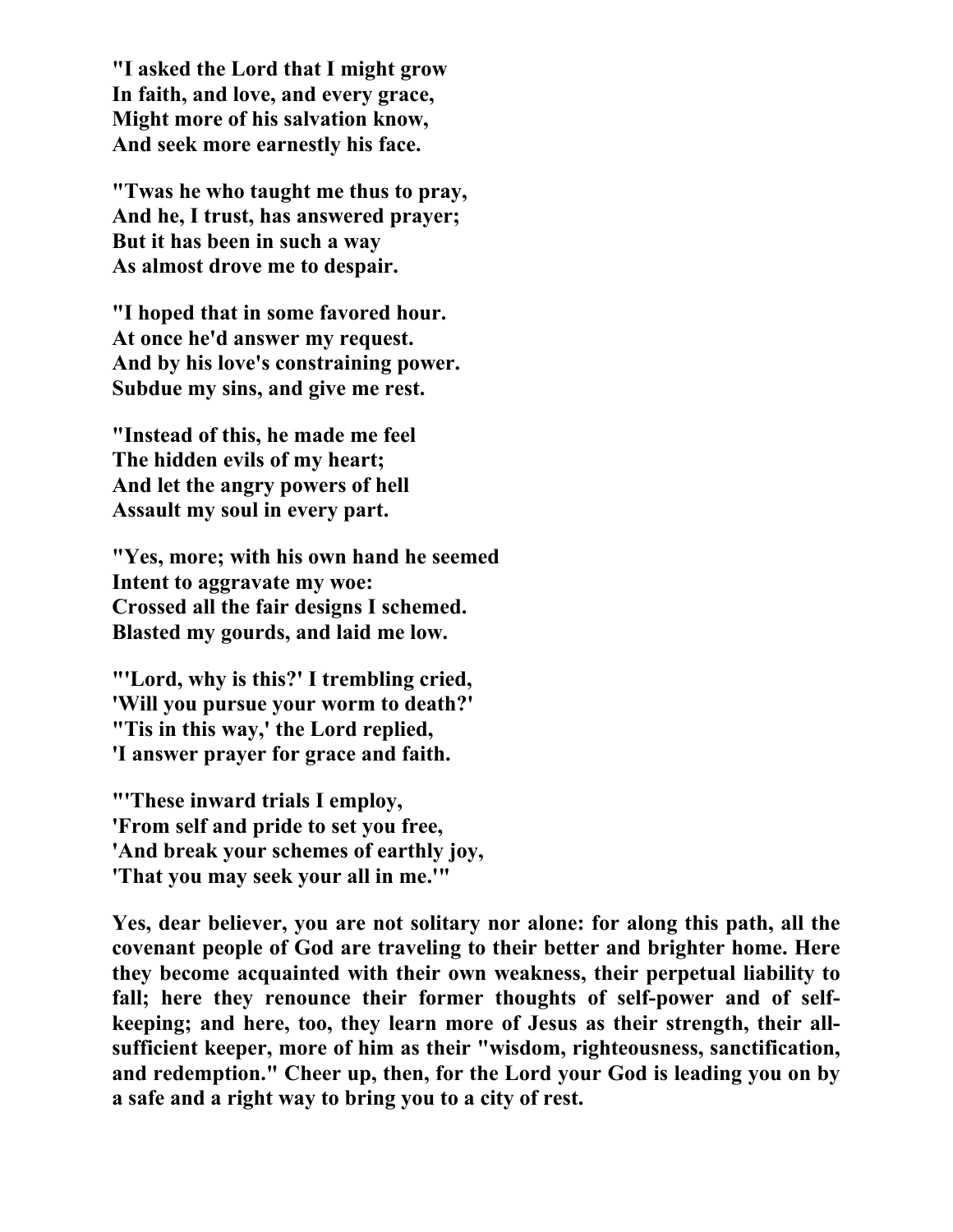**"I asked the Lord that I might grow In faith, and love, and every grace, Might more of his salvation know, And seek more earnestly his face.** 

**"Twas he who taught me thus to pray, And he, I trust, has answered prayer; But it has been in such a way As almost drove me to despair.** 

**"I hoped that in some favored hour. At once he'd answer my request. And by his love's constraining power. Subdue my sins, and give me rest.** 

**"Instead of this, he made me feel The hidden evils of my heart; And let the angry powers of hell Assault my soul in every part.** 

**"Yes, more; with his own hand he seemed Intent to aggravate my woe: Crossed all the fair designs I schemed. Blasted my gourds, and laid me low.** 

**"'Lord, why is this?' I trembling cried, 'Will you pursue your worm to death?' "Tis in this way,' the Lord replied, 'I answer prayer for grace and faith.** 

**"'These inward trials I employ, 'From self and pride to set you free, 'And break your schemes of earthly joy, 'That you may seek your all in me.'"** 

**Yes, dear believer, you are not solitary nor alone: for along this path, all the covenant people of God are traveling to their better and brighter home. Here they become acquainted with their own weakness, their perpetual liability to fall; here they renounce their former thoughts of self-power and of selfkeeping; and here, too, they learn more of Jesus as their strength, their allsufficient keeper, more of him as their "wisdom, righteousness, sanctification, and redemption." Cheer up, then, for the Lord your God is leading you on by a safe and a right way to bring you to a city of rest.**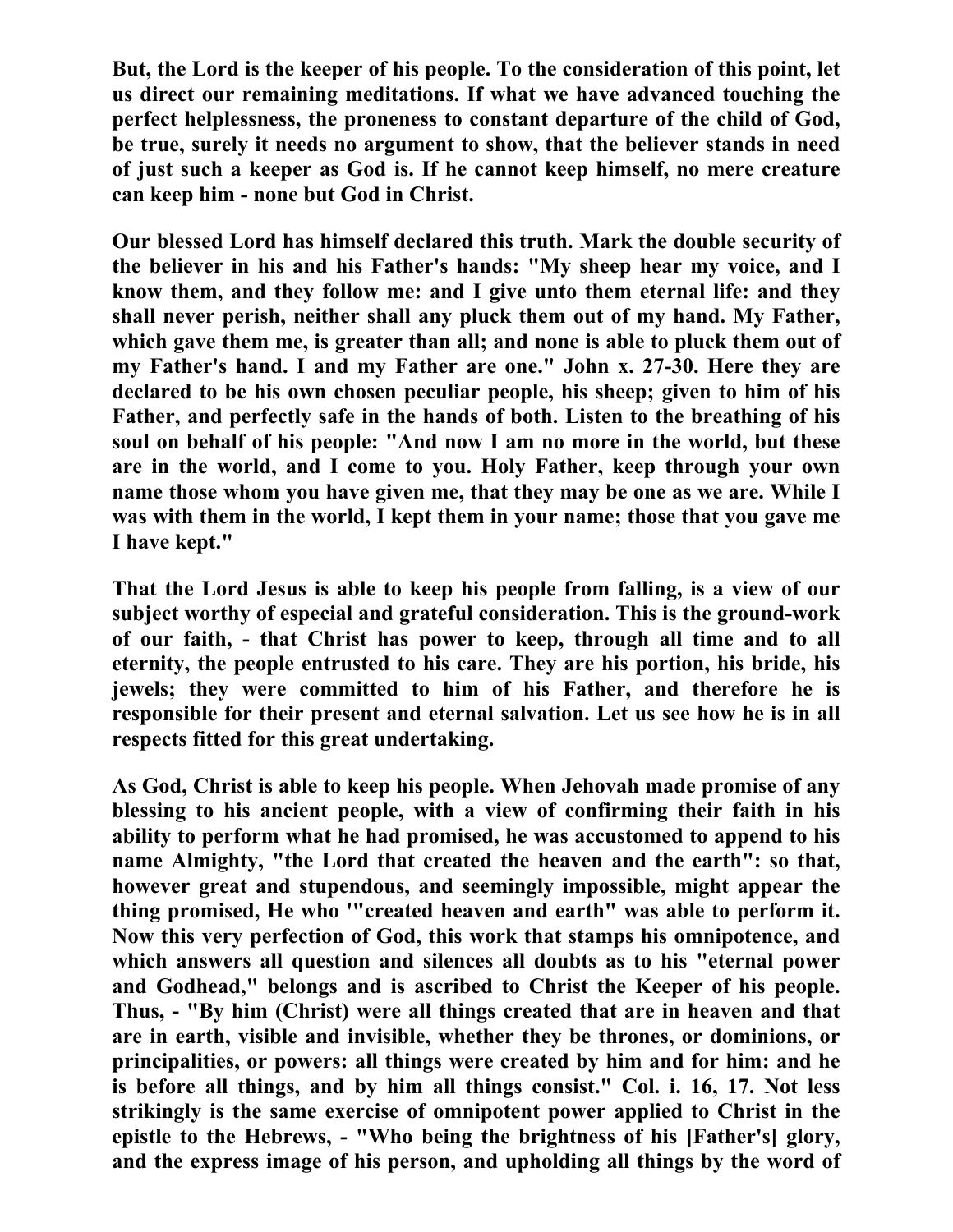**But, the Lord is the keeper of his people. To the consideration of this point, let us direct our remaining meditations. If what we have advanced touching the perfect helplessness, the proneness to constant departure of the child of God, be true, surely it needs no argument to show, that the believer stands in need of just such a keeper as God is. If he cannot keep himself, no mere creature can keep him - none but God in Christ.** 

**Our blessed Lord has himself declared this truth. Mark the double security of the believer in his and his Father's hands: "My sheep hear my voice, and I know them, and they follow me: and I give unto them eternal life: and they shall never perish, neither shall any pluck them out of my hand. My Father, which gave them me, is greater than all; and none is able to pluck them out of my Father's hand. I and my Father are one." John x. 27-30. Here they are declared to be his own chosen peculiar people, his sheep; given to him of his Father, and perfectly safe in the hands of both. Listen to the breathing of his soul on behalf of his people: "And now I am no more in the world, but these are in the world, and I come to you. Holy Father, keep through your own name those whom you have given me, that they may be one as we are. While I was with them in the world, I kept them in your name; those that you gave me I have kept."** 

**That the Lord Jesus is able to keep his people from falling, is a view of our subject worthy of especial and grateful consideration. This is the ground-work of our faith, - that Christ has power to keep, through all time and to all eternity, the people entrusted to his care. They are his portion, his bride, his jewels; they were committed to him of his Father, and therefore he is responsible for their present and eternal salvation. Let us see how he is in all respects fitted for this great undertaking.** 

**As God, Christ is able to keep his people. When Jehovah made promise of any blessing to his ancient people, with a view of confirming their faith in his ability to perform what he had promised, he was accustomed to append to his name Almighty, "the Lord that created the heaven and the earth": so that, however great and stupendous, and seemingly impossible, might appear the thing promised, He who '"created heaven and earth" was able to perform it. Now this very perfection of God, this work that stamps his omnipotence, and which answers all question and silences all doubts as to his "eternal power and Godhead," belongs and is ascribed to Christ the Keeper of his people. Thus, - "By him (Christ) were all things created that are in heaven and that are in earth, visible and invisible, whether they be thrones, or dominions, or principalities, or powers: all things were created by him and for him: and he is before all things, and by him all things consist." Col. i. 16, 17. Not less strikingly is the same exercise of omnipotent power applied to Christ in the epistle to the Hebrews, - "Who being the brightness of his [Father's] glory, and the express image of his person, and upholding all things by the word of**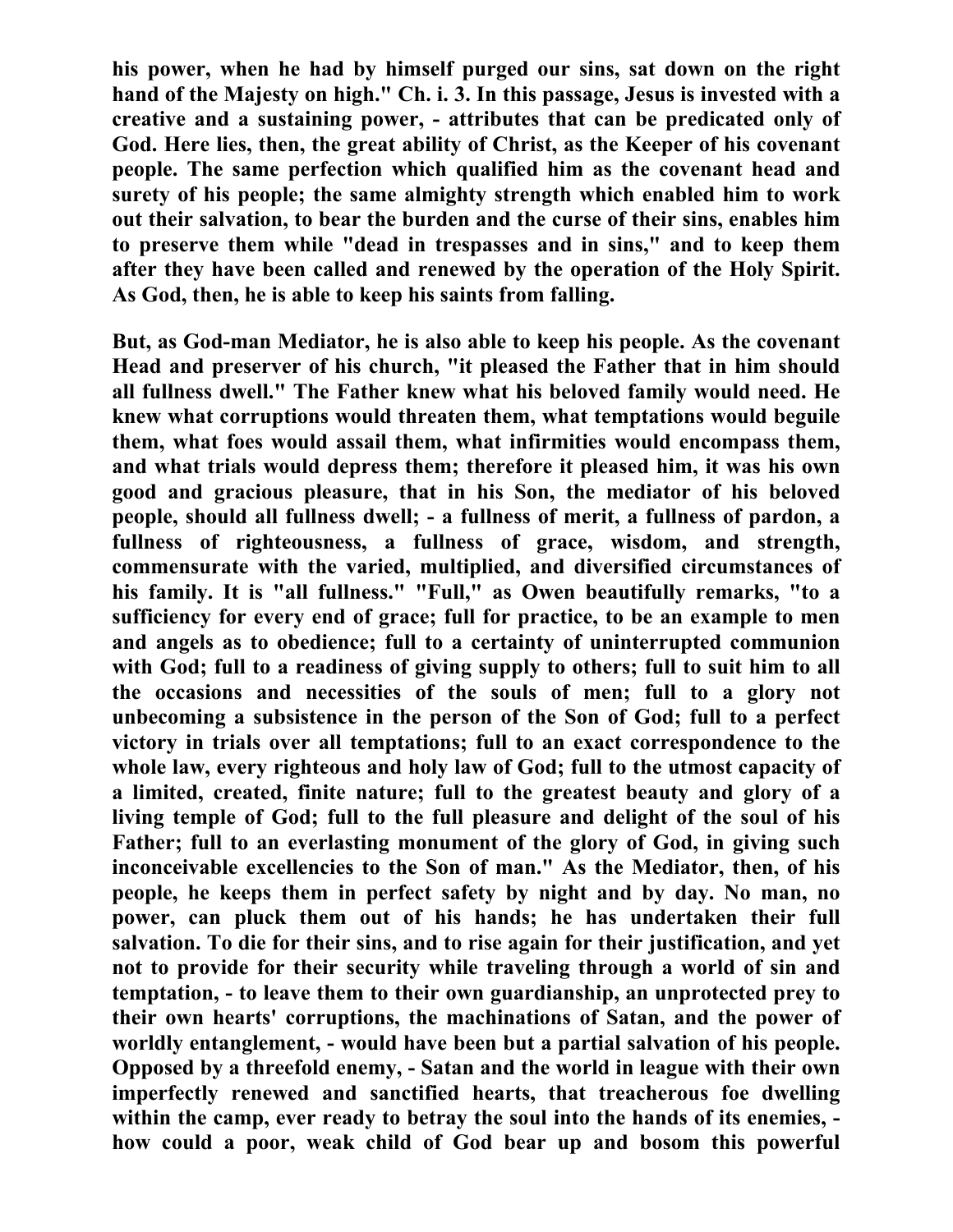**his power, when he had by himself purged our sins, sat down on the right hand of the Majesty on high." Ch. i. 3. In this passage, Jesus is invested with a creative and a sustaining power, - attributes that can be predicated only of God. Here lies, then, the great ability of Christ, as the Keeper of his covenant people. The same perfection which qualified him as the covenant head and surety of his people; the same almighty strength which enabled him to work out their salvation, to bear the burden and the curse of their sins, enables him to preserve them while "dead in trespasses and in sins," and to keep them after they have been called and renewed by the operation of the Holy Spirit. As God, then, he is able to keep his saints from falling.** 

**But, as God-man Mediator, he is also able to keep his people. As the covenant Head and preserver of his church, "it pleased the Father that in him should all fullness dwell." The Father knew what his beloved family would need. He knew what corruptions would threaten them, what temptations would beguile them, what foes would assail them, what infirmities would encompass them, and what trials would depress them; therefore it pleased him, it was his own good and gracious pleasure, that in his Son, the mediator of his beloved people, should all fullness dwell; - a fullness of merit, a fullness of pardon, a fullness of righteousness, a fullness of grace, wisdom, and strength, commensurate with the varied, multiplied, and diversified circumstances of his family. It is "all fullness." "Full," as Owen beautifully remarks, "to a sufficiency for every end of grace; full for practice, to be an example to men and angels as to obedience; full to a certainty of uninterrupted communion with God; full to a readiness of giving supply to others; full to suit him to all the occasions and necessities of the souls of men; full to a glory not unbecoming a subsistence in the person of the Son of God; full to a perfect victory in trials over all temptations; full to an exact correspondence to the whole law, every righteous and holy law of God; full to the utmost capacity of a limited, created, finite nature; full to the greatest beauty and glory of a living temple of God; full to the full pleasure and delight of the soul of his Father; full to an everlasting monument of the glory of God, in giving such inconceivable excellencies to the Son of man." As the Mediator, then, of his people, he keeps them in perfect safety by night and by day. No man, no power, can pluck them out of his hands; he has undertaken their full salvation. To die for their sins, and to rise again for their justification, and yet not to provide for their security while traveling through a world of sin and temptation, - to leave them to their own guardianship, an unprotected prey to their own hearts' corruptions, the machinations of Satan, and the power of worldly entanglement, - would have been but a partial salvation of his people. Opposed by a threefold enemy, - Satan and the world in league with their own imperfectly renewed and sanctified hearts, that treacherous foe dwelling**  within the camp, ever ready to betray the soul into the hands of its enemies, **how could a poor, weak child of God bear up and bosom this powerful**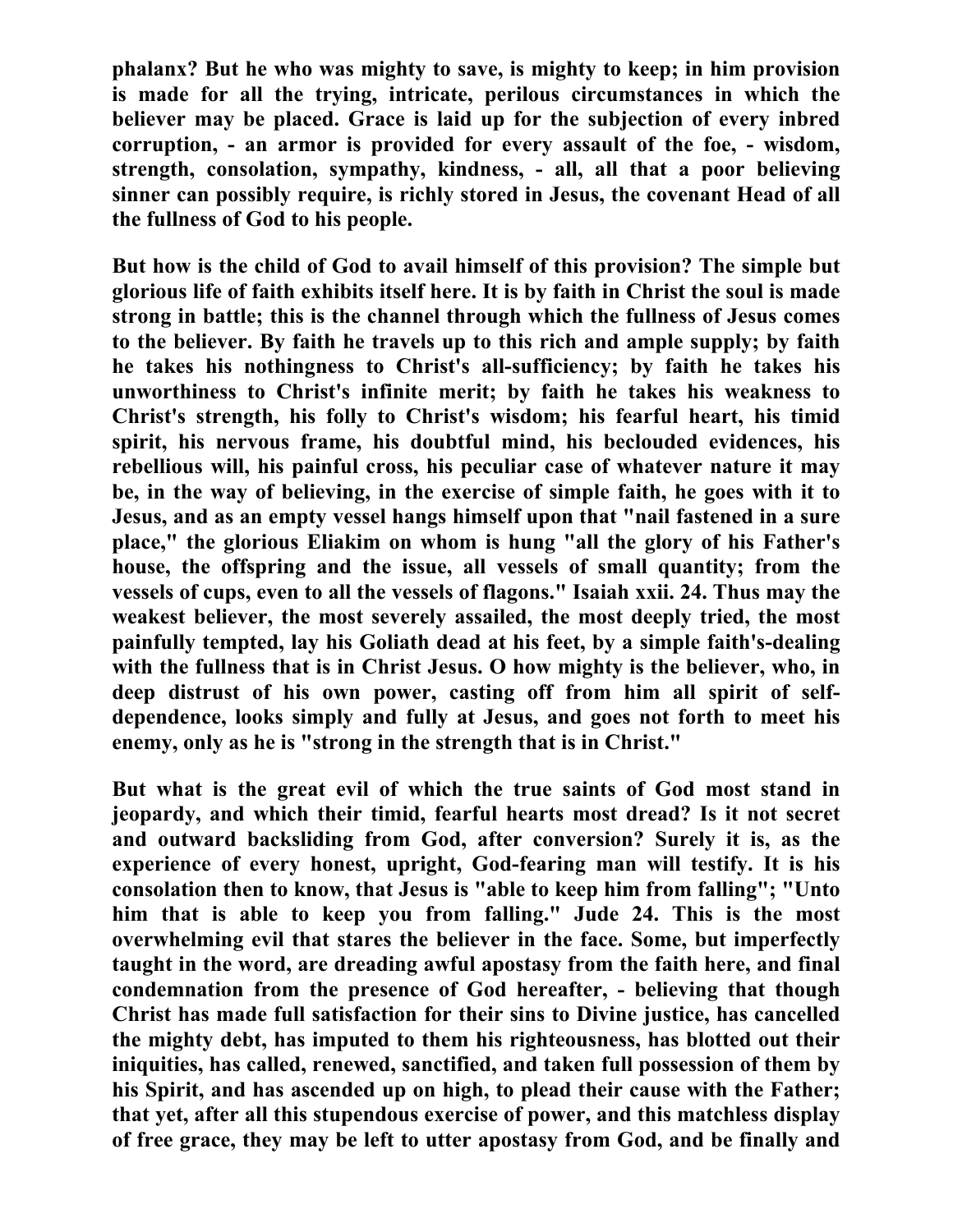**phalanx? But he who was mighty to save, is mighty to keep; in him provision is made for all the trying, intricate, perilous circumstances in which the believer may be placed. Grace is laid up for the subjection of every inbred corruption, - an armor is provided for every assault of the foe, - wisdom, strength, consolation, sympathy, kindness, - all, all that a poor believing sinner can possibly require, is richly stored in Jesus, the covenant Head of all the fullness of God to his people.** 

**But how is the child of God to avail himself of this provision? The simple but glorious life of faith exhibits itself here. It is by faith in Christ the soul is made strong in battle; this is the channel through which the fullness of Jesus comes to the believer. By faith he travels up to this rich and ample supply; by faith he takes his nothingness to Christ's all-sufficiency; by faith he takes his unworthiness to Christ's infinite merit; by faith he takes his weakness to Christ's strength, his folly to Christ's wisdom; his fearful heart, his timid spirit, his nervous frame, his doubtful mind, his beclouded evidences, his rebellious will, his painful cross, his peculiar case of whatever nature it may be, in the way of believing, in the exercise of simple faith, he goes with it to Jesus, and as an empty vessel hangs himself upon that "nail fastened in a sure place," the glorious Eliakim on whom is hung "all the glory of his Father's house, the offspring and the issue, all vessels of small quantity; from the vessels of cups, even to all the vessels of flagons." Isaiah xxii. 24. Thus may the weakest believer, the most severely assailed, the most deeply tried, the most painfully tempted, lay his Goliath dead at his feet, by a simple faith's-dealing**  with the fullness that is in Christ Jesus. O how mighty is the believer, who, in **deep distrust of his own power, casting off from him all spirit of selfdependence, looks simply and fully at Jesus, and goes not forth to meet his enemy, only as he is "strong in the strength that is in Christ."** 

**But what is the great evil of which the true saints of God most stand in jeopardy, and which their timid, fearful hearts most dread? Is it not secret and outward backsliding from God, after conversion? Surely it is, as the experience of every honest, upright, God-fearing man will testify. It is his consolation then to know, that Jesus is "able to keep him from falling"; "Unto him that is able to keep you from falling." Jude 24. This is the most overwhelming evil that stares the believer in the face. Some, but imperfectly taught in the word, are dreading awful apostasy from the faith here, and final condemnation from the presence of God hereafter, - believing that though Christ has made full satisfaction for their sins to Divine justice, has cancelled the mighty debt, has imputed to them his righteousness, has blotted out their iniquities, has called, renewed, sanctified, and taken full possession of them by his Spirit, and has ascended up on high, to plead their cause with the Father; that yet, after all this stupendous exercise of power, and this matchless display of free grace, they may be left to utter apostasy from God, and be finally and**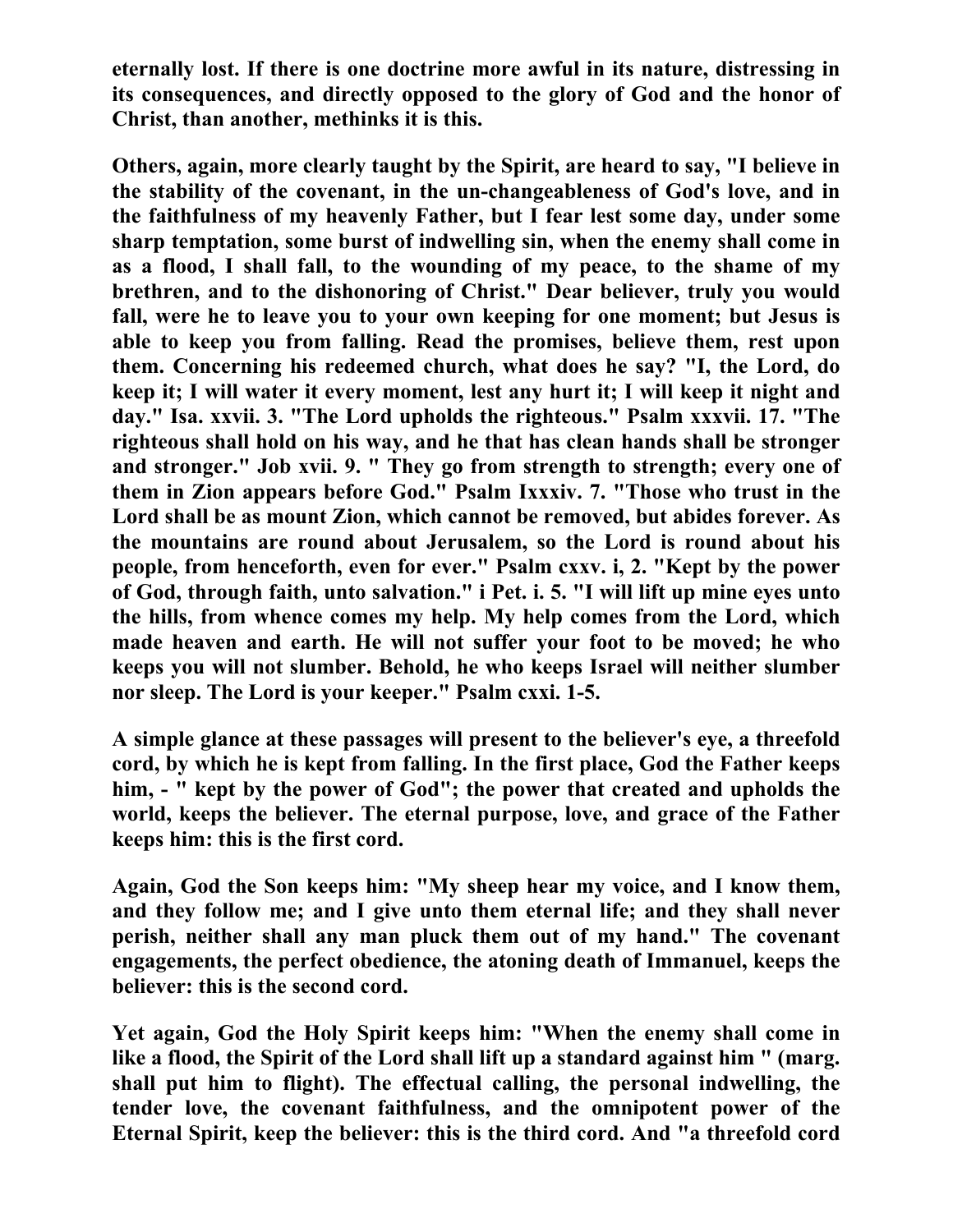**eternally lost. If there is one doctrine more awful in its nature, distressing in its consequences, and directly opposed to the glory of God and the honor of Christ, than another, methinks it is this.** 

**Others, again, more clearly taught by the Spirit, are heard to say, "I believe in the stability of the covenant, in the un-changeableness of God's love, and in the faithfulness of my heavenly Father, but I fear lest some day, under some sharp temptation, some burst of indwelling sin, when the enemy shall come in as a flood, I shall fall, to the wounding of my peace, to the shame of my brethren, and to the dishonoring of Christ." Dear believer, truly you would fall, were he to leave you to your own keeping for one moment; but Jesus is able to keep you from falling. Read the promises, believe them, rest upon them. Concerning his redeemed church, what does he say? "I, the Lord, do keep it; I will water it every moment, lest any hurt it; I will keep it night and day." Isa. xxvii. 3. "The Lord upholds the righteous." Psalm xxxvii. 17. "The righteous shall hold on his way, and he that has clean hands shall be stronger and stronger." Job xvii. 9. " They go from strength to strength; every one of them in Zion appears before God." Psalm Ixxxiv. 7. "Those who trust in the Lord shall be as mount Zion, which cannot be removed, but abides forever. As the mountains are round about Jerusalem, so the Lord is round about his people, from henceforth, even for ever." Psalm cxxv. i, 2. "Kept by the power of God, through faith, unto salvation." i Pet. i. 5. "I will lift up mine eyes unto the hills, from whence comes my help. My help comes from the Lord, which made heaven and earth. He will not suffer your foot to be moved; he who keeps you will not slumber. Behold, he who keeps Israel will neither slumber nor sleep. The Lord is your keeper." Psalm cxxi. 1-5.** 

**A simple glance at these passages will present to the believer's eye, a threefold cord, by which he is kept from falling. In the first place, God the Father keeps him, - " kept by the power of God"; the power that created and upholds the world, keeps the believer. The eternal purpose, love, and grace of the Father keeps him: this is the first cord.** 

**Again, God the Son keeps him: "My sheep hear my voice, and I know them, and they follow me; and I give unto them eternal life; and they shall never perish, neither shall any man pluck them out of my hand." The covenant engagements, the perfect obedience, the atoning death of Immanuel, keeps the believer: this is the second cord.** 

**Yet again, God the Holy Spirit keeps him: "When the enemy shall come in like a flood, the Spirit of the Lord shall lift up a standard against him " (marg. shall put him to flight). The effectual calling, the personal indwelling, the tender love, the covenant faithfulness, and the omnipotent power of the Eternal Spirit, keep the believer: this is the third cord. And "a threefold cord**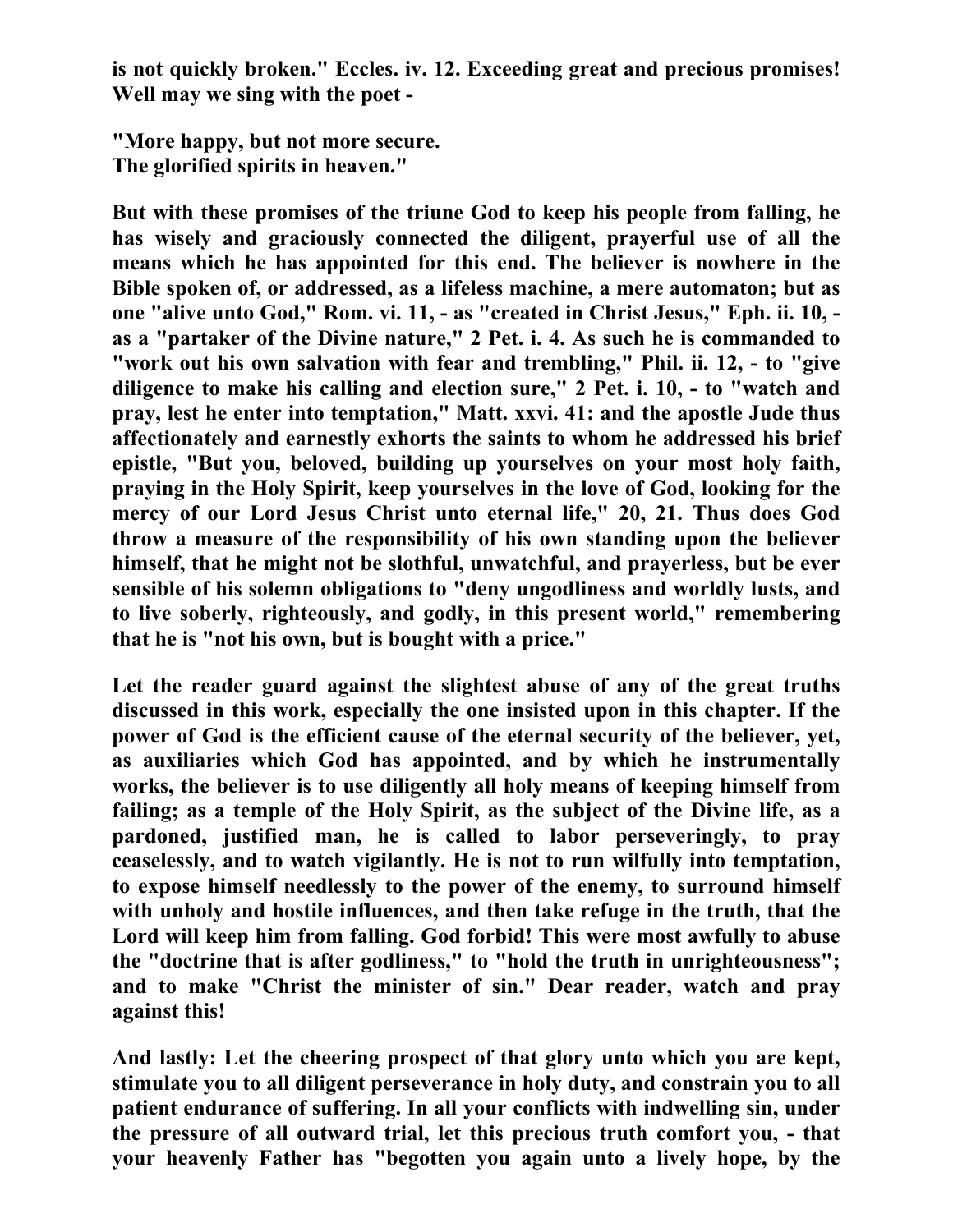**is not quickly broken." Eccles. iv. 12. Exceeding great and precious promises! Well may we sing with the poet -** 

**"More happy, but not more secure. The glorified spirits in heaven."** 

**But with these promises of the triune God to keep his people from falling, he has wisely and graciously connected the diligent, prayerful use of all the means which he has appointed for this end. The believer is nowhere in the Bible spoken of, or addressed, as a lifeless machine, a mere automaton; but as one "alive unto God," Rom. vi. 11, - as "created in Christ Jesus," Eph. ii. 10, as a "partaker of the Divine nature," 2 Pet. i. 4. As such he is commanded to "work out his own salvation with fear and trembling," Phil. ii. 12, - to "give diligence to make his calling and election sure," 2 Pet. i. 10, - to "watch and pray, lest he enter into temptation," Matt. xxvi. 41: and the apostle Jude thus affectionately and earnestly exhorts the saints to whom he addressed his brief epistle, "But you, beloved, building up yourselves on your most holy faith, praying in the Holy Spirit, keep yourselves in the love of God, looking for the mercy of our Lord Jesus Christ unto eternal life," 20, 21. Thus does God throw a measure of the responsibility of his own standing upon the believer himself, that he might not be slothful, unwatchful, and prayerless, but be ever sensible of his solemn obligations to "deny ungodliness and worldly lusts, and to live soberly, righteously, and godly, in this present world," remembering that he is "not his own, but is bought with a price."** 

**Let the reader guard against the slightest abuse of any of the great truths discussed in this work, especially the one insisted upon in this chapter. If the power of God is the efficient cause of the eternal security of the believer, yet, as auxiliaries which God has appointed, and by which he instrumentally works, the believer is to use diligently all holy means of keeping himself from failing; as a temple of the Holy Spirit, as the subject of the Divine life, as a pardoned, justified man, he is called to labor perseveringly, to pray ceaselessly, and to watch vigilantly. He is not to run wilfully into temptation, to expose himself needlessly to the power of the enemy, to surround himself with unholy and hostile influences, and then take refuge in the truth, that the Lord will keep him from falling. God forbid! This were most awfully to abuse the "doctrine that is after godliness," to "hold the truth in unrighteousness"; and to make "Christ the minister of sin." Dear reader, watch and pray against this!** 

**And lastly: Let the cheering prospect of that glory unto which you are kept, stimulate you to all diligent perseverance in holy duty, and constrain you to all patient endurance of suffering. In all your conflicts with indwelling sin, under the pressure of all outward trial, let this precious truth comfort you, - that your heavenly Father has "begotten you again unto a lively hope, by the**